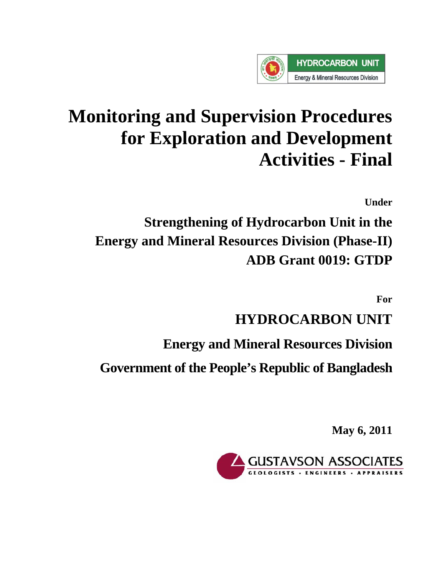

# **Monitoring and Supervision Procedures for Exploration and Development Activities - Final**

**Under** 

**Strengthening of Hydrocarbon Unit in the Energy and Mineral Resources Division (Phase-II) ADB Grant 0019: GTDP**

**For** 

# **HYDROCARBON UNIT**

**Energy and Mineral Resources Division** 

**Government of the People's Republic of Bangladesh**

**May 6, 2011** 

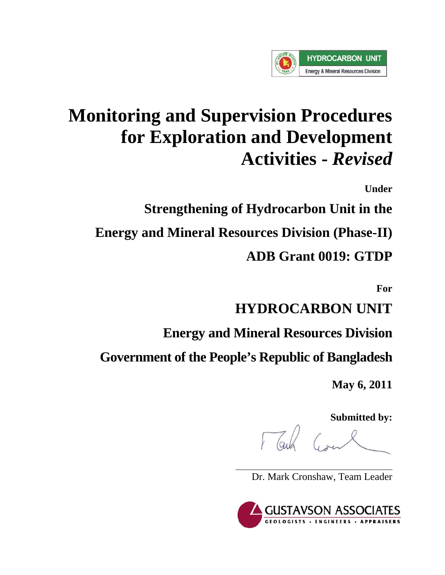

# **Monitoring and Supervision Procedures for Exploration and Development Activities -** *Revised*

**Under** 

**Strengthening of Hydrocarbon Unit in the Energy and Mineral Resources Division (Phase-II) ADB Grant 0019: GTDP**

**For** 

**HYDROCARBON UNIT** 

**Energy and Mineral Resources Division** 

**Government of the People's Republic of Bangladesh**

**May 6, 2011** 

**Submitted by:** 

Dr. Mark Cronshaw, Team Leader

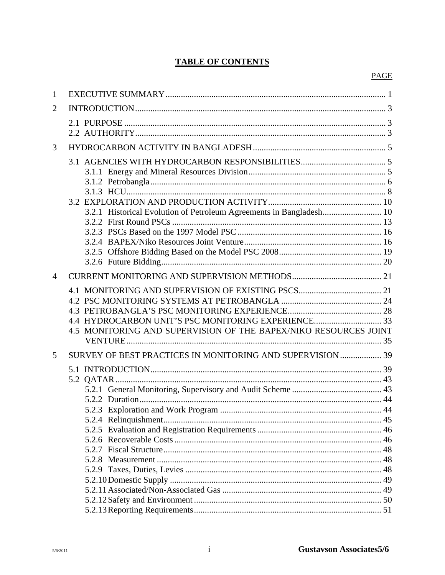# **TABLE OF CONTENTS**

| $\mathbf{1}$ |                                                                     |  |
|--------------|---------------------------------------------------------------------|--|
| 2            |                                                                     |  |
|              |                                                                     |  |
|              |                                                                     |  |
| 3            |                                                                     |  |
|              |                                                                     |  |
|              |                                                                     |  |
|              |                                                                     |  |
|              |                                                                     |  |
|              |                                                                     |  |
|              | 3.2.1 Historical Evolution of Petroleum Agreements in Bangladesh 10 |  |
|              |                                                                     |  |
|              |                                                                     |  |
|              |                                                                     |  |
|              |                                                                     |  |
|              |                                                                     |  |
| 4            |                                                                     |  |
|              |                                                                     |  |
|              |                                                                     |  |
|              |                                                                     |  |
|              | 4.4 HYDROCARBON UNIT'S PSC MONITORING EXPERIENCE 33                 |  |
|              | 4.5 MONITORING AND SUPERVISION OF THE BAPEX/NIKO RESOURCES JOINT    |  |
|              |                                                                     |  |
| 5            | SURVEY OF BEST PRACTICES IN MONITORING AND SUPERVISION  39          |  |
|              |                                                                     |  |
|              |                                                                     |  |
|              |                                                                     |  |
|              |                                                                     |  |
|              |                                                                     |  |
|              |                                                                     |  |
|              |                                                                     |  |
|              |                                                                     |  |
|              |                                                                     |  |
|              |                                                                     |  |
|              |                                                                     |  |
|              |                                                                     |  |
|              |                                                                     |  |
|              |                                                                     |  |
|              |                                                                     |  |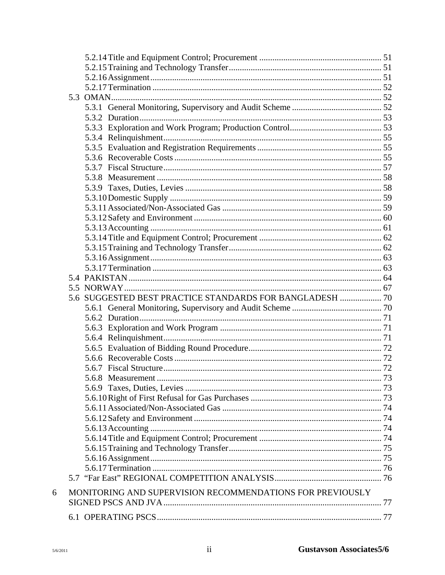|   | 5.6 SUGGESTED BEST PRACTICE STANDARDS FOR BANGLADESH  70  |  |
|---|-----------------------------------------------------------|--|
|   |                                                           |  |
|   |                                                           |  |
|   |                                                           |  |
|   |                                                           |  |
|   |                                                           |  |
|   |                                                           |  |
|   |                                                           |  |
|   |                                                           |  |
|   |                                                           |  |
|   |                                                           |  |
|   |                                                           |  |
|   |                                                           |  |
|   |                                                           |  |
|   |                                                           |  |
|   |                                                           |  |
|   |                                                           |  |
|   |                                                           |  |
|   |                                                           |  |
| 6 | MONITORING AND SUPERVISION RECOMMENDATIONS FOR PREVIOUSLY |  |
|   |                                                           |  |
|   |                                                           |  |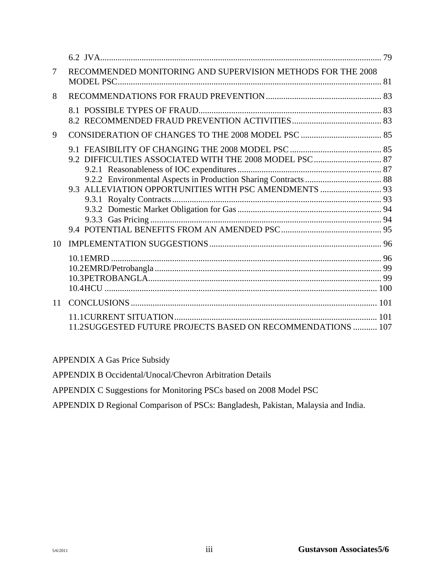| 7  | RECOMMENDED MONITORING AND SUPERVISION METHODS FOR THE 2008 |     |
|----|-------------------------------------------------------------|-----|
| 8  |                                                             |     |
|    |                                                             |     |
| 9  |                                                             |     |
| 10 | 9.3 ALLEVIATION OPPORTUNITIES WITH PSC AMENDMENTS  93       |     |
|    |                                                             |     |
| 11 |                                                             |     |
|    | 11.2SUGGESTED FUTURE PROJECTS BASED ON RECOMMENDATIONS  107 | 101 |

APPENDIX A Gas Price Subsidy

APPENDIX B Occidental/Unocal/Chevron Arbitration Details

APPENDIX C Suggestions for Monitoring PSCs based on 2008 Model PSC

APPENDIX D Regional Comparison of PSCs: Bangladesh, Pakistan, Malaysia and India.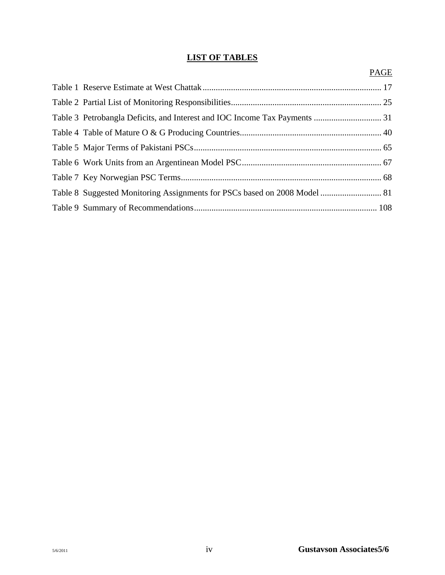# **LIST OF TABLES**

|  | <b>PAGE</b> |
|--|-------------|
|  |             |
|  |             |
|  |             |
|  |             |
|  |             |
|  |             |
|  |             |
|  |             |
|  |             |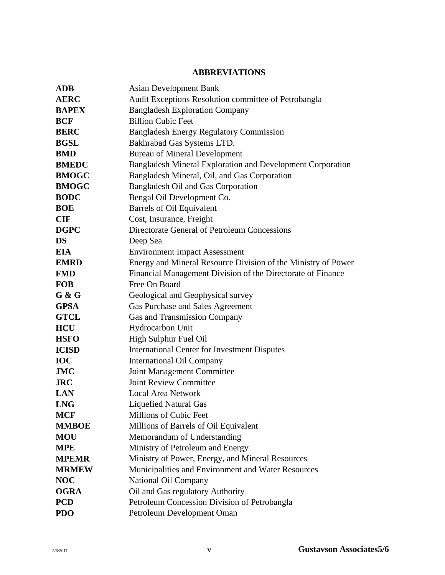# **ABBREVIATIONS**

| <b>ADB</b>                                                                        | <b>Asian Development Bank</b>                        |  |  |
|-----------------------------------------------------------------------------------|------------------------------------------------------|--|--|
| <b>AERC</b>                                                                       | Audit Exceptions Resolution committee of Petrobangla |  |  |
| <b>BAPEX</b>                                                                      | <b>Bangladesh Exploration Company</b>                |  |  |
| <b>BCF</b>                                                                        | <b>Billion Cubic Feet</b>                            |  |  |
| <b>BERC</b>                                                                       | <b>Bangladesh Energy Regulatory Commission</b>       |  |  |
| <b>BGSL</b><br>Bakhrabad Gas Systems LTD.                                         |                                                      |  |  |
| <b>Bureau of Mineral Development</b><br><b>BMD</b>                                |                                                      |  |  |
| <b>Bangladesh Mineral Exploration and Development Corporation</b><br><b>BMEDC</b> |                                                      |  |  |
| <b>BMOGC</b><br>Bangladesh Mineral, Oil, and Gas Corporation                      |                                                      |  |  |
| <b>BMOGC</b>                                                                      | <b>Bangladesh Oil and Gas Corporation</b>            |  |  |
| <b>BODC</b>                                                                       | Bengal Oil Development Co.                           |  |  |
| <b>BOE</b>                                                                        | <b>Barrels of Oil Equivalent</b>                     |  |  |
| <b>CIF</b>                                                                        | Cost, Insurance, Freight                             |  |  |
| <b>DGPC</b>                                                                       | Directorate General of Petroleum Concessions         |  |  |
| <b>DS</b>                                                                         | Deep Sea                                             |  |  |
| <b>EIA</b><br><b>Environment Impact Assessment</b>                                |                                                      |  |  |
| Energy and Mineral Resource Division of the Ministry of Power<br><b>EMRD</b>      |                                                      |  |  |
| <b>FMD</b><br>Financial Management Division of the Directorate of Finance         |                                                      |  |  |
| <b>FOB</b>                                                                        | Free On Board                                        |  |  |
| $G$ & $G$<br>Geological and Geophysical survey                                    |                                                      |  |  |
| <b>GPSA</b>                                                                       | Gas Purchase and Sales Agreement                     |  |  |
| <b>GTCL</b>                                                                       | <b>Gas and Transmission Company</b>                  |  |  |
| <b>HCU</b>                                                                        | Hydrocarbon Unit                                     |  |  |
| <b>HSFO</b>                                                                       | High Sulphur Fuel Oil                                |  |  |
| <b>ICISD</b>                                                                      | <b>International Center for Investment Disputes</b>  |  |  |
| <b>IOC</b>                                                                        | <b>International Oil Company</b>                     |  |  |
| <b>JMC</b>                                                                        | Joint Management Committee                           |  |  |
| <b>JRC</b>                                                                        | <b>Joint Review Committee</b>                        |  |  |
| <b>LAN</b>                                                                        | <b>Local Area Network</b>                            |  |  |
| <b>LNG</b>                                                                        | Liquefied Natural Gas                                |  |  |
| <b>MCF</b>                                                                        | Millions of Cubic Feet                               |  |  |
| <b>MMBOE</b>                                                                      | Millions of Barrels of Oil Equivalent                |  |  |
| <b>MOU</b>                                                                        | Memorandum of Understanding                          |  |  |
| <b>MPE</b>                                                                        | Ministry of Petroleum and Energy                     |  |  |
| <b>MPEMR</b>                                                                      | Ministry of Power, Energy, and Mineral Resources     |  |  |
| <b>MRMEW</b>                                                                      | Municipalities and Environment and Water Resources   |  |  |
| <b>NOC</b>                                                                        | National Oil Company                                 |  |  |
| <b>OGRA</b>                                                                       | Oil and Gas regulatory Authority                     |  |  |
| <b>PCD</b>                                                                        | Petroleum Concession Division of Petrobangla         |  |  |
| <b>PDO</b>                                                                        | Petroleum Development Oman                           |  |  |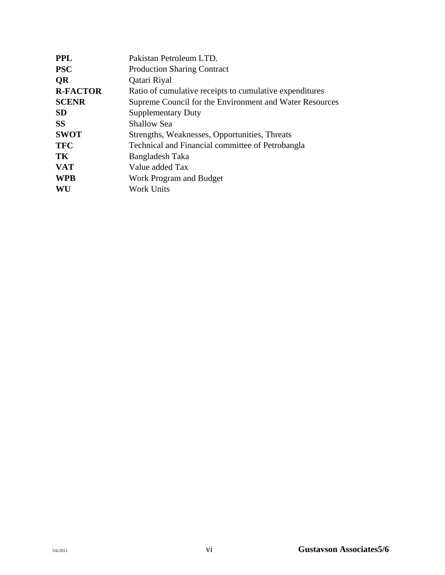| Pakistan Petroleum LTD.                                 |  |  |
|---------------------------------------------------------|--|--|
| <b>Production Sharing Contract</b>                      |  |  |
| Qatari Riyal                                            |  |  |
| Ratio of cumulative receipts to cumulative expenditures |  |  |
| Supreme Council for the Environment and Water Resources |  |  |
| <b>Supplementary Duty</b>                               |  |  |
| <b>Shallow Sea</b>                                      |  |  |
| Strengths, Weaknesses, Opportunities, Threats           |  |  |
| Technical and Financial committee of Petrobangla        |  |  |
| Bangladesh Taka                                         |  |  |
| Value added Tax                                         |  |  |
| Work Program and Budget                                 |  |  |
| <b>Work Units</b>                                       |  |  |
|                                                         |  |  |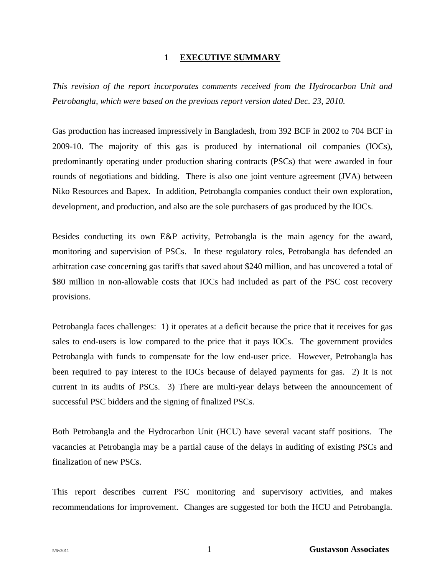#### **1 EXECUTIVE SUMMARY**

*This revision of the report incorporates comments received from the Hydrocarbon Unit and Petrobangla, which were based on the previous report version dated Dec. 23, 2010.* 

Gas production has increased impressively in Bangladesh, from 392 BCF in 2002 to 704 BCF in 2009-10. The majority of this gas is produced by international oil companies (IOCs), predominantly operating under production sharing contracts (PSCs) that were awarded in four rounds of negotiations and bidding. There is also one joint venture agreement (JVA) between Niko Resources and Bapex. In addition, Petrobangla companies conduct their own exploration, development, and production, and also are the sole purchasers of gas produced by the IOCs.

Besides conducting its own E&P activity, Petrobangla is the main agency for the award, monitoring and supervision of PSCs. In these regulatory roles, Petrobangla has defended an arbitration case concerning gas tariffs that saved about \$240 million, and has uncovered a total of \$80 million in non-allowable costs that IOCs had included as part of the PSC cost recovery provisions.

Petrobangla faces challenges: 1) it operates at a deficit because the price that it receives for gas sales to end-users is low compared to the price that it pays IOCs. The government provides Petrobangla with funds to compensate for the low end-user price. However, Petrobangla has been required to pay interest to the IOCs because of delayed payments for gas. 2) It is not current in its audits of PSCs. 3) There are multi-year delays between the announcement of successful PSC bidders and the signing of finalized PSCs.

Both Petrobangla and the Hydrocarbon Unit (HCU) have several vacant staff positions. The vacancies at Petrobangla may be a partial cause of the delays in auditing of existing PSCs and finalization of new PSCs.

This report describes current PSC monitoring and supervisory activities, and makes recommendations for improvement. Changes are suggested for both the HCU and Petrobangla.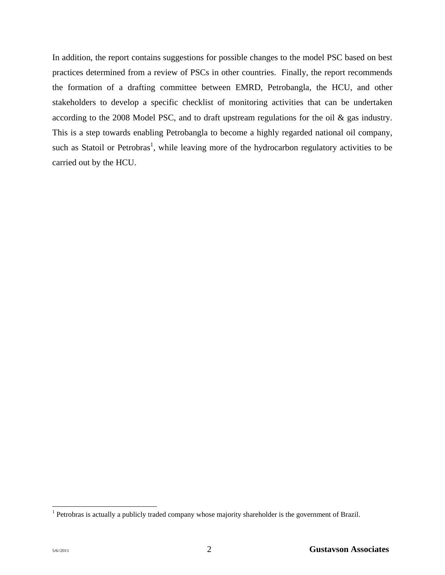In addition, the report contains suggestions for possible changes to the model PSC based on best practices determined from a review of PSCs in other countries. Finally, the report recommends the formation of a drafting committee between EMRD, Petrobangla, the HCU, and other stakeholders to develop a specific checklist of monitoring activities that can be undertaken according to the 2008 Model PSC, and to draft upstream regulations for the oil & gas industry. This is a step towards enabling Petrobangla to become a highly regarded national oil company, such as Statoil or Petrobras<sup>1</sup>, while leaving more of the hydrocarbon regulatory activities to be carried out by the HCU.

l

<sup>&</sup>lt;sup>1</sup> Petrobras is actually a publicly traded company whose majority shareholder is the government of Brazil.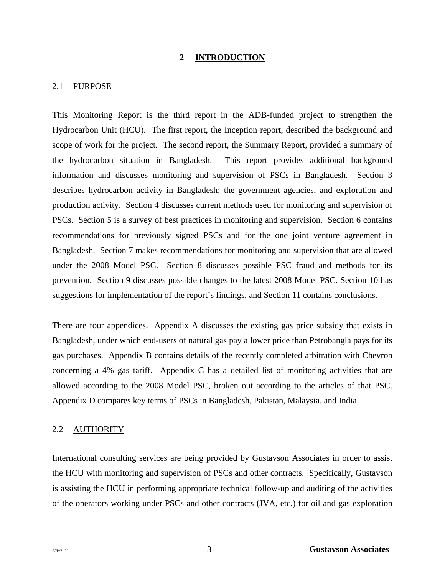#### **2 INTRODUCTION**

#### 2.1 PURPOSE

This Monitoring Report is the third report in the ADB-funded project to strengthen the Hydrocarbon Unit (HCU). The first report, the Inception report, described the background and scope of work for the project. The second report, the Summary Report, provided a summary of the hydrocarbon situation in Bangladesh. This report provides additional background information and discusses monitoring and supervision of PSCs in Bangladesh. Section 3 describes hydrocarbon activity in Bangladesh: the government agencies, and exploration and production activity. Section 4 discusses current methods used for monitoring and supervision of PSCs. Section 5 is a survey of best practices in monitoring and supervision. Section 6 contains recommendations for previously signed PSCs and for the one joint venture agreement in Bangladesh. Section 7 makes recommendations for monitoring and supervision that are allowed under the 2008 Model PSC. Section 8 discusses possible PSC fraud and methods for its prevention. Section 9 discusses possible changes to the latest 2008 Model PSC. Section 10 has suggestions for implementation of the report's findings, and Section 11 contains conclusions.

There are four appendices. Appendix A discusses the existing gas price subsidy that exists in Bangladesh, under which end-users of natural gas pay a lower price than Petrobangla pays for its gas purchases. Appendix B contains details of the recently completed arbitration with Chevron concerning a 4% gas tariff. Appendix C has a detailed list of monitoring activities that are allowed according to the 2008 Model PSC, broken out according to the articles of that PSC. Appendix D compares key terms of PSCs in Bangladesh, Pakistan, Malaysia, and India.

#### 2.2 AUTHORITY

International consulting services are being provided by Gustavson Associates in order to assist the HCU with monitoring and supervision of PSCs and other contracts. Specifically, Gustavson is assisting the HCU in performing appropriate technical follow-up and auditing of the activities of the operators working under PSCs and other contracts (JVA, etc.) for oil and gas exploration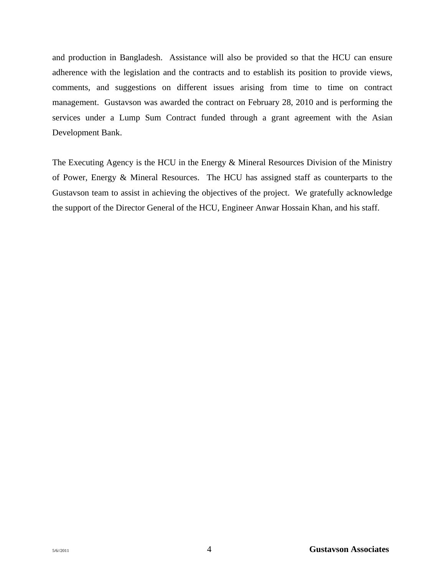and production in Bangladesh. Assistance will also be provided so that the HCU can ensure adherence with the legislation and the contracts and to establish its position to provide views, comments, and suggestions on different issues arising from time to time on contract management. Gustavson was awarded the contract on February 28, 2010 and is performing the services under a Lump Sum Contract funded through a grant agreement with the Asian Development Bank.

The Executing Agency is the HCU in the Energy & Mineral Resources Division of the Ministry of Power, Energy & Mineral Resources. The HCU has assigned staff as counterparts to the Gustavson team to assist in achieving the objectives of the project. We gratefully acknowledge the support of the Director General of the HCU, Engineer Anwar Hossain Khan, and his staff.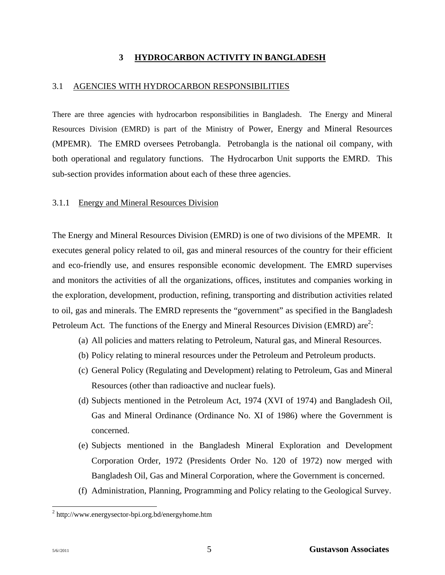#### **3 HYDROCARBON ACTIVITY IN BANGLADESH**

#### 3.1 AGENCIES WITH HYDROCARBON RESPONSIBILITIES

There are three agencies with hydrocarbon responsibilities in Bangladesh. The Energy and Mineral Resources Division (EMRD) is part of the Ministry of Power, Energy and Mineral Resources (MPEMR). The EMRD oversees Petrobangla. Petrobangla is the national oil company, with both operational and regulatory functions. The Hydrocarbon Unit supports the EMRD. This sub-section provides information about each of these three agencies.

#### 3.1.1 Energy and Mineral Resources Division

The Energy and Mineral Resources Division (EMRD) is one of two divisions of the MPEMR. It executes general policy related to oil, gas and mineral resources of the country for their efficient and eco-friendly use, and ensures responsible economic development. The EMRD supervises and monitors the activities of all the organizations, offices, institutes and companies working in the exploration, development, production, refining, transporting and distribution activities related to oil, gas and minerals. The EMRD represents the "government" as specified in the Bangladesh Petroleum Act. The functions of the Energy and Mineral Resources Division (EMRD) are<sup>2</sup>:

- (a) All policies and matters relating to Petroleum, Natural gas, and Mineral Resources.
- (b) Policy relating to mineral resources under the Petroleum and Petroleum products.
- (c) General Policy (Regulating and Development) relating to Petroleum, Gas and Mineral Resources (other than radioactive and nuclear fuels).
- (d) Subjects mentioned in the Petroleum Act, 1974 (XVI of 1974) and Bangladesh Oil, Gas and Mineral Ordinance (Ordinance No. XI of 1986) where the Government is concerned.
- (e) Subjects mentioned in the Bangladesh Mineral Exploration and Development Corporation Order, 1972 (Presidents Order No. 120 of 1972) now merged with Bangladesh Oil, Gas and Mineral Corporation, where the Government is concerned.
- (f) Administration, Planning, Programming and Policy relating to the Geological Survey.

l

<sup>&</sup>lt;sup>2</sup> http://www.energysector-bpi.org.bd/energyhome.htm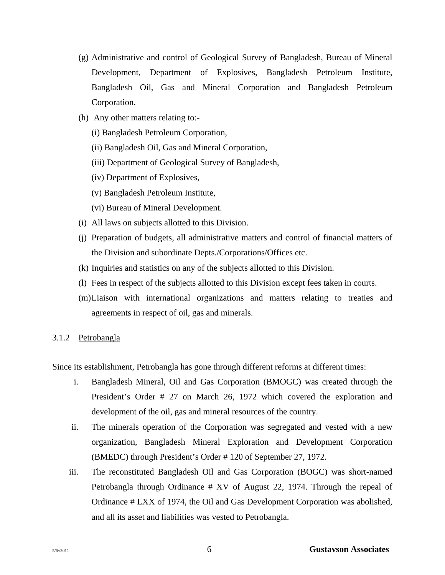- (g) Administrative and control of Geological Survey of Bangladesh, Bureau of Mineral Development, Department of Explosives, Bangladesh Petroleum Institute, Bangladesh Oil, Gas and Mineral Corporation and Bangladesh Petroleum Corporation.
- (h) Any other matters relating to:-
	- (i) Bangladesh Petroleum Corporation,
	- (ii) Bangladesh Oil, Gas and Mineral Corporation,
	- (iii) Department of Geological Survey of Bangladesh,
	- (iv) Department of Explosives,
	- (v) Bangladesh Petroleum Institute,
	- (vi) Bureau of Mineral Development.
- (i) All laws on subjects allotted to this Division.
- (j) Preparation of budgets, all administrative matters and control of financial matters of the Division and subordinate Depts./Corporations/Offices etc.
- (k) Inquiries and statistics on any of the subjects allotted to this Division.
- (l) Fees in respect of the subjects allotted to this Division except fees taken in courts.
- (m) Liaison with international organizations and matters relating to treaties and agreements in respect of oil, gas and minerals.

#### 3.1.2 Petrobangla

Since its establishment, Petrobangla has gone through different reforms at different times:

- i. Bangladesh Mineral, Oil and Gas Corporation (BMOGC) was created through the President's Order # 27 on March 26, 1972 which covered the exploration and development of the oil, gas and mineral resources of the country.
- ii. The minerals operation of the Corporation was segregated and vested with a new organization, Bangladesh Mineral Exploration and Development Corporation (BMEDC) through President's Order # 120 of September 27, 1972.
- iii. The reconstituted Bangladesh Oil and Gas Corporation (BOGC) was short-named Petrobangla through Ordinance # XV of August 22, 1974. Through the repeal of Ordinance # LXX of 1974, the Oil and Gas Development Corporation was abolished, and all its asset and liabilities was vested to Petrobangla.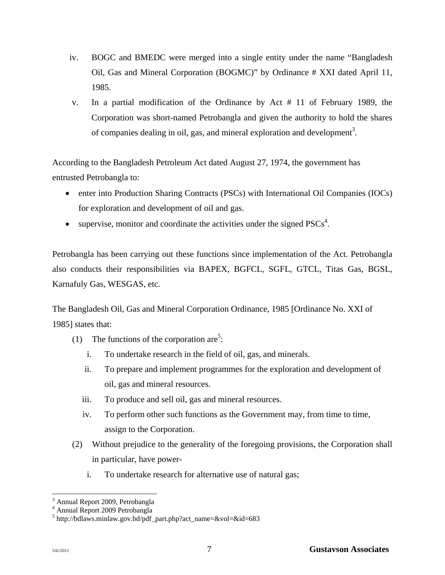- iv. BOGC and BMEDC were merged into a single entity under the name "Bangladesh Oil, Gas and Mineral Corporation (BOGMC)" by Ordinance # XXI dated April 11, 1985.
- v. In a partial modification of the Ordinance by Act # 11 of February 1989, the Corporation was short-named Petrobangla and given the authority to hold the shares of companies dealing in oil, gas, and mineral exploration and development<sup>3</sup>.

According to the Bangladesh Petroleum Act dated August 27, 1974, the government has entrusted Petrobangla to:

- enter into Production Sharing Contracts (PSCs) with International Oil Companies (IOCs) for exploration and development of oil and gas.
- supervise, monitor and coordinate the activities under the signed  $PSCs<sup>4</sup>$ .

Petrobangla has been carrying out these functions since implementation of the Act. Petrobangla also conducts their responsibilities via BAPEX, BGFCL, SGFL, GTCL, Titas Gas, BGSL, Karnafuly Gas, WESGAS, etc.

The Bangladesh Oil, Gas and Mineral Corporation Ordinance, 1985 [Ordinance No. XXI of 1985] states that:

- (1) The functions of the corporation are<sup>5</sup>:
	- i. To undertake research in the field of oil, gas, and minerals.
	- ii. To prepare and implement programmes for the exploration and development of oil, gas and mineral resources.
	- iii. To produce and sell oil, gas and mineral resources.
	- iv. To perform other such functions as the Government may, from time to time, assign to the Corporation.
- (2) Without prejudice to the generality of the foregoing provisions, the Corporation shall in particular, have power
	- i. To undertake research for alternative use of natural gas;

l <sup>3</sup> Annual Report 2009, Petrobangla

<sup>4</sup> Annual Report 2009 Petrobangla

<sup>5</sup> http://bdlaws.minlaw.gov.bd/pdf\_part.php?act\_name=&vol=&id=683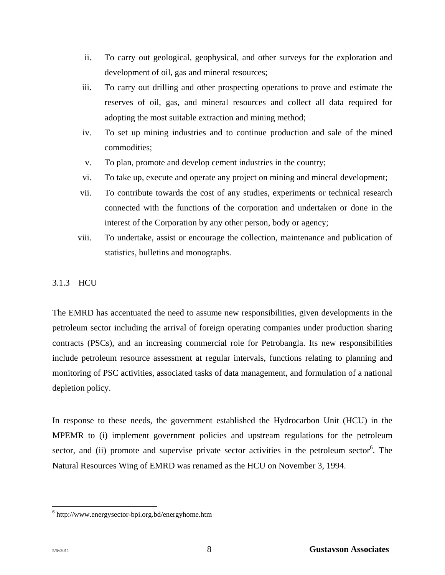- ii. To carry out geological, geophysical, and other surveys for the exploration and development of oil, gas and mineral resources;
- iii. To carry out drilling and other prospecting operations to prove and estimate the reserves of oil, gas, and mineral resources and collect all data required for adopting the most suitable extraction and mining method;
- iv. To set up mining industries and to continue production and sale of the mined commodities;
- v. To plan, promote and develop cement industries in the country;
- vi. To take up, execute and operate any project on mining and mineral development;
- vii. To contribute towards the cost of any studies, experiments or technical research connected with the functions of the corporation and undertaken or done in the interest of the Corporation by any other person, body or agency;
- viii. To undertake, assist or encourage the collection, maintenance and publication of statistics, bulletins and monographs.

# 3.1.3 HCU

The EMRD has accentuated the need to assume new responsibilities, given developments in the petroleum sector including the arrival of foreign operating companies under production sharing contracts (PSCs), and an increasing commercial role for Petrobangla. Its new responsibilities include petroleum resource assessment at regular intervals, functions relating to planning and monitoring of PSC activities, associated tasks of data management, and formulation of a national depletion policy.

In response to these needs, the government established the Hydrocarbon Unit (HCU) in the MPEMR to (i) implement government policies and upstream regulations for the petroleum sector, and (ii) promote and supervise private sector activities in the petroleum sector<sup>6</sup>. The Natural Resources Wing of EMRD was renamed as the HCU on November 3, 1994.

l

<sup>6</sup> http://www.energysector-bpi.org.bd/energyhome.htm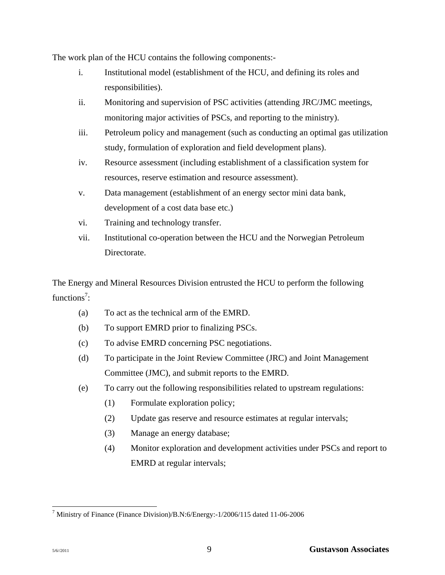The work plan of the HCU contains the following components:-

- i. Institutional model (establishment of the HCU, and defining its roles and responsibilities).
- ii. Monitoring and supervision of PSC activities (attending JRC/JMC meetings, monitoring major activities of PSCs, and reporting to the ministry).
- iii. Petroleum policy and management (such as conducting an optimal gas utilization study, formulation of exploration and field development plans).
- iv. Resource assessment (including establishment of a classification system for resources, reserve estimation and resource assessment).
- v. Data management (establishment of an energy sector mini data bank, development of a cost data base etc.)
- vi. Training and technology transfer.
- vii. Institutional co-operation between the HCU and the Norwegian Petroleum Directorate.

The Energy and Mineral Resources Division entrusted the HCU to perform the following functions<sup>7</sup>:

- (a) To act as the technical arm of the EMRD.
- (b) To support EMRD prior to finalizing PSCs.
- (c) To advise EMRD concerning PSC negotiations.
- (d) To participate in the Joint Review Committee (JRC) and Joint Management Committee (JMC), and submit reports to the EMRD.
- (e) To carry out the following responsibilities related to upstream regulations:
	- (1) Formulate exploration policy;
	- (2) Update gas reserve and resource estimates at regular intervals;
	- (3) Manage an energy database;
	- (4) Monitor exploration and development activities under PSCs and report to EMRD at regular intervals;

l 7 Ministry of Finance (Finance Division)/B.N:6/Energy:-1/2006/115 dated 11-06-2006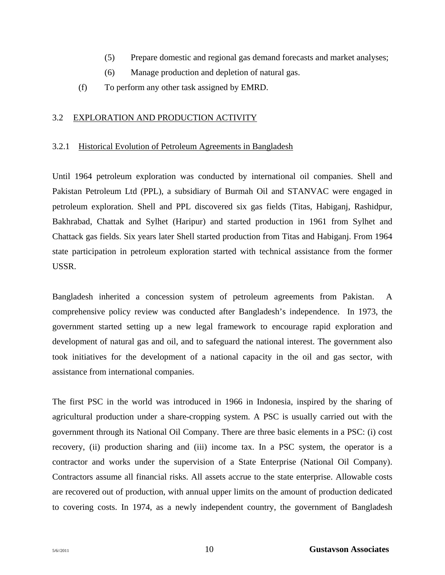- (5) Prepare domestic and regional gas demand forecasts and market analyses;
- (6) Manage production and depletion of natural gas.
- (f) To perform any other task assigned by EMRD.

#### 3.2 EXPLORATION AND PRODUCTION ACTIVITY

#### 3.2.1 Historical Evolution of Petroleum Agreements in Bangladesh

Until 1964 petroleum exploration was conducted by international oil companies. Shell and Pakistan Petroleum Ltd (PPL), a subsidiary of Burmah Oil and STANVAC were engaged in petroleum exploration. Shell and PPL discovered six gas fields (Titas, Habiganj, Rashidpur, Bakhrabad, Chattak and Sylhet (Haripur) and started production in 1961 from Sylhet and Chattack gas fields. Six years later Shell started production from Titas and Habiganj. From 1964 state participation in petroleum exploration started with technical assistance from the former USSR.

Bangladesh inherited a concession system of petroleum agreements from Pakistan. A comprehensive policy review was conducted after Bangladesh's independence. In 1973, the government started setting up a new legal framework to encourage rapid exploration and development of natural gas and oil, and to safeguard the national interest. The government also took initiatives for the development of a national capacity in the oil and gas sector, with assistance from international companies.

The first PSC in the world was introduced in 1966 in Indonesia, inspired by the sharing of agricultural production under a share-cropping system. A PSC is usually carried out with the government through its National Oil Company. There are three basic elements in a PSC: (i) cost recovery, (ii) production sharing and (iii) income tax. In a PSC system, the operator is a contractor and works under the supervision of a State Enterprise (National Oil Company). Contractors assume all financial risks. All assets accrue to the state enterprise. Allowable costs are recovered out of production, with annual upper limits on the amount of production dedicated to covering costs. In 1974, as a newly independent country, the government of Bangladesh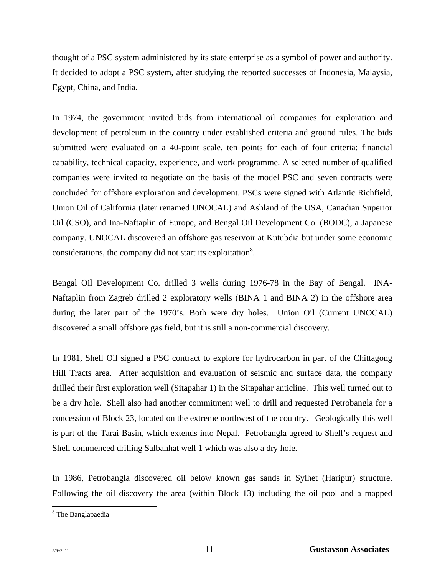thought of a PSC system administered by its state enterprise as a symbol of power and authority. It decided to adopt a PSC system, after studying the reported successes of Indonesia, Malaysia, Egypt, China, and India.

In 1974, the government invited bids from international oil companies for exploration and development of petroleum in the country under established criteria and ground rules. The bids submitted were evaluated on a 40-point scale, ten points for each of four criteria: financial capability, technical capacity, experience, and work programme. A selected number of qualified companies were invited to negotiate on the basis of the model PSC and seven contracts were concluded for offshore exploration and development. PSCs were signed with Atlantic Richfield, Union Oil of California (later renamed UNOCAL) and Ashland of the USA, Canadian Superior Oil (CSO), and Ina-Naftaplin of Europe, and Bengal Oil Development Co. (BODC), a Japanese company. UNOCAL discovered an offshore gas reservoir at Kutubdia but under some economic considerations, the company did not start its exploitation<sup>8</sup>.

Bengal Oil Development Co. drilled 3 wells during 1976-78 in the Bay of Bengal. INA-Naftaplin from Zagreb drilled 2 exploratory wells (BINA 1 and BINA 2) in the offshore area during the later part of the 1970's. Both were dry holes. Union Oil (Current UNOCAL) discovered a small offshore gas field, but it is still a non-commercial discovery.

In 1981, Shell Oil signed a PSC contract to explore for hydrocarbon in part of the Chittagong Hill Tracts area. After acquisition and evaluation of seismic and surface data, the company drilled their first exploration well (Sitapahar 1) in the Sitapahar anticline. This well turned out to be a dry hole. Shell also had another commitment well to drill and requested Petrobangla for a concession of Block 23, located on the extreme northwest of the country. Geologically this well is part of the Tarai Basin, which extends into Nepal. Petrobangla agreed to Shell's request and Shell commenced drilling Salbanhat well 1 which was also a dry hole.

In 1986, Petrobangla discovered oil below known gas sands in Sylhet (Haripur) structure. Following the oil discovery the area (within Block 13) including the oil pool and a mapped

<sup>&</sup>lt;sup>8</sup> The Banglapaedia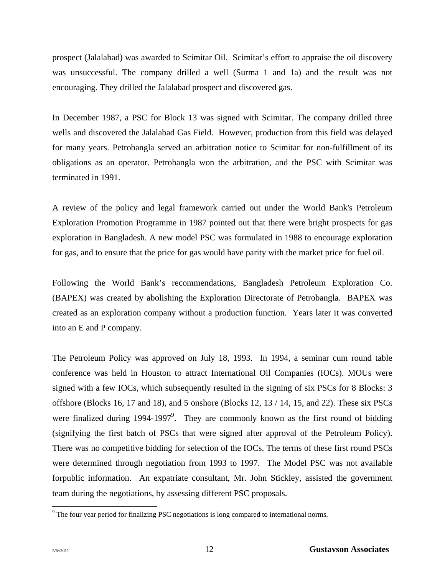prospect (Jalalabad) was awarded to Scimitar Oil. Scimitar's effort to appraise the oil discovery was unsuccessful. The company drilled a well (Surma 1 and 1a) and the result was not encouraging. They drilled the Jalalabad prospect and discovered gas.

In December 1987, a PSC for Block 13 was signed with Scimitar. The company drilled three wells and discovered the Jalalabad Gas Field. However, production from this field was delayed for many years. Petrobangla served an arbitration notice to Scimitar for non-fulfillment of its obligations as an operator. Petrobangla won the arbitration, and the PSC with Scimitar was terminated in 1991.

A review of the policy and legal framework carried out under the World Bank's Petroleum Exploration Promotion Programme in 1987 pointed out that there were bright prospects for gas exploration in Bangladesh. A new model PSC was formulated in 1988 to encourage exploration for gas, and to ensure that the price for gas would have parity with the market price for fuel oil.

Following the World Bank's recommendations, Bangladesh Petroleum Exploration Co. (BAPEX) was created by abolishing the Exploration Directorate of Petrobangla. BAPEX was created as an exploration company without a production function. Years later it was converted into an E and P company.

The Petroleum Policy was approved on July 18, 1993. In 1994, a seminar cum round table conference was held in Houston to attract International Oil Companies (IOCs). MOUs were signed with a few IOCs, which subsequently resulted in the signing of six PSCs for 8 Blocks: 3 offshore (Blocks 16, 17 and 18), and 5 onshore (Blocks 12, 13 / 14, 15, and 22). These six PSCs were finalized during 1994-1997<sup>9</sup>. They are commonly known as the first round of bidding (signifying the first batch of PSCs that were signed after approval of the Petroleum Policy). There was no competitive bidding for selection of the IOCs. The terms of these first round PSCs were determined through negotiation from 1993 to 1997. The Model PSC was not available forpublic information. An expatriate consultant, Mr. John Stickley, assisted the government team during the negotiations, by assessing different PSC proposals.

l

 $9^9$  The four year period for finalizing PSC negotiations is long compared to international norms.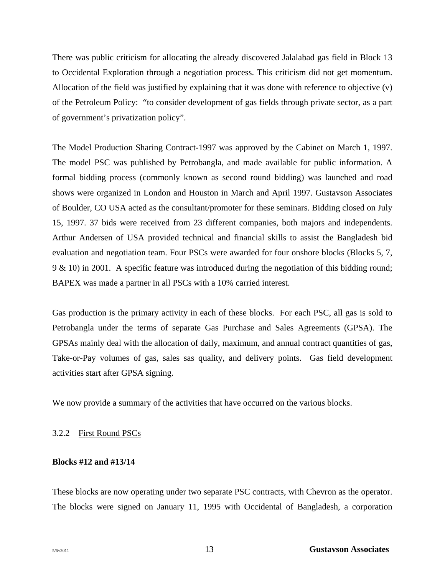There was public criticism for allocating the already discovered Jalalabad gas field in Block 13 to Occidental Exploration through a negotiation process. This criticism did not get momentum. Allocation of the field was justified by explaining that it was done with reference to objective (v) of the Petroleum Policy: "to consider development of gas fields through private sector, as a part of government's privatization policy".

The Model Production Sharing Contract-1997 was approved by the Cabinet on March 1, 1997. The model PSC was published by Petrobangla, and made available for public information. A formal bidding process (commonly known as second round bidding) was launched and road shows were organized in London and Houston in March and April 1997. Gustavson Associates of Boulder, CO USA acted as the consultant/promoter for these seminars. Bidding closed on July 15, 1997. 37 bids were received from 23 different companies, both majors and independents. Arthur Andersen of USA provided technical and financial skills to assist the Bangladesh bid evaluation and negotiation team. Four PSCs were awarded for four onshore blocks (Blocks 5, 7, 9 & 10) in 2001. A specific feature was introduced during the negotiation of this bidding round; BAPEX was made a partner in all PSCs with a 10% carried interest.

Gas production is the primary activity in each of these blocks. For each PSC, all gas is sold to Petrobangla under the terms of separate Gas Purchase and Sales Agreements (GPSA). The GPSAs mainly deal with the allocation of daily, maximum, and annual contract quantities of gas, Take-or-Pay volumes of gas, sales sas quality, and delivery points. Gas field development activities start after GPSA signing.

We now provide a summary of the activities that have occurred on the various blocks.

#### 3.2.2 First Round PSCs

#### **Blocks #12 and #13/14**

These blocks are now operating under two separate PSC contracts, with Chevron as the operator. The blocks were signed on January 11, 1995 with Occidental of Bangladesh, a corporation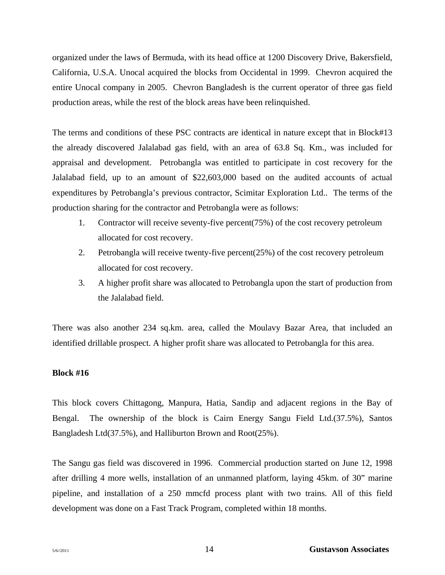organized under the laws of Bermuda, with its head office at 1200 Discovery Drive, Bakersfield, California, U.S.A. Unocal acquired the blocks from Occidental in 1999. Chevron acquired the entire Unocal company in 2005. Chevron Bangladesh is the current operator of three gas field production areas, while the rest of the block areas have been relinquished.

The terms and conditions of these PSC contracts are identical in nature except that in Block#13 the already discovered Jalalabad gas field, with an area of 63.8 Sq. Km., was included for appraisal and development. Petrobangla was entitled to participate in cost recovery for the Jalalabad field, up to an amount of \$22,603,000 based on the audited accounts of actual expenditures by Petrobangla's previous contractor, Scimitar Exploration Ltd.. The terms of the production sharing for the contractor and Petrobangla were as follows:

- 1. Contractor will receive seventy-five percent(75%) of the cost recovery petroleum allocated for cost recovery.
- 2. Petrobangla will receive twenty-five percent(25%) of the cost recovery petroleum allocated for cost recovery.
- 3. A higher profit share was allocated to Petrobangla upon the start of production from the Jalalabad field.

There was also another 234 sq.km. area, called the Moulavy Bazar Area, that included an identified drillable prospect. A higher profit share was allocated to Petrobangla for this area.

#### **Block #16**

This block covers Chittagong, Manpura, Hatia, Sandip and adjacent regions in the Bay of Bengal. The ownership of the block is Cairn Energy Sangu Field Ltd.(37.5%), Santos Bangladesh Ltd(37.5%), and Halliburton Brown and Root(25%).

The Sangu gas field was discovered in 1996. Commercial production started on June 12, 1998 after drilling 4 more wells, installation of an unmanned platform, laying 45km. of 30" marine pipeline, and installation of a 250 mmcfd process plant with two trains. All of this field development was done on a Fast Track Program, completed within 18 months.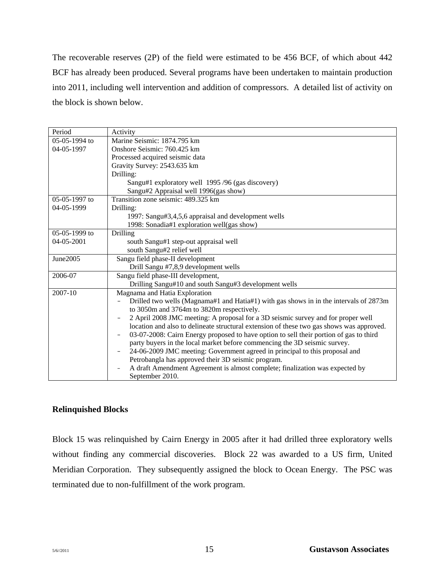The recoverable reserves (2P) of the field were estimated to be 456 BCF, of which about 442 BCF has already been produced. Several programs have been undertaken to maintain production into 2011, including well intervention and addition of compressors. A detailed list of activity on the block is shown below.

| Period          | Activity                                                                                                    |
|-----------------|-------------------------------------------------------------------------------------------------------------|
| 05-05-1994 to   | Marine Seismic: 1874.795 km                                                                                 |
| 04-05-1997      | Onshore Seismic: 760.425 km                                                                                 |
|                 | Processed acquired seismic data                                                                             |
|                 | Gravity Survey: 2543.635 km                                                                                 |
|                 | Drilling:                                                                                                   |
|                 | Sangu#1 exploratory well 1995/96 (gas discovery)                                                            |
|                 | Sangu#2 Appraisal well 1996(gas show)                                                                       |
| $05-05-1997$ to | Transition zone seismic: 489.325 km                                                                         |
| 04-05-1999      | Drilling:                                                                                                   |
|                 | 1997: Sangu#3,4,5,6 appraisal and development wells                                                         |
|                 | 1998: Sonadia#1 exploration well(gas show)                                                                  |
| 05-05-1999 to   | Drilling                                                                                                    |
| 04-05-2001      | south Sangu#1 step-out appraisal well                                                                       |
|                 | south Sangu#2 relief well                                                                                   |
| June2005        | Sangu field phase-II development                                                                            |
|                 | Drill Sangu #7,8,9 development wells                                                                        |
| 2006-07         | Sangu field phase-III development,                                                                          |
|                 | Drilling Sangu#10 and south Sangu#3 development wells                                                       |
| 2007-10         | Magnama and Hatia Exploration                                                                               |
|                 | Drilled two wells (Magnama#1 and Hatia#1) with gas shows in in the intervals of 2873m                       |
|                 | to 3050m and 3764m to 3820m respectively.                                                                   |
|                 | 2 April 2008 JMC meeting: A proposal for a 3D seismic survey and for proper well<br>-                       |
|                 | location and also to delineate structural extension of these two gas shows was approved.                    |
|                 | 03-07-2008: Cairn Energy proposed to have option to sell their portion of gas to third<br>$\qquad \qquad -$ |
|                 | party buyers in the local market before commencing the 3D seismic survey.                                   |
|                 | 24-06-2009 JMC meeting: Government agreed in principal to this proposal and                                 |
|                 | Petrobangla has approved their 3D seismic program.                                                          |
|                 | A draft Amendment Agreement is almost complete; finalization was expected by                                |
|                 | September 2010.                                                                                             |

# **Relinquished Blocks**

Block 15 was relinquished by Cairn Energy in 2005 after it had drilled three exploratory wells without finding any commercial discoveries. Block 22 was awarded to a US firm, United Meridian Corporation. They subsequently assigned the block to Ocean Energy. The PSC was terminated due to non-fulfillment of the work program.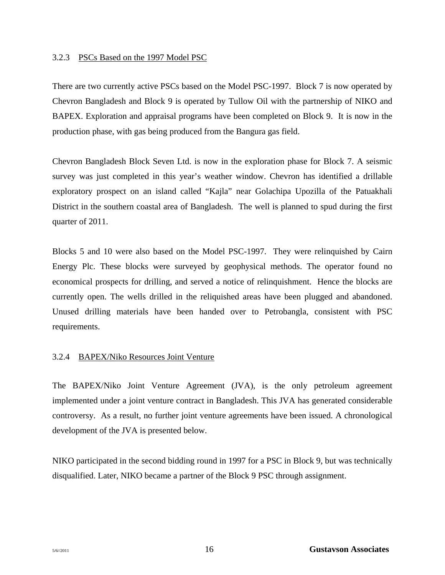#### 3.2.3 PSCs Based on the 1997 Model PSC

There are two currently active PSCs based on the Model PSC-1997. Block 7 is now operated by Chevron Bangladesh and Block 9 is operated by Tullow Oil with the partnership of NIKO and BAPEX. Exploration and appraisal programs have been completed on Block 9. It is now in the production phase, with gas being produced from the Bangura gas field.

Chevron Bangladesh Block Seven Ltd. is now in the exploration phase for Block 7. A seismic survey was just completed in this year's weather window. Chevron has identified a drillable exploratory prospect on an island called "Kajla" near Golachipa Upozilla of the Patuakhali District in the southern coastal area of Bangladesh. The well is planned to spud during the first quarter of 2011.

Blocks 5 and 10 were also based on the Model PSC-1997. They were relinquished by Cairn Energy Plc. These blocks were surveyed by geophysical methods. The operator found no economical prospects for drilling, and served a notice of relinquishment. Hence the blocks are currently open. The wells drilled in the reliquished areas have been plugged and abandoned. Unused drilling materials have been handed over to Petrobangla, consistent with PSC requirements.

#### 3.2.4 BAPEX/Niko Resources Joint Venture

The BAPEX/Niko Joint Venture Agreement (JVA), is the only petroleum agreement implemented under a joint venture contract in Bangladesh. This JVA has generated considerable controversy. As a result, no further joint venture agreements have been issued. A chronological development of the JVA is presented below.

NIKO participated in the second bidding round in 1997 for a PSC in Block 9, but was technically disqualified. Later, NIKO became a partner of the Block 9 PSC through assignment.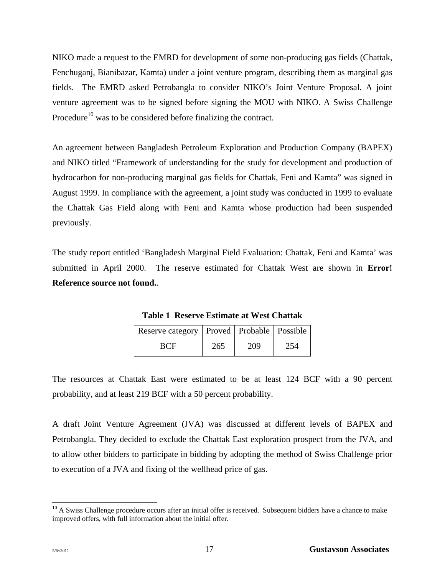NIKO made a request to the EMRD for development of some non-producing gas fields (Chattak, Fenchuganj, Bianibazar, Kamta) under a joint venture program, describing them as marginal gas fields. The EMRD asked Petrobangla to consider NIKO's Joint Venture Proposal. A joint venture agreement was to be signed before signing the MOU with NIKO. A Swiss Challenge Procedure<sup>10</sup> was to be considered before finalizing the contract.

An agreement between Bangladesh Petroleum Exploration and Production Company (BAPEX) and NIKO titled "Framework of understanding for the study for development and production of hydrocarbon for non-producing marginal gas fields for Chattak, Feni and Kamta" was signed in August 1999. In compliance with the agreement, a joint study was conducted in 1999 to evaluate the Chattak Gas Field along with Feni and Kamta whose production had been suspended previously.

The study report entitled 'Bangladesh Marginal Field Evaluation: Chattak, Feni and Kamta' was submitted in April 2000. The reserve estimated for Chattak West are shown in **Error! Reference source not found.**.

| Reserve category   Proved   Probable   Possible |     |     |  |
|-------------------------------------------------|-----|-----|--|
|                                                 | 265 | 209 |  |

**Table 1 Reserve Estimate at West Chattak**

The resources at Chattak East were estimated to be at least 124 BCF with a 90 percent probability, and at least 219 BCF with a 50 percent probability.

A draft Joint Venture Agreement (JVA) was discussed at different levels of BAPEX and Petrobangla. They decided to exclude the Chattak East exploration prospect from the JVA, and to allow other bidders to participate in bidding by adopting the method of Swiss Challenge prior to execution of a JVA and fixing of the wellhead price of gas.

l

 $10$  A Swiss Challenge procedure occurs after an initial offer is received. Subsequent bidders have a chance to make improved offers, with full information about the initial offer.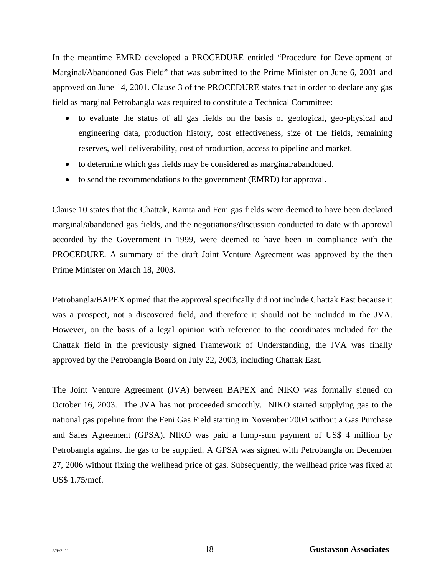In the meantime EMRD developed a PROCEDURE entitled "Procedure for Development of Marginal/Abandoned Gas Field" that was submitted to the Prime Minister on June 6, 2001 and approved on June 14, 2001. Clause 3 of the PROCEDURE states that in order to declare any gas field as marginal Petrobangla was required to constitute a Technical Committee:

- to evaluate the status of all gas fields on the basis of geological, geo-physical and engineering data, production history, cost effectiveness, size of the fields, remaining reserves, well deliverability, cost of production, access to pipeline and market.
- to determine which gas fields may be considered as marginal/abandoned.
- to send the recommendations to the government (EMRD) for approval.

Clause 10 states that the Chattak, Kamta and Feni gas fields were deemed to have been declared marginal/abandoned gas fields, and the negotiations/discussion conducted to date with approval accorded by the Government in 1999, were deemed to have been in compliance with the PROCEDURE. A summary of the draft Joint Venture Agreement was approved by the then Prime Minister on March 18, 2003.

Petrobangla/BAPEX opined that the approval specifically did not include Chattak East because it was a prospect, not a discovered field, and therefore it should not be included in the JVA. However, on the basis of a legal opinion with reference to the coordinates included for the Chattak field in the previously signed Framework of Understanding, the JVA was finally approved by the Petrobangla Board on July 22, 2003, including Chattak East.

The Joint Venture Agreement (JVA) between BAPEX and NIKO was formally signed on October 16, 2003. The JVA has not proceeded smoothly. NIKO started supplying gas to the national gas pipeline from the Feni Gas Field starting in November 2004 without a Gas Purchase and Sales Agreement (GPSA). NIKO was paid a lump-sum payment of US\$ 4 million by Petrobangla against the gas to be supplied. A GPSA was signed with Petrobangla on December 27, 2006 without fixing the wellhead price of gas. Subsequently, the wellhead price was fixed at US\$ 1.75/mcf.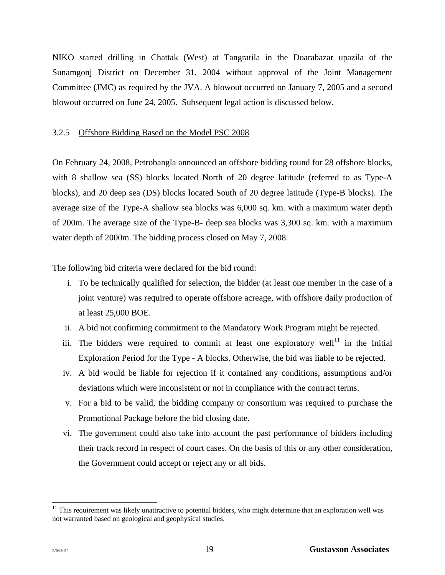NIKO started drilling in Chattak (West) at Tangratila in the Doarabazar upazila of the Sunamgonj District on December 31, 2004 without approval of the Joint Management Committee (JMC) as required by the JVA. A blowout occurred on January 7, 2005 and a second blowout occurred on June 24, 2005. Subsequent legal action is discussed below.

#### 3.2.5 Offshore Bidding Based on the Model PSC 2008

On February 24, 2008, Petrobangla announced an offshore bidding round for 28 offshore blocks, with 8 shallow sea (SS) blocks located North of 20 degree latitude (referred to as Type-A blocks), and 20 deep sea (DS) blocks located South of 20 degree latitude (Type-B blocks). The average size of the Type-A shallow sea blocks was 6,000 sq. km. with a maximum water depth of 200m. The average size of the Type-B- deep sea blocks was 3,300 sq. km. with a maximum water depth of 2000m. The bidding process closed on May 7, 2008.

The following bid criteria were declared for the bid round:

- i. To be technically qualified for selection, the bidder (at least one member in the case of a joint venture) was required to operate offshore acreage, with offshore daily production of at least 25,000 BOE.
- ii. A bid not confirming commitment to the Mandatory Work Program might be rejected.
- iii. The bidders were required to commit at least one exploratory well<sup>11</sup> in the Initial Exploration Period for the Type - A blocks. Otherwise, the bid was liable to be rejected.
- iv. A bid would be liable for rejection if it contained any conditions, assumptions and/or deviations which were inconsistent or not in compliance with the contract terms.
- v. For a bid to be valid, the bidding company or consortium was required to purchase the Promotional Package before the bid closing date.
- vi. The government could also take into account the past performance of bidders including their track record in respect of court cases. On the basis of this or any other consideration, the Government could accept or reject any or all bids.

l

 $11$  This requirement was likely unattractive to potential bidders, who might determine that an exploration well was not warranted based on geological and geophysical studies.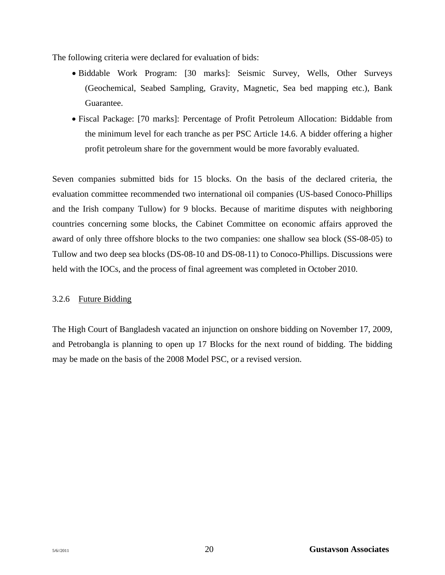The following criteria were declared for evaluation of bids:

- Biddable Work Program: [30 marks]: Seismic Survey, Wells, Other Surveys (Geochemical, Seabed Sampling, Gravity, Magnetic, Sea bed mapping etc.), Bank Guarantee.
- Fiscal Package: [70 marks]: Percentage of Profit Petroleum Allocation: Biddable from the minimum level for each tranche as per PSC Article 14.6. A bidder offering a higher profit petroleum share for the government would be more favorably evaluated.

Seven companies submitted bids for 15 blocks. On the basis of the declared criteria, the evaluation committee recommended two international oil companies (US-based Conoco-Phillips and the Irish company Tullow) for 9 blocks. Because of maritime disputes with neighboring countries concerning some blocks, the Cabinet Committee on economic affairs approved the award of only three offshore blocks to the two companies: one shallow sea block (SS-08-05) to Tullow and two deep sea blocks (DS-08-10 and DS-08-11) to Conoco-Phillips. Discussions were held with the IOCs, and the process of final agreement was completed in October 2010.

# 3.2.6 Future Bidding

The High Court of Bangladesh vacated an injunction on onshore bidding on November 17, 2009, and Petrobangla is planning to open up 17 Blocks for the next round of bidding. The bidding may be made on the basis of the 2008 Model PSC, or a revised version.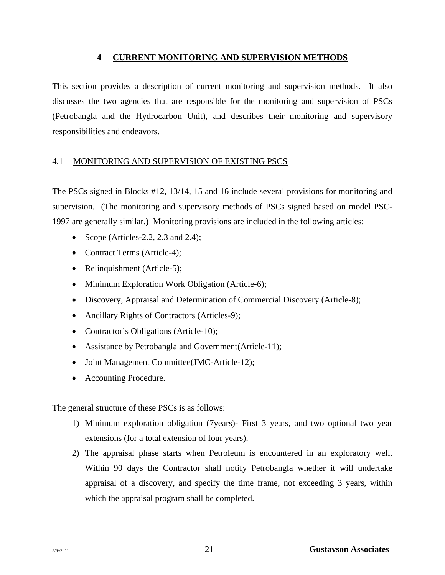### **4 CURRENT MONITORING AND SUPERVISION METHODS**

This section provides a description of current monitoring and supervision methods. It also discusses the two agencies that are responsible for the monitoring and supervision of PSCs (Petrobangla and the Hydrocarbon Unit), and describes their monitoring and supervisory responsibilities and endeavors.

# 4.1 MONITORING AND SUPERVISION OF EXISTING PSCS

The PSCs signed in Blocks #12, 13/14, 15 and 16 include several provisions for monitoring and supervision. (The monitoring and supervisory methods of PSCs signed based on model PSC-1997 are generally similar.) Monitoring provisions are included in the following articles:

- Scope (Articles-2.2, 2.3 and 2.4);
- Contract Terms (Article-4);
- Relinquishment (Article-5);
- Minimum Exploration Work Obligation (Article-6);
- Discovery, Appraisal and Determination of Commercial Discovery (Article-8);
- Ancillary Rights of Contractors (Articles-9);
- Contractor's Obligations (Article-10);
- Assistance by Petrobangla and Government(Article-11);
- Joint Management Committee(JMC-Article-12);
- Accounting Procedure.

The general structure of these PSCs is as follows:

- 1) Minimum exploration obligation (7years)- First 3 years, and two optional two year extensions (for a total extension of four years).
- 2) The appraisal phase starts when Petroleum is encountered in an exploratory well. Within 90 days the Contractor shall notify Petrobangla whether it will undertake appraisal of a discovery, and specify the time frame, not exceeding 3 years, within which the appraisal program shall be completed.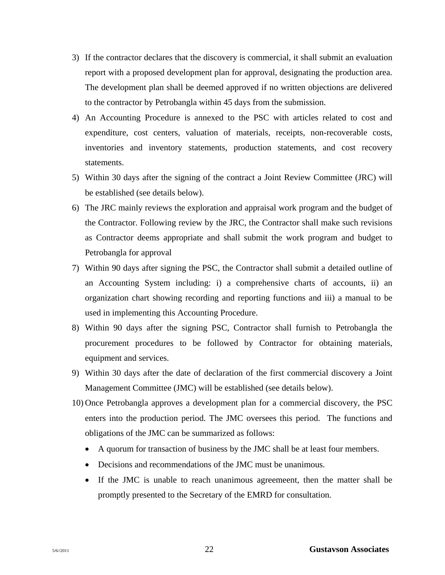- 3) If the contractor declares that the discovery is commercial, it shall submit an evaluation report with a proposed development plan for approval, designating the production area. The development plan shall be deemed approved if no written objections are delivered to the contractor by Petrobangla within 45 days from the submission.
- 4) An Accounting Procedure is annexed to the PSC with articles related to cost and expenditure, cost centers, valuation of materials, receipts, non-recoverable costs, inventories and inventory statements, production statements, and cost recovery statements.
- 5) Within 30 days after the signing of the contract a Joint Review Committee (JRC) will be established (see details below).
- 6) The JRC mainly reviews the exploration and appraisal work program and the budget of the Contractor. Following review by the JRC, the Contractor shall make such revisions as Contractor deems appropriate and shall submit the work program and budget to Petrobangla for approval
- 7) Within 90 days after signing the PSC, the Contractor shall submit a detailed outline of an Accounting System including: i) a comprehensive charts of accounts, ii) an organization chart showing recording and reporting functions and iii) a manual to be used in implementing this Accounting Procedure.
- 8) Within 90 days after the signing PSC, Contractor shall furnish to Petrobangla the procurement procedures to be followed by Contractor for obtaining materials, equipment and services.
- 9) Within 30 days after the date of declaration of the first commercial discovery a Joint Management Committee (JMC) will be established (see details below).
- 10) Once Petrobangla approves a development plan for a commercial discovery, the PSC enters into the production period. The JMC oversees this period. The functions and obligations of the JMC can be summarized as follows:
	- A quorum for transaction of business by the JMC shall be at least four members.
	- Decisions and recommendations of the JMC must be unanimous.
	- If the JMC is unable to reach unanimous agreemeent, then the matter shall be promptly presented to the Secretary of the EMRD for consultation.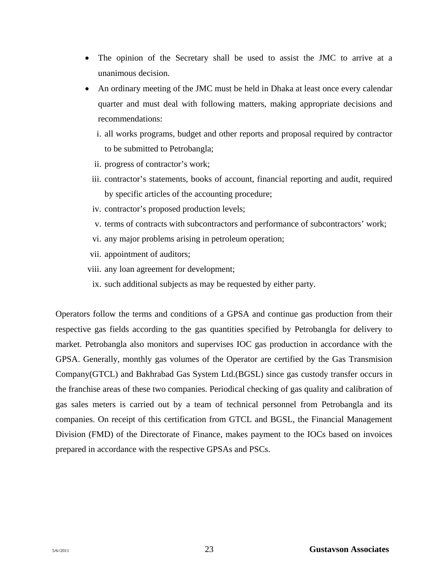- The opinion of the Secretary shall be used to assist the JMC to arrive at a unanimous decision.
- An ordinary meeting of the JMC must be held in Dhaka at least once every calendar quarter and must deal with following matters, making appropriate decisions and recommendations:
	- i. all works programs, budget and other reports and proposal required by contractor to be submitted to Petrobangla;
	- ii. progress of contractor's work;
	- iii. contractor's statements, books of account, financial reporting and audit, required by specific articles of the accounting procedure;
	- iv. contractor's proposed production levels;
	- v. terms of contracts with subcontractors and performance of subcontractors' work;
	- vi. any major problems arising in petroleum operation;
	- vii. appointment of auditors;
- viii. any loan agreement for development;
- ix. such additional subjects as may be requested by either party.

Operators follow the terms and conditions of a GPSA and continue gas production from their respective gas fields according to the gas quantities specified by Petrobangla for delivery to market. Petrobangla also monitors and supervises IOC gas production in accordance with the GPSA. Generally, monthly gas volumes of the Operator are certified by the Gas Transmision Company(GTCL) and Bakhrabad Gas System Ltd.(BGSL) since gas custody transfer occurs in the franchise areas of these two companies. Periodical checking of gas quality and calibration of gas sales meters is carried out by a team of technical personnel from Petrobangla and its companies. On receipt of this certification from GTCL and BGSL, the Financial Management Division (FMD) of the Directorate of Finance, makes payment to the IOCs based on invoices prepared in accordance with the respective GPSAs and PSCs.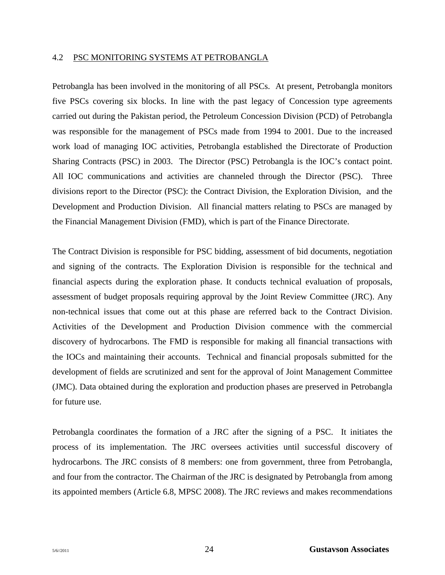#### 4.2 PSC MONITORING SYSTEMS AT PETROBANGLA

Petrobangla has been involved in the monitoring of all PSCs. At present, Petrobangla monitors five PSCs covering six blocks. In line with the past legacy of Concession type agreements carried out during the Pakistan period, the Petroleum Concession Division (PCD) of Petrobangla was responsible for the management of PSCs made from 1994 to 2001. Due to the increased work load of managing IOC activities, Petrobangla established the Directorate of Production Sharing Contracts (PSC) in 2003. The Director (PSC) Petrobangla is the IOC's contact point. All IOC communications and activities are channeled through the Director (PSC). Three divisions report to the Director (PSC): the Contract Division, the Exploration Division, and the Development and Production Division. All financial matters relating to PSCs are managed by the Financial Management Division (FMD), which is part of the Finance Directorate.

The Contract Division is responsible for PSC bidding, assessment of bid documents, negotiation and signing of the contracts. The Exploration Division is responsible for the technical and financial aspects during the exploration phase. It conducts technical evaluation of proposals, assessment of budget proposals requiring approval by the Joint Review Committee (JRC). Any non-technical issues that come out at this phase are referred back to the Contract Division. Activities of the Development and Production Division commence with the commercial discovery of hydrocarbons. The FMD is responsible for making all financial transactions with the IOCs and maintaining their accounts. Technical and financial proposals submitted for the development of fields are scrutinized and sent for the approval of Joint Management Committee (JMC). Data obtained during the exploration and production phases are preserved in Petrobangla for future use.

Petrobangla coordinates the formation of a JRC after the signing of a PSC. It initiates the process of its implementation. The JRC oversees activities until successful discovery of hydrocarbons. The JRC consists of 8 members: one from government, three from Petrobangla, and four from the contractor. The Chairman of the JRC is designated by Petrobangla from among its appointed members (Article 6.8, MPSC 2008). The JRC reviews and makes recommendations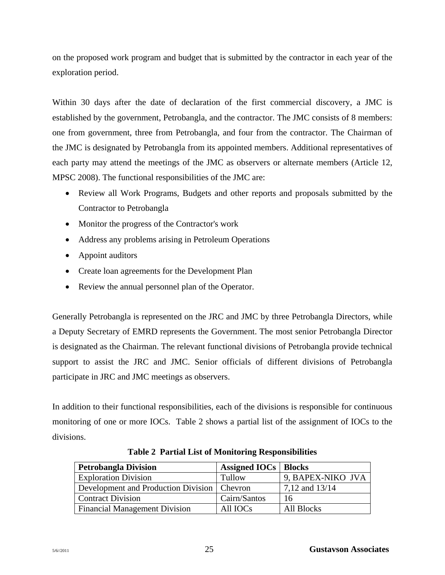on the proposed work program and budget that is submitted by the contractor in each year of the exploration period.

Within 30 days after the date of declaration of the first commercial discovery, a JMC is established by the government, Petrobangla, and the contractor. The JMC consists of 8 members: one from government, three from Petrobangla, and four from the contractor. The Chairman of the JMC is designated by Petrobangla from its appointed members. Additional representatives of each party may attend the meetings of the JMC as observers or alternate members (Article 12, MPSC 2008). The functional responsibilities of the JMC are:

- Review all Work Programs, Budgets and other reports and proposals submitted by the Contractor to Petrobangla
- Monitor the progress of the Contractor's work
- Address any problems arising in Petroleum Operations
- Appoint auditors
- Create loan agreements for the Development Plan
- Review the annual personnel plan of the Operator.

Generally Petrobangla is represented on the JRC and JMC by three Petrobangla Directors, while a Deputy Secretary of EMRD represents the Government. The most senior Petrobangla Director is designated as the Chairman. The relevant functional divisions of Petrobangla provide technical support to assist the JRC and JMC. Senior officials of different divisions of Petrobangla participate in JRC and JMC meetings as observers.

In addition to their functional responsibilities, each of the divisions is responsible for continuous monitoring of one or more IOCs. Table 2 shows a partial list of the assignment of IOCs to the divisions.

| <b>Petrobangla Division</b>                   | <b>Assigned IOCs</b>   <b>Blocks</b> |                    |
|-----------------------------------------------|--------------------------------------|--------------------|
| <b>Exploration Division</b>                   | Tullow                               | 9, BAPEX-NIKO JVA  |
| Development and Production Division   Chevron |                                      | $7,12$ and $13/14$ |
| <b>Contract Division</b>                      | Cairn/Santos                         | 16                 |
| <b>Financial Management Division</b>          | All <b>IOCs</b>                      | All Blocks         |

**Table 2 Partial List of Monitoring Responsibilities**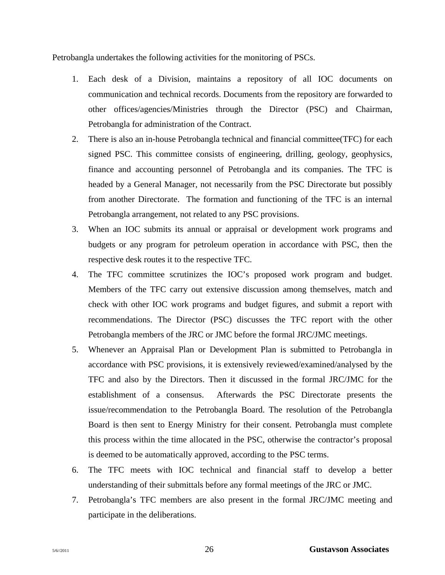Petrobangla undertakes the following activities for the monitoring of PSCs.

- 1. Each desk of a Division, maintains a repository of all IOC documents on communication and technical records. Documents from the repository are forwarded to other offices/agencies/Ministries through the Director (PSC) and Chairman, Petrobangla for administration of the Contract.
- 2. There is also an in-house Petrobangla technical and financial committee(TFC) for each signed PSC. This committee consists of engineering, drilling, geology, geophysics, finance and accounting personnel of Petrobangla and its companies. The TFC is headed by a General Manager, not necessarily from the PSC Directorate but possibly from another Directorate. The formation and functioning of the TFC is an internal Petrobangla arrangement, not related to any PSC provisions.
- 3. When an IOC submits its annual or appraisal or development work programs and budgets or any program for petroleum operation in accordance with PSC, then the respective desk routes it to the respective TFC.
- 4. The TFC committee scrutinizes the IOC's proposed work program and budget. Members of the TFC carry out extensive discussion among themselves, match and check with other IOC work programs and budget figures, and submit a report with recommendations. The Director (PSC) discusses the TFC report with the other Petrobangla members of the JRC or JMC before the formal JRC/JMC meetings.
- 5. Whenever an Appraisal Plan or Development Plan is submitted to Petrobangla in accordance with PSC provisions, it is extensively reviewed/examined/analysed by the TFC and also by the Directors. Then it discussed in the formal JRC/JMC for the establishment of a consensus. Afterwards the PSC Directorate presents the issue/recommendation to the Petrobangla Board. The resolution of the Petrobangla Board is then sent to Energy Ministry for their consent. Petrobangla must complete this process within the time allocated in the PSC, otherwise the contractor's proposal is deemed to be automatically approved, according to the PSC terms.
- 6. The TFC meets with IOC technical and financial staff to develop a better understanding of their submittals before any formal meetings of the JRC or JMC.
- 7. Petrobangla's TFC members are also present in the formal JRC/JMC meeting and participate in the deliberations.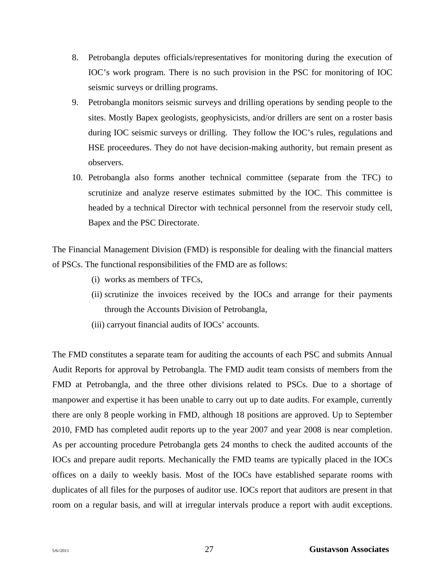- 8. Petrobangla deputes officials/representatives for monitoring during the execution of IOC's work program. There is no such provision in the PSC for monitoring of IOC seismic surveys or drilling programs.
- 9. Petrobangla monitors seismic surveys and drilling operations by sending people to the sites. Mostly Bapex geologists, geophysicists, and/or drillers are sent on a roster basis during IOC seismic surveys or drilling. They follow the IOC's rules, regulations and HSE proceedures. They do not have decision-making authority, but remain present as observers.
- 10. Petrobangla also forms another technical committee (separate from the TFC) to scrutinize and analyze reserve estimates submitted by the IOC. This committee is headed by a technical Director with technical personnel from the reservoir study cell, Bapex and the PSC Directorate.

The Financial Management Division (FMD) is responsible for dealing with the financial matters of PSCs. The functional responsibilities of the FMD are as follows:

- (i) works as members of TFCs,
- (ii) scrutinize the invoices received by the IOCs and arrange for their payments through the Accounts Division of Petrobangla,
- (iii) carryout financial audits of IOCs' accounts.

The FMD constitutes a separate team for auditing the accounts of each PSC and submits Annual Audit Reports for approval by Petrobangla. The FMD audit team consists of members from the FMD at Petrobangla, and the three other divisions related to PSCs. Due to a shortage of manpower and expertise it has been unable to carry out up to date audits. For example, currently there are only 8 people working in FMD, although 18 positions are approved. Up to September 2010, FMD has completed audit reports up to the year 2007 and year 2008 is near completion. As per accounting procedure Petrobangla gets 24 months to check the audited accounts of the IOCs and prepare audit reports. Mechanically the FMD teams are typically placed in the IOCs offices on a daily to weekly basis. Most of the IOCs have established separate rooms with duplicates of all files for the purposes of auditor use. IOCs report that auditors are present in that room on a regular basis, and will at irregular intervals produce a report with audit exceptions.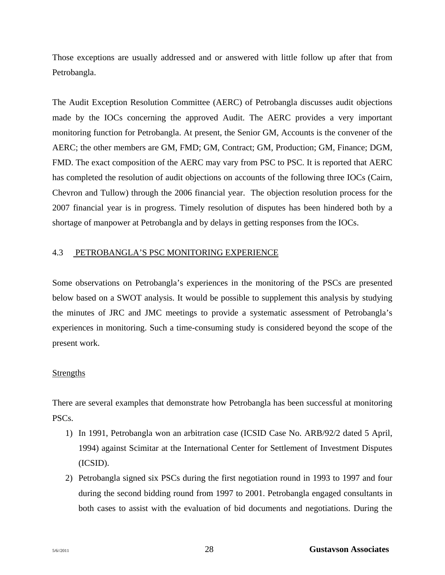Those exceptions are usually addressed and or answered with little follow up after that from Petrobangla.

The Audit Exception Resolution Committee (AERC) of Petrobangla discusses audit objections made by the IOCs concerning the approved Audit. The AERC provides a very important monitoring function for Petrobangla. At present, the Senior GM, Accounts is the convener of the AERC; the other members are GM, FMD; GM, Contract; GM, Production; GM, Finance; DGM, FMD. The exact composition of the AERC may vary from PSC to PSC. It is reported that AERC has completed the resolution of audit objections on accounts of the following three IOCs (Cairn, Chevron and Tullow) through the 2006 financial year. The objection resolution process for the 2007 financial year is in progress. Timely resolution of disputes has been hindered both by a shortage of manpower at Petrobangla and by delays in getting responses from the IOCs.

#### 4.3 PETROBANGLA'S PSC MONITORING EXPERIENCE

Some observations on Petrobangla's experiences in the monitoring of the PSCs are presented below based on a SWOT analysis. It would be possible to supplement this analysis by studying the minutes of JRC and JMC meetings to provide a systematic assessment of Petrobangla's experiences in monitoring. Such a time-consuming study is considered beyond the scope of the present work.

# Strengths

There are several examples that demonstrate how Petrobangla has been successful at monitoring PSCs.

- 1) In 1991, Petrobangla won an arbitration case (ICSID Case No. ARB/92/2 dated 5 April, 1994) against Scimitar at the International Center for Settlement of Investment Disputes (ICSID).
- 2) Petrobangla signed six PSCs during the first negotiation round in 1993 to 1997 and four during the second bidding round from 1997 to 2001. Petrobangla engaged consultants in both cases to assist with the evaluation of bid documents and negotiations. During the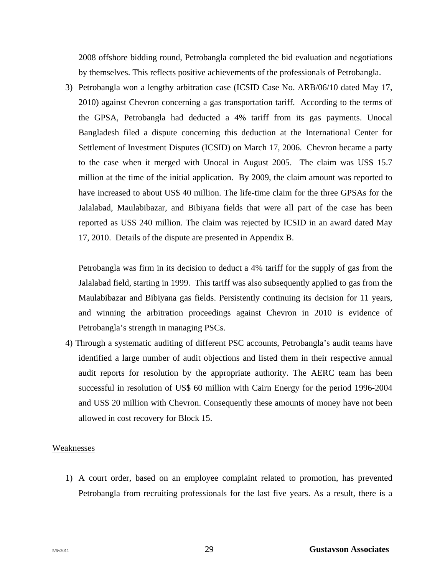2008 offshore bidding round, Petrobangla completed the bid evaluation and negotiations by themselves. This reflects positive achievements of the professionals of Petrobangla.

3) Petrobangla won a lengthy arbitration case (ICSID Case No. ARB/06/10 dated May 17, 2010) against Chevron concerning a gas transportation tariff. According to the terms of the GPSA, Petrobangla had deducted a 4% tariff from its gas payments. Unocal Bangladesh filed a dispute concerning this deduction at the International Center for Settlement of Investment Disputes (ICSID) on March 17, 2006. Chevron became a party to the case when it merged with Unocal in August 2005. The claim was US\$ 15.7 million at the time of the initial application. By 2009, the claim amount was reported to have increased to about US\$ 40 million. The life-time claim for the three GPSAs for the Jalalabad, Maulabibazar, and Bibiyana fields that were all part of the case has been reported as US\$ 240 million. The claim was rejected by ICSID in an award dated May 17, 2010. Details of the dispute are presented in Appendix B.

Petrobangla was firm in its decision to deduct a 4% tariff for the supply of gas from the Jalalabad field, starting in 1999. This tariff was also subsequently applied to gas from the Maulabibazar and Bibiyana gas fields. Persistently continuing its decision for 11 years, and winning the arbitration proceedings against Chevron in 2010 is evidence of Petrobangla's strength in managing PSCs.

4) Through a systematic auditing of different PSC accounts, Petrobangla's audit teams have identified a large number of audit objections and listed them in their respective annual audit reports for resolution by the appropriate authority. The AERC team has been successful in resolution of US\$ 60 million with Cairn Energy for the period 1996-2004 and US\$ 20 million with Chevron. Consequently these amounts of money have not been allowed in cost recovery for Block 15.

#### Weaknesses

1) A court order, based on an employee complaint related to promotion, has prevented Petrobangla from recruiting professionals for the last five years. As a result, there is a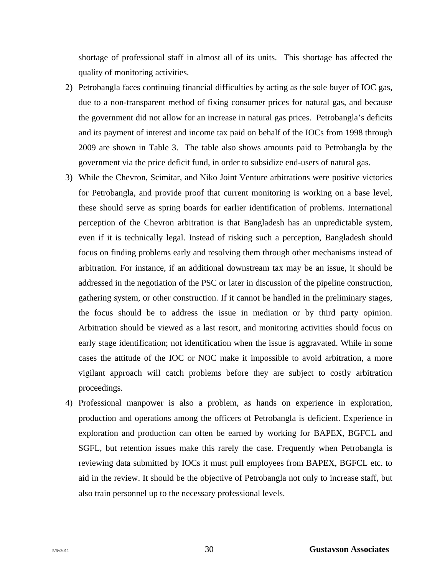shortage of professional staff in almost all of its units. This shortage has affected the quality of monitoring activities.

- 2) Petrobangla faces continuing financial difficulties by acting as the sole buyer of IOC gas, due to a non-transparent method of fixing consumer prices for natural gas, and because the government did not allow for an increase in natural gas prices. Petrobangla's deficits and its payment of interest and income tax paid on behalf of the IOCs from 1998 through 2009 are shown in Table 3. The table also shows amounts paid to Petrobangla by the government via the price deficit fund, in order to subsidize end-users of natural gas.
- 3) While the Chevron, Scimitar, and Niko Joint Venture arbitrations were positive victories for Petrobangla, and provide proof that current monitoring is working on a base level, these should serve as spring boards for earlier identification of problems. International perception of the Chevron arbitration is that Bangladesh has an unpredictable system, even if it is technically legal. Instead of risking such a perception, Bangladesh should focus on finding problems early and resolving them through other mechanisms instead of arbitration. For instance, if an additional downstream tax may be an issue, it should be addressed in the negotiation of the PSC or later in discussion of the pipeline construction, gathering system, or other construction. If it cannot be handled in the preliminary stages, the focus should be to address the issue in mediation or by third party opinion. Arbitration should be viewed as a last resort, and monitoring activities should focus on early stage identification; not identification when the issue is aggravated. While in some cases the attitude of the IOC or NOC make it impossible to avoid arbitration, a more vigilant approach will catch problems before they are subject to costly arbitration proceedings.
- 4) Professional manpower is also a problem, as hands on experience in exploration, production and operations among the officers of Petrobangla is deficient. Experience in exploration and production can often be earned by working for BAPEX, BGFCL and SGFL, but retention issues make this rarely the case. Frequently when Petrobangla is reviewing data submitted by IOCs it must pull employees from BAPEX, BGFCL etc. to aid in the review. It should be the objective of Petrobangla not only to increase staff, but also train personnel up to the necessary professional levels.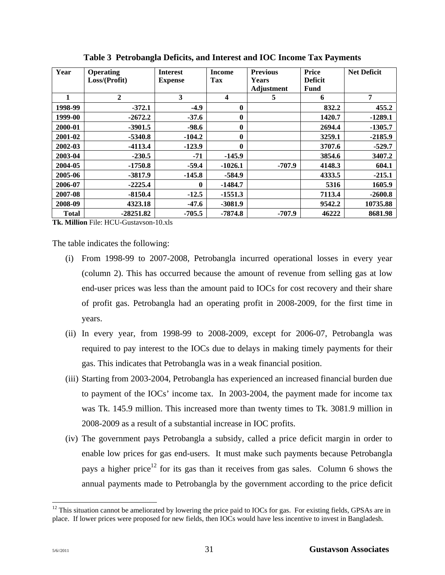| Year         | <b>Operating</b> | <b>Interest</b> | <b>Income</b> | <b>Previous</b> | <b>Price</b>   | <b>Net Deficit</b> |
|--------------|------------------|-----------------|---------------|-----------------|----------------|--------------------|
|              | Loss/(Profit)    | <b>Expense</b>  | Tax           | Years           | <b>Deficit</b> |                    |
|              |                  |                 |               | Adjustment      | Fund           |                    |
|              | $\overline{2}$   | 3               | 4             | 5               | 6              | 7                  |
| 1998-99      | $-372.1$         | $-4.9$          | 0             |                 | 832.2          | 455.2              |
| 1999-00      | $-2672.2$        | $-37.6$         | 0             |                 | 1420.7         | $-1289.1$          |
| 2000-01      | $-3901.5$        | $-98.6$         | 0             |                 | 2694.4         | $-1305.7$          |
| 2001-02      | $-5340.8$        | $-104.2$        | 0             |                 | 3259.1         | $-2185.9$          |
| 2002-03      | $-4113.4$        | $-123.9$        | 0             |                 | 3707.6         | $-529.7$           |
| 2003-04      | $-230.5$         | $-71$           | $-145.9$      |                 | 3854.6         | 3407.2             |
| 2004-05      | $-1750.8$        | $-59.4$         | $-1026.1$     | -707.9          | 4148.3         | 604.1              |
| 2005-06      | $-3817.9$        | $-145.8$        | $-584.9$      |                 | 4333.5         | $-215.1$           |
| 2006-07      | $-2225.4$        | $\mathbf{0}$    | $-1484.7$     |                 | 5316           | 1605.9             |
| 2007-08      | $-8150.4$        | $-12.5$         | $-1551.3$     |                 | 7113.4         | $-2600.8$          |
| 2008-09      | 4323.18          | $-47.6$         | $-3081.9$     |                 | 9542.2         | 10735.88           |
| <b>Total</b> | $-28251.82$      | $-705.5$        | $-7874.8$     | $-707.9$        | 46222          | 8681.98            |

**Table 3 Petrobangla Deficits, and Interest and IOC Income Tax Payments** 

**Tk. Million** File: HCU-Gustavson-10.xls

The table indicates the following:

- (i) From 1998-99 to 2007-2008, Petrobangla incurred operational losses in every year (column 2). This has occurred because the amount of revenue from selling gas at low end-user prices was less than the amount paid to IOCs for cost recovery and their share of profit gas. Petrobangla had an operating profit in 2008-2009, for the first time in years.
- (ii) In every year, from 1998-99 to 2008-2009, except for 2006-07, Petrobangla was required to pay interest to the IOCs due to delays in making timely payments for their gas. This indicates that Petrobangla was in a weak financial position.
- (iii) Starting from 2003-2004, Petrobangla has experienced an increased financial burden due to payment of the IOCs' income tax. In 2003-2004, the payment made for income tax was Tk. 145.9 million. This increased more than twenty times to Tk. 3081.9 million in 2008-2009 as a result of a substantial increase in IOC profits.
- (iv) The government pays Petrobangla a subsidy, called a price deficit margin in order to enable low prices for gas end-users. It must make such payments because Petrobangla pays a higher price<sup>12</sup> for its gas than it receives from gas sales. Column 6 shows the annual payments made to Petrobangla by the government according to the price deficit

l

<sup>&</sup>lt;sup>12</sup> This situation cannot be ameliorated by lowering the price paid to IOCs for gas. For existing fields, GPSAs are in place. If lower prices were proposed for new fields, then IOCs would have less incentive to invest in Bangladesh.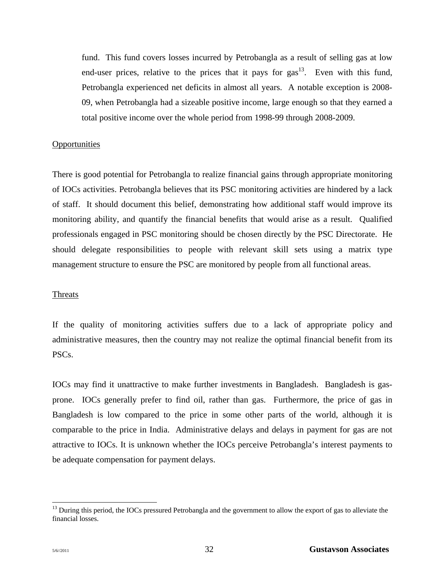fund. This fund covers losses incurred by Petrobangla as a result of selling gas at low end-user prices, relative to the prices that it pays for  $\text{gas}^{13}$ . Even with this fund, Petrobangla experienced net deficits in almost all years. A notable exception is 2008- 09, when Petrobangla had a sizeable positive income, large enough so that they earned a total positive income over the whole period from 1998-99 through 2008-2009.

#### **Opportunities**

There is good potential for Petrobangla to realize financial gains through appropriate monitoring of IOCs activities. Petrobangla believes that its PSC monitoring activities are hindered by a lack of staff. It should document this belief, demonstrating how additional staff would improve its monitoring ability, and quantify the financial benefits that would arise as a result. Qualified professionals engaged in PSC monitoring should be chosen directly by the PSC Directorate. He should delegate responsibilities to people with relevant skill sets using a matrix type management structure to ensure the PSC are monitored by people from all functional areas.

#### **Threats**

If the quality of monitoring activities suffers due to a lack of appropriate policy and administrative measures, then the country may not realize the optimal financial benefit from its PSCs.

IOCs may find it unattractive to make further investments in Bangladesh. Bangladesh is gasprone. IOCs generally prefer to find oil, rather than gas. Furthermore, the price of gas in Bangladesh is low compared to the price in some other parts of the world, although it is comparable to the price in India. Administrative delays and delays in payment for gas are not attractive to IOCs. It is unknown whether the IOCs perceive Petrobangla's interest payments to be adequate compensation for payment delays.

l

<sup>&</sup>lt;sup>13</sup> During this period, the IOCs pressured Petrobangla and the government to allow the export of gas to alleviate the financial losses.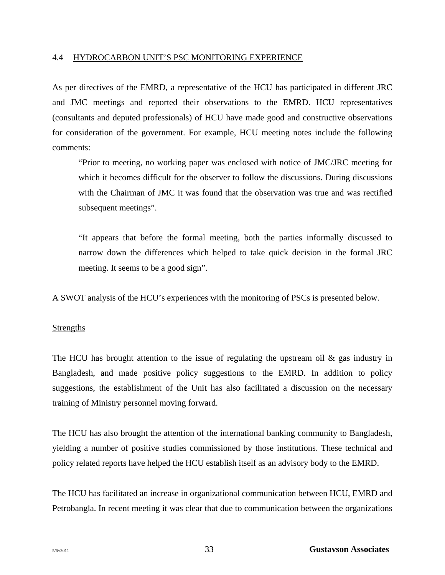#### 4.4 HYDROCARBON UNIT'S PSC MONITORING EXPERIENCE

As per directives of the EMRD, a representative of the HCU has participated in different JRC and JMC meetings and reported their observations to the EMRD. HCU representatives (consultants and deputed professionals) of HCU have made good and constructive observations for consideration of the government. For example, HCU meeting notes include the following comments:

"Prior to meeting, no working paper was enclosed with notice of JMC/JRC meeting for which it becomes difficult for the observer to follow the discussions. During discussions with the Chairman of JMC it was found that the observation was true and was rectified subsequent meetings".

"It appears that before the formal meeting, both the parties informally discussed to narrow down the differences which helped to take quick decision in the formal JRC meeting. It seems to be a good sign".

A SWOT analysis of the HCU's experiences with the monitoring of PSCs is presented below.

## Strengths

The HCU has brought attention to the issue of regulating the upstream oil  $\&$  gas industry in Bangladesh, and made positive policy suggestions to the EMRD. In addition to policy suggestions, the establishment of the Unit has also facilitated a discussion on the necessary training of Ministry personnel moving forward.

The HCU has also brought the attention of the international banking community to Bangladesh, yielding a number of positive studies commissioned by those institutions. These technical and policy related reports have helped the HCU establish itself as an advisory body to the EMRD.

The HCU has facilitated an increase in organizational communication between HCU, EMRD and Petrobangla. In recent meeting it was clear that due to communication between the organizations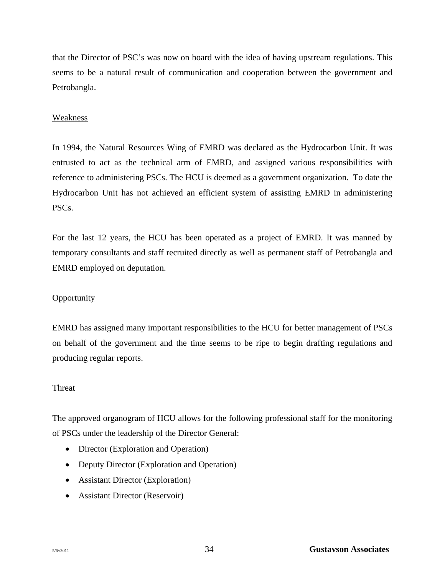that the Director of PSC's was now on board with the idea of having upstream regulations. This seems to be a natural result of communication and cooperation between the government and Petrobangla.

## Weakness

In 1994, the Natural Resources Wing of EMRD was declared as the Hydrocarbon Unit. It was entrusted to act as the technical arm of EMRD, and assigned various responsibilities with reference to administering PSCs. The HCU is deemed as a government organization. To date the Hydrocarbon Unit has not achieved an efficient system of assisting EMRD in administering PSCs.

For the last 12 years, the HCU has been operated as a project of EMRD. It was manned by temporary consultants and staff recruited directly as well as permanent staff of Petrobangla and EMRD employed on deputation.

## **Opportunity**

EMRD has assigned many important responsibilities to the HCU for better management of PSCs on behalf of the government and the time seems to be ripe to begin drafting regulations and producing regular reports.

## Threat

The approved organogram of HCU allows for the following professional staff for the monitoring of PSCs under the leadership of the Director General:

- Director (Exploration and Operation)
- Deputy Director (Exploration and Operation)
- Assistant Director (Exploration)
- Assistant Director (Reservoir)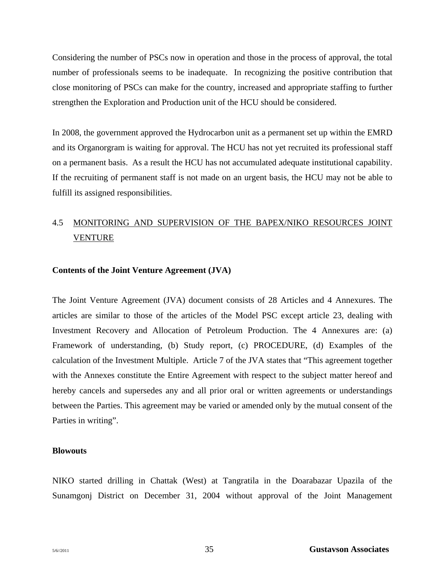Considering the number of PSCs now in operation and those in the process of approval, the total number of professionals seems to be inadequate. In recognizing the positive contribution that close monitoring of PSCs can make for the country, increased and appropriate staffing to further strengthen the Exploration and Production unit of the HCU should be considered.

In 2008, the government approved the Hydrocarbon unit as a permanent set up within the EMRD and its Organorgram is waiting for approval. The HCU has not yet recruited its professional staff on a permanent basis. As a result the HCU has not accumulated adequate institutional capability. If the recruiting of permanent staff is not made on an urgent basis, the HCU may not be able to fulfill its assigned responsibilities.

# 4.5 MONITORING AND SUPERVISION OF THE BAPEX/NIKO RESOURCES JOINT VENTURE

#### **Contents of the Joint Venture Agreement (JVA)**

The Joint Venture Agreement (JVA) document consists of 28 Articles and 4 Annexures. The articles are similar to those of the articles of the Model PSC except article 23, dealing with Investment Recovery and Allocation of Petroleum Production. The 4 Annexures are: (a) Framework of understanding, (b) Study report, (c) PROCEDURE, (d) Examples of the calculation of the Investment Multiple. Article 7 of the JVA states that "This agreement together with the Annexes constitute the Entire Agreement with respect to the subject matter hereof and hereby cancels and supersedes any and all prior oral or written agreements or understandings between the Parties. This agreement may be varied or amended only by the mutual consent of the Parties in writing".

#### **Blowouts**

NIKO started drilling in Chattak (West) at Tangratila in the Doarabazar Upazila of the Sunamgonj District on December 31, 2004 without approval of the Joint Management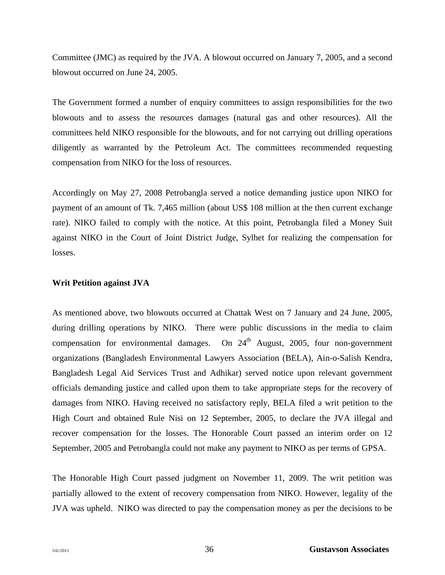Committee (JMC) as required by the JVA. A blowout occurred on January 7, 2005, and a second blowout occurred on June 24, 2005.

The Government formed a number of enquiry committees to assign responsibilities for the two blowouts and to assess the resources damages (natural gas and other resources). All the committees held NIKO responsible for the blowouts, and for not carrying out drilling operations diligently as warranted by the Petroleum Act. The committees recommended requesting compensation from NIKO for the loss of resources.

Accordingly on May 27, 2008 Petrobangla served a notice demanding justice upon NIKO for payment of an amount of Tk. 7,465 million (about US\$ 108 million at the then current exchange rate). NIKO failed to comply with the notice. At this point, Petrobangla filed a Money Suit against NIKO in the Court of Joint District Judge, Sylhet for realizing the compensation for losses.

#### **Writ Petition against JVA**

As mentioned above, two blowouts occurred at Chattak West on 7 January and 24 June, 2005, during drilling operations by NIKO. There were public discussions in the media to claim compensation for environmental damages. On  $24<sup>th</sup>$  August, 2005, four non-government organizations (Bangladesh Environmental Lawyers Association (BELA), Ain-o-Salish Kendra, Bangladesh Legal Aid Services Trust and Adhikar) served notice upon relevant government officials demanding justice and called upon them to take appropriate steps for the recovery of damages from NIKO. Having received no satisfactory reply, BELA filed a writ petition to the High Court and obtained Rule Nisi on 12 September, 2005, to declare the JVA illegal and recover compensation for the losses. The Honorable Court passed an interim order on 12 September, 2005 and Petrobangla could not make any payment to NIKO as per terms of GPSA.

The Honorable High Court passed judgment on November 11, 2009. The writ petition was partially allowed to the extent of recovery compensation from NIKO. However, legality of the JVA was upheld. NIKO was directed to pay the compensation money as per the decisions to be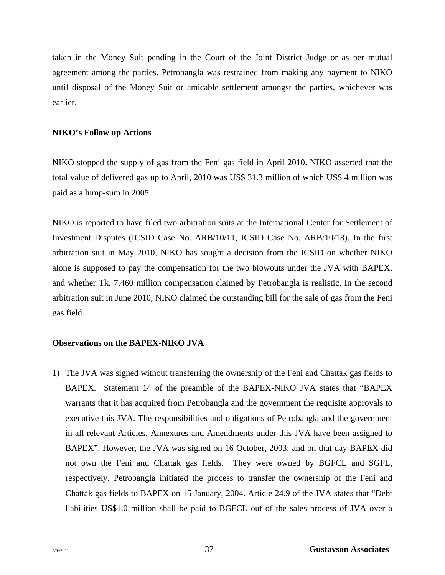taken in the Money Suit pending in the Court of the Joint District Judge or as per mutual agreement among the parties. Petrobangla was restrained from making any payment to NIKO until disposal of the Money Suit or amicable settlement amongst the parties, whichever was earlier.

## **NIKO's Follow up Actions**

NIKO stopped the supply of gas from the Feni gas field in April 2010. NIKO asserted that the total value of delivered gas up to April, 2010 was US\$ 31.3 million of which US\$ 4 million was paid as a lump-sum in 2005.

NIKO is reported to have filed two arbitration suits at the International Center for Settlement of Investment Disputes (ICSID Case No. ARB/10/11, ICSID Case No. ARB/10/18). In the first arbitration suit in May 2010, NIKO has sought a decision from the ICSID on whether NIKO alone is supposed to pay the compensation for the two blowouts under the JVA with BAPEX, and whether Tk. 7,460 million compensation claimed by Petrobangla is realistic. In the second arbitration suit in June 2010, NIKO claimed the outstanding bill for the sale of gas from the Feni gas field.

## **Observations on the BAPEX-NIKO JVA**

1) The JVA was signed without transferring the ownership of the Feni and Chattak gas fields to BAPEX. Statement 14 of the preamble of the BAPEX-NIKO JVA states that "BAPEX warrants that it has acquired from Petrobangla and the government the requisite approvals to executive this JVA. The responsibilities and obligations of Petrobangla and the government in all relevant Articles, Annexures and Amendments under this JVA have been assigned to BAPEX". However, the JVA was signed on 16 October, 2003; and on that day BAPEX did not own the Feni and Chattak gas fields. They were owned by BGFCL and SGFL, respectively. Petrobangla initiated the process to transfer the ownership of the Feni and Chattak gas fields to BAPEX on 15 January, 2004. Article 24.9 of the JVA states that "Debt liabilities US\$1.0 million shall be paid to BGFCL out of the sales process of JVA over a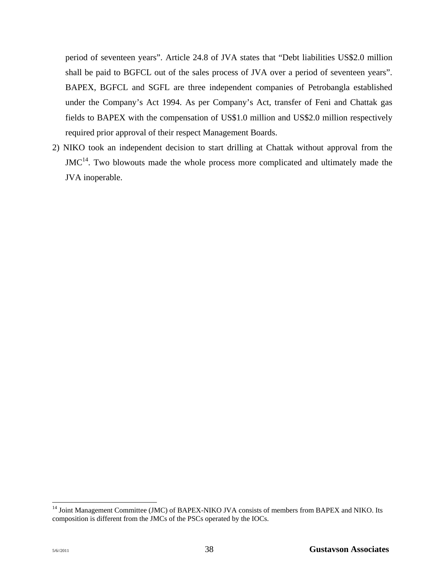period of seventeen years". Article 24.8 of JVA states that "Debt liabilities US\$2.0 million shall be paid to BGFCL out of the sales process of JVA over a period of seventeen years". BAPEX, BGFCL and SGFL are three independent companies of Petrobangla established under the Company's Act 1994. As per Company's Act, transfer of Feni and Chattak gas fields to BAPEX with the compensation of US\$1.0 million and US\$2.0 million respectively required prior approval of their respect Management Boards.

2) NIKO took an independent decision to start drilling at Chattak without approval from the  $JMC<sup>14</sup>$ . Two blowouts made the whole process more complicated and ultimately made the JVA inoperable.

l

<sup>&</sup>lt;sup>14</sup> Joint Management Committee (JMC) of BAPEX-NIKO JVA consists of members from BAPEX and NIKO. Its composition is different from the JMCs of the PSCs operated by the IOCs.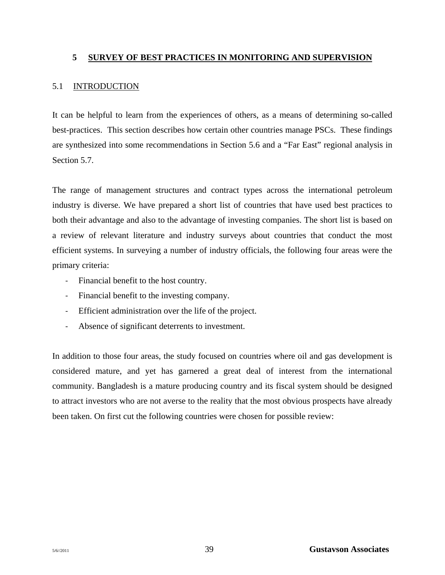## **5 SURVEY OF BEST PRACTICES IN MONITORING AND SUPERVISION**

#### 5.1 INTRODUCTION

It can be helpful to learn from the experiences of others, as a means of determining so-called best-practices. This section describes how certain other countries manage PSCs. These findings are synthesized into some recommendations in Section 5.6 and a "Far East" regional analysis in Section 5.7.

The range of management structures and contract types across the international petroleum industry is diverse. We have prepared a short list of countries that have used best practices to both their advantage and also to the advantage of investing companies. The short list is based on a review of relevant literature and industry surveys about countries that conduct the most efficient systems. In surveying a number of industry officials, the following four areas were the primary criteria:

- ‐ Financial benefit to the host country.
- ‐ Financial benefit to the investing company.
- ‐ Efficient administration over the life of the project.
- ‐ Absence of significant deterrents to investment.

In addition to those four areas, the study focused on countries where oil and gas development is considered mature, and yet has garnered a great deal of interest from the international community. Bangladesh is a mature producing country and its fiscal system should be designed to attract investors who are not averse to the reality that the most obvious prospects have already been taken. On first cut the following countries were chosen for possible review: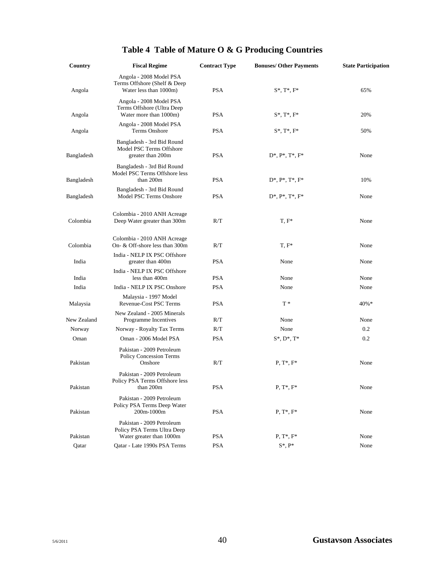| Country     | <b>Fiscal Regime</b>                                                                 | <b>Contract Type</b> | <b>Bonuses/ Other Payments</b> | <b>State Participation</b> |
|-------------|--------------------------------------------------------------------------------------|----------------------|--------------------------------|----------------------------|
| Angola      | Angola - 2008 Model PSA<br>Terms Offshore (Shelf & Deep<br>Water less than 1000m)    | <b>PSA</b>           | $S^*$ , $T^*$ , $F^*$          | 65%                        |
| Angola      | Angola - 2008 Model PSA<br>Terms Offshore (Ultra Deep<br>Water more than 1000m)      | <b>PSA</b>           | $S^*$ , $T^*$ , $F^*$          | 20%                        |
| Angola      | Angola - 2008 Model PSA<br>Terms Onshore                                             | <b>PSA</b>           | $S^*, T^*, F^*$                | 50%                        |
| Bangladesh  | Bangladesh - 3rd Bid Round<br>Model PSC Terms Offshore<br>greater than 200m          | <b>PSA</b>           | $D^*, P^*, T^*, F^*$           | None                       |
| Bangladesh  | Bangladesh - 3rd Bid Round<br>Model PSC Terms Offshore less<br>than 200m             | <b>PSA</b>           | $D^*, P^*, T^*, F^*$           | 10%                        |
| Bangladesh  | Bangladesh - 3rd Bid Round<br>Model PSC Terms Onshore                                | <b>PSA</b>           | $D^*, P^*, T^*, F^*$           | None                       |
| Colombia    | Colombia - 2010 ANH Acreage<br>Deep Water greater than 300m                          | R/T                  | $T, F^*$                       | None                       |
| Colombia    | Colombia - 2010 ANH Acreage<br>On- & Off-shore less than 300m                        | R/T                  | $T, F^*$                       | None                       |
| India       | India - NELP IX PSC Offshore<br>greater than 400m                                    | <b>PSA</b>           | None                           | None                       |
| India       | India - NELP IX PSC Offshore<br>less than 400m                                       | <b>PSA</b>           | None                           | None                       |
| India       | India - NELP IX PSC Onshore                                                          | <b>PSA</b>           | None                           | None                       |
| Malaysia    | Malaysia - 1997 Model<br><b>Revenue-Cost PSC Terms</b>                               | <b>PSA</b>           | $T^*$                          | 40%*                       |
| New Zealand | New Zealand - 2005 Minerals<br>Programme Incentives                                  | R/T                  | None                           | None                       |
| Norway      | Norway - Royalty Tax Terms                                                           | R/T                  | None                           | 0.2                        |
| Oman        | Oman - 2006 Model PSA                                                                | <b>PSA</b>           | $S^*$ , $D^*$ , $T^*$          | 0.2                        |
| Pakistan    | Pakistan - 2009 Petroleum<br>Policy Concession Terms<br>Onshore                      | R/T                  | $P, T^*, F^*$                  | None                       |
| Pakistan    | Pakistan - 2009 Petroleum<br>Policy PSA Terms Offshore less<br>than 200m             | PSA                  | $P, T^*, F^*$                  | None                       |
| Pakistan    | Pakistan - 2009 Petroleum<br>Policy PSA Terms Deep Water<br>200m-1000m               | <b>PSA</b>           | $P, T^*, F^*$                  | None                       |
| Pakistan    | Pakistan - 2009 Petroleum<br>Policy PSA Terms Ultra Deep<br>Water greater than 1000m | <b>PSA</b>           | $P, T^*, F^*$                  | None                       |
| Qatar       | Oatar - Late 1990s PSA Terms                                                         | <b>PSA</b>           | $S^*$ , $P^*$                  | None                       |

# **Table 4 Table of Mature O & G Producing Countries**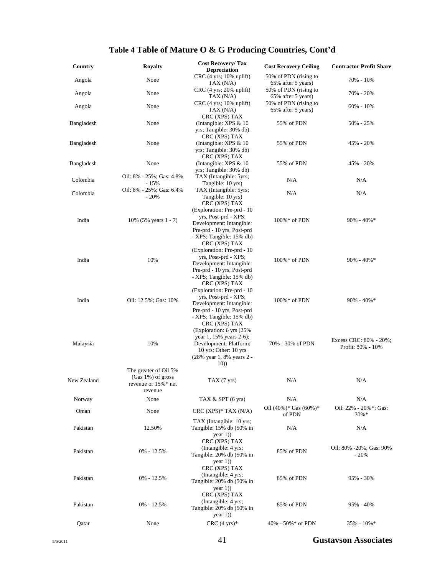# **Table 4 Table of Mature O & G Producing Countries, Cont'd**

| Country     | <b>Royalty</b>                                                               | <b>Cost Recovery/Tax</b><br><b>Depreciation</b>                                                                                                                | <b>Cost Recovery Ceiling</b>                | <b>Contractor Profit Share</b>              |
|-------------|------------------------------------------------------------------------------|----------------------------------------------------------------------------------------------------------------------------------------------------------------|---------------------------------------------|---------------------------------------------|
| Angola      | None                                                                         | $CRC$ (4 yrs; 10% uplift)<br>TAX $(N/A)$                                                                                                                       | 50% of PDN (rising to<br>65% after 5 years) | 70% - 10%                                   |
| Angola      | None                                                                         | $CRC$ (4 yrs; 20% uplift)<br>TAX(N/A)                                                                                                                          | 50% of PDN (rising to<br>65% after 5 years) | 70% - 20%                                   |
| Angola      | None                                                                         | $CRC$ (4 yrs; 10% uplift)<br>TAX $(N/A)$<br>CRC (XPS) TAX                                                                                                      | 50% of PDN (rising to<br>65% after 5 years) | $60\% - 10\%$                               |
| Bangladesh  | None                                                                         | (Intangible: XPS $& 10$<br>yrs; Tangible: 30% db)<br>CRC (XPS) TAX                                                                                             | 55% of PDN                                  | 50% - 25%                                   |
| Bangladesh  | None                                                                         | (Intangible: XPS $& 10$<br>yrs; Tangible: 30% db)<br>CRC (XPS) TAX                                                                                             | 55% of PDN                                  | 45% - 20%                                   |
| Bangladesh  | None                                                                         | (Intangible: XPS & 10<br>yrs; Tangible: 30% db)                                                                                                                | 55% of PDN                                  | 45% - 20%                                   |
| Colombia    | Oil: 8% - 25%; Gas: 4.8%<br>$-15%$                                           | TAX (Intangible: 5yrs;<br>Tangible: 10 yrs)                                                                                                                    | N/A                                         | N/A                                         |
| Colombia    | Oil: 8% - 25%; Gas: 6.4%<br>$-20%$                                           | TAX (Intangible: 5yrs;<br>Tangible: 10 yrs)<br>CRC (XPS) TAX                                                                                                   | N/A                                         | N/A                                         |
| India       | 10% (5% years 1 - 7)                                                         | (Exploration: Pre-prd - 10<br>yrs, Post-prd - XPS;<br>Development: Intangible:<br>Pre-prd - 10 yrs, Post-prd<br>- XPS; Tangible: 15% db)<br>CRC (XPS) TAX      | $100\% *$ of PDN                            | $90\% - 40\% *$                             |
| India       | 10%                                                                          | (Exploration: Pre-prd - 10<br>yrs, Post-prd - XPS;<br>Development: Intangible:<br>Pre-prd - 10 yrs, Post-prd<br>- XPS; Tangible: 15% db)<br>CRC (XPS) TAX      | $100\% *$ of PDN                            | $90\% - 40\% *$                             |
| India       | Oil: 12.5%; Gas: 10%                                                         | (Exploration: Pre-prd - 10)<br>yrs, Post-prd - XPS;<br>Development: Intangible:<br>Pre-prd - 10 yrs, Post-prd<br>- XPS; Tangible: 15% db)                      | $100\% *$ of PDN                            | $90\% - 40\% *$                             |
| Malaysia    | 10%                                                                          | CRC (XPS) TAX<br>(Exploration: 6 yrs (25%)<br>year 1, 15% years 2-6);<br>Development: Platform:<br>10 yrs; Other: $10$ yrs<br>(28% year 1, 8% years 2 -<br>10) | 70% - 30% of PDN                            | Excess CRC: 80% - 20%;<br>Profit: 80% - 10% |
| New Zealand | The greater of Oil 5%<br>(Gas 1%) of gross<br>revenue or 15%* net<br>revenue | TAX(7yrs)                                                                                                                                                      | N/A                                         | N/A                                         |
| Norway      | None                                                                         | TAX $&$ SPT (6 yrs)                                                                                                                                            | N/A                                         | N/A                                         |
| Oman        | None                                                                         | $CRC$ (XPS)* TAX (N/A)                                                                                                                                         | Oil $(40\%)^*$ Gas $(60\%)^*$<br>of PDN     | Oil: 22% - 20%*; Gas:<br>$30\% *$           |
| Pakistan    | 12.50%                                                                       | TAX (Intangible: 10 yrs;<br>Tangible: 15% db (50% in<br>year(1)                                                                                                | N/A                                         | N/A                                         |
| Pakistan    | $0\% - 12.5\%$                                                               | CRC (XPS) TAX<br>(Intangible: 4 yrs;<br>Tangible: 20% db (50% in<br>year(1)                                                                                    | 85% of PDN                                  | Oil: 80% -20%; Gas: 90%<br>$-20%$           |
| Pakistan    | $0\% - 12.5\%$                                                               | CRC (XPS) TAX<br>(Intangible: 4 yrs;<br>Tangible: 20% db (50% in<br>year(1)<br>CRC (XPS) TAX                                                                   | 85% of PDN                                  | 95% - 30%                                   |
| Pakistan    | $0\% - 12.5\%$                                                               | (Intangible: 4 yrs;<br>Tangible: 20% db (50% in<br>year $1)$ )                                                                                                 | 85% of PDN                                  | $95\% - 40\%$                               |
| Qatar       | None                                                                         | $CRC$ (4 yrs)*                                                                                                                                                 | $40\% - 50\% * of PDN$                      | 35% - 10%*                                  |

5/6/2011 41 **Gustavson Associates**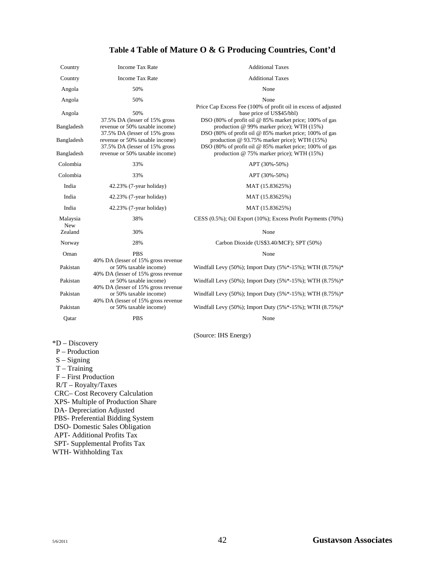# **Table 4 Table of Mature O & G Producing Countries, Cont'd**

| Country                  | <b>Income Tax Rate</b>                                                                                                             | <b>Additional Taxes</b>                                                                                                                                                                                       |
|--------------------------|------------------------------------------------------------------------------------------------------------------------------------|---------------------------------------------------------------------------------------------------------------------------------------------------------------------------------------------------------------|
| Country                  | <b>Income Tax Rate</b>                                                                                                             | <b>Additional Taxes</b>                                                                                                                                                                                       |
| Angola                   | 50%                                                                                                                                | None                                                                                                                                                                                                          |
| Angola                   | 50%                                                                                                                                | None                                                                                                                                                                                                          |
| Angola<br>Bangladesh     | 50%<br>37.5% DA (lesser of 15% gross<br>revenue or 50% taxable income)                                                             | Price Cap Excess Fee (100% of profit oil in excess of adjusted<br>base price of US\$45/bbl)<br>DSO (80% of profit oil @ 85% market price; 100% of gas<br>production @ 99% marker price); WTH (15%)            |
| Bangladesh<br>Bangladesh | 37.5% DA (lesser of 15% gross<br>revenue or 50% taxable income)<br>37.5% DA (lesser of 15% gross<br>revenue or 50% taxable income) | DSO (80% of profit oil @ 85% market price; 100% of gas<br>production @ 93.75% marker price); WTH (15%)<br>DSO (80% of profit oil @ 85% market price; 100% of gas<br>production @ 75% marker price); WTH (15%) |
| Colombia                 | 33%                                                                                                                                | APT (30%-50%)                                                                                                                                                                                                 |
| Colombia                 | 33%                                                                                                                                | APT (30%-50%)                                                                                                                                                                                                 |
| India                    | 42.23% (7-year holiday)                                                                                                            | MAT (15.83625%)                                                                                                                                                                                               |
| India                    | $42.23\%$ (7-year holiday)                                                                                                         | MAT (15.83625%)                                                                                                                                                                                               |
| India                    | $42.23\%$ (7-year holiday)                                                                                                         | MAT (15.83625%)                                                                                                                                                                                               |
| Malaysia<br><b>New</b>   | 38%                                                                                                                                | CESS (0.5%); Oil Export (10%); Excess Profit Payments (70%)                                                                                                                                                   |
| Zealand                  | 30%                                                                                                                                | None                                                                                                                                                                                                          |
| Norway                   | 28%                                                                                                                                | Carbon Dioxide (US\$3.40/MCF); SPT (50%)                                                                                                                                                                      |
| Oman                     | <b>PBS</b>                                                                                                                         | None                                                                                                                                                                                                          |
| Pakistan                 | 40% DA (lesser of 15% gross revenue<br>or 50% taxable income)<br>40% DA (lesser of 15% gross revenue                               | Windfall Levy (50%); Import Duty (5%*-15%); WTH (8.75%)*                                                                                                                                                      |
| Pakistan                 | or 50% taxable income)<br>40% DA (lesser of 15% gross revenue                                                                      | Windfall Levy (50%); Import Duty (5%*-15%); WTH (8.75%)*                                                                                                                                                      |
| Pakistan                 | or 50% taxable income)<br>40% DA (lesser of 15% gross revenue                                                                      | Windfall Levy (50%); Import Duty (5%*-15%); WTH (8.75%)*                                                                                                                                                      |
| Pakistan                 | or 50% taxable income)                                                                                                             | Windfall Levy (50%); Import Duty (5%*-15%); WTH (8.75%)*                                                                                                                                                      |
| Qatar                    | <b>PBS</b>                                                                                                                         | None                                                                                                                                                                                                          |

(Source: IHS Energy)

\*D – Discovery

- P Production S – Signing
- 
- T Training F – First Production R/T – Royalty/Taxes CRC– Cost Recovery Calculation XPS- Multiple of Production Share DA- Depreciation Adjusted PBS- Preferential Bidding System DSO- Domestic Sales Obligation APT- Additional Profits Tax SPT- Supplemental Profits Tax WTH- Withholding Tax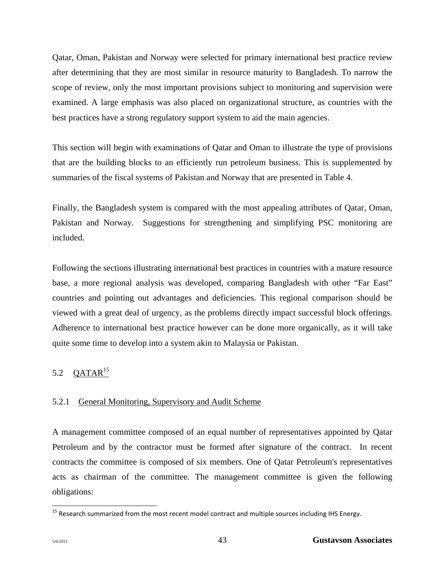Qatar, Oman, Pakistan and Norway were selected for primary international best practice review after determining that they are most similar in resource maturity to Bangladesh. To narrow the scope of review, only the most important provisions subject to monitoring and supervision were examined. A large emphasis was also placed on organizational structure, as countries with the best practices have a strong regulatory support system to aid the main agencies.

This section will begin with examinations of Qatar and Oman to illustrate the type of provisions that are the building blocks to an efficiently run petroleum business. This is supplemented by summaries of the fiscal systems of Pakistan and Norway that are presented in Table 4.

Finally, the Bangladesh system is compared with the most appealing attributes of Qatar, Oman, Pakistan and Norway. Suggestions for strengthening and simplifying PSC monitoring are included.

Following the sections illustrating international best practices in countries with a mature resource base, a more regional analysis was developed, comparing Bangladesh with other "Far East" countries and pointing out advantages and deficiencies. This regional comparison should be viewed with a great deal of urgency, as the problems directly impact successful block offerings. Adherence to international best practice however can be done more organically, as it will take quite some time to develop into a system akin to Malaysia or Pakistan.

# 5.2  $QATAR$ <sup>15</sup>

# 5.2.1 General Monitoring, Supervisory and Audit Scheme

A management committee composed of an equal number of representatives appointed by Qatar Petroleum and by the contractor must be formed after signature of the contract. In recent contracts the committee is composed of six members. One of Qatar Petroleum's representatives acts as chairman of the committee. The management committee is given the following obligations:

 $\overline{a}$ 

<sup>&</sup>lt;sup>15</sup> Research summarized from the most recent model contract and multiple sources including IHS Energy.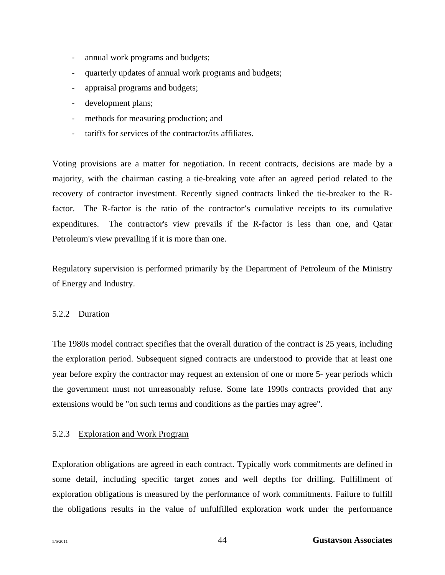- ‐ annual work programs and budgets;
- ‐ quarterly updates of annual work programs and budgets;
- ‐ appraisal programs and budgets;
- development plans;
- methods for measuring production; and
- ‐ tariffs for services of the contractor/its affiliates.

Voting provisions are a matter for negotiation. In recent contracts, decisions are made by a majority, with the chairman casting a tie-breaking vote after an agreed period related to the recovery of contractor investment. Recently signed contracts linked the tie-breaker to the Rfactor. The R-factor is the ratio of the contractor's cumulative receipts to its cumulative expenditures. The contractor's view prevails if the R-factor is less than one, and Qatar Petroleum's view prevailing if it is more than one.

Regulatory supervision is performed primarily by the Department of Petroleum of the Ministry of Energy and Industry.

# 5.2.2 Duration

The 1980s model contract specifies that the overall duration of the contract is 25 years, including the exploration period. Subsequent signed contracts are understood to provide that at least one year before expiry the contractor may request an extension of one or more 5- year periods which the government must not unreasonably refuse. Some late 1990s contracts provided that any extensions would be "on such terms and conditions as the parties may agree".

# 5.2.3 Exploration and Work Program

Exploration obligations are agreed in each contract. Typically work commitments are defined in some detail, including specific target zones and well depths for drilling. Fulfillment of exploration obligations is measured by the performance of work commitments. Failure to fulfill the obligations results in the value of unfulfilled exploration work under the performance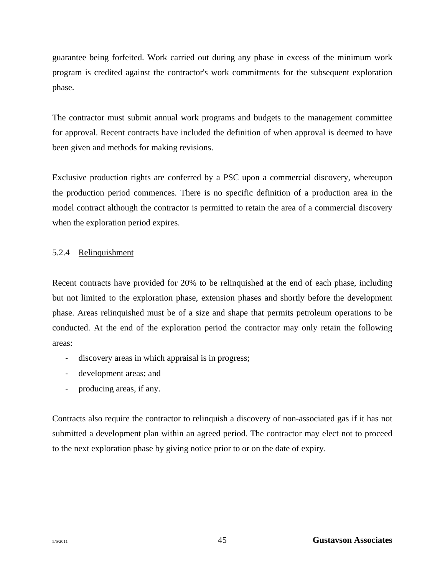guarantee being forfeited. Work carried out during any phase in excess of the minimum work program is credited against the contractor's work commitments for the subsequent exploration phase.

The contractor must submit annual work programs and budgets to the management committee for approval. Recent contracts have included the definition of when approval is deemed to have been given and methods for making revisions.

Exclusive production rights are conferred by a PSC upon a commercial discovery, whereupon the production period commences. There is no specific definition of a production area in the model contract although the contractor is permitted to retain the area of a commercial discovery when the exploration period expires.

## 5.2.4 Relinquishment

Recent contracts have provided for 20% to be relinquished at the end of each phase, including but not limited to the exploration phase, extension phases and shortly before the development phase. Areas relinquished must be of a size and shape that permits petroleum operations to be conducted. At the end of the exploration period the contractor may only retain the following areas:

- discovery areas in which appraisal is in progress;
- ‐ development areas; and
- ‐ producing areas, if any.

Contracts also require the contractor to relinquish a discovery of non-associated gas if it has not submitted a development plan within an agreed period*.* The contractor may elect not to proceed to the next exploration phase by giving notice prior to or on the date of expiry.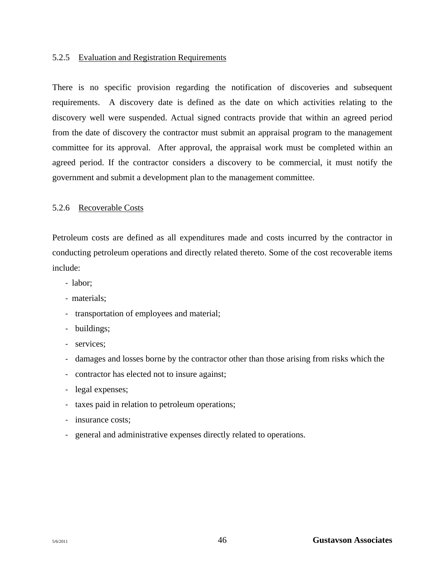#### 5.2.5 Evaluation and Registration Requirements

There is no specific provision regarding the notification of discoveries and subsequent requirements. A discovery date is defined as the date on which activities relating to the discovery well were suspended. Actual signed contracts provide that within an agreed period from the date of discovery the contractor must submit an appraisal program to the management committee for its approval. After approval, the appraisal work must be completed within an agreed period. If the contractor considers a discovery to be commercial, it must notify the government and submit a development plan to the management committee.

#### 5.2.6 Recoverable Costs

Petroleum costs are defined as all expenditures made and costs incurred by the contractor in conducting petroleum operations and directly related thereto. Some of the cost recoverable items include:

- ‐ labor;
- ‐ materials;
- ‐ transportation of employees and material;
- ‐ buildings;
- ‐ services;
- ‐ damages and losses borne by the contractor other than those arising from risks which the
- ‐ contractor has elected not to insure against;
- ‐ legal expenses;
- ‐ taxes paid in relation to petroleum operations;
- ‐ insurance costs;
- ‐ general and administrative expenses directly related to operations.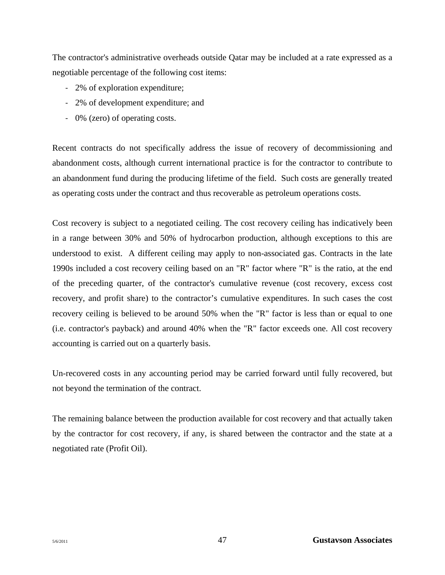The contractor's administrative overheads outside Qatar may be included at a rate expressed as a negotiable percentage of the following cost items:

- ‐ 2% of exploration expenditure;
- ‐ 2% of development expenditure; and
- ‐ 0% (zero) of operating costs.

Recent contracts do not specifically address the issue of recovery of decommissioning and abandonment costs, although current international practice is for the contractor to contribute to an abandonment fund during the producing lifetime of the field. Such costs are generally treated as operating costs under the contract and thus recoverable as petroleum operations costs.

Cost recovery is subject to a negotiated ceiling. The cost recovery ceiling has indicatively been in a range between 30% and 50% of hydrocarbon production, although exceptions to this are understood to exist. A different ceiling may apply to non-associated gas. Contracts in the late 1990s included a cost recovery ceiling based on an "R" factor where "R" is the ratio, at the end of the preceding quarter, of the contractor's cumulative revenue (cost recovery, excess cost recovery, and profit share) to the contractor's cumulative expenditures. In such cases the cost recovery ceiling is believed to be around 50% when the "R" factor is less than or equal to one (i.e. contractor's payback) and around 40% when the "R" factor exceeds one. All cost recovery accounting is carried out on a quarterly basis.

Un-recovered costs in any accounting period may be carried forward until fully recovered, but not beyond the termination of the contract.

The remaining balance between the production available for cost recovery and that actually taken by the contractor for cost recovery, if any, is shared between the contractor and the state at a negotiated rate (Profit Oil).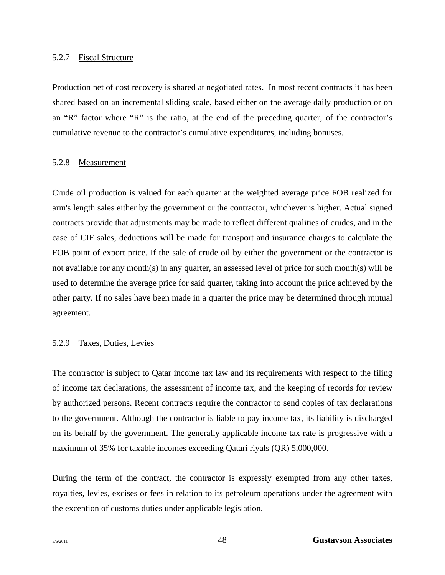#### 5.2.7 Fiscal Structure

Production net of cost recovery is shared at negotiated rates. In most recent contracts it has been shared based on an incremental sliding scale, based either on the average daily production or on an "R" factor where "R" is the ratio, at the end of the preceding quarter, of the contractor's cumulative revenue to the contractor's cumulative expenditures, including bonuses.

#### 5.2.8 Measurement

Crude oil production is valued for each quarter at the weighted average price FOB realized for arm's length sales either by the government or the contractor, whichever is higher. Actual signed contracts provide that adjustments may be made to reflect different qualities of crudes, and in the case of CIF sales, deductions will be made for transport and insurance charges to calculate the FOB point of export price. If the sale of crude oil by either the government or the contractor is not available for any month(s) in any quarter, an assessed level of price for such month(s) will be used to determine the average price for said quarter, taking into account the price achieved by the other party. If no sales have been made in a quarter the price may be determined through mutual agreement.

#### 5.2.9 Taxes, Duties, Levies

The contractor is subject to Qatar income tax law and its requirements with respect to the filing of income tax declarations, the assessment of income tax, and the keeping of records for review by authorized persons. Recent contracts require the contractor to send copies of tax declarations to the government. Although the contractor is liable to pay income tax, its liability is discharged on its behalf by the government. The generally applicable income tax rate is progressive with a maximum of 35% for taxable incomes exceeding Qatari riyals (QR) 5,000,000.

During the term of the contract, the contractor is expressly exempted from any other taxes, royalties, levies, excises or fees in relation to its petroleum operations under the agreement with the exception of customs duties under applicable legislation.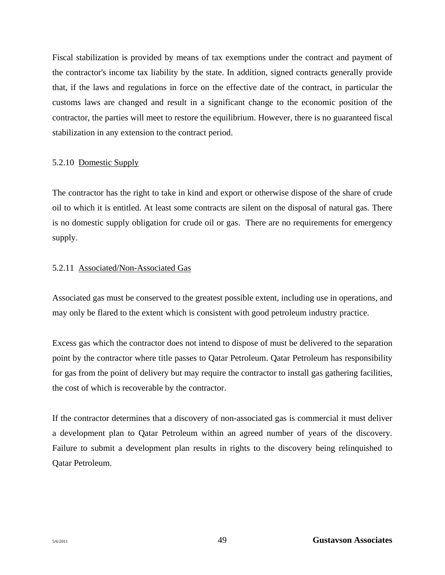Fiscal stabilization is provided by means of tax exemptions under the contract and payment of the contractor's income tax liability by the state. In addition, signed contracts generally provide that, if the laws and regulations in force on the effective date of the contract, in particular the customs laws are changed and result in a significant change to the economic position of the contractor, the parties will meet to restore the equilibrium. However, there is no guaranteed fiscal stabilization in any extension to the contract period.

## 5.2.10 Domestic Supply

The contractor has the right to take in kind and export or otherwise dispose of the share of crude oil to which it is entitled. At least some contracts are silent on the disposal of natural gas. There is no domestic supply obligation for crude oil or gas. There are no requirements for emergency supply.

## 5.2.11 Associated/Non-Associated Gas

Associated gas must be conserved to the greatest possible extent, including use in operations, and may only be flared to the extent which is consistent with good petroleum industry practice.

Excess gas which the contractor does not intend to dispose of must be delivered to the separation point by the contractor where title passes to Qatar Petroleum. Qatar Petroleum has responsibility for gas from the point of delivery but may require the contractor to install gas gathering facilities, the cost of which is recoverable by the contractor.

If the contractor determines that a discovery of non-associated gas is commercial it must deliver a development plan to Qatar Petroleum within an agreed number of years of the discovery. Failure to submit a development plan results in rights to the discovery being relinquished to Qatar Petroleum.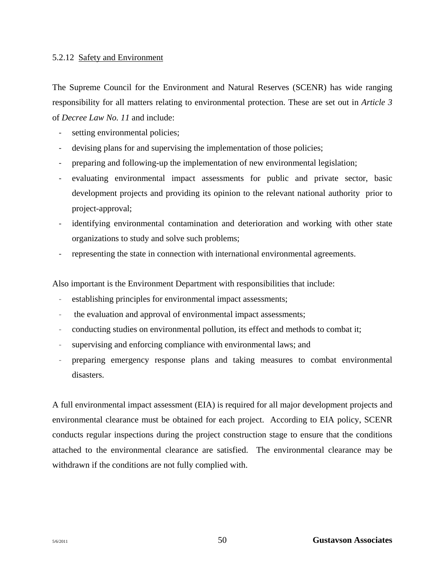#### 5.2.12 Safety and Environment

The Supreme Council for the Environment and Natural Reserves (SCENR) has wide ranging responsibility for all matters relating to environmental protection. These are set out in *Article 3*  of *Decree Law No. 11* and include:

- setting environmental policies;
- devising plans for and supervising the implementation of those policies;
- ‐ preparing and following-up the implementation of new environmental legislation;
- ‐ evaluating environmental impact assessments for public and private sector, basic development projects and providing its opinion to the relevant national authority prior to project-approval;
- identifying environmental contamination and deterioration and working with other state organizations to study and solve such problems;
- representing the state in connection with international environmental agreements.

Also important is the Environment Department with responsibilities that include:

- establishing principles for environmental impact assessments;
- ‐ the evaluation and approval of environmental impact assessments;
- ‐ conducting studies on environmental pollution, its effect and methods to combat it;
- ‐ supervising and enforcing compliance with environmental laws; and
- ‐ preparing emergency response plans and taking measures to combat environmental disasters.

A full environmental impact assessment (EIA) is required for all major development projects and environmental clearance must be obtained for each project. According to EIA policy, SCENR conducts regular inspections during the project construction stage to ensure that the conditions attached to the environmental clearance are satisfied. The environmental clearance may be withdrawn if the conditions are not fully complied with.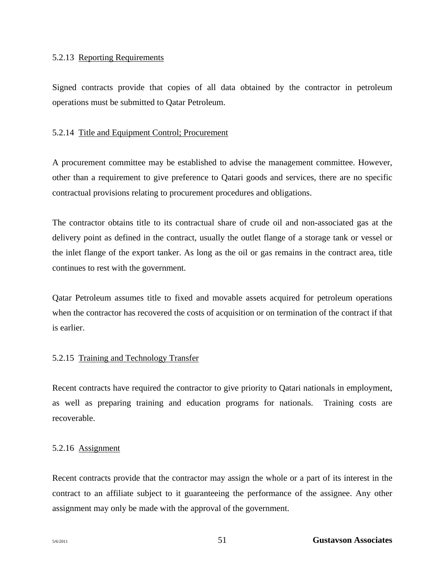#### 5.2.13 Reporting Requirements

Signed contracts provide that copies of all data obtained by the contractor in petroleum operations must be submitted to Qatar Petroleum.

#### 5.2.14 Title and Equipment Control; Procurement

A procurement committee may be established to advise the management committee. However, other than a requirement to give preference to Qatari goods and services, there are no specific contractual provisions relating to procurement procedures and obligations.

The contractor obtains title to its contractual share of crude oil and non-associated gas at the delivery point as defined in the contract, usually the outlet flange of a storage tank or vessel or the inlet flange of the export tanker. As long as the oil or gas remains in the contract area, title continues to rest with the government.

Qatar Petroleum assumes title to fixed and movable assets acquired for petroleum operations when the contractor has recovered the costs of acquisition or on termination of the contract if that is earlier.

## 5.2.15 Training and Technology Transfer

Recent contracts have required the contractor to give priority to Qatari nationals in employment, as well as preparing training and education programs for nationals. Training costs are recoverable.

## 5.2.16 Assignment

Recent contracts provide that the contractor may assign the whole or a part of its interest in the contract to an affiliate subject to it guaranteeing the performance of the assignee. Any other assignment may only be made with the approval of the government.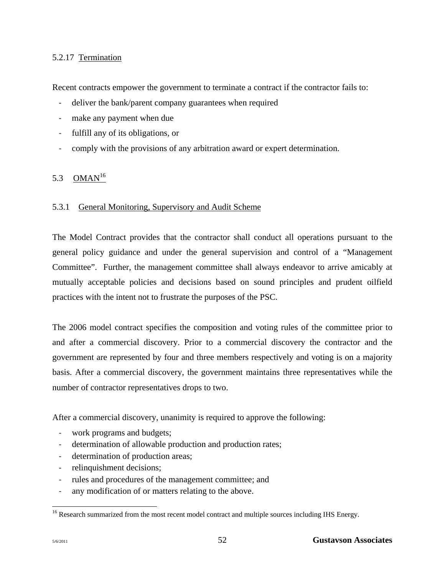# 5.2.17 Termination

Recent contracts empower the government to terminate a contract if the contractor fails to:

- deliver the bank/parent company guarantees when required
- make any payment when due
- ‐ fulfill any of its obligations, or
- ‐ comply with the provisions of any arbitration award or expert determination.

# 5.3  $OMAN^{16}$

## 5.3.1 General Monitoring, Supervisory and Audit Scheme

The Model Contract provides that the contractor shall conduct all operations pursuant to the general policy guidance and under the general supervision and control of a "Management Committee". Further, the management committee shall always endeavor to arrive amicably at mutually acceptable policies and decisions based on sound principles and prudent oilfield practices with the intent not to frustrate the purposes of the PSC.

The 2006 model contract specifies the composition and voting rules of the committee prior to and after a commercial discovery. Prior to a commercial discovery the contractor and the government are represented by four and three members respectively and voting is on a majority basis. After a commercial discovery, the government maintains three representatives while the number of contractor representatives drops to two.

After a commercial discovery, unanimity is required to approve the following:

- work programs and budgets;
- determination of allowable production and production rates;
- determination of production areas;
- relinquishment decisions;
- ‐ rules and procedures of the management committee; and
- any modification of or matters relating to the above.

 $\overline{a}$ 

 $16$  Research summarized from the most recent model contract and multiple sources including IHS Energy.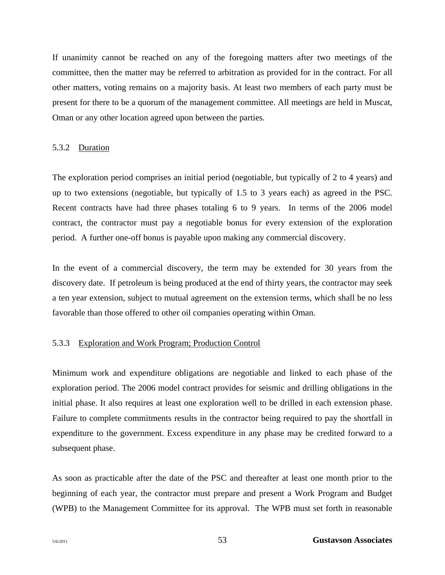If unanimity cannot be reached on any of the foregoing matters after two meetings of the committee, then the matter may be referred to arbitration as provided for in the contract. For all other matters, voting remains on a majority basis. At least two members of each party must be present for there to be a quorum of the management committee. All meetings are held in Muscat, Oman or any other location agreed upon between the parties.

#### 5.3.2 Duration

The exploration period comprises an initial period (negotiable, but typically of 2 to 4 years) and up to two extensions (negotiable, but typically of 1.5 to 3 years each) as agreed in the PSC. Recent contracts have had three phases totaling 6 to 9 years. In terms of the 2006 model contract, the contractor must pay a negotiable bonus for every extension of the exploration period. A further one-off bonus is payable upon making any commercial discovery.

In the event of a commercial discovery, the term may be extended for 30 years from the discovery date. If petroleum is being produced at the end of thirty years, the contractor may seek a ten year extension, subject to mutual agreement on the extension terms, which shall be no less favorable than those offered to other oil companies operating within Oman.

#### 5.3.3 Exploration and Work Program; Production Control

Minimum work and expenditure obligations are negotiable and linked to each phase of the exploration period. The 2006 model contract provides for seismic and drilling obligations in the initial phase. It also requires at least one exploration well to be drilled in each extension phase. Failure to complete commitments results in the contractor being required to pay the shortfall in expenditure to the government. Excess expenditure in any phase may be credited forward to a subsequent phase.

As soon as practicable after the date of the PSC and thereafter at least one month prior to the beginning of each year, the contractor must prepare and present a Work Program and Budget (WPB) to the Management Committee for its approval. The WPB must set forth in reasonable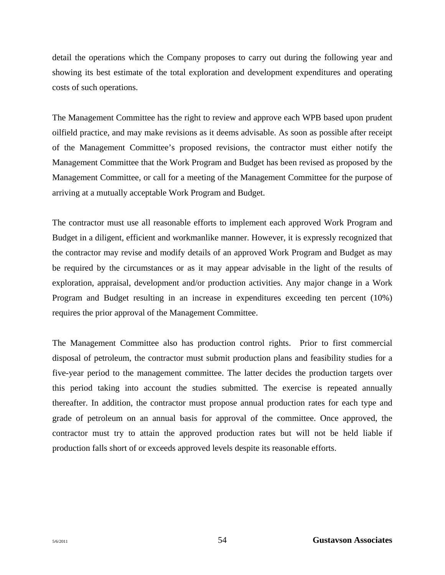detail the operations which the Company proposes to carry out during the following year and showing its best estimate of the total exploration and development expenditures and operating costs of such operations.

The Management Committee has the right to review and approve each WPB based upon prudent oilfield practice, and may make revisions as it deems advisable. As soon as possible after receipt of the Management Committee's proposed revisions, the contractor must either notify the Management Committee that the Work Program and Budget has been revised as proposed by the Management Committee, or call for a meeting of the Management Committee for the purpose of arriving at a mutually acceptable Work Program and Budget.

The contractor must use all reasonable efforts to implement each approved Work Program and Budget in a diligent, efficient and workmanlike manner. However, it is expressly recognized that the contractor may revise and modify details of an approved Work Program and Budget as may be required by the circumstances or as it may appear advisable in the light of the results of exploration, appraisal, development and/or production activities. Any major change in a Work Program and Budget resulting in an increase in expenditures exceeding ten percent (10%) requires the prior approval of the Management Committee.

The Management Committee also has production control rights. Prior to first commercial disposal of petroleum, the contractor must submit production plans and feasibility studies for a five-year period to the management committee. The latter decides the production targets over this period taking into account the studies submitted. The exercise is repeated annually thereafter. In addition, the contractor must propose annual production rates for each type and grade of petroleum on an annual basis for approval of the committee. Once approved, the contractor must try to attain the approved production rates but will not be held liable if production falls short of or exceeds approved levels despite its reasonable efforts.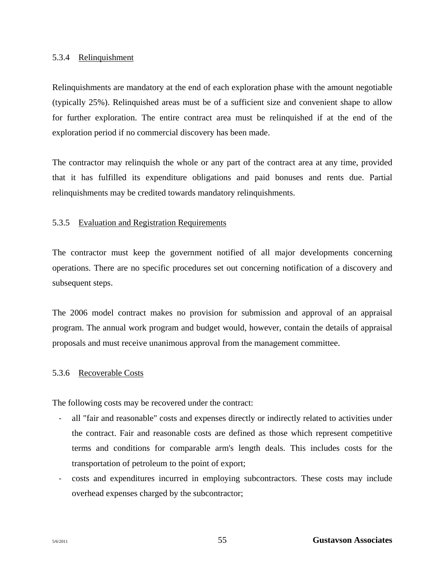# 5.3.4 Relinquishment

Relinquishments are mandatory at the end of each exploration phase with the amount negotiable (typically 25%). Relinquished areas must be of a sufficient size and convenient shape to allow for further exploration. The entire contract area must be relinquished if at the end of the exploration period if no commercial discovery has been made.

The contractor may relinquish the whole or any part of the contract area at any time, provided that it has fulfilled its expenditure obligations and paid bonuses and rents due. Partial relinquishments may be credited towards mandatory relinquishments.

## 5.3.5 Evaluation and Registration Requirements

The contractor must keep the government notified of all major developments concerning operations. There are no specific procedures set out concerning notification of a discovery and subsequent steps.

The 2006 model contract makes no provision for submission and approval of an appraisal program. The annual work program and budget would, however, contain the details of appraisal proposals and must receive unanimous approval from the management committee.

## 5.3.6 Recoverable Costs

The following costs may be recovered under the contract:

- ‐ all "fair and reasonable" costs and expenses directly or indirectly related to activities under the contract. Fair and reasonable costs are defined as those which represent competitive terms and conditions for comparable arm's length deals. This includes costs for the transportation of petroleum to the point of export;
- ‐ costs and expenditures incurred in employing subcontractors. These costs may include overhead expenses charged by the subcontractor;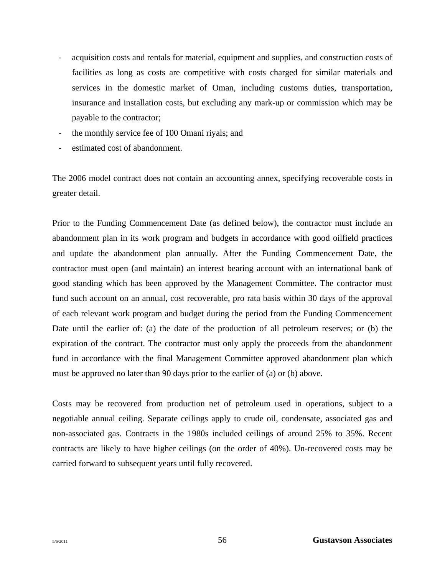- ‐ acquisition costs and rentals for material, equipment and supplies, and construction costs of facilities as long as costs are competitive with costs charged for similar materials and services in the domestic market of Oman, including customs duties, transportation, insurance and installation costs, but excluding any mark-up or commission which may be payable to the contractor;
- ‐ the monthly service fee of 100 Omani riyals; and
- estimated cost of abandonment.

The 2006 model contract does not contain an accounting annex, specifying recoverable costs in greater detail.

Prior to the Funding Commencement Date (as defined below), the contractor must include an abandonment plan in its work program and budgets in accordance with good oilfield practices and update the abandonment plan annually. After the Funding Commencement Date, the contractor must open (and maintain) an interest bearing account with an international bank of good standing which has been approved by the Management Committee. The contractor must fund such account on an annual, cost recoverable, pro rata basis within 30 days of the approval of each relevant work program and budget during the period from the Funding Commencement Date until the earlier of: (a) the date of the production of all petroleum reserves; or (b) the expiration of the contract. The contractor must only apply the proceeds from the abandonment fund in accordance with the final Management Committee approved abandonment plan which must be approved no later than 90 days prior to the earlier of (a) or (b) above.

Costs may be recovered from production net of petroleum used in operations, subject to a negotiable annual ceiling. Separate ceilings apply to crude oil, condensate, associated gas and non-associated gas. Contracts in the 1980s included ceilings of around 25% to 35%. Recent contracts are likely to have higher ceilings (on the order of 40%). Un-recovered costs may be carried forward to subsequent years until fully recovered.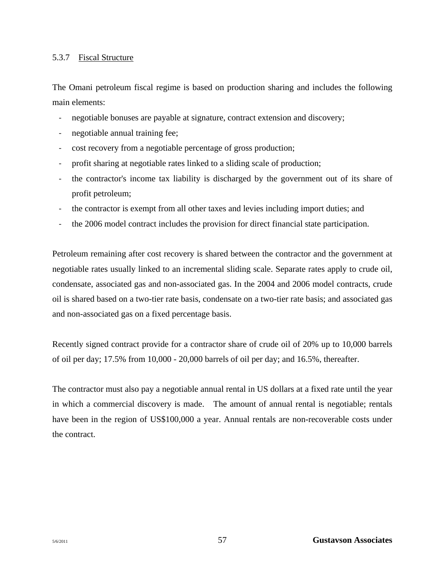## 5.3.7 Fiscal Structure

The Omani petroleum fiscal regime is based on production sharing and includes the following main elements:

- negotiable bonuses are payable at signature, contract extension and discovery;
- negotiable annual training fee;
- ‐ cost recovery from a negotiable percentage of gross production;
- ‐ profit sharing at negotiable rates linked to a sliding scale of production;
- ‐ the contractor's income tax liability is discharged by the government out of its share of profit petroleum;
- ‐ the contractor is exempt from all other taxes and levies including import duties; and
- ‐ the 2006 model contract includes the provision for direct financial state participation.

Petroleum remaining after cost recovery is shared between the contractor and the government at negotiable rates usually linked to an incremental sliding scale. Separate rates apply to crude oil, condensate, associated gas and non-associated gas. In the 2004 and 2006 model contracts, crude oil is shared based on a two-tier rate basis, condensate on a two-tier rate basis; and associated gas and non-associated gas on a fixed percentage basis.

Recently signed contract provide for a contractor share of crude oil of 20% up to 10,000 barrels of oil per day; 17.5% from 10,000 - 20,000 barrels of oil per day; and 16.5%, thereafter.

The contractor must also pay a negotiable annual rental in US dollars at a fixed rate until the year in which a commercial discovery is made. The amount of annual rental is negotiable; rentals have been in the region of US\$100,000 a year. Annual rentals are non-recoverable costs under the contract.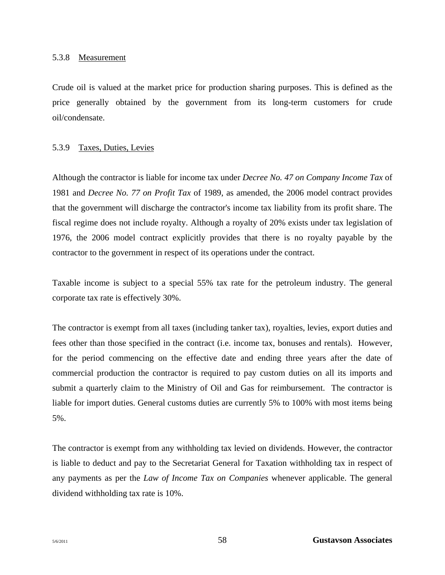#### 5.3.8 Measurement

Crude oil is valued at the market price for production sharing purposes. This is defined as the price generally obtained by the government from its long-term customers for crude oil/condensate.

#### 5.3.9 Taxes, Duties, Levies

Although the contractor is liable for income tax under *Decree No. 47 on Company Income Tax* of 1981 and *Decree No. 77 on Profit Tax* of 1989, as amended, the 2006 model contract provides that the government will discharge the contractor's income tax liability from its profit share. The fiscal regime does not include royalty. Although a royalty of 20% exists under tax legislation of 1976, the 2006 model contract explicitly provides that there is no royalty payable by the contractor to the government in respect of its operations under the contract.

Taxable income is subject to a special 55% tax rate for the petroleum industry. The general corporate tax rate is effectively 30%.

The contractor is exempt from all taxes (including tanker tax), royalties, levies, export duties and fees other than those specified in the contract (i.e. income tax, bonuses and rentals). However, for the period commencing on the effective date and ending three years after the date of commercial production the contractor is required to pay custom duties on all its imports and submit a quarterly claim to the Ministry of Oil and Gas for reimbursement. The contractor is liable for import duties. General customs duties are currently 5% to 100% with most items being 5%.

The contractor is exempt from any withholding tax levied on dividends. However, the contractor is liable to deduct and pay to the Secretariat General for Taxation withholding tax in respect of any payments as per the *Law of Income Tax on Companies* whenever applicable. The general dividend withholding tax rate is 10%.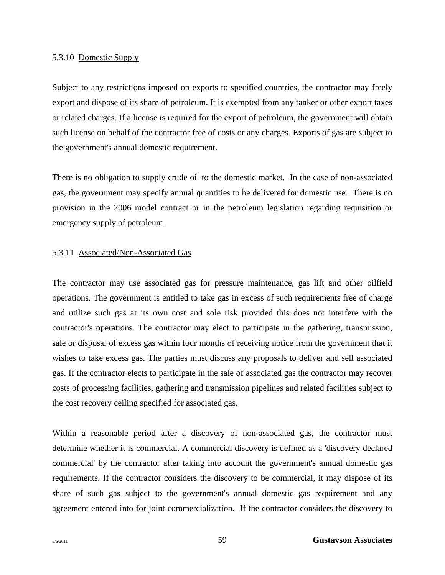#### 5.3.10 Domestic Supply

Subject to any restrictions imposed on exports to specified countries, the contractor may freely export and dispose of its share of petroleum. It is exempted from any tanker or other export taxes or related charges. If a license is required for the export of petroleum, the government will obtain such license on behalf of the contractor free of costs or any charges. Exports of gas are subject to the government's annual domestic requirement.

There is no obligation to supply crude oil to the domestic market. In the case of non-associated gas, the government may specify annual quantities to be delivered for domestic use. There is no provision in the 2006 model contract or in the petroleum legislation regarding requisition or emergency supply of petroleum.

#### 5.3.11 Associated/Non-Associated Gas

The contractor may use associated gas for pressure maintenance, gas lift and other oilfield operations. The government is entitled to take gas in excess of such requirements free of charge and utilize such gas at its own cost and sole risk provided this does not interfere with the contractor's operations. The contractor may elect to participate in the gathering, transmission, sale or disposal of excess gas within four months of receiving notice from the government that it wishes to take excess gas. The parties must discuss any proposals to deliver and sell associated gas. If the contractor elects to participate in the sale of associated gas the contractor may recover costs of processing facilities, gathering and transmission pipelines and related facilities subject to the cost recovery ceiling specified for associated gas.

Within a reasonable period after a discovery of non-associated gas, the contractor must determine whether it is commercial. A commercial discovery is defined as a 'discovery declared commercial' by the contractor after taking into account the government's annual domestic gas requirements. If the contractor considers the discovery to be commercial, it may dispose of its share of such gas subject to the government's annual domestic gas requirement and any agreement entered into for joint commercialization. If the contractor considers the discovery to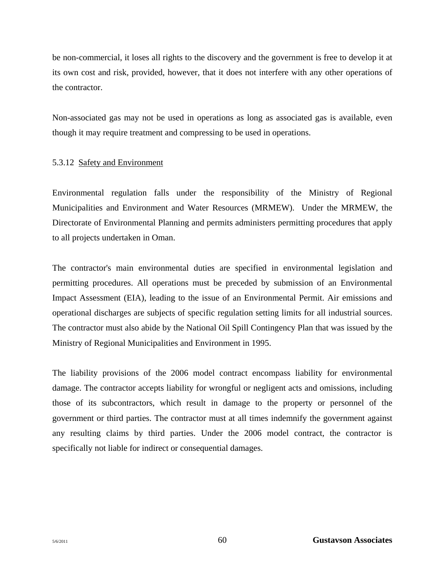be non-commercial, it loses all rights to the discovery and the government is free to develop it at its own cost and risk, provided, however, that it does not interfere with any other operations of the contractor.

Non-associated gas may not be used in operations as long as associated gas is available, even though it may require treatment and compressing to be used in operations.

#### 5.3.12 Safety and Environment

Environmental regulation falls under the responsibility of the Ministry of Regional Municipalities and Environment and Water Resources (MRMEW). Under the MRMEW, the Directorate of Environmental Planning and permits administers permitting procedures that apply to all projects undertaken in Oman.

The contractor's main environmental duties are specified in environmental legislation and permitting procedures. All operations must be preceded by submission of an Environmental Impact Assessment (EIA), leading to the issue of an Environmental Permit. Air emissions and operational discharges are subjects of specific regulation setting limits for all industrial sources. The contractor must also abide by the National Oil Spill Contingency Plan that was issued by the Ministry of Regional Municipalities and Environment in 1995.

The liability provisions of the 2006 model contract encompass liability for environmental damage. The contractor accepts liability for wrongful or negligent acts and omissions, including those of its subcontractors, which result in damage to the property or personnel of the government or third parties. The contractor must at all times indemnify the government against any resulting claims by third parties. Under the 2006 model contract*,* the contractor is specifically not liable for indirect or consequential damages.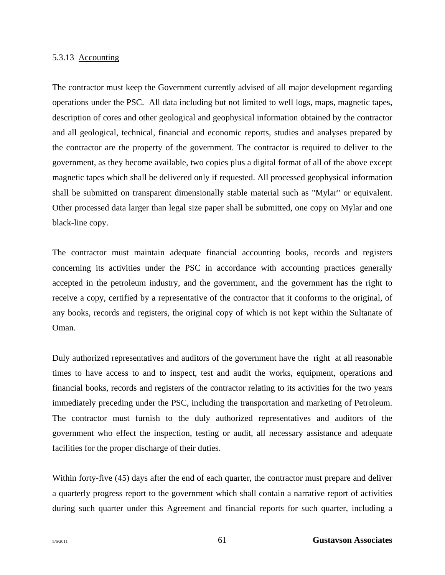#### 5.3.13 Accounting

The contractor must keep the Government currently advised of all major development regarding operations under the PSC. All data including but not limited to well logs, maps, magnetic tapes, description of cores and other geological and geophysical information obtained by the contractor and all geological, technical, financial and economic reports, studies and analyses prepared by the contractor are the property of the government. The contractor is required to deliver to the government, as they become available, two copies plus a digital format of all of the above except magnetic tapes which shall be delivered only if requested. All processed geophysical information shall be submitted on transparent dimensionally stable material such as "Mylar" or equivalent. Other processed data larger than legal size paper shall be submitted, one copy on Mylar and one black-line copy.

The contractor must maintain adequate financial accounting books, records and registers concerning its activities under the PSC in accordance with accounting practices generally accepted in the petroleum industry, and the government, and the government has the right to receive a copy, certified by a representative of the contractor that it conforms to the original, of any books, records and registers, the original copy of which is not kept within the Sultanate of Oman.

Duly authorized representatives and auditors of the government have the right at all reasonable times to have access to and to inspect, test and audit the works, equipment, operations and financial books, records and registers of the contractor relating to its activities for the two years immediately preceding under the PSC, including the transportation and marketing of Petroleum. The contractor must furnish to the duly authorized representatives and auditors of the government who effect the inspection, testing or audit, all necessary assistance and adequate facilities for the proper discharge of their duties.

Within forty-five (45) days after the end of each quarter, the contractor must prepare and deliver a quarterly progress report to the government which shall contain a narrative report of activities during such quarter under this Agreement and financial reports for such quarter, including a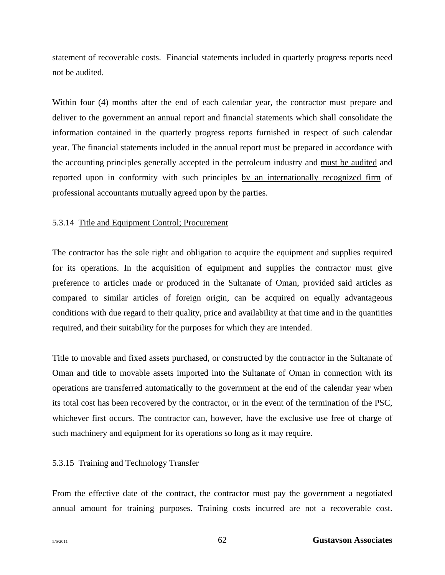statement of recoverable costs. Financial statements included in quarterly progress reports need not be audited.

Within four (4) months after the end of each calendar year, the contractor must prepare and deliver to the government an annual report and financial statements which shall consolidate the information contained in the quarterly progress reports furnished in respect of such calendar year. The financial statements included in the annual report must be prepared in accordance with the accounting principles generally accepted in the petroleum industry and must be audited and reported upon in conformity with such principles by an internationally recognized firm of professional accountants mutually agreed upon by the parties.

#### 5.3.14 Title and Equipment Control; Procurement

The contractor has the sole right and obligation to acquire the equipment and supplies required for its operations. In the acquisition of equipment and supplies the contractor must give preference to articles made or produced in the Sultanate of Oman, provided said articles as compared to similar articles of foreign origin, can be acquired on equally advantageous conditions with due regard to their quality, price and availability at that time and in the quantities required, and their suitability for the purposes for which they are intended.

Title to movable and fixed assets purchased, or constructed by the contractor in the Sultanate of Oman and title to movable assets imported into the Sultanate of Oman in connection with its operations are transferred automatically to the government at the end of the calendar year when its total cost has been recovered by the contractor, or in the event of the termination of the PSC, whichever first occurs. The contractor can, however, have the exclusive use free of charge of such machinery and equipment for its operations so long as it may require.

#### 5.3.15 Training and Technology Transfer

From the effective date of the contract, the contractor must pay the government a negotiated annual amount for training purposes. Training costs incurred are not a recoverable cost.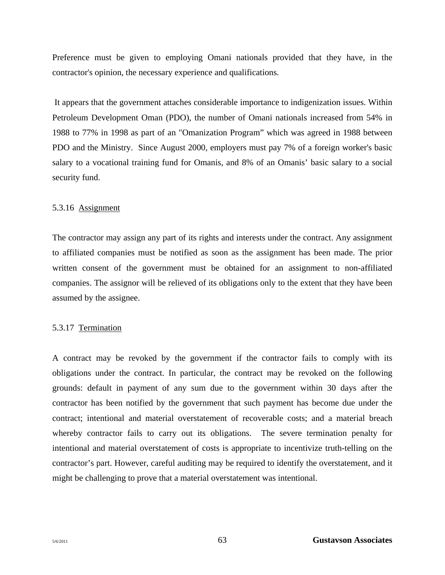Preference must be given to employing Omani nationals provided that they have, in the contractor's opinion, the necessary experience and qualifications.

 It appears that the government attaches considerable importance to indigenization issues. Within Petroleum Development Oman (PDO), the number of Omani nationals increased from 54% in 1988 to 77% in 1998 as part of an "Omanization Program" which was agreed in 1988 between PDO and the Ministry. Since August 2000, employers must pay 7% of a foreign worker's basic salary to a vocational training fund for Omanis, and 8% of an Omanis' basic salary to a social security fund.

#### 5.3.16 Assignment

The contractor may assign any part of its rights and interests under the contract. Any assignment to affiliated companies must be notified as soon as the assignment has been made. The prior written consent of the government must be obtained for an assignment to non-affiliated companies. The assignor will be relieved of its obligations only to the extent that they have been assumed by the assignee.

## 5.3.17 Termination

A contract may be revoked by the government if the contractor fails to comply with its obligations under the contract. In particular, the contract may be revoked on the following grounds: default in payment of any sum due to the government within 30 days after the contractor has been notified by the government that such payment has become due under the contract; intentional and material overstatement of recoverable costs; and a material breach whereby contractor fails to carry out its obligations. The severe termination penalty for intentional and material overstatement of costs is appropriate to incentivize truth-telling on the contractor's part. However, careful auditing may be required to identify the overstatement, and it might be challenging to prove that a material overstatement was intentional.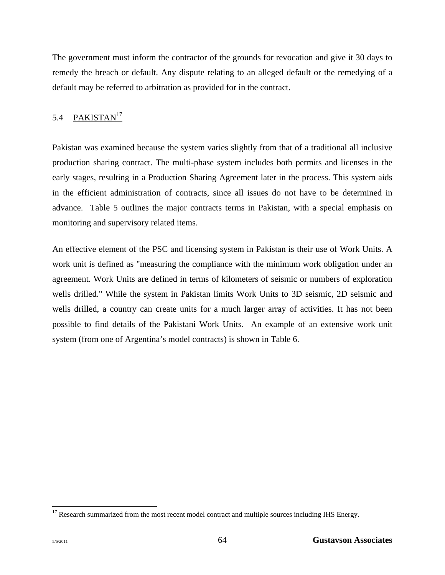The government must inform the contractor of the grounds for revocation and give it 30 days to remedy the breach or default. Any dispute relating to an alleged default or the remedying of a default may be referred to arbitration as provided for in the contract.

# 5.4 PAKISTAN<sup>17</sup>

Pakistan was examined because the system varies slightly from that of a traditional all inclusive production sharing contract. The multi-phase system includes both permits and licenses in the early stages, resulting in a Production Sharing Agreement later in the process. This system aids in the efficient administration of contracts, since all issues do not have to be determined in advance. Table 5 outlines the major contracts terms in Pakistan, with a special emphasis on monitoring and supervisory related items.

An effective element of the PSC and licensing system in Pakistan is their use of Work Units. A work unit is defined as "measuring the compliance with the minimum work obligation under an agreement. Work Units are defined in terms of kilometers of seismic or numbers of exploration wells drilled." While the system in Pakistan limits Work Units to 3D seismic, 2D seismic and wells drilled, a country can create units for a much larger array of activities. It has not been possible to find details of the Pakistani Work Units. An example of an extensive work unit system (from one of Argentina's model contracts) is shown in Table 6.

 $\overline{a}$  $17$  Research summarized from the most recent model contract and multiple sources including IHS Energy.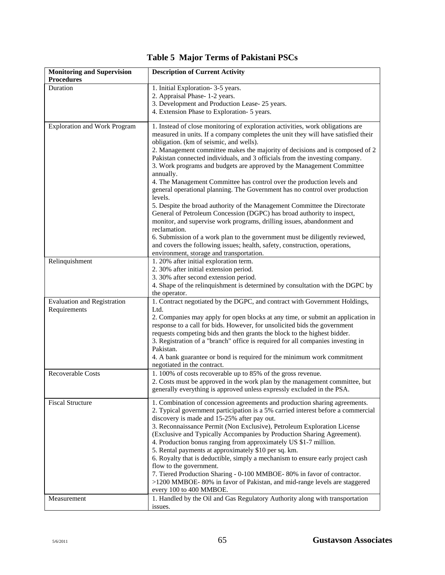# **Table 5 Major Terms of Pakistani PSCs**

| <b>Monitoring and Supervision</b><br><b>Procedures</b> | <b>Description of Current Activity</b>                                                                                                                                                                                                                                                                                                                                                                                                                                                                                                                                                                      |
|--------------------------------------------------------|-------------------------------------------------------------------------------------------------------------------------------------------------------------------------------------------------------------------------------------------------------------------------------------------------------------------------------------------------------------------------------------------------------------------------------------------------------------------------------------------------------------------------------------------------------------------------------------------------------------|
| Duration                                               | 1. Initial Exploration- 3-5 years.<br>2. Appraisal Phase-1-2 years.                                                                                                                                                                                                                                                                                                                                                                                                                                                                                                                                         |
|                                                        | 3. Development and Production Lease- 25 years.                                                                                                                                                                                                                                                                                                                                                                                                                                                                                                                                                              |
|                                                        | 4. Extension Phase to Exploration- 5 years.                                                                                                                                                                                                                                                                                                                                                                                                                                                                                                                                                                 |
|                                                        |                                                                                                                                                                                                                                                                                                                                                                                                                                                                                                                                                                                                             |
| <b>Exploration and Work Program</b>                    | 1. Instead of close monitoring of exploration activities, work obligations are<br>measured in units. If a company completes the unit they will have satisfied their<br>obligation. (km of seismic, and wells).<br>2. Management committee makes the majority of decisions and is composed of 2<br>Pakistan connected individuals, and 3 officials from the investing company.<br>3. Work programs and budgets are approved by the Management Committee                                                                                                                                                      |
|                                                        | annually.<br>4. The Management Committee has control over the production levels and<br>general operational planning. The Government has no control over production<br>levels.<br>5. Despite the broad authority of the Management Committee the Directorate                                                                                                                                                                                                                                                                                                                                                 |
|                                                        | General of Petroleum Concession (DGPC) has broad authority to inspect,<br>monitor, and supervise work programs, drilling issues, abandonment and<br>reclamation.                                                                                                                                                                                                                                                                                                                                                                                                                                            |
|                                                        | 6. Submission of a work plan to the government must be diligently reviewed,<br>and covers the following issues; health, safety, construction, operations,<br>environment, storage and transportation.                                                                                                                                                                                                                                                                                                                                                                                                       |
| Relinquishment                                         | 1. 20% after initial exploration term.                                                                                                                                                                                                                                                                                                                                                                                                                                                                                                                                                                      |
|                                                        | 2. 30% after initial extension period.                                                                                                                                                                                                                                                                                                                                                                                                                                                                                                                                                                      |
|                                                        | 3. 30% after second extension period.                                                                                                                                                                                                                                                                                                                                                                                                                                                                                                                                                                       |
|                                                        | 4. Shape of the relinquishment is determined by consultation with the DGPC by                                                                                                                                                                                                                                                                                                                                                                                                                                                                                                                               |
|                                                        | the operator.                                                                                                                                                                                                                                                                                                                                                                                                                                                                                                                                                                                               |
| <b>Evaluation and Registration</b>                     | 1. Contract negotiated by the DGPC, and contract with Government Holdings,                                                                                                                                                                                                                                                                                                                                                                                                                                                                                                                                  |
| Requirements                                           | Ltd.<br>2. Companies may apply for open blocks at any time, or submit an application in                                                                                                                                                                                                                                                                                                                                                                                                                                                                                                                     |
|                                                        | response to a call for bids. However, for unsolicited bids the government                                                                                                                                                                                                                                                                                                                                                                                                                                                                                                                                   |
|                                                        | requests competing bids and then grants the block to the highest bidder.                                                                                                                                                                                                                                                                                                                                                                                                                                                                                                                                    |
|                                                        | 3. Registration of a "branch" office is required for all companies investing in                                                                                                                                                                                                                                                                                                                                                                                                                                                                                                                             |
|                                                        | Pakistan.                                                                                                                                                                                                                                                                                                                                                                                                                                                                                                                                                                                                   |
|                                                        | 4. A bank guarantee or bond is required for the minimum work commitment                                                                                                                                                                                                                                                                                                                                                                                                                                                                                                                                     |
|                                                        | negotiated in the contract.                                                                                                                                                                                                                                                                                                                                                                                                                                                                                                                                                                                 |
| Recoverable Costs                                      | 1.100% of costs recoverable up to 85% of the gross revenue.                                                                                                                                                                                                                                                                                                                                                                                                                                                                                                                                                 |
|                                                        | 2. Costs must be approved in the work plan by the management committee, but<br>generally everything is approved unless expressly excluded in the PSA.                                                                                                                                                                                                                                                                                                                                                                                                                                                       |
| <b>Fiscal Structure</b>                                | 1. Combination of concession agreements and production sharing agreements.<br>2. Typical government participation is a 5% carried interest before a commercial<br>discovery is made and 15-25% after pay out.<br>3. Reconnaissance Permit (Non Exclusive), Petroleum Exploration License<br>(Exclusive and Typically Accompanies by Production Sharing Agreement).<br>4. Production bonus ranging from approximately US \$1-7 million.<br>5. Rental payments at approximately \$10 per sq. km.<br>6. Royalty that is deductible, simply a mechanism to ensure early project cash<br>flow to the government. |
|                                                        | 7. Tiered Production Sharing - 0-100 MMBOE- 80% in favor of contractor.<br>>1200 MMBOE-80% in favor of Pakistan, and mid-range levels are staggered<br>every 100 to 400 MMBOE.                                                                                                                                                                                                                                                                                                                                                                                                                              |
| Measurement                                            | 1. Handled by the Oil and Gas Regulatory Authority along with transportation                                                                                                                                                                                                                                                                                                                                                                                                                                                                                                                                |
|                                                        | issues.                                                                                                                                                                                                                                                                                                                                                                                                                                                                                                                                                                                                     |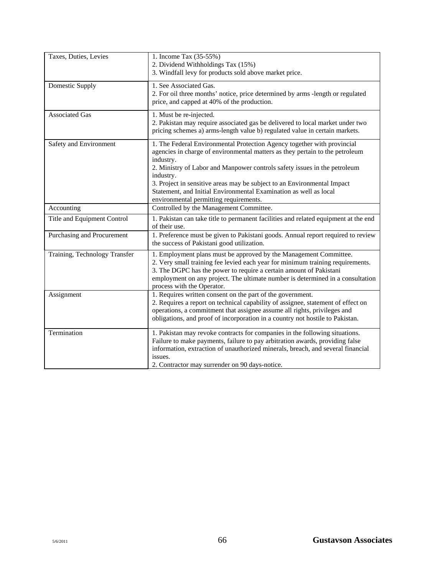| Taxes, Duties, Levies         | 1. Income Tax (35-55%)<br>2. Dividend Withholdings Tax (15%)<br>3. Windfall levy for products sold above market price.                                                                                                                                                                                                                                                                                                                                   |
|-------------------------------|----------------------------------------------------------------------------------------------------------------------------------------------------------------------------------------------------------------------------------------------------------------------------------------------------------------------------------------------------------------------------------------------------------------------------------------------------------|
| <b>Domestic Supply</b>        | 1. See Associated Gas.<br>2. For oil three months' notice, price determined by arms -length or regulated<br>price, and capped at 40% of the production.                                                                                                                                                                                                                                                                                                  |
| <b>Associated Gas</b>         | 1. Must be re-injected.<br>2. Pakistan may require associated gas be delivered to local market under two<br>pricing schemes a) arms-length value b) regulated value in certain markets.                                                                                                                                                                                                                                                                  |
| Safety and Environment        | 1. The Federal Environmental Protection Agency together with provincial<br>agencies in charge of environmental matters as they pertain to the petroleum<br>industry.<br>2. Ministry of Labor and Manpower controls safety issues in the petroleum<br>industry.<br>3. Project in sensitive areas may be subject to an Environmental Impact<br>Statement, and Initial Environmental Examination as well as local<br>environmental permitting requirements. |
| Accounting                    | Controlled by the Management Committee.                                                                                                                                                                                                                                                                                                                                                                                                                  |
| Title and Equipment Control   | 1. Pakistan can take title to permanent facilities and related equipment at the end<br>of their use.                                                                                                                                                                                                                                                                                                                                                     |
| Purchasing and Procurement    | 1. Preference must be given to Pakistani goods. Annual report required to review<br>the success of Pakistani good utilization.                                                                                                                                                                                                                                                                                                                           |
| Training, Technology Transfer | 1. Employment plans must be approved by the Management Committee.<br>2. Very small training fee levied each year for minimum training requirements.<br>3. The DGPC has the power to require a certain amount of Pakistani<br>employment on any project. The ultimate number is determined in a consultation<br>process with the Operator.                                                                                                                |
| Assignment                    | 1. Requires written consent on the part of the government.<br>2. Requires a report on technical capability of assignee, statement of effect on<br>operations, a commitment that assignee assume all rights, privileges and<br>obligations, and proof of incorporation in a country not hostile to Pakistan.                                                                                                                                              |
| Termination                   | 1. Pakistan may revoke contracts for companies in the following situations.<br>Failure to make payments, failure to pay arbitration awards, providing false<br>information, extraction of unauthorized minerals, breach, and several financial<br>issues.<br>2. Contractor may surrender on 90 days-notice.                                                                                                                                              |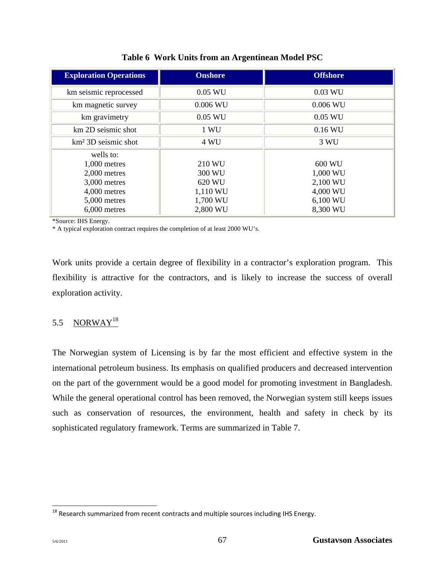| <b>Exploration Operations</b> | <b>Onshore</b> | <b>Offshore</b> |
|-------------------------------|----------------|-----------------|
| km seismic reprocessed        | $0.05$ WU      | 0.03 WU         |
| km magnetic survey            | $0.006$ WU     | $0.006$ WU      |
| km gravimetry                 | $0.05$ WU      | $0.05$ WU       |
| km 2D seismic shot            | 1 WU           | 0.16 WU         |
| $km2$ 3D seismic shot         | 4 WU           | 3 WU            |
| wells to:                     |                |                 |
| $1,000$ metres                | 210 WU         | 600 WU          |
| $2,000$ metres                | 300 WU         | 1,000 WU        |
| 3,000 metres                  | 620 WU         | 2,100 WU        |
| 4,000 metres                  | 1,110 WU       | 4,000 WU        |
| 5,000 metres                  | 1,700 WU       | 6,100 WU        |
| $6,000$ metres                | 2,800 WU       | 8,300 WU        |

**Table 6 Work Units from an Argentinean Model PSC** 

\*Source: IHS Energy.

\* A typical exploration contract requires the completion of at least 2000 WU's.

Work units provide a certain degree of flexibility in a contractor's exploration program. This flexibility is attractive for the contractors, and is likely to increase the success of overall exploration activity.

# 5.5 NORWAY<sup>18</sup>

The Norwegian system of Licensing is by far the most efficient and effective system in the international petroleum business. Its emphasis on qualified producers and decreased intervention on the part of the government would be a good model for promoting investment in Bangladesh. While the general operational control has been removed, the Norwegian system still keeps issues such as conservation of resources, the environment, health and safety in check by its sophisticated regulatory framework. Terms are summarized in Table 7.

 $\overline{\phantom{a}}$ 

 $^{18}$  Research summarized from recent contracts and multiple sources including IHS Energy.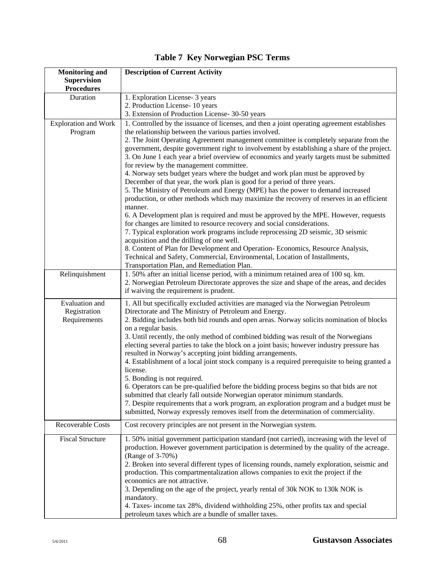| <b>Monitoring and</b>                          | <b>Description of Current Activity</b>                                                                                                                                                                                                                                                                                                           |
|------------------------------------------------|--------------------------------------------------------------------------------------------------------------------------------------------------------------------------------------------------------------------------------------------------------------------------------------------------------------------------------------------------|
| <b>Supervision</b>                             |                                                                                                                                                                                                                                                                                                                                                  |
| <b>Procedures</b>                              |                                                                                                                                                                                                                                                                                                                                                  |
| Duration                                       | 1. Exploration License- 3 years                                                                                                                                                                                                                                                                                                                  |
|                                                | 2. Production License- 10 years                                                                                                                                                                                                                                                                                                                  |
|                                                | 3. Extension of Production License- 30-50 years                                                                                                                                                                                                                                                                                                  |
| <b>Exploration and Work</b><br>Program         | 1. Controlled by the issuance of licenses, and then a joint operating agreement establishes<br>the relationship between the various parties involved.<br>2. The Joint Operating Agreement management committee is completely separate from the                                                                                                   |
|                                                | government, despite government right to involvement by establishing a share of the project.<br>3. On June 1 each year a brief overview of economics and yearly targets must be submitted<br>for review by the management committee.                                                                                                              |
|                                                | 4. Norway sets budget years where the budget and work plan must be approved by<br>December of that year, the work plan is good for a period of three years.                                                                                                                                                                                      |
|                                                | 5. The Ministry of Petroleum and Energy (MPE) has the power to demand increased<br>production, or other methods which may maximize the recovery of reserves in an efficient<br>manner.                                                                                                                                                           |
|                                                | 6. A Development plan is required and must be approved by the MPE. However, requests<br>for changes are limited to resource recovery and social considerations.<br>7. Typical exploration work programs include reprocessing 2D seismic, 3D seismic                                                                                              |
|                                                | acquisition and the drilling of one well.<br>8. Content of Plan for Development and Operation-Economics, Resource Analysis,<br>Technical and Safety, Commercial, Environmental, Location of Installments,                                                                                                                                        |
|                                                | Transportation Plan, and Remediation Plan.                                                                                                                                                                                                                                                                                                       |
| Relinquishment                                 | 1.50% after an initial license period, with a minimum retained area of 100 sq. km.<br>2. Norwegian Petroleum Directorate approves the size and shape of the areas, and decides<br>if waiving the requirement is prudent.                                                                                                                         |
| Evaluation and<br>Registration<br>Requirements | 1. All but specifically excluded activities are managed via the Norwegian Petroleum<br>Directorate and The Ministry of Petroleum and Energy.<br>2. Bidding includes both bid rounds and open areas. Norway solicits nomination of blocks<br>on a regular basis.                                                                                  |
|                                                | 3. Until recently, the only method of combined bidding was result of the Norwegians<br>electing several parties to take the block on a joint basis; however industry pressure has<br>resulted in Norway's accepting joint bidding arrangements.<br>4. Establishment of a local joint stock company is a required prerequisite to being granted a |
|                                                | license.<br>5. Bonding is not required.<br>6. Operators can be pre-qualified before the bidding process begins so that bids are not                                                                                                                                                                                                              |
|                                                | submitted that clearly fall outside Norwegian operator minimum standards.<br>7. Despite requirements that a work program, an exploration program and a budget must be<br>submitted, Norway expressly removes itself from the determination of commerciality.                                                                                     |
| Recoverable Costs                              | Cost recovery principles are not present in the Norwegian system.                                                                                                                                                                                                                                                                                |
| <b>Fiscal Structure</b>                        | 1.50% initial government participation standard (not carried), increasing with the level of<br>production. However government participation is determined by the quality of the acreage.                                                                                                                                                         |
|                                                | (Range of 3-70%)<br>2. Broken into several different types of licensing rounds, namely exploration, seismic and<br>production. This compartmentalization allows companies to exit the project if the<br>economics are not attractive.                                                                                                            |
|                                                | 3. Depending on the age of the project, yearly rental of 30k NOK to 130k NOK is<br>mandatory.                                                                                                                                                                                                                                                    |
|                                                | 4. Taxes- income tax 28%, dividend withholding 25%, other profits tax and special<br>petroleum taxes which are a bundle of smaller taxes.                                                                                                                                                                                                        |

# **Table 7 Key Norwegian PSC Terms**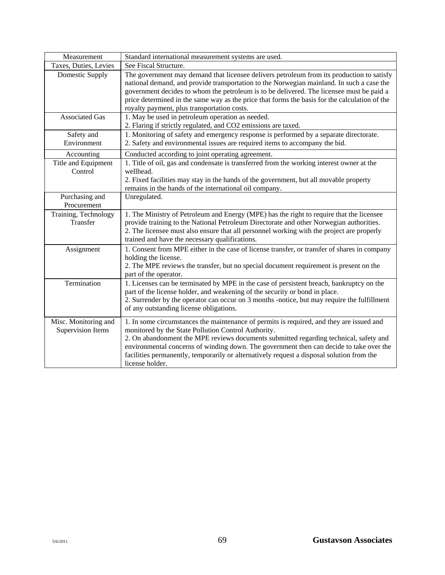| Measurement                                      | Standard international measurement systems are used.                                                                                                                                                                                                                                                                                                                                                                                                |
|--------------------------------------------------|-----------------------------------------------------------------------------------------------------------------------------------------------------------------------------------------------------------------------------------------------------------------------------------------------------------------------------------------------------------------------------------------------------------------------------------------------------|
| Taxes, Duties, Levies                            | See Fiscal Structure.                                                                                                                                                                                                                                                                                                                                                                                                                               |
| Domestic Supply                                  | The government may demand that licensee delivers petroleum from its production to satisfy<br>national demand, and provide transportation to the Norwegian mainland. In such a case the<br>government decides to whom the petroleum is to be delivered. The licensee must be paid a<br>price determined in the same way as the price that forms the basis for the calculation of the<br>royalty payment, plus transportation costs.                  |
| <b>Associated Gas</b>                            | 1. May be used in petroleum operation as needed.<br>2. Flaring if strictly regulated, and CO2 emissions are taxed.                                                                                                                                                                                                                                                                                                                                  |
| Safety and<br>Environment                        | 1. Monitoring of safety and emergency response is performed by a separate directorate.<br>2. Safety and environmental issues are required items to accompany the bid.                                                                                                                                                                                                                                                                               |
| Accounting                                       | Conducted according to joint operating agreement.                                                                                                                                                                                                                                                                                                                                                                                                   |
| Title and Equipment<br>Control                   | 1. Title of oil, gas and condensate is transferred from the working interest owner at the<br>wellhead.<br>2. Fixed facilities may stay in the hands of the government, but all movable property<br>remains in the hands of the international oil company.                                                                                                                                                                                           |
| Purchasing and<br>Procurement                    | Unregulated.                                                                                                                                                                                                                                                                                                                                                                                                                                        |
| Training, Technology<br>Transfer                 | 1. The Ministry of Petroleum and Energy (MPE) has the right to require that the licensee<br>provide training to the National Petroleum Directorate and other Norwegian authorities.<br>2. The licensee must also ensure that all personnel working with the project are properly<br>trained and have the necessary qualifications.                                                                                                                  |
| Assignment                                       | 1. Consent from MPE either in the case of license transfer, or transfer of shares in company<br>holding the license.<br>2. The MPE reviews the transfer, but no special document requirement is present on the<br>part of the operator.                                                                                                                                                                                                             |
| Termination                                      | 1. Licenses can be terminated by MPE in the case of persistent breach, bankruptcy on the<br>part of the license holder, and weakening of the security or bond in place.<br>2. Surrender by the operator can occur on 3 months -notice, but may require the fulfillment<br>of any outstanding license obligations.                                                                                                                                   |
| Misc. Monitoring and<br><b>Supervision Items</b> | 1. In some circumstances the maintenance of permits is required, and they are issued and<br>monitored by the State Pollution Control Authority.<br>2. On abandonment the MPE reviews documents submitted regarding technical, safety and<br>environmental concerns of winding down. The government then can decide to take over the<br>facilities permanently, temporarily or alternatively request a disposal solution from the<br>license holder. |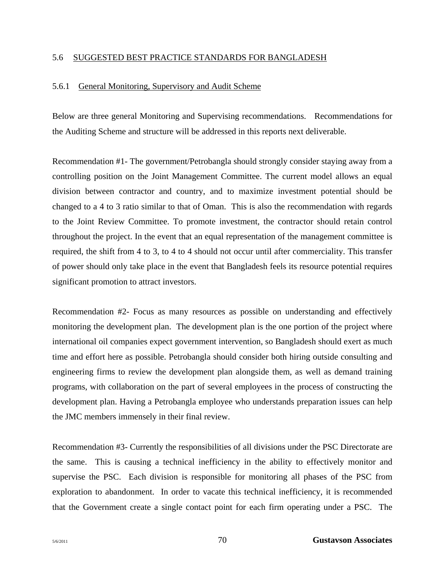## 5.6 SUGGESTED BEST PRACTICE STANDARDS FOR BANGLADESH

## 5.6.1 General Monitoring, Supervisory and Audit Scheme

Below are three general Monitoring and Supervising recommendations. Recommendations for the Auditing Scheme and structure will be addressed in this reports next deliverable.

Recommendation #1- The government/Petrobangla should strongly consider staying away from a controlling position on the Joint Management Committee. The current model allows an equal division between contractor and country, and to maximize investment potential should be changed to a 4 to 3 ratio similar to that of Oman. This is also the recommendation with regards to the Joint Review Committee. To promote investment, the contractor should retain control throughout the project. In the event that an equal representation of the management committee is required, the shift from 4 to 3, to 4 to 4 should not occur until after commerciality. This transfer of power should only take place in the event that Bangladesh feels its resource potential requires significant promotion to attract investors.

Recommendation #2- Focus as many resources as possible on understanding and effectively monitoring the development plan. The development plan is the one portion of the project where international oil companies expect government intervention, so Bangladesh should exert as much time and effort here as possible. Petrobangla should consider both hiring outside consulting and engineering firms to review the development plan alongside them, as well as demand training programs, with collaboration on the part of several employees in the process of constructing the development plan. Having a Petrobangla employee who understands preparation issues can help the JMC members immensely in their final review.

Recommendation #3- Currently the responsibilities of all divisions under the PSC Directorate are the same. This is causing a technical inefficiency in the ability to effectively monitor and supervise the PSC. Each division is responsible for monitoring all phases of the PSC from exploration to abandonment. In order to vacate this technical inefficiency, it is recommended that the Government create a single contact point for each firm operating under a PSC. The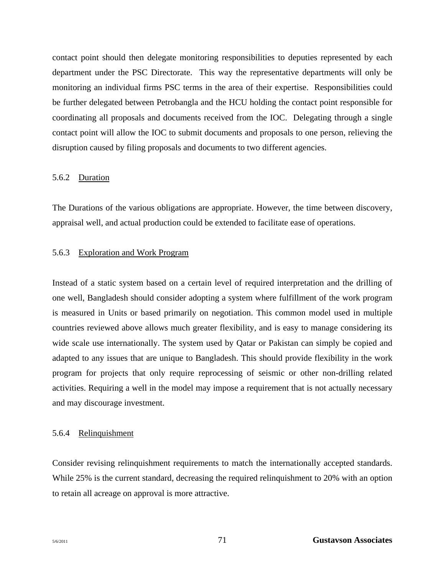contact point should then delegate monitoring responsibilities to deputies represented by each department under the PSC Directorate. This way the representative departments will only be monitoring an individual firms PSC terms in the area of their expertise. Responsibilities could be further delegated between Petrobangla and the HCU holding the contact point responsible for coordinating all proposals and documents received from the IOC. Delegating through a single contact point will allow the IOC to submit documents and proposals to one person, relieving the disruption caused by filing proposals and documents to two different agencies.

#### 5.6.2 Duration

The Durations of the various obligations are appropriate. However, the time between discovery, appraisal well, and actual production could be extended to facilitate ease of operations.

### 5.6.3 Exploration and Work Program

Instead of a static system based on a certain level of required interpretation and the drilling of one well, Bangladesh should consider adopting a system where fulfillment of the work program is measured in Units or based primarily on negotiation. This common model used in multiple countries reviewed above allows much greater flexibility, and is easy to manage considering its wide scale use internationally. The system used by Qatar or Pakistan can simply be copied and adapted to any issues that are unique to Bangladesh. This should provide flexibility in the work program for projects that only require reprocessing of seismic or other non-drilling related activities. Requiring a well in the model may impose a requirement that is not actually necessary and may discourage investment.

#### 5.6.4 Relinquishment

Consider revising relinquishment requirements to match the internationally accepted standards. While 25% is the current standard, decreasing the required relinquishment to 20% with an option to retain all acreage on approval is more attractive.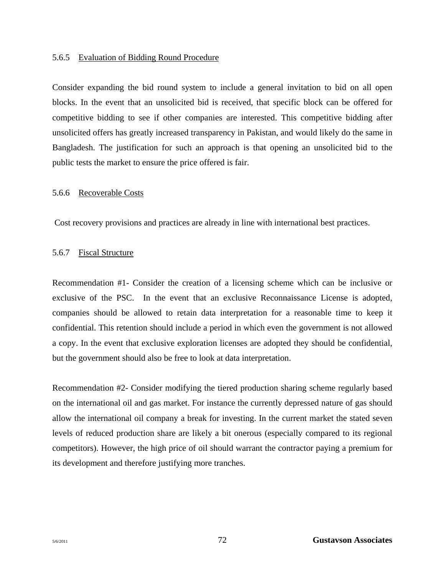#### 5.6.5 Evaluation of Bidding Round Procedure

Consider expanding the bid round system to include a general invitation to bid on all open blocks. In the event that an unsolicited bid is received, that specific block can be offered for competitive bidding to see if other companies are interested. This competitive bidding after unsolicited offers has greatly increased transparency in Pakistan, and would likely do the same in Bangladesh. The justification for such an approach is that opening an unsolicited bid to the public tests the market to ensure the price offered is fair.

#### 5.6.6 Recoverable Costs

Cost recovery provisions and practices are already in line with international best practices.

## 5.6.7 Fiscal Structure

Recommendation #1- Consider the creation of a licensing scheme which can be inclusive or exclusive of the PSC. In the event that an exclusive Reconnaissance License is adopted, companies should be allowed to retain data interpretation for a reasonable time to keep it confidential. This retention should include a period in which even the government is not allowed a copy. In the event that exclusive exploration licenses are adopted they should be confidential, but the government should also be free to look at data interpretation.

Recommendation #2- Consider modifying the tiered production sharing scheme regularly based on the international oil and gas market. For instance the currently depressed nature of gas should allow the international oil company a break for investing. In the current market the stated seven levels of reduced production share are likely a bit onerous (especially compared to its regional competitors). However, the high price of oil should warrant the contractor paying a premium for its development and therefore justifying more tranches.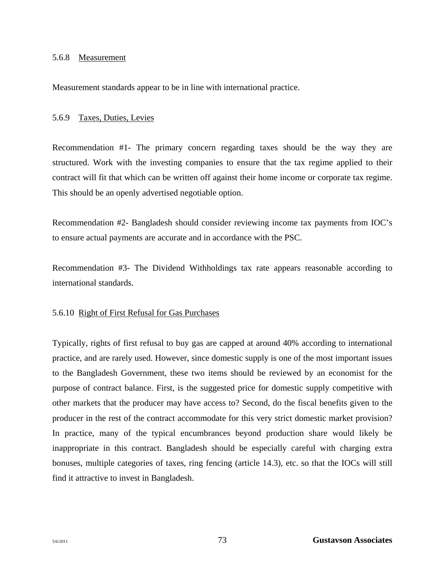#### 5.6.8 Measurement

Measurement standards appear to be in line with international practice.

#### 5.6.9 Taxes, Duties, Levies

Recommendation #1- The primary concern regarding taxes should be the way they are structured. Work with the investing companies to ensure that the tax regime applied to their contract will fit that which can be written off against their home income or corporate tax regime. This should be an openly advertised negotiable option.

Recommendation #2- Bangladesh should consider reviewing income tax payments from IOC's to ensure actual payments are accurate and in accordance with the PSC.

Recommendation #3- The Dividend Withholdings tax rate appears reasonable according to international standards.

#### 5.6.10 Right of First Refusal for Gas Purchases

Typically, rights of first refusal to buy gas are capped at around 40% according to international practice, and are rarely used. However, since domestic supply is one of the most important issues to the Bangladesh Government, these two items should be reviewed by an economist for the purpose of contract balance. First, is the suggested price for domestic supply competitive with other markets that the producer may have access to? Second, do the fiscal benefits given to the producer in the rest of the contract accommodate for this very strict domestic market provision? In practice, many of the typical encumbrances beyond production share would likely be inappropriate in this contract. Bangladesh should be especially careful with charging extra bonuses, multiple categories of taxes, ring fencing (article 14.3), etc. so that the IOCs will still find it attractive to invest in Bangladesh.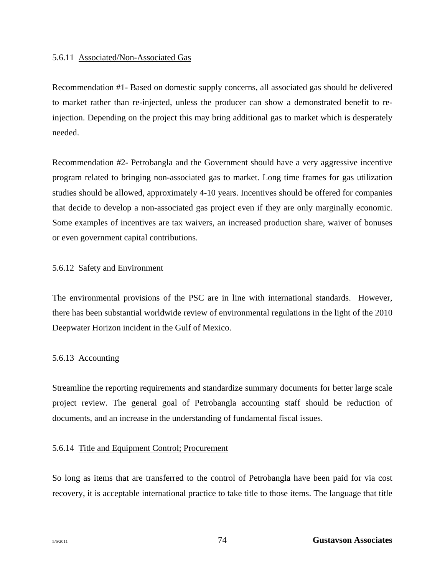## 5.6.11 Associated/Non-Associated Gas

Recommendation #1- Based on domestic supply concerns, all associated gas should be delivered to market rather than re-injected, unless the producer can show a demonstrated benefit to reinjection. Depending on the project this may bring additional gas to market which is desperately needed.

Recommendation #2- Petrobangla and the Government should have a very aggressive incentive program related to bringing non-associated gas to market. Long time frames for gas utilization studies should be allowed, approximately 4-10 years. Incentives should be offered for companies that decide to develop a non-associated gas project even if they are only marginally economic. Some examples of incentives are tax waivers, an increased production share, waiver of bonuses or even government capital contributions.

# 5.6.12 Safety and Environment

The environmental provisions of the PSC are in line with international standards. However, there has been substantial worldwide review of environmental regulations in the light of the 2010 Deepwater Horizon incident in the Gulf of Mexico.

# 5.6.13 Accounting

Streamline the reporting requirements and standardize summary documents for better large scale project review. The general goal of Petrobangla accounting staff should be reduction of documents, and an increase in the understanding of fundamental fiscal issues.

# 5.6.14 Title and Equipment Control; Procurement

So long as items that are transferred to the control of Petrobangla have been paid for via cost recovery, it is acceptable international practice to take title to those items. The language that title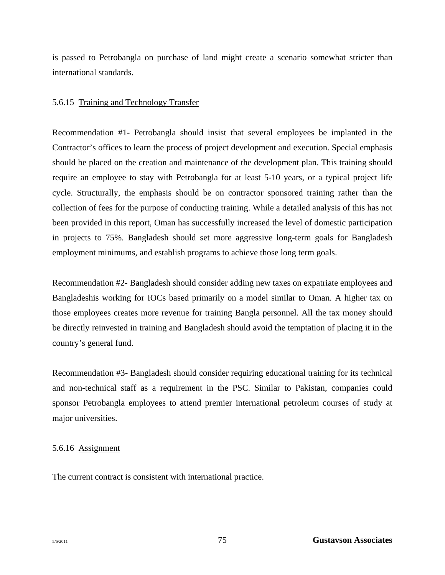is passed to Petrobangla on purchase of land might create a scenario somewhat stricter than international standards.

## 5.6.15 Training and Technology Transfer

Recommendation #1- Petrobangla should insist that several employees be implanted in the Contractor's offices to learn the process of project development and execution. Special emphasis should be placed on the creation and maintenance of the development plan. This training should require an employee to stay with Petrobangla for at least 5-10 years, or a typical project life cycle. Structurally, the emphasis should be on contractor sponsored training rather than the collection of fees for the purpose of conducting training. While a detailed analysis of this has not been provided in this report, Oman has successfully increased the level of domestic participation in projects to 75%. Bangladesh should set more aggressive long-term goals for Bangladesh employment minimums, and establish programs to achieve those long term goals.

Recommendation #2- Bangladesh should consider adding new taxes on expatriate employees and Bangladeshis working for IOCs based primarily on a model similar to Oman. A higher tax on those employees creates more revenue for training Bangla personnel. All the tax money should be directly reinvested in training and Bangladesh should avoid the temptation of placing it in the country's general fund.

Recommendation #3- Bangladesh should consider requiring educational training for its technical and non-technical staff as a requirement in the PSC. Similar to Pakistan, companies could sponsor Petrobangla employees to attend premier international petroleum courses of study at major universities.

# 5.6.16 Assignment

The current contract is consistent with international practice.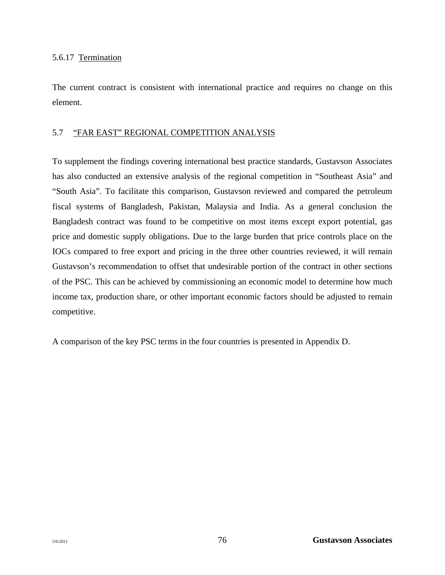# 5.6.17 Termination

The current contract is consistent with international practice and requires no change on this element.

# 5.7 "FAR EAST" REGIONAL COMPETITION ANALYSIS

To supplement the findings covering international best practice standards, Gustavson Associates has also conducted an extensive analysis of the regional competition in "Southeast Asia" and "South Asia". To facilitate this comparison, Gustavson reviewed and compared the petroleum fiscal systems of Bangladesh, Pakistan, Malaysia and India. As a general conclusion the Bangladesh contract was found to be competitive on most items except export potential, gas price and domestic supply obligations. Due to the large burden that price controls place on the IOCs compared to free export and pricing in the three other countries reviewed, it will remain Gustavson's recommendation to offset that undesirable portion of the contract in other sections of the PSC. This can be achieved by commissioning an economic model to determine how much income tax, production share, or other important economic factors should be adjusted to remain competitive.

A comparison of the key PSC terms in the four countries is presented in Appendix D.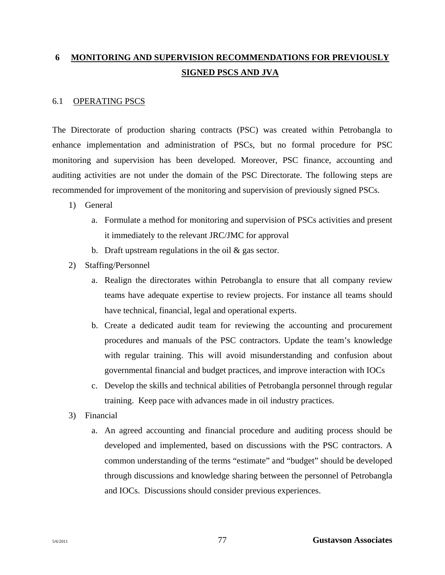# **6 MONITORING AND SUPERVISION RECOMMENDATIONS FOR PREVIOUSLY SIGNED PSCS AND JVA**

## 6.1 OPERATING PSCS

The Directorate of production sharing contracts (PSC) was created within Petrobangla to enhance implementation and administration of PSCs, but no formal procedure for PSC monitoring and supervision has been developed. Moreover, PSC finance, accounting and auditing activities are not under the domain of the PSC Directorate. The following steps are recommended for improvement of the monitoring and supervision of previously signed PSCs.

- 1) General
	- a. Formulate a method for monitoring and supervision of PSCs activities and present it immediately to the relevant JRC/JMC for approval
	- b. Draft upstream regulations in the oil  $\&$  gas sector.
- 2) Staffing/Personnel
	- a. Realign the directorates within Petrobangla to ensure that all company review teams have adequate expertise to review projects. For instance all teams should have technical, financial, legal and operational experts.
	- b. Create a dedicated audit team for reviewing the accounting and procurement procedures and manuals of the PSC contractors. Update the team's knowledge with regular training. This will avoid misunderstanding and confusion about governmental financial and budget practices, and improve interaction with IOCs
	- c. Develop the skills and technical abilities of Petrobangla personnel through regular training. Keep pace with advances made in oil industry practices.
- 3) Financial
	- a. An agreed accounting and financial procedure and auditing process should be developed and implemented, based on discussions with the PSC contractors. A common understanding of the terms "estimate" and "budget" should be developed through discussions and knowledge sharing between the personnel of Petrobangla and IOCs. Discussions should consider previous experiences.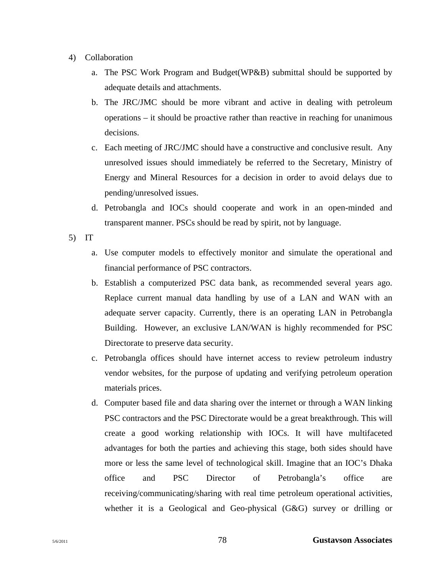- 4) Collaboration
	- a. The PSC Work Program and Budget(WP&B) submittal should be supported by adequate details and attachments.
	- b. The JRC/JMC should be more vibrant and active in dealing with petroleum operations – it should be proactive rather than reactive in reaching for unanimous decisions.
	- c. Each meeting of JRC/JMC should have a constructive and conclusive result. Any unresolved issues should immediately be referred to the Secretary, Ministry of Energy and Mineral Resources for a decision in order to avoid delays due to pending/unresolved issues.
	- d. Petrobangla and IOCs should cooperate and work in an open-minded and transparent manner. PSCs should be read by spirit, not by language.
- 5) IT
	- a. Use computer models to effectively monitor and simulate the operational and financial performance of PSC contractors.
	- b. Establish a computerized PSC data bank, as recommended several years ago. Replace current manual data handling by use of a LAN and WAN with an adequate server capacity. Currently, there is an operating LAN in Petrobangla Building. However, an exclusive LAN/WAN is highly recommended for PSC Directorate to preserve data security.
	- c. Petrobangla offices should have internet access to review petroleum industry vendor websites, for the purpose of updating and verifying petroleum operation materials prices.
	- d. Computer based file and data sharing over the internet or through a WAN linking PSC contractors and the PSC Directorate would be a great breakthrough. This will create a good working relationship with IOCs. It will have multifaceted advantages for both the parties and achieving this stage, both sides should have more or less the same level of technological skill. Imagine that an IOC's Dhaka office and PSC Director of Petrobangla's office are receiving/communicating/sharing with real time petroleum operational activities, whether it is a Geological and Geo-physical (G&G) survey or drilling or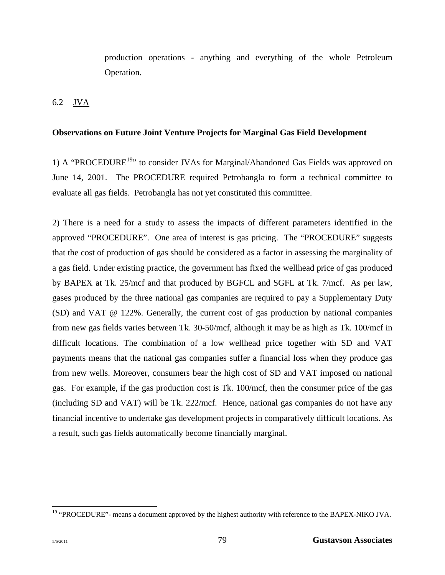production operations - anything and everything of the whole Petroleum Operation.

6.2 JVA

# **Observations on Future Joint Venture Projects for Marginal Gas Field Development**

1) A "PROCEDURE<sup>19</sup>" to consider JVAs for Marginal/Abandoned Gas Fields was approved on June 14, 2001. The PROCEDURE required Petrobangla to form a technical committee to evaluate all gas fields. Petrobangla has not yet constituted this committee.

2) There is a need for a study to assess the impacts of different parameters identified in the approved "PROCEDURE". One area of interest is gas pricing. The "PROCEDURE" suggests that the cost of production of gas should be considered as a factor in assessing the marginality of a gas field. Under existing practice, the government has fixed the wellhead price of gas produced by BAPEX at Tk. 25/mcf and that produced by BGFCL and SGFL at Tk. 7/mcf. As per law, gases produced by the three national gas companies are required to pay a Supplementary Duty (SD) and VAT @ 122%. Generally, the current cost of gas production by national companies from new gas fields varies between Tk. 30-50/mcf, although it may be as high as Tk. 100/mcf in difficult locations. The combination of a low wellhead price together with SD and VAT payments means that the national gas companies suffer a financial loss when they produce gas from new wells. Moreover, consumers bear the high cost of SD and VAT imposed on national gas. For example, if the gas production cost is Tk. 100/mcf, then the consumer price of the gas (including SD and VAT) will be Tk. 222/mcf. Hence, national gas companies do not have any financial incentive to undertake gas development projects in comparatively difficult locations. As a result, such gas fields automatically become financially marginal.

 $\overline{\phantom{a}}$ <sup>19</sup> "PROCEDURE"- means a document approved by the highest authority with reference to the BAPEX-NIKO JVA.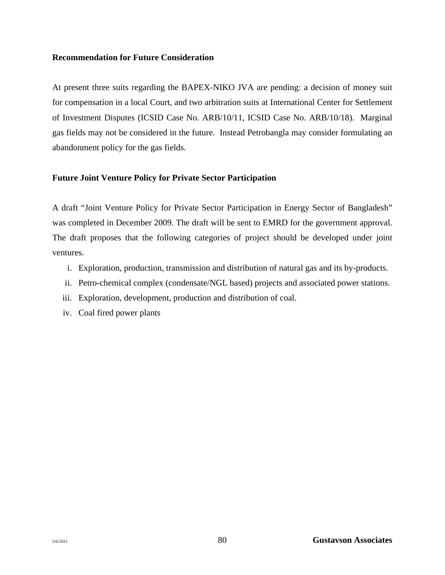## **Recommendation for Future Consideration**

At present three suits regarding the BAPEX-NIKO JVA are pending: a decision of money suit for compensation in a local Court, and two arbitration suits at International Center for Settlement of Investment Disputes (ICSID Case No. ARB/10/11, ICSID Case No. ARB/10/18). Marginal gas fields may not be considered in the future. Instead Petrobangla may consider formulating an abandonment policy for the gas fields.

# **Future Joint Venture Policy for Private Sector Participation**

A draft "Joint Venture Policy for Private Sector Participation in Energy Sector of Bangladesh" was completed in December 2009. The draft will be sent to EMRD for the government approval. The draft proposes that the following categories of project should be developed under joint ventures.

- i. Exploration, production, transmission and distribution of natural gas and its by-products.
- ii. Petro-chemical complex (condensate/NGL based) projects and associated power stations.
- iii. Exploration, development, production and distribution of coal.
- iv. Coal fired power plants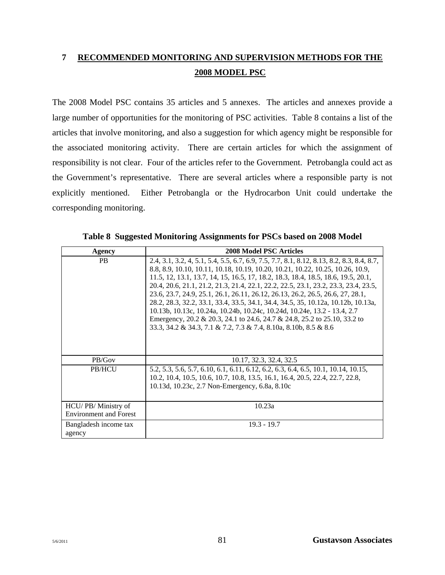# **7 RECOMMENDED MONITORING AND SUPERVISION METHODS FOR THE 2008 MODEL PSC**

The 2008 Model PSC contains 35 articles and 5 annexes. The articles and annexes provide a large number of opportunities for the monitoring of PSC activities. Table 8 contains a list of the articles that involve monitoring, and also a suggestion for which agency might be responsible for the associated monitoring activity. There are certain articles for which the assignment of responsibility is not clear. Four of the articles refer to the Government. Petrobangla could act as the Government's representative. There are several articles where a responsible party is not explicitly mentioned. Either Petrobangla or the Hydrocarbon Unit could undertake the corresponding monitoring.

| Agency                                              | <b>2008 Model PSC Articles</b>                                                                                                                                                                                                                                                                                                                                                                                                                                                                                                                                                                                                                                                                                                                              |
|-----------------------------------------------------|-------------------------------------------------------------------------------------------------------------------------------------------------------------------------------------------------------------------------------------------------------------------------------------------------------------------------------------------------------------------------------------------------------------------------------------------------------------------------------------------------------------------------------------------------------------------------------------------------------------------------------------------------------------------------------------------------------------------------------------------------------------|
| <b>PB</b>                                           | 2.4, 3.1, 3.2, 4, 5.1, 5.4, 5.5, 6.7, 6.9, 7.5, 7.7, 8.1, 8.12, 8.13, 8.2, 8.3, 8.4, 8.7,<br>8.8, 8.9, 10.10, 10.11, 10.18, 10.19, 10.20, 10.21, 10.22, 10.25, 10.26, 10.9,<br>11.5, 12, 13.1, 13.7, 14, 15, 16.5, 17, 18.2, 18.3, 18.4, 18.5, 18.6, 19.5, 20.1,<br>20.4, 20.6, 21.1, 21.2, 21.3, 21.4, 22.1, 22.2, 22.5, 23.1, 23.2, 23.3, 23.4, 23.5,<br>23.6, 23.7, 24.9, 25.1, 26.1, 26.11, 26.12, 26.13, 26.2, 26.5, 26.6, 27, 28.1,<br>28.2, 28.3, 32.2, 33.1, 33.4, 33.5, 34.1, 34.4, 34.5, 35, 10.12a, 10.12b, 10.13a,<br>10.13b, 10.13c, 10.24a, 10.24b, 10.24c, 10.24d, 10.24e, 13.2 - 13.4, 2.7<br>Emergency, 20.2 & 20.3, 24.1 to 24.6, 24.7 & 24.8, 25.2 to 25.10, 33.2 to<br>33.3, 34.2 & 34.3, 7.1 & 7.2, 7.3 & 7.4, 8.10a, 8.10b, 8.5 & 8.6 |
| PB/Gov                                              | 10.17, 32.3, 32.4, 32.5                                                                                                                                                                                                                                                                                                                                                                                                                                                                                                                                                                                                                                                                                                                                     |
| <b>PB/HCU</b>                                       | 5.2, 5.3, 5.6, 5.7, 6.10, 6.1, 6.11, 6.12, 6.2, 6.3, 6.4, 6.5, 10.1, 10.14, 10.15,<br>10.2, 10.4, 10.5, 10.6, 10.7, 10.8, 13.5, 16.1, 16.4, 20.5, 22.4, 22.7, 22.8,<br>10.13d, 10.23c, 2.7 Non-Emergency, 6.8a, 8.10c                                                                                                                                                                                                                                                                                                                                                                                                                                                                                                                                       |
| HCU/PB/Ministry of<br><b>Environment and Forest</b> | 10.23a                                                                                                                                                                                                                                                                                                                                                                                                                                                                                                                                                                                                                                                                                                                                                      |
| Bangladesh income tax<br>agency                     | $19.3 - 19.7$                                                                                                                                                                                                                                                                                                                                                                                                                                                                                                                                                                                                                                                                                                                                               |

**Table 8 Suggested Monitoring Assignments for PSCs based on 2008 Model**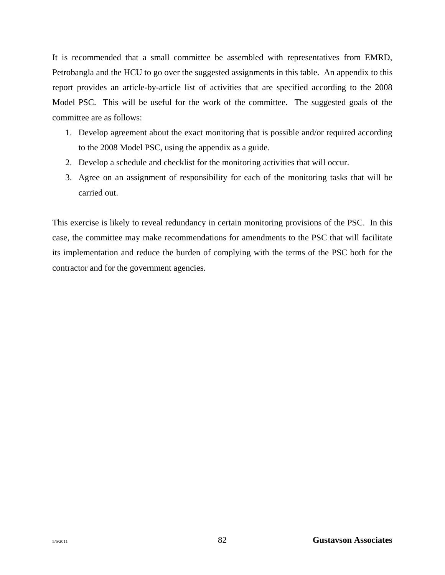It is recommended that a small committee be assembled with representatives from EMRD, Petrobangla and the HCU to go over the suggested assignments in this table. An appendix to this report provides an article-by-article list of activities that are specified according to the 2008 Model PSC. This will be useful for the work of the committee. The suggested goals of the committee are as follows:

- 1. Develop agreement about the exact monitoring that is possible and/or required according to the 2008 Model PSC, using the appendix as a guide.
- 2. Develop a schedule and checklist for the monitoring activities that will occur.
- 3. Agree on an assignment of responsibility for each of the monitoring tasks that will be carried out.

This exercise is likely to reveal redundancy in certain monitoring provisions of the PSC. In this case, the committee may make recommendations for amendments to the PSC that will facilitate its implementation and reduce the burden of complying with the terms of the PSC both for the contractor and for the government agencies.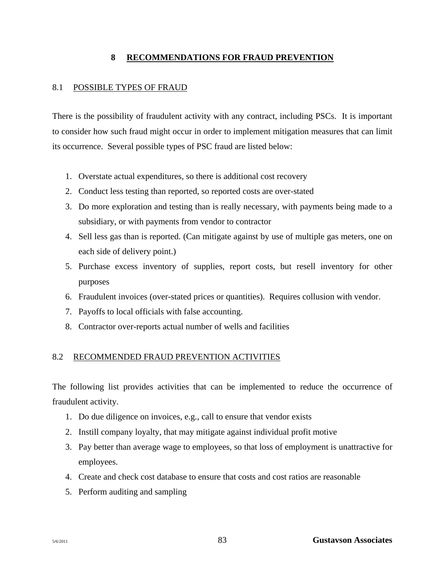# **8 RECOMMENDATIONS FOR FRAUD PREVENTION**

# 8.1 POSSIBLE TYPES OF FRAUD

There is the possibility of fraudulent activity with any contract, including PSCs. It is important to consider how such fraud might occur in order to implement mitigation measures that can limit its occurrence. Several possible types of PSC fraud are listed below:

- 1. Overstate actual expenditures, so there is additional cost recovery
- 2. Conduct less testing than reported, so reported costs are over-stated
- 3. Do more exploration and testing than is really necessary, with payments being made to a subsidiary, or with payments from vendor to contractor
- 4. Sell less gas than is reported. (Can mitigate against by use of multiple gas meters, one on each side of delivery point.)
- 5. Purchase excess inventory of supplies, report costs, but resell inventory for other purposes
- 6. Fraudulent invoices (over-stated prices or quantities). Requires collusion with vendor.
- 7. Payoffs to local officials with false accounting.
- 8. Contractor over-reports actual number of wells and facilities

# 8.2 RECOMMENDED FRAUD PREVENTION ACTIVITIES

The following list provides activities that can be implemented to reduce the occurrence of fraudulent activity.

- 1. Do due diligence on invoices, e.g., call to ensure that vendor exists
- 2. Instill company loyalty, that may mitigate against individual profit motive
- 3. Pay better than average wage to employees, so that loss of employment is unattractive for employees.
- 4. Create and check cost database to ensure that costs and cost ratios are reasonable
- 5. Perform auditing and sampling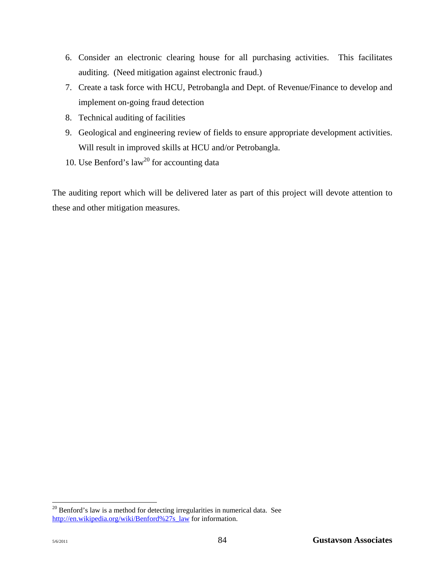- 6. Consider an electronic clearing house for all purchasing activities. This facilitates auditing. (Need mitigation against electronic fraud.)
- 7. Create a task force with HCU, Petrobangla and Dept. of Revenue/Finance to develop and implement on-going fraud detection
- 8. Technical auditing of facilities
- 9. Geological and engineering review of fields to ensure appropriate development activities. Will result in improved skills at HCU and/or Petrobangla.
- 10. Use Benford's law<sup>20</sup> for accounting data

The auditing report which will be delivered later as part of this project will devote attention to these and other mitigation measures.

l

 $20$  Benford's law is a method for detecting irregularities in numerical data. See http://en.wikipedia.org/wiki/Benford%27s\_law for information.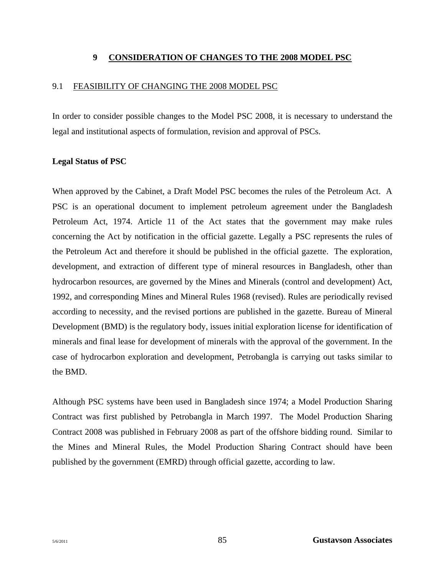# **9 CONSIDERATION OF CHANGES TO THE 2008 MODEL PSC**

## 9.1 FEASIBILITY OF CHANGING THE 2008 MODEL PSC

In order to consider possible changes to the Model PSC 2008, it is necessary to understand the legal and institutional aspects of formulation, revision and approval of PSCs.

## **Legal Status of PSC**

When approved by the Cabinet, a Draft Model PSC becomes the rules of the Petroleum Act. A PSC is an operational document to implement petroleum agreement under the Bangladesh Petroleum Act, 1974. Article 11 of the Act states that the government may make rules concerning the Act by notification in the official gazette. Legally a PSC represents the rules of the Petroleum Act and therefore it should be published in the official gazette. The exploration, development, and extraction of different type of mineral resources in Bangladesh, other than hydrocarbon resources, are governed by the Mines and Minerals (control and development) Act, 1992, and corresponding Mines and Mineral Rules 1968 (revised). Rules are periodically revised according to necessity, and the revised portions are published in the gazette. Bureau of Mineral Development (BMD) is the regulatory body, issues initial exploration license for identification of minerals and final lease for development of minerals with the approval of the government. In the case of hydrocarbon exploration and development, Petrobangla is carrying out tasks similar to the BMD.

Although PSC systems have been used in Bangladesh since 1974; a Model Production Sharing Contract was first published by Petrobangla in March 1997. The Model Production Sharing Contract 2008 was published in February 2008 as part of the offshore bidding round. Similar to the Mines and Mineral Rules, the Model Production Sharing Contract should have been published by the government (EMRD) through official gazette, according to law.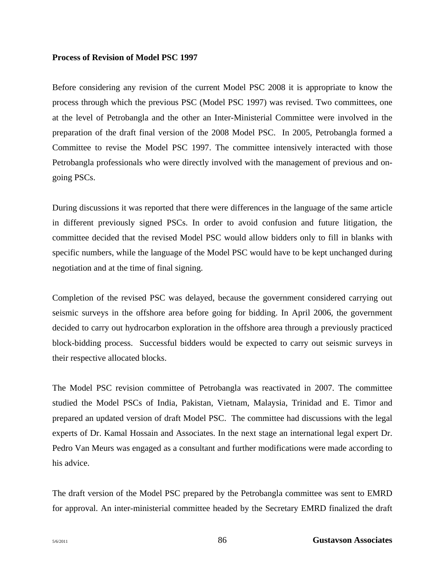### **Process of Revision of Model PSC 1997**

Before considering any revision of the current Model PSC 2008 it is appropriate to know the process through which the previous PSC (Model PSC 1997) was revised. Two committees, one at the level of Petrobangla and the other an Inter-Ministerial Committee were involved in the preparation of the draft final version of the 2008 Model PSC. In 2005, Petrobangla formed a Committee to revise the Model PSC 1997. The committee intensively interacted with those Petrobangla professionals who were directly involved with the management of previous and ongoing PSCs.

During discussions it was reported that there were differences in the language of the same article in different previously signed PSCs. In order to avoid confusion and future litigation, the committee decided that the revised Model PSC would allow bidders only to fill in blanks with specific numbers, while the language of the Model PSC would have to be kept unchanged during negotiation and at the time of final signing.

Completion of the revised PSC was delayed, because the government considered carrying out seismic surveys in the offshore area before going for bidding. In April 2006, the government decided to carry out hydrocarbon exploration in the offshore area through a previously practiced block-bidding process. Successful bidders would be expected to carry out seismic surveys in their respective allocated blocks.

The Model PSC revision committee of Petrobangla was reactivated in 2007. The committee studied the Model PSCs of India, Pakistan, Vietnam, Malaysia, Trinidad and E. Timor and prepared an updated version of draft Model PSC. The committee had discussions with the legal experts of Dr. Kamal Hossain and Associates. In the next stage an international legal expert Dr. Pedro Van Meurs was engaged as a consultant and further modifications were made according to his advice.

The draft version of the Model PSC prepared by the Petrobangla committee was sent to EMRD for approval. An inter-ministerial committee headed by the Secretary EMRD finalized the draft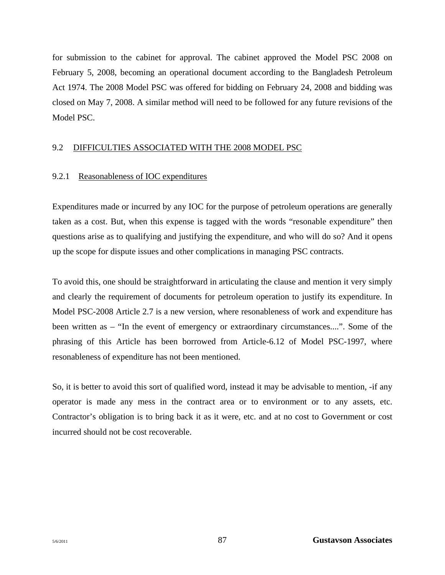for submission to the cabinet for approval. The cabinet approved the Model PSC 2008 on February 5, 2008, becoming an operational document according to the Bangladesh Petroleum Act 1974. The 2008 Model PSC was offered for bidding on February 24, 2008 and bidding was closed on May 7, 2008. A similar method will need to be followed for any future revisions of the Model PSC.

## 9.2 DIFFICULTIES ASSOCIATED WITH THE 2008 MODEL PSC

## 9.2.1 Reasonableness of IOC expenditures

Expenditures made or incurred by any IOC for the purpose of petroleum operations are generally taken as a cost. But, when this expense is tagged with the words "resonable expenditure" then questions arise as to qualifying and justifying the expenditure, and who will do so? And it opens up the scope for dispute issues and other complications in managing PSC contracts.

To avoid this, one should be straightforward in articulating the clause and mention it very simply and clearly the requirement of documents for petroleum operation to justify its expenditure. In Model PSC-2008 Article 2.7 is a new version, where resonableness of work and expenditure has been written as – "In the event of emergency or extraordinary circumstances....". Some of the phrasing of this Article has been borrowed from Article-6.12 of Model PSC-1997, where resonableness of expenditure has not been mentioned.

So, it is better to avoid this sort of qualified word, instead it may be advisable to mention, -if any operator is made any mess in the contract area or to environment or to any assets, etc. Contractor's obligation is to bring back it as it were, etc. and at no cost to Government or cost incurred should not be cost recoverable.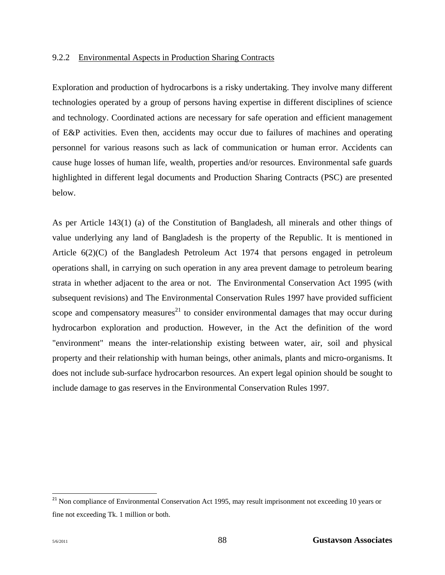#### 9.2.2 Environmental Aspects in Production Sharing Contracts

Exploration and production of hydrocarbons is a risky undertaking. They involve many different technologies operated by a group of persons having expertise in different disciplines of science and technology. Coordinated actions are necessary for safe operation and efficient management of E&P activities. Even then, accidents may occur due to failures of machines and operating personnel for various reasons such as lack of communication or human error. Accidents can cause huge losses of human life, wealth, properties and/or resources. Environmental safe guards highlighted in different legal documents and Production Sharing Contracts (PSC) are presented below.

As per Article 143(1) (a) of the Constitution of Bangladesh, all minerals and other things of value underlying any land of Bangladesh is the property of the Republic. It is mentioned in Article 6(2)(C) of the Bangladesh Petroleum Act 1974 that persons engaged in petroleum operations shall, in carrying on such operation in any area prevent damage to petroleum bearing strata in whether adjacent to the area or not. The Environmental Conservation Act 1995 (with subsequent revisions) and The Environmental Conservation Rules 1997 have provided sufficient scope and compensatory measures<sup>21</sup> to consider environmental damages that may occur during hydrocarbon exploration and production. However, in the Act the definition of the word "environment" means the inter-relationship existing between water, air, soil and physical property and their relationship with human beings, other animals, plants and micro-organisms. It does not include sub-surface hydrocarbon resources. An expert legal opinion should be sought to include damage to gas reserves in the Environmental Conservation Rules 1997.

 $\overline{\phantom{a}}$ 

<sup>&</sup>lt;sup>21</sup> Non compliance of Environmental Conservation Act 1995, may result imprisonment not exceeding 10 years or fine not exceeding Tk. 1 million or both.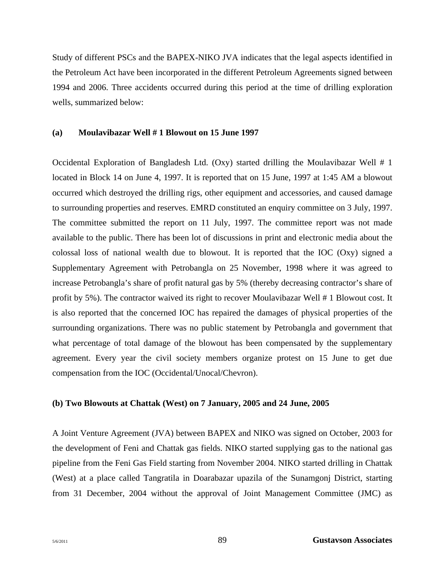Study of different PSCs and the BAPEX-NIKO JVA indicates that the legal aspects identified in the Petroleum Act have been incorporated in the different Petroleum Agreements signed between 1994 and 2006. Three accidents occurred during this period at the time of drilling exploration wells, summarized below:

#### **(a) Moulavibazar Well # 1 Blowout on 15 June 1997**

Occidental Exploration of Bangladesh Ltd. (Oxy) started drilling the Moulavibazar Well # 1 located in Block 14 on June 4, 1997. It is reported that on 15 June, 1997 at 1:45 AM a blowout occurred which destroyed the drilling rigs, other equipment and accessories, and caused damage to surrounding properties and reserves. EMRD constituted an enquiry committee on 3 July, 1997. The committee submitted the report on 11 July, 1997. The committee report was not made available to the public. There has been lot of discussions in print and electronic media about the colossal loss of national wealth due to blowout. It is reported that the IOC (Oxy) signed a Supplementary Agreement with Petrobangla on 25 November, 1998 where it was agreed to increase Petrobangla's share of profit natural gas by 5% (thereby decreasing contractor's share of profit by 5%). The contractor waived its right to recover Moulavibazar Well # 1 Blowout cost. It is also reported that the concerned IOC has repaired the damages of physical properties of the surrounding organizations. There was no public statement by Petrobangla and government that what percentage of total damage of the blowout has been compensated by the supplementary agreement. Every year the civil society members organize protest on 15 June to get due compensation from the IOC (Occidental/Unocal/Chevron).

#### **(b) Two Blowouts at Chattak (West) on 7 January, 2005 and 24 June, 2005**

A Joint Venture Agreement (JVA) between BAPEX and NIKO was signed on October, 2003 for the development of Feni and Chattak gas fields. NIKO started supplying gas to the national gas pipeline from the Feni Gas Field starting from November 2004. NIKO started drilling in Chattak (West) at a place called Tangratila in Doarabazar upazila of the Sunamgonj District, starting from 31 December, 2004 without the approval of Joint Management Committee (JMC) as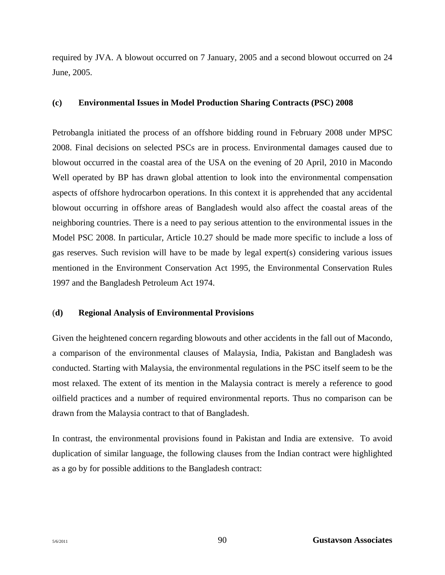required by JVA. A blowout occurred on 7 January, 2005 and a second blowout occurred on 24 June, 2005.

## **(c) Environmental Issues in Model Production Sharing Contracts (PSC) 2008**

Petrobangla initiated the process of an offshore bidding round in February 2008 under MPSC 2008. Final decisions on selected PSCs are in process. Environmental damages caused due to blowout occurred in the coastal area of the USA on the evening of 20 April, 2010 in Macondo Well operated by BP has drawn global attention to look into the environmental compensation aspects of offshore hydrocarbon operations. In this context it is apprehended that any accidental blowout occurring in offshore areas of Bangladesh would also affect the coastal areas of the neighboring countries. There is a need to pay serious attention to the environmental issues in the Model PSC 2008. In particular, Article 10.27 should be made more specific to include a loss of gas reserves. Such revision will have to be made by legal expert(s) considering various issues mentioned in the Environment Conservation Act 1995, the Environmental Conservation Rules 1997 and the Bangladesh Petroleum Act 1974.

### (**d) Regional Analysis of Environmental Provisions**

Given the heightened concern regarding blowouts and other accidents in the fall out of Macondo, a comparison of the environmental clauses of Malaysia, India, Pakistan and Bangladesh was conducted. Starting with Malaysia, the environmental regulations in the PSC itself seem to be the most relaxed. The extent of its mention in the Malaysia contract is merely a reference to good oilfield practices and a number of required environmental reports. Thus no comparison can be drawn from the Malaysia contract to that of Bangladesh.

In contrast, the environmental provisions found in Pakistan and India are extensive. To avoid duplication of similar language, the following clauses from the Indian contract were highlighted as a go by for possible additions to the Bangladesh contract: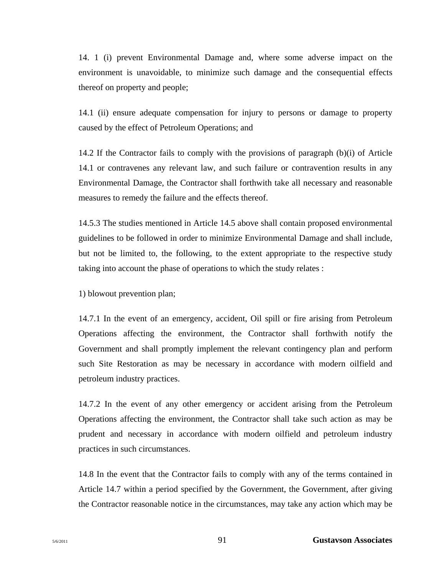14. 1 (i) prevent Environmental Damage and, where some adverse impact on the environment is unavoidable, to minimize such damage and the consequential effects thereof on property and people;

14.1 (ii) ensure adequate compensation for injury to persons or damage to property caused by the effect of Petroleum Operations; and

14.2 If the Contractor fails to comply with the provisions of paragraph (b)(i) of Article 14.1 or contravenes any relevant law, and such failure or contravention results in any Environmental Damage, the Contractor shall forthwith take all necessary and reasonable measures to remedy the failure and the effects thereof.

14.5.3 The studies mentioned in Article 14.5 above shall contain proposed environmental guidelines to be followed in order to minimize Environmental Damage and shall include, but not be limited to, the following, to the extent appropriate to the respective study taking into account the phase of operations to which the study relates :

1) blowout prevention plan;

14.7.1 In the event of an emergency, accident, Oil spill or fire arising from Petroleum Operations affecting the environment, the Contractor shall forthwith notify the Government and shall promptly implement the relevant contingency plan and perform such Site Restoration as may be necessary in accordance with modern oilfield and petroleum industry practices.

14.7.2 In the event of any other emergency or accident arising from the Petroleum Operations affecting the environment, the Contractor shall take such action as may be prudent and necessary in accordance with modern oilfield and petroleum industry practices in such circumstances.

14.8 In the event that the Contractor fails to comply with any of the terms contained in Article 14.7 within a period specified by the Government, the Government, after giving the Contractor reasonable notice in the circumstances, may take any action which may be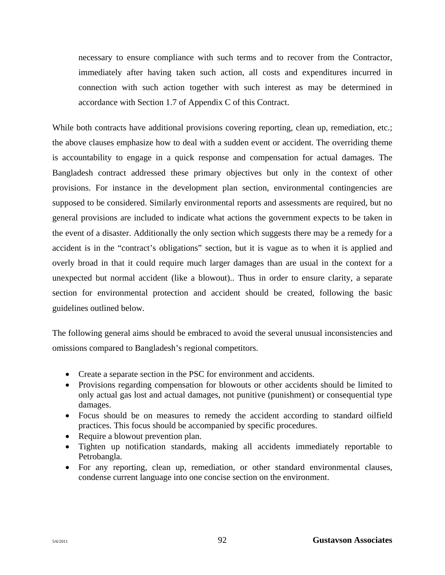necessary to ensure compliance with such terms and to recover from the Contractor, immediately after having taken such action, all costs and expenditures incurred in connection with such action together with such interest as may be determined in accordance with Section 1.7 of Appendix C of this Contract.

While both contracts have additional provisions covering reporting, clean up, remediation, etc.; the above clauses emphasize how to deal with a sudden event or accident. The overriding theme is accountability to engage in a quick response and compensation for actual damages. The Bangladesh contract addressed these primary objectives but only in the context of other provisions. For instance in the development plan section, environmental contingencies are supposed to be considered. Similarly environmental reports and assessments are required, but no general provisions are included to indicate what actions the government expects to be taken in the event of a disaster. Additionally the only section which suggests there may be a remedy for a accident is in the "contract's obligations" section, but it is vague as to when it is applied and overly broad in that it could require much larger damages than are usual in the context for a unexpected but normal accident (like a blowout).. Thus in order to ensure clarity, a separate section for environmental protection and accident should be created, following the basic guidelines outlined below.

The following general aims should be embraced to avoid the several unusual inconsistencies and omissions compared to Bangladesh's regional competitors.

- Create a separate section in the PSC for environment and accidents.
- Provisions regarding compensation for blowouts or other accidents should be limited to only actual gas lost and actual damages, not punitive (punishment) or consequential type damages.
- Focus should be on measures to remedy the accident according to standard oilfield practices. This focus should be accompanied by specific procedures.
- Require a blowout prevention plan.
- Tighten up notification standards, making all accidents immediately reportable to Petrobangla.
- For any reporting, clean up, remediation, or other standard environmental clauses, condense current language into one concise section on the environment.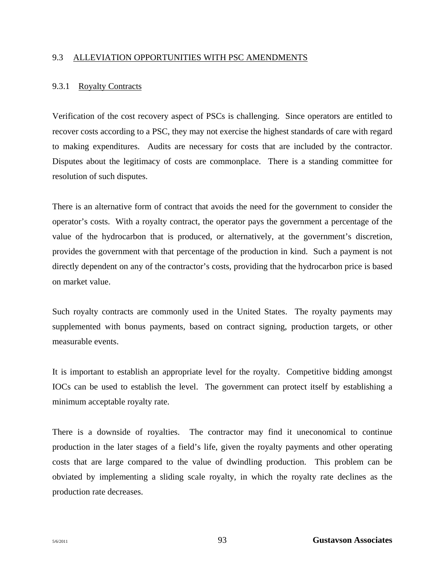#### 9.3 ALLEVIATION OPPORTUNITIES WITH PSC AMENDMENTS

#### 9.3.1 Royalty Contracts

Verification of the cost recovery aspect of PSCs is challenging. Since operators are entitled to recover costs according to a PSC, they may not exercise the highest standards of care with regard to making expenditures. Audits are necessary for costs that are included by the contractor. Disputes about the legitimacy of costs are commonplace. There is a standing committee for resolution of such disputes.

There is an alternative form of contract that avoids the need for the government to consider the operator's costs. With a royalty contract, the operator pays the government a percentage of the value of the hydrocarbon that is produced, or alternatively, at the government's discretion, provides the government with that percentage of the production in kind. Such a payment is not directly dependent on any of the contractor's costs, providing that the hydrocarbon price is based on market value.

Such royalty contracts are commonly used in the United States. The royalty payments may supplemented with bonus payments, based on contract signing, production targets, or other measurable events.

It is important to establish an appropriate level for the royalty. Competitive bidding amongst IOCs can be used to establish the level. The government can protect itself by establishing a minimum acceptable royalty rate.

There is a downside of royalties. The contractor may find it uneconomical to continue production in the later stages of a field's life, given the royalty payments and other operating costs that are large compared to the value of dwindling production. This problem can be obviated by implementing a sliding scale royalty, in which the royalty rate declines as the production rate decreases.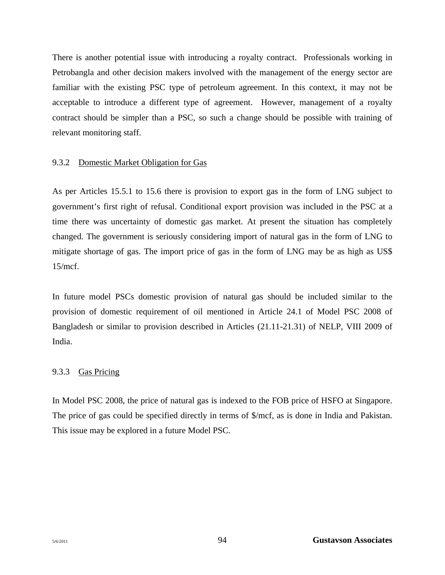There is another potential issue with introducing a royalty contract. Professionals working in Petrobangla and other decision makers involved with the management of the energy sector are familiar with the existing PSC type of petroleum agreement. In this context, it may not be acceptable to introduce a different type of agreement. However, management of a royalty contract should be simpler than a PSC, so such a change should be possible with training of relevant monitoring staff.

# 9.3.2 Domestic Market Obligation for Gas

As per Articles 15.5.1 to 15.6 there is provision to export gas in the form of LNG subject to government's first right of refusal. Conditional export provision was included in the PSC at a time there was uncertainty of domestic gas market. At present the situation has completely changed. The government is seriously considering import of natural gas in the form of LNG to mitigate shortage of gas. The import price of gas in the form of LNG may be as high as US\$ 15/mcf.

In future model PSCs domestic provision of natural gas should be included similar to the provision of domestic requirement of oil mentioned in Article 24.1 of Model PSC 2008 of Bangladesh or similar to provision described in Articles (21.11-21.31) of NELP, VIII 2009 of India.

# 9.3.3 Gas Pricing

In Model PSC 2008, the price of natural gas is indexed to the FOB price of HSFO at Singapore. The price of gas could be specified directly in terms of \$/mcf, as is done in India and Pakistan. This issue may be explored in a future Model PSC.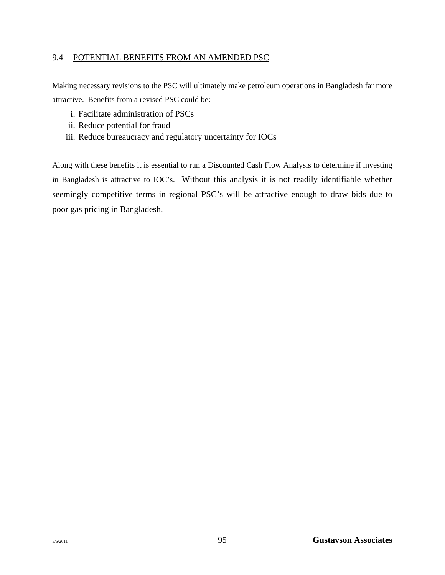## 9.4 POTENTIAL BENEFITS FROM AN AMENDED PSC

Making necessary revisions to the PSC will ultimately make petroleum operations in Bangladesh far more attractive. Benefits from a revised PSC could be:

- i. Facilitate administration of PSCs
- ii. Reduce potential for fraud
- iii. Reduce bureaucracy and regulatory uncertainty for IOCs

Along with these benefits it is essential to run a Discounted Cash Flow Analysis to determine if investing in Bangladesh is attractive to IOC's. Without this analysis it is not readily identifiable whether seemingly competitive terms in regional PSC's will be attractive enough to draw bids due to poor gas pricing in Bangladesh.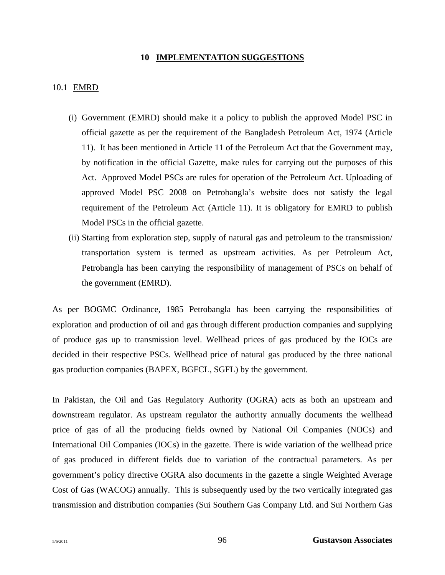#### **10 IMPLEMENTATION SUGGESTIONS**

## 10.1 EMRD

- (i) Government (EMRD) should make it a policy to publish the approved Model PSC in official gazette as per the requirement of the Bangladesh Petroleum Act, 1974 (Article 11). It has been mentioned in Article 11 of the Petroleum Act that the Government may, by notification in the official Gazette, make rules for carrying out the purposes of this Act. Approved Model PSCs are rules for operation of the Petroleum Act. Uploading of approved Model PSC 2008 on Petrobangla's website does not satisfy the legal requirement of the Petroleum Act (Article 11). It is obligatory for EMRD to publish Model PSCs in the official gazette.
- (ii) Starting from exploration step, supply of natural gas and petroleum to the transmission/ transportation system is termed as upstream activities. As per Petroleum Act, Petrobangla has been carrying the responsibility of management of PSCs on behalf of the government (EMRD).

As per BOGMC Ordinance, 1985 Petrobangla has been carrying the responsibilities of exploration and production of oil and gas through different production companies and supplying of produce gas up to transmission level. Wellhead prices of gas produced by the IOCs are decided in their respective PSCs. Wellhead price of natural gas produced by the three national gas production companies (BAPEX, BGFCL, SGFL) by the government.

In Pakistan, the Oil and Gas Regulatory Authority (OGRA) acts as both an upstream and downstream regulator. As upstream regulator the authority annually documents the wellhead price of gas of all the producing fields owned by National Oil Companies (NOCs) and International Oil Companies (IOCs) in the gazette. There is wide variation of the wellhead price of gas produced in different fields due to variation of the contractual parameters. As per government's policy directive OGRA also documents in the gazette a single Weighted Average Cost of Gas (WACOG) annually. This is subsequently used by the two vertically integrated gas transmission and distribution companies (Sui Southern Gas Company Ltd. and Sui Northern Gas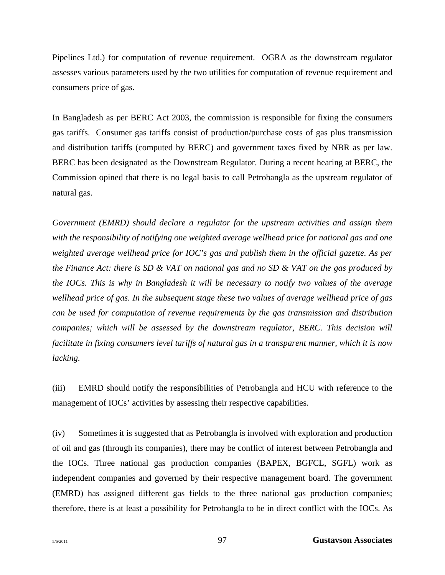Pipelines Ltd.) for computation of revenue requirement. OGRA as the downstream regulator assesses various parameters used by the two utilities for computation of revenue requirement and consumers price of gas.

In Bangladesh as per BERC Act 2003, the commission is responsible for fixing the consumers gas tariffs. Consumer gas tariffs consist of production/purchase costs of gas plus transmission and distribution tariffs (computed by BERC) and government taxes fixed by NBR as per law. BERC has been designated as the Downstream Regulator. During a recent hearing at BERC, the Commission opined that there is no legal basis to call Petrobangla as the upstream regulator of natural gas.

*Government (EMRD) should declare a regulator for the upstream activities and assign them with the responsibility of notifying one weighted average wellhead price for national gas and one weighted average wellhead price for IOC's gas and publish them in the official gazette. As per the Finance Act: there is SD & VAT on national gas and no SD & VAT on the gas produced by the IOCs. This is why in Bangladesh it will be necessary to notify two values of the average wellhead price of gas. In the subsequent stage these two values of average wellhead price of gas can be used for computation of revenue requirements by the gas transmission and distribution companies; which will be assessed by the downstream regulator, BERC. This decision will facilitate in fixing consumers level tariffs of natural gas in a transparent manner, which it is now lacking.* 

(iii) EMRD should notify the responsibilities of Petrobangla and HCU with reference to the management of IOCs' activities by assessing their respective capabilities.

(iv) Sometimes it is suggested that as Petrobangla is involved with exploration and production of oil and gas (through its companies), there may be conflict of interest between Petrobangla and the IOCs. Three national gas production companies (BAPEX, BGFCL, SGFL) work as independent companies and governed by their respective management board. The government (EMRD) has assigned different gas fields to the three national gas production companies; therefore, there is at least a possibility for Petrobangla to be in direct conflict with the IOCs. As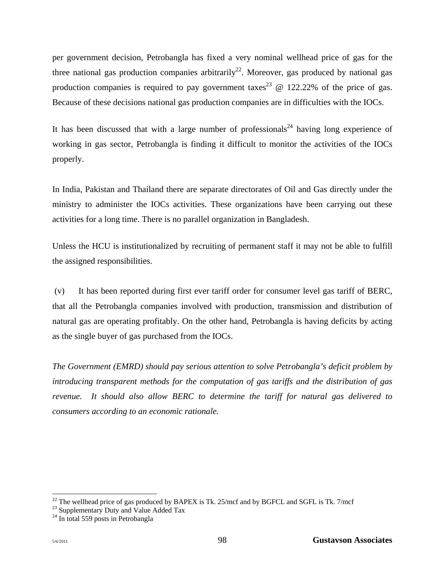per government decision, Petrobangla has fixed a very nominal wellhead price of gas for the three national gas production companies arbitrarily<sup>22</sup>. Moreover, gas produced by national gas production companies is required to pay government taxes<sup>23</sup>  $\omega$  122.22% of the price of gas. Because of these decisions national gas production companies are in difficulties with the IOCs.

It has been discussed that with a large number of professionals<sup>24</sup> having long experience of working in gas sector, Petrobangla is finding it difficult to monitor the activities of the IOCs properly.

In India, Pakistan and Thailand there are separate directorates of Oil and Gas directly under the ministry to administer the IOCs activities. These organizations have been carrying out these activities for a long time. There is no parallel organization in Bangladesh.

Unless the HCU is institutionalized by recruiting of permanent staff it may not be able to fulfill the assigned responsibilities.

 (v) It has been reported during first ever tariff order for consumer level gas tariff of BERC, that all the Petrobangla companies involved with production, transmission and distribution of natural gas are operating profitably. On the other hand, Petrobangla is having deficits by acting as the single buyer of gas purchased from the IOCs.

*The Government (EMRD) should pay serious attention to solve Petrobangla's deficit problem by introducing transparent methods for the computation of gas tariffs and the distribution of gas revenue. It should also allow BERC to determine the tariff for natural gas delivered to consumers according to an economic rationale.* 

l

 $^{22}$  The wellhead price of gas produced by BAPEX is Tk. 25/mcf and by BGFCL and SGFL is Tk. 7/mcf

 $23$  Supplementary Duty and Value Added Tax

 $24$  In total 559 posts in Petrobangla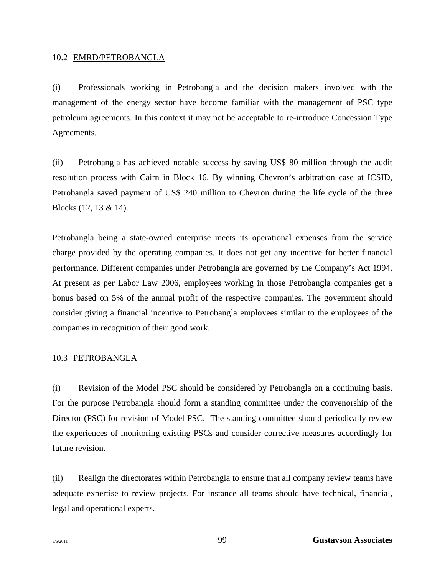#### 10.2 EMRD/PETROBANGLA

(i) Professionals working in Petrobangla and the decision makers involved with the management of the energy sector have become familiar with the management of PSC type petroleum agreements. In this context it may not be acceptable to re-introduce Concession Type Agreements.

(ii) Petrobangla has achieved notable success by saving US\$ 80 million through the audit resolution process with Cairn in Block 16. By winning Chevron's arbitration case at ICSID, Petrobangla saved payment of US\$ 240 million to Chevron during the life cycle of the three Blocks (12, 13 & 14).

Petrobangla being a state-owned enterprise meets its operational expenses from the service charge provided by the operating companies. It does not get any incentive for better financial performance. Different companies under Petrobangla are governed by the Company's Act 1994. At present as per Labor Law 2006, employees working in those Petrobangla companies get a bonus based on 5% of the annual profit of the respective companies. The government should consider giving a financial incentive to Petrobangla employees similar to the employees of the companies in recognition of their good work.

### 10.3 PETROBANGLA

(i) Revision of the Model PSC should be considered by Petrobangla on a continuing basis. For the purpose Petrobangla should form a standing committee under the convenorship of the Director (PSC) for revision of Model PSC. The standing committee should periodically review the experiences of monitoring existing PSCs and consider corrective measures accordingly for future revision.

(ii) Realign the directorates within Petrobangla to ensure that all company review teams have adequate expertise to review projects. For instance all teams should have technical, financial, legal and operational experts.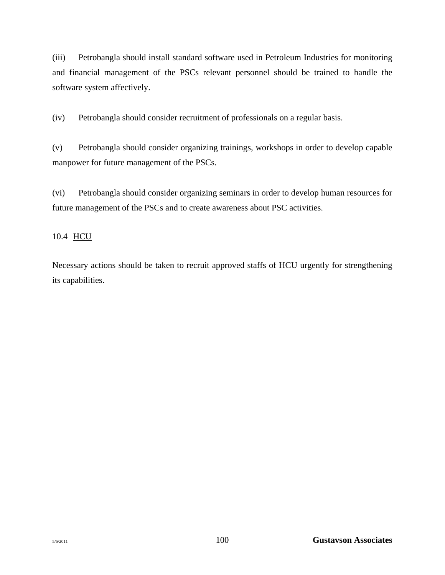(iii) Petrobangla should install standard software used in Petroleum Industries for monitoring and financial management of the PSCs relevant personnel should be trained to handle the software system affectively.

(iv) Petrobangla should consider recruitment of professionals on a regular basis.

(v) Petrobangla should consider organizing trainings, workshops in order to develop capable manpower for future management of the PSCs.

(vi) Petrobangla should consider organizing seminars in order to develop human resources for future management of the PSCs and to create awareness about PSC activities.

# 10.4 HCU

Necessary actions should be taken to recruit approved staffs of HCU urgently for strengthening its capabilities.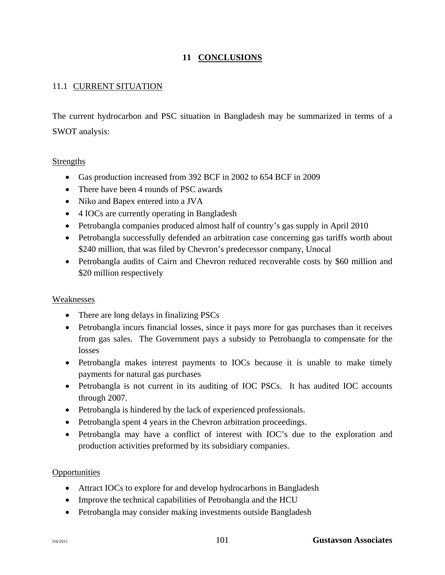#### **11 CONCLUSIONS**

#### 11.1 CURRENT SITUATION

The current hydrocarbon and PSC situation in Bangladesh may be summarized in terms of a SWOT analysis:

#### Strengths

- Gas production increased from 392 BCF in 2002 to 654 BCF in 2009
- There have been 4 rounds of PSC awards
- Niko and Bapex entered into a JVA
- 4 IOCs are currently operating in Bangladesh
- Petrobangla companies produced almost half of country's gas supply in April 2010
- Petrobangla successfully defended an arbitration case concerning gas tariffs worth about \$240 million, that was filed by Chevron's predecessor company, Unocal
- Petrobangla audits of Cairn and Chevron reduced recoverable costs by \$60 million and \$20 million respectively

#### Weaknesses

- There are long delays in finalizing PSCs
- Petrobangla incurs financial losses, since it pays more for gas purchases than it receives from gas sales. The Government pays a subsidy to Petrobangla to compensate for the losses
- Petrobangla makes interest payments to IOCs because it is unable to make timely payments for natural gas purchases
- Petrobangla is not current in its auditing of IOC PSCs. It has audited IOC accounts through 2007.
- Petrobangla is hindered by the lack of experienced professionals.
- Petrobangla spent 4 years in the Chevron arbitration proceedings.
- Petrobangla may have a conflict of interest with IOC's due to the exploration and production activities preformed by its subsidiary companies.

#### **Opportunities**

- Attract IOCs to explore for and develop hydrocarbons in Bangladesh
- Improve the technical capabilities of Petrobangla and the HCU
- Petrobangla may consider making investments outside Bangladesh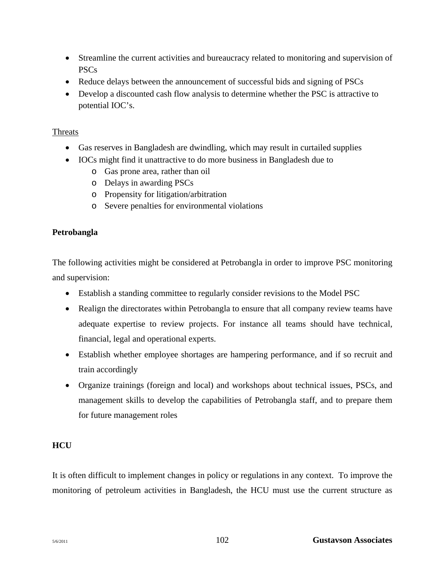- Streamline the current activities and bureaucracy related to monitoring and supervision of PSCs
- Reduce delays between the announcement of successful bids and signing of PSCs
- Develop a discounted cash flow analysis to determine whether the PSC is attractive to potential IOC's.

#### Threats

- Gas reserves in Bangladesh are dwindling, which may result in curtailed supplies
- IOCs might find it unattractive to do more business in Bangladesh due to
	- o Gas prone area, rather than oil
	- o Delays in awarding PSCs
	- o Propensity for litigation/arbitration
	- o Severe penalties for environmental violations

#### **Petrobangla**

The following activities might be considered at Petrobangla in order to improve PSC monitoring and supervision:

- Establish a standing committee to regularly consider revisions to the Model PSC
- Realign the directorates within Petrobangla to ensure that all company review teams have adequate expertise to review projects. For instance all teams should have technical, financial, legal and operational experts.
- Establish whether employee shortages are hampering performance, and if so recruit and train accordingly
- Organize trainings (foreign and local) and workshops about technical issues, PSCs, and management skills to develop the capabilities of Petrobangla staff, and to prepare them for future management roles

#### **HCU**

It is often difficult to implement changes in policy or regulations in any context. To improve the monitoring of petroleum activities in Bangladesh, the HCU must use the current structure as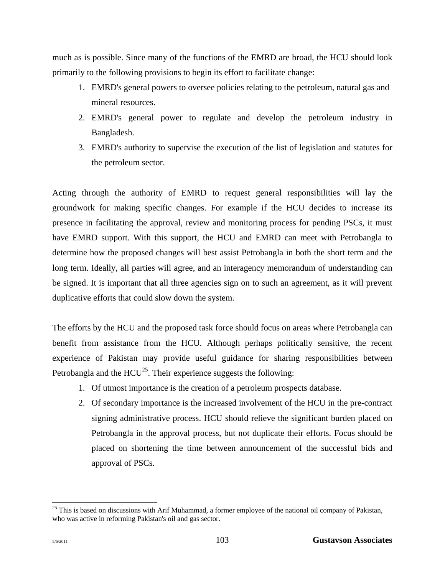much as is possible. Since many of the functions of the EMRD are broad, the HCU should look primarily to the following provisions to begin its effort to facilitate change:

- 1. EMRD's general powers to oversee policies relating to the petroleum, natural gas and mineral resources.
- 2. EMRD's general power to regulate and develop the petroleum industry in Bangladesh.
- 3. EMRD's authority to supervise the execution of the list of legislation and statutes for the petroleum sector.

Acting through the authority of EMRD to request general responsibilities will lay the groundwork for making specific changes. For example if the HCU decides to increase its presence in facilitating the approval, review and monitoring process for pending PSCs, it must have EMRD support. With this support, the HCU and EMRD can meet with Petrobangla to determine how the proposed changes will best assist Petrobangla in both the short term and the long term. Ideally, all parties will agree, and an interagency memorandum of understanding can be signed. It is important that all three agencies sign on to such an agreement, as it will prevent duplicative efforts that could slow down the system.

The efforts by the HCU and the proposed task force should focus on areas where Petrobangla can benefit from assistance from the HCU. Although perhaps politically sensitive, the recent experience of Pakistan may provide useful guidance for sharing responsibilities between Petrobangla and the  $HCU^{25}$ . Their experience suggests the following:

- 1. Of utmost importance is the creation of a petroleum prospects database.
- 2. Of secondary importance is the increased involvement of the HCU in the pre-contract signing administrative process. HCU should relieve the significant burden placed on Petrobangla in the approval process, but not duplicate their efforts. Focus should be placed on shortening the time between announcement of the successful bids and approval of PSCs.

l <sup>25</sup> This is based on discussions with Arif Muhammad, a former employee of the national oil company of Pakistan, who was active in reforming Pakistan's oil and gas sector.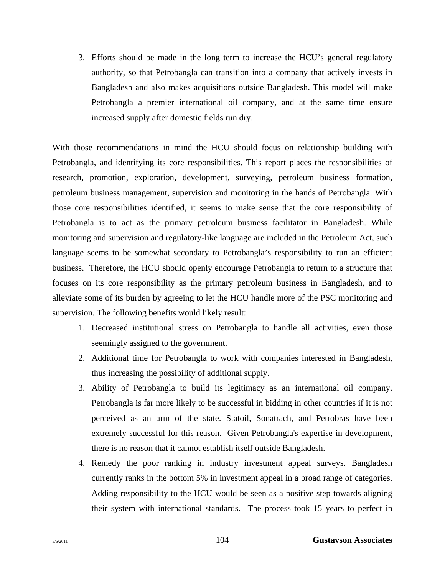3. Efforts should be made in the long term to increase the HCU's general regulatory authority, so that Petrobangla can transition into a company that actively invests in Bangladesh and also makes acquisitions outside Bangladesh. This model will make Petrobangla a premier international oil company, and at the same time ensure increased supply after domestic fields run dry.

With those recommendations in mind the HCU should focus on relationship building with Petrobangla, and identifying its core responsibilities. This report places the responsibilities of research, promotion, exploration, development, surveying, petroleum business formation, petroleum business management, supervision and monitoring in the hands of Petrobangla. With those core responsibilities identified, it seems to make sense that the core responsibility of Petrobangla is to act as the primary petroleum business facilitator in Bangladesh. While monitoring and supervision and regulatory-like language are included in the Petroleum Act, such language seems to be somewhat secondary to Petrobangla's responsibility to run an efficient business. Therefore, the HCU should openly encourage Petrobangla to return to a structure that focuses on its core responsibility as the primary petroleum business in Bangladesh, and to alleviate some of its burden by agreeing to let the HCU handle more of the PSC monitoring and supervision. The following benefits would likely result:

- 1. Decreased institutional stress on Petrobangla to handle all activities, even those seemingly assigned to the government.
- 2. Additional time for Petrobangla to work with companies interested in Bangladesh, thus increasing the possibility of additional supply.
- 3. Ability of Petrobangla to build its legitimacy as an international oil company. Petrobangla is far more likely to be successful in bidding in other countries if it is not perceived as an arm of the state. Statoil, Sonatrach, and Petrobras have been extremely successful for this reason. Given Petrobangla's expertise in development, there is no reason that it cannot establish itself outside Bangladesh.
- 4. Remedy the poor ranking in industry investment appeal surveys. Bangladesh currently ranks in the bottom 5% in investment appeal in a broad range of categories. Adding responsibility to the HCU would be seen as a positive step towards aligning their system with international standards. The process took 15 years to perfect in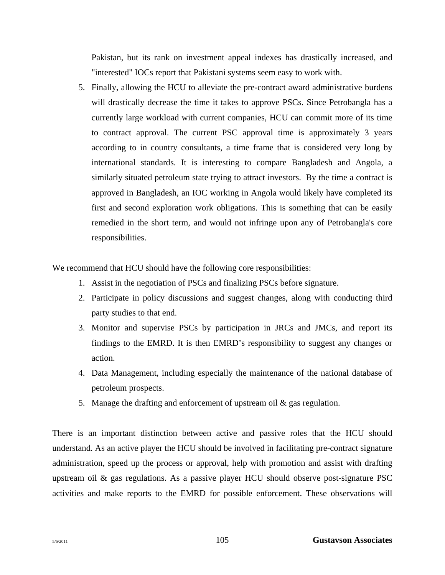Pakistan, but its rank on investment appeal indexes has drastically increased, and "interested" IOCs report that Pakistani systems seem easy to work with.

5. Finally, allowing the HCU to alleviate the pre-contract award administrative burdens will drastically decrease the time it takes to approve PSCs. Since Petrobangla has a currently large workload with current companies, HCU can commit more of its time to contract approval. The current PSC approval time is approximately 3 years according to in country consultants, a time frame that is considered very long by international standards. It is interesting to compare Bangladesh and Angola, a similarly situated petroleum state trying to attract investors. By the time a contract is approved in Bangladesh, an IOC working in Angola would likely have completed its first and second exploration work obligations. This is something that can be easily remedied in the short term, and would not infringe upon any of Petrobangla's core responsibilities.

We recommend that HCU should have the following core responsibilities:

- 1. Assist in the negotiation of PSCs and finalizing PSCs before signature.
- 2. Participate in policy discussions and suggest changes, along with conducting third party studies to that end.
- 3. Monitor and supervise PSCs by participation in JRCs and JMCs, and report its findings to the EMRD. It is then EMRD's responsibility to suggest any changes or action.
- 4. Data Management, including especially the maintenance of the national database of petroleum prospects.
- 5. Manage the drafting and enforcement of upstream oil & gas regulation.

There is an important distinction between active and passive roles that the HCU should understand. As an active player the HCU should be involved in facilitating pre-contract signature administration, speed up the process or approval, help with promotion and assist with drafting upstream oil & gas regulations. As a passive player HCU should observe post-signature PSC activities and make reports to the EMRD for possible enforcement. These observations will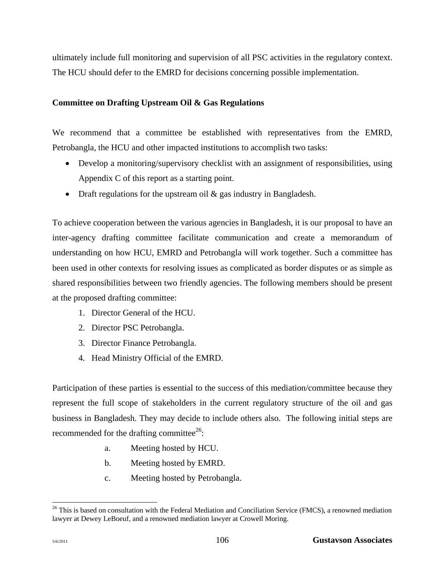ultimately include full monitoring and supervision of all PSC activities in the regulatory context. The HCU should defer to the EMRD for decisions concerning possible implementation.

#### **Committee on Drafting Upstream Oil & Gas Regulations**

We recommend that a committee be established with representatives from the EMRD, Petrobangla, the HCU and other impacted institutions to accomplish two tasks:

- Develop a monitoring/supervisory checklist with an assignment of responsibilities, using Appendix C of this report as a starting point.
- Draft regulations for the upstream oil  $\&$  gas industry in Bangladesh.

To achieve cooperation between the various agencies in Bangladesh, it is our proposal to have an inter-agency drafting committee facilitate communication and create a memorandum of understanding on how HCU, EMRD and Petrobangla will work together. Such a committee has been used in other contexts for resolving issues as complicated as border disputes or as simple as shared responsibilities between two friendly agencies. The following members should be present at the proposed drafting committee:

- 1. Director General of the HCU.
- 2. Director PSC Petrobangla.
- 3. Director Finance Petrobangla.
- 4. Head Ministry Official of the EMRD.

Participation of these parties is essential to the success of this mediation/committee because they represent the full scope of stakeholders in the current regulatory structure of the oil and gas business in Bangladesh. They may decide to include others also. The following initial steps are recommended for the drafting committee<sup>26</sup>:

- a. Meeting hosted by HCU.
- b. Meeting hosted by EMRD.
- c. Meeting hosted by Petrobangla.

l

 $26$  This is based on consultation with the Federal Mediation and Conciliation Service (FMCS), a renowned mediation lawyer at Dewey LeBoeuf, and a renowned mediation lawyer at Crowell Moring.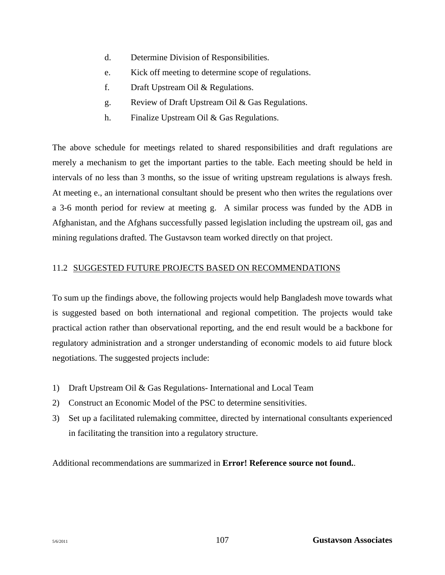- d. Determine Division of Responsibilities.
- e. Kick off meeting to determine scope of regulations.
- f. Draft Upstream Oil & Regulations.
- g. Review of Draft Upstream Oil & Gas Regulations.
- h. Finalize Upstream Oil & Gas Regulations.

The above schedule for meetings related to shared responsibilities and draft regulations are merely a mechanism to get the important parties to the table. Each meeting should be held in intervals of no less than 3 months, so the issue of writing upstream regulations is always fresh. At meeting e., an international consultant should be present who then writes the regulations over a 3-6 month period for review at meeting g. A similar process was funded by the ADB in Afghanistan, and the Afghans successfully passed legislation including the upstream oil, gas and mining regulations drafted. The Gustavson team worked directly on that project.

#### 11.2 SUGGESTED FUTURE PROJECTS BASED ON RECOMMENDATIONS

To sum up the findings above, the following projects would help Bangladesh move towards what is suggested based on both international and regional competition. The projects would take practical action rather than observational reporting, and the end result would be a backbone for regulatory administration and a stronger understanding of economic models to aid future block negotiations. The suggested projects include:

- 1) Draft Upstream Oil & Gas Regulations- International and Local Team
- 2) Construct an Economic Model of the PSC to determine sensitivities.
- 3) Set up a facilitated rulemaking committee, directed by international consultants experienced in facilitating the transition into a regulatory structure.

Additional recommendations are summarized in **Error! Reference source not found.**.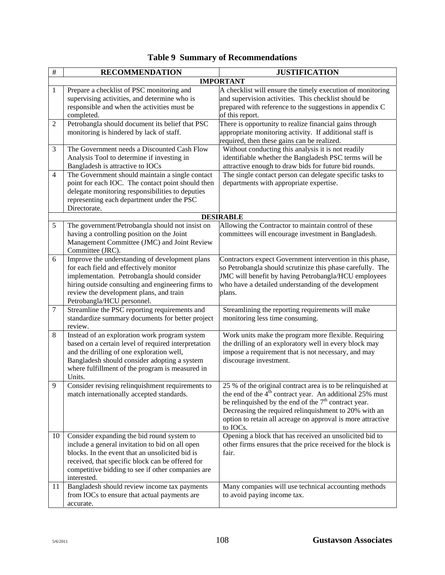| $\#$           | <b>RECOMMENDATION</b>                                                                                                                                                                                                                                                    | <b>JUSTIFICATION</b>                                                                                                                                                                                                                                                                                                   |
|----------------|--------------------------------------------------------------------------------------------------------------------------------------------------------------------------------------------------------------------------------------------------------------------------|------------------------------------------------------------------------------------------------------------------------------------------------------------------------------------------------------------------------------------------------------------------------------------------------------------------------|
|                |                                                                                                                                                                                                                                                                          | <b>IMPORTANT</b>                                                                                                                                                                                                                                                                                                       |
| 1              | Prepare a checklist of PSC monitoring and<br>supervising activities, and determine who is<br>responsible and when the activities must be<br>completed.                                                                                                                   | A checklist will ensure the timely execution of monitoring<br>and supervision activities. This checklist should be<br>prepared with reference to the suggestions in appendix C<br>of this report.                                                                                                                      |
| $\overline{2}$ | Petrobangla should document its belief that PSC<br>monitoring is hindered by lack of staff.                                                                                                                                                                              | There is opportunity to realize financial gains through<br>appropriate monitoring activity. If additional staff is<br>required, then these gains can be realized.                                                                                                                                                      |
| 3              | The Government needs a Discounted Cash Flow<br>Analysis Tool to determine if investing in<br>Bangladesh is attractive to IOCs                                                                                                                                            | Without conducting this analysis it is not readily<br>identifiable whether the Bangladesh PSC terms will be<br>attractive enough to draw bids for future bid rounds.                                                                                                                                                   |
| $\overline{4}$ | The Government should maintain a single contact<br>point for each IOC. The contact point should then<br>delegate monitoring responsibilities to deputies<br>representing each department under the PSC<br>Directorate.                                                   | The single contact person can delegate specific tasks to<br>departments with appropriate expertise.                                                                                                                                                                                                                    |
|                |                                                                                                                                                                                                                                                                          | <b>DESIRABLE</b>                                                                                                                                                                                                                                                                                                       |
| 5              | The government/Petrobangla should not insist on<br>having a controlling position on the Joint<br>Management Committee (JMC) and Joint Review<br>Committee (JRC).                                                                                                         | Allowing the Contractor to maintain control of these<br>committees will encourage investment in Bangladesh.                                                                                                                                                                                                            |
| 6              | Improve the understanding of development plans<br>for each field and effectively monitor<br>implementation. Petrobangla should consider<br>hiring outside consulting and engineering firms to<br>review the development plans, and train<br>Petrobangla/HCU personnel.   | Contractors expect Government intervention in this phase,<br>so Petrobangla should scrutinize this phase carefully. The<br>JMC will benefit by having Petrobangla/HCU employees<br>who have a detailed understanding of the development<br>plans.                                                                      |
| $\tau$         | Streamline the PSC reporting requirements and<br>standardize summary documents for better project<br>review.                                                                                                                                                             | Streamlining the reporting requirements will make<br>monitoring less time consuming.                                                                                                                                                                                                                                   |
| $\,8\,$        | Instead of an exploration work program system<br>based on a certain level of required interpretation<br>and the drilling of one exploration well,<br>Bangladesh should consider adopting a system<br>where fulfillment of the program is measured in<br>Units.           | Work units make the program more flexible. Requiring<br>the drilling of an exploratory well in every block may<br>impose a requirement that is not necessary, and may<br>discourage investment.                                                                                                                        |
| 9              | Consider revising relinquishment requirements to<br>match internationally accepted standards.                                                                                                                                                                            | 25 % of the original contract area is to be relinquished at<br>the end of the $4m$ contract year. An additional 25% must<br>be relinquished by the end of the $7th$ contract year.<br>Decreasing the required relinquishment to 20% with an<br>option to retain all acreage on approval is more attractive<br>to IOCs. |
| 10             | Consider expanding the bid round system to<br>include a general invitation to bid on all open<br>blocks. In the event that an unsolicited bid is<br>received, that specific block can be offered for<br>competitive bidding to see if other companies are<br>interested. | Opening a block that has received an unsolicited bid to<br>other firms ensures that the price received for the block is<br>fair.                                                                                                                                                                                       |
| 11             | Bangladesh should review income tax payments<br>from IOCs to ensure that actual payments are<br>accurate.                                                                                                                                                                | Many companies will use technical accounting methods<br>to avoid paying income tax.                                                                                                                                                                                                                                    |

## **Table 9 Summary of Recommendations**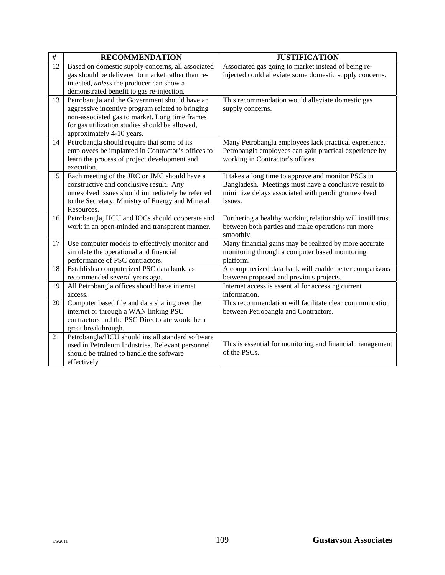| $\#$ | <b>RECOMMENDATION</b>                                                          | <b>JUSTIFICATION</b>                                                                                            |
|------|--------------------------------------------------------------------------------|-----------------------------------------------------------------------------------------------------------------|
| 12   | Based on domestic supply concerns, all associated                              | Associated gas going to market instead of being re-                                                             |
|      | gas should be delivered to market rather than re-                              | injected could alleviate some domestic supply concerns.                                                         |
|      | injected, <i>unless</i> the producer can show a                                |                                                                                                                 |
|      | demonstrated benefit to gas re-injection.                                      |                                                                                                                 |
| 13   | Petrobangla and the Government should have an                                  | This recommendation would alleviate domestic gas                                                                |
|      | aggressive incentive program related to bringing                               | supply concerns.                                                                                                |
|      | non-associated gas to market. Long time frames                                 |                                                                                                                 |
|      | for gas utilization studies should be allowed,                                 |                                                                                                                 |
|      | approximately 4-10 years.<br>Petrobangla should require that some of its       |                                                                                                                 |
| 14   | employees be implanted in Contractor's offices to                              | Many Petrobangla employees lack practical experience.<br>Petrobangla employees can gain practical experience by |
|      | learn the process of project development and                                   | working in Contractor's offices                                                                                 |
|      | execution.                                                                     |                                                                                                                 |
| 15   | Each meeting of the JRC or JMC should have a                                   | It takes a long time to approve and monitor PSCs in                                                             |
|      | constructive and conclusive result. Any                                        | Bangladesh. Meetings must have a conclusive result to                                                           |
|      | unresolved issues should immediately be referred                               | minimize delays associated with pending/unresolved                                                              |
|      | to the Secretary, Ministry of Energy and Mineral                               | issues.                                                                                                         |
|      | Resources.                                                                     |                                                                                                                 |
| 16   | Petrobangla, HCU and IOCs should cooperate and                                 | Furthering a healthy working relationship will instill trust                                                    |
|      | work in an open-minded and transparent manner.                                 | between both parties and make operations run more                                                               |
|      |                                                                                | smoothly.                                                                                                       |
| 17   | Use computer models to effectively monitor and                                 | Many financial gains may be realized by more accurate                                                           |
|      | simulate the operational and financial                                         | monitoring through a computer based monitoring                                                                  |
|      | performance of PSC contractors.                                                | platform.                                                                                                       |
| 18   | Establish a computerized PSC data bank, as                                     | A computerized data bank will enable better comparisons                                                         |
| 19   | recommended several years ago.<br>All Petrobangla offices should have internet | between proposed and previous projects.                                                                         |
|      | access.                                                                        | Internet access is essential for accessing current<br>information.                                              |
| 20   | Computer based file and data sharing over the                                  | This recommendation will facilitate clear communication                                                         |
|      | internet or through a WAN linking PSC                                          | between Petrobangla and Contractors.                                                                            |
|      | contractors and the PSC Directorate would be a                                 |                                                                                                                 |
|      | great breakthrough.                                                            |                                                                                                                 |
| 21   | Petrobangla/HCU should install standard software                               |                                                                                                                 |
|      | used in Petroleum Industries. Relevant personnel                               | This is essential for monitoring and financial management                                                       |
|      | should be trained to handle the software                                       | of the PSCs.                                                                                                    |
|      | effectively                                                                    |                                                                                                                 |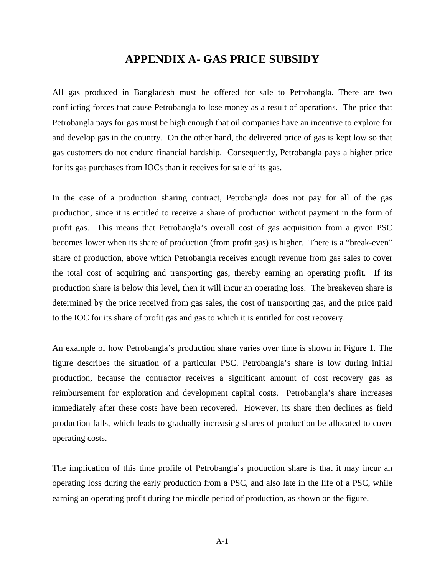### **APPENDIX A- GAS PRICE SUBSIDY**

All gas produced in Bangladesh must be offered for sale to Petrobangla. There are two conflicting forces that cause Petrobangla to lose money as a result of operations. The price that Petrobangla pays for gas must be high enough that oil companies have an incentive to explore for and develop gas in the country. On the other hand, the delivered price of gas is kept low so that gas customers do not endure financial hardship. Consequently, Petrobangla pays a higher price for its gas purchases from IOCs than it receives for sale of its gas.

In the case of a production sharing contract, Petrobangla does not pay for all of the gas production, since it is entitled to receive a share of production without payment in the form of profit gas. This means that Petrobangla's overall cost of gas acquisition from a given PSC becomes lower when its share of production (from profit gas) is higher. There is a "break-even" share of production, above which Petrobangla receives enough revenue from gas sales to cover the total cost of acquiring and transporting gas, thereby earning an operating profit. If its production share is below this level, then it will incur an operating loss. The breakeven share is determined by the price received from gas sales, the cost of transporting gas, and the price paid to the IOC for its share of profit gas and gas to which it is entitled for cost recovery.

An example of how Petrobangla's production share varies over time is shown in Figure 1. The figure describes the situation of a particular PSC. Petrobangla's share is low during initial production, because the contractor receives a significant amount of cost recovery gas as reimbursement for exploration and development capital costs. Petrobangla's share increases immediately after these costs have been recovered. However, its share then declines as field production falls, which leads to gradually increasing shares of production be allocated to cover operating costs.

The implication of this time profile of Petrobangla's production share is that it may incur an operating loss during the early production from a PSC, and also late in the life of a PSC, while earning an operating profit during the middle period of production, as shown on the figure.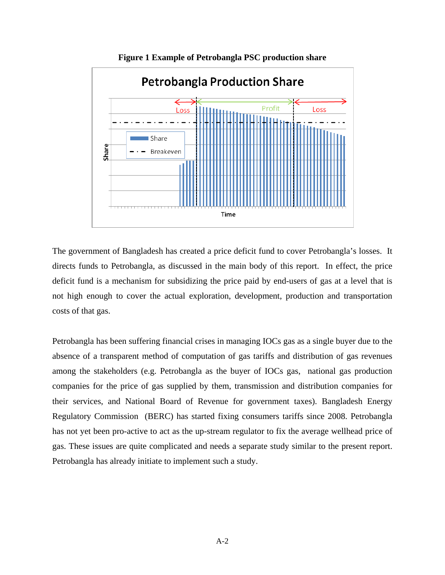

**Figure 1 Example of Petrobangla PSC production share** 

The government of Bangladesh has created a price deficit fund to cover Petrobangla's losses. It directs funds to Petrobangla, as discussed in the main body of this report. In effect, the price deficit fund is a mechanism for subsidizing the price paid by end-users of gas at a level that is not high enough to cover the actual exploration, development, production and transportation costs of that gas.

Petrobangla has been suffering financial crises in managing IOCs gas as a single buyer due to the absence of a transparent method of computation of gas tariffs and distribution of gas revenues among the stakeholders (e.g. Petrobangla as the buyer of IOCs gas, national gas production companies for the price of gas supplied by them, transmission and distribution companies for their services, and National Board of Revenue for government taxes). Bangladesh Energy Regulatory Commission (BERC) has started fixing consumers tariffs since 2008. Petrobangla has not yet been pro-active to act as the up-stream regulator to fix the average wellhead price of gas. These issues are quite complicated and needs a separate study similar to the present report. Petrobangla has already initiate to implement such a study.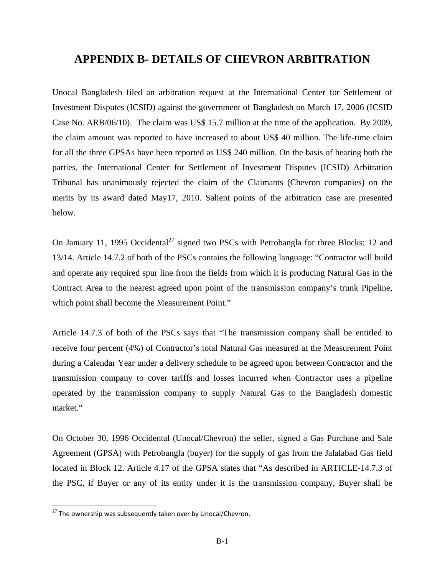## **APPENDIX B- DETAILS OF CHEVRON ARBITRATION**

Unocal Bangladesh filed an arbitration request at the International Center for Settlement of Investment Disputes (ICSID) against the government of Bangladesh on March 17, 2006 (ICSID Case No. ARB/06/10). The claim was US\$ 15.7 million at the time of the application. By 2009, the claim amount was reported to have increased to about US\$ 40 million. The life-time claim for all the three GPSAs have been reported as US\$ 240 million. On the basis of hearing both the parties, the International Center for Settlement of Investment Disputes (ICSID) Arbitration Tribunal has unanimously rejected the claim of the Claimants (Chevron companies) on the merits by its award dated May17, 2010. Salient points of the arbitration case are presented below.

On January 11, 1995 Occidental<sup>27</sup> signed two PSCs with Petrobangla for three Blocks: 12 and 13/14. Article 14.7.2 of both of the PSCs contains the following language: "Contractor will build and operate any required spur line from the fields from which it is producing Natural Gas in the Contract Area to the nearest agreed upon point of the transmission company's trunk Pipeline, which point shall become the Measurement Point."

Article 14.7.3 of both of the PSCs says that "The transmission company shall be entitled to receive four percent (4%) of Contractor's total Natural Gas measured at the Measurement Point during a Calendar Year under a delivery schedule to be agreed upon between Contractor and the transmission company to cover tariffs and losses incurred when Contractor uses a pipeline operated by the transmission company to supply Natural Gas to the Bangladesh domestic market."

On October 30, 1996 Occidental (Unocal/Chevron) the seller, signed a Gas Purchase and Sale Agreement (GPSA) with Petrobangla (buyer) for the supply of gas from the Jalalabad Gas field located in Block 12. Article 4.17 of the GPSA states that "As described in ARTICLE-14.7.3 of the PSC, if Buyer or any of its entity under it is the transmission company, Buyer shall be

l

<sup>&</sup>lt;sup>27</sup> The ownership was subsequently taken over by Unocal/Chevron.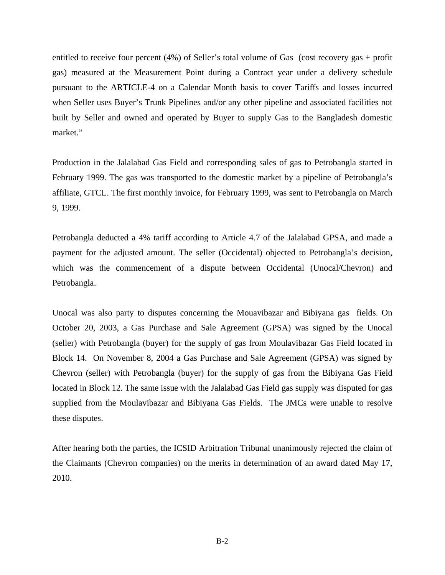entitled to receive four percent (4%) of Seller's total volume of Gas (cost recovery gas + profit gas) measured at the Measurement Point during a Contract year under a delivery schedule pursuant to the ARTICLE-4 on a Calendar Month basis to cover Tariffs and losses incurred when Seller uses Buyer's Trunk Pipelines and/or any other pipeline and associated facilities not built by Seller and owned and operated by Buyer to supply Gas to the Bangladesh domestic market."

Production in the Jalalabad Gas Field and corresponding sales of gas to Petrobangla started in February 1999. The gas was transported to the domestic market by a pipeline of Petrobangla's affiliate, GTCL. The first monthly invoice, for February 1999, was sent to Petrobangla on March 9, 1999.

Petrobangla deducted a 4% tariff according to Article 4.7 of the Jalalabad GPSA, and made a payment for the adjusted amount. The seller (Occidental) objected to Petrobangla's decision, which was the commencement of a dispute between Occidental (Unocal/Chevron) and Petrobangla.

Unocal was also party to disputes concerning the Mouavibazar and Bibiyana gas fields. On October 20, 2003, a Gas Purchase and Sale Agreement (GPSA) was signed by the Unocal (seller) with Petrobangla (buyer) for the supply of gas from Moulavibazar Gas Field located in Block 14. On November 8, 2004 a Gas Purchase and Sale Agreement (GPSA) was signed by Chevron (seller) with Petrobangla (buyer) for the supply of gas from the Bibiyana Gas Field located in Block 12. The same issue with the Jalalabad Gas Field gas supply was disputed for gas supplied from the Moulavibazar and Bibiyana Gas Fields. The JMCs were unable to resolve these disputes.

After hearing both the parties, the ICSID Arbitration Tribunal unanimously rejected the claim of the Claimants (Chevron companies) on the merits in determination of an award dated May 17, 2010.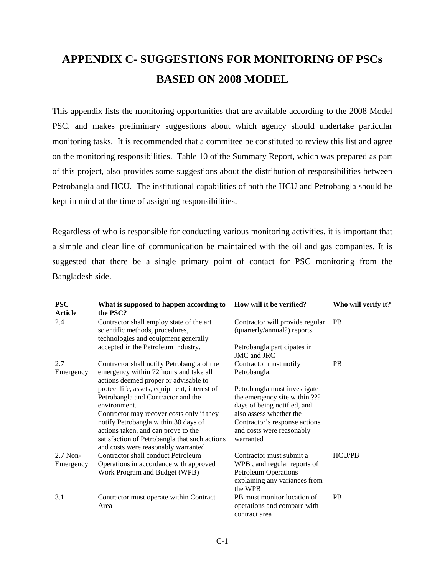# **APPENDIX C- SUGGESTIONS FOR MONITORING OF PSCs BASED ON 2008 MODEL**

This appendix lists the monitoring opportunities that are available according to the 2008 Model PSC, and makes preliminary suggestions about which agency should undertake particular monitoring tasks. It is recommended that a committee be constituted to review this list and agree on the monitoring responsibilities. Table 10 of the Summary Report, which was prepared as part of this project, also provides some suggestions about the distribution of responsibilities between Petrobangla and HCU. The institutional capabilities of both the HCU and Petrobangla should be kept in mind at the time of assigning responsibilities.

Regardless of who is responsible for conducting various monitoring activities, it is important that a simple and clear line of communication be maintained with the oil and gas companies. It is suggested that there be a single primary point of contact for PSC monitoring from the Bangladesh side.

| <b>PSC</b><br><b>Article</b> | What is supposed to happen according to<br>the PSC?                                                                                                                 | How will it be verified?                                                                                                           | Who will verify it? |
|------------------------------|---------------------------------------------------------------------------------------------------------------------------------------------------------------------|------------------------------------------------------------------------------------------------------------------------------------|---------------------|
| 2.4                          | Contractor shall employ state of the art<br>scientific methods, procedures,<br>technologies and equipment generally                                                 | Contractor will provide regular<br>(quarterly/annual?) reports                                                                     | <b>PB</b>           |
|                              | accepted in the Petroleum industry.                                                                                                                                 | Petrobangla participates in<br>JMC and JRC                                                                                         |                     |
| 2.7<br>Emergency             | Contractor shall notify Petrobangla of the<br>emergency within 72 hours and take all<br>actions deemed proper or advisable to                                       | Contractor must notify<br>Petrobangla.                                                                                             | <b>PB</b>           |
|                              | protect life, assets, equipment, interest of<br>Petrobangla and Contractor and the<br>environment.<br>Contractor may recover costs only if they                     | Petrobangla must investigate<br>the emergency site within ???<br>days of being notified, and<br>also assess whether the            |                     |
|                              | notify Petrobangla within 30 days of<br>actions taken, and can prove to the<br>satisfaction of Petrobangla that such actions<br>and costs were reasonably warranted | Contractor's response actions<br>and costs were reasonably<br>warranted                                                            |                     |
| $2.7$ Non-<br>Emergency      | Contractor shall conduct Petroleum<br>Operations in accordance with approved<br>Work Program and Budget (WPB)                                                       | Contractor must submit a<br>WPB, and regular reports of<br><b>Petroleum Operations</b><br>explaining any variances from<br>the WPB | <b>HCU/PB</b>       |
| 3.1                          | Contractor must operate within Contract<br>Area                                                                                                                     | PB must monitor location of<br>operations and compare with<br>contract area                                                        | PB                  |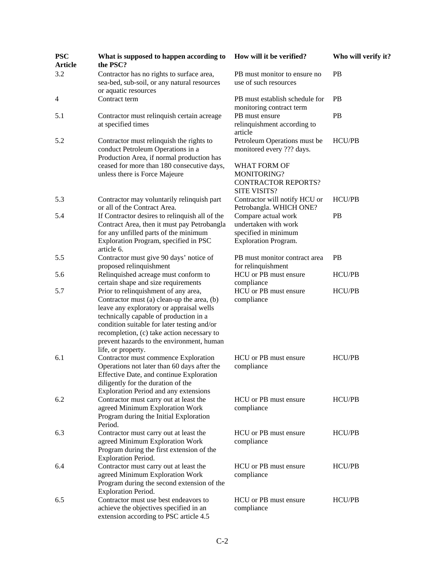| <b>PSC</b><br><b>Article</b> | What is supposed to happen according to<br>the PSC?                                                                                                                                                                                                                                                                                      | How will it be verified?                                                                           | Who will verify it? |
|------------------------------|------------------------------------------------------------------------------------------------------------------------------------------------------------------------------------------------------------------------------------------------------------------------------------------------------------------------------------------|----------------------------------------------------------------------------------------------------|---------------------|
| 3.2                          | Contractor has no rights to surface area,<br>sea-bed, sub-soil, or any natural resources<br>or aquatic resources                                                                                                                                                                                                                         | PB must monitor to ensure no<br>use of such resources                                              | <b>PB</b>           |
| $\overline{4}$               | Contract term                                                                                                                                                                                                                                                                                                                            | PB must establish schedule for<br>monitoring contract term                                         | <b>PB</b>           |
| 5.1                          | Contractor must relinquish certain acreage<br>at specified times                                                                                                                                                                                                                                                                         | PB must ensure<br>relinquishment according to<br>article                                           | PB                  |
| 5.2                          | Contractor must relinquish the rights to<br>conduct Petroleum Operations in a<br>Production Area, if normal production has                                                                                                                                                                                                               | Petroleum Operations must be<br>monitored every ??? days.                                          | <b>HCU/PB</b>       |
|                              | ceased for more than 180 consecutive days,<br>unless there is Force Majeure                                                                                                                                                                                                                                                              | WHAT FORM OF<br>MONITORING?<br><b>CONTRACTOR REPORTS?</b><br><b>SITE VISITS?</b>                   |                     |
| 5.3                          | Contractor may voluntarily relinquish part<br>or all of the Contract Area.                                                                                                                                                                                                                                                               | Contractor will notify HCU or<br>Petrobangla. WHICH ONE?                                           | HCU/PB              |
| 5.4                          | If Contractor desires to relinquish all of the<br>Contract Area, then it must pay Petrobangla<br>for any unfilled parts of the minimum<br>Exploration Program, specified in PSC<br>article 6.                                                                                                                                            | Compare actual work<br>undertaken with work<br>specified in minimum<br><b>Exploration Program.</b> | PB                  |
| 5.5                          | Contractor must give 90 days' notice of<br>proposed relinquishment                                                                                                                                                                                                                                                                       | PB must monitor contract area<br>for relinquishment                                                | <b>PB</b>           |
| 5.6                          | Relinquished acreage must conform to<br>certain shape and size requirements                                                                                                                                                                                                                                                              | HCU or PB must ensure<br>compliance                                                                | HCU/PB              |
| 5.7                          | Prior to relinquishment of any area,<br>Contractor must (a) clean-up the area, (b)<br>leave any exploratory or appraisal wells<br>technically capable of production in a<br>condition suitable for later testing and/or<br>recompletion, (c) take action necessary to<br>prevent hazards to the environment, human<br>life, or property. | HCU or PB must ensure<br>compliance                                                                | HCU/PB              |
| 6.1                          | Contractor must commence Exploration<br>Operations not later than 60 days after the<br>Effective Date, and continue Exploration<br>diligently for the duration of the<br>Exploration Period and any extensions                                                                                                                           | HCU or PB must ensure<br>compliance                                                                | <b>HCU/PB</b>       |
| 6.2                          | Contractor must carry out at least the<br>agreed Minimum Exploration Work<br>Program during the Initial Exploration<br>Period.                                                                                                                                                                                                           | HCU or PB must ensure<br>compliance                                                                | <b>HCU/PB</b>       |
| 6.3                          | Contractor must carry out at least the<br>agreed Minimum Exploration Work<br>Program during the first extension of the<br>Exploration Period.                                                                                                                                                                                            | HCU or PB must ensure<br>compliance                                                                | <b>HCU/PB</b>       |
| 6.4                          | Contractor must carry out at least the<br>agreed Minimum Exploration Work<br>Program during the second extension of the<br><b>Exploration Period.</b>                                                                                                                                                                                    | HCU or PB must ensure<br>compliance                                                                | HCU/PB              |
| 6.5                          | Contractor must use best endeavors to<br>achieve the objectives specified in an<br>extension according to PSC article 4.5                                                                                                                                                                                                                | HCU or PB must ensure<br>compliance                                                                | HCU/PB              |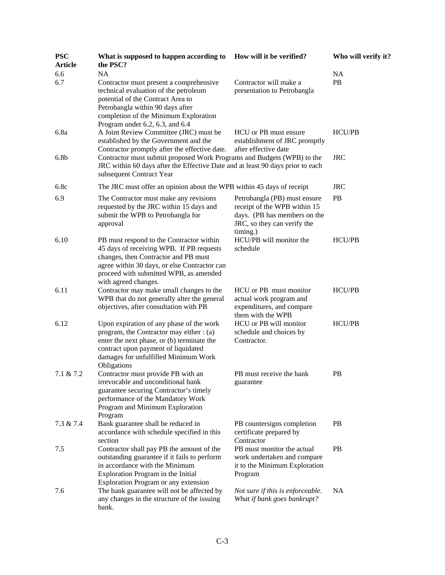| <b>PSC</b><br><b>Article</b> | What is supposed to happen according to<br>the PSC?                                                                                                                                                                                                | How will it be verified?                                                                                                                | Who will verify it?         |
|------------------------------|----------------------------------------------------------------------------------------------------------------------------------------------------------------------------------------------------------------------------------------------------|-----------------------------------------------------------------------------------------------------------------------------------------|-----------------------------|
| 6.6<br>6.7                   | <b>NA</b><br>Contractor must present a comprehensive<br>technical evaluation of the petroleum<br>potential of the Contract Area to<br>Petrobangla within 90 days after<br>completion of the Minimum Exploration<br>Program under 6.2, 6.3, and 6.4 | Contractor will make a<br>presentation to Petrobangla                                                                                   | <b>NA</b><br>PB             |
| 6.8a<br>6.8 <sub>b</sub>     | A Joint Review Committee (JRC) must be<br>established by the Government and the<br>Contractor promptly after the effective date.<br>Contractor must submit proposed Work Programs and Budgets (WPB) to the                                         | HCU or PB must ensure<br>establishment of JRC promptly<br>after effective date                                                          | <b>HCU/PB</b><br><b>JRC</b> |
|                              | JRC within 60 days after the Effective Date and at least 90 days prior to each<br>subsequent Contract Year                                                                                                                                         |                                                                                                                                         |                             |
| 6.8c                         | The JRC must offer an opinion about the WPB within 45 days of receipt                                                                                                                                                                              |                                                                                                                                         | <b>JRC</b>                  |
| 6.9                          | The Contractor must make any revisions<br>requested by the JRC within 15 days and<br>submit the WPB to Petrobangla for<br>approval                                                                                                                 | Petrobangla (PB) must ensure<br>receipt of the WPB within 15<br>days. (PB has members on the<br>JRC, so they can verify the<br>timing.) | <b>PB</b>                   |
| 6.10                         | PB must respond to the Contractor within<br>45 days of receiving WPB. If PB requests<br>changes, then Contractor and PB must<br>agree within 30 days, or else Contractor can<br>proceed with submitted WPB, as amended<br>with agreed changes.     | HCU/PB will monitor the<br>schedule                                                                                                     | <b>HCU/PB</b>               |
| 6.11                         | Contractor may make small changes to the<br>WPB that do not generally alter the general<br>objectives, after consultation with PB                                                                                                                  | HCU or PB must monitor<br>actual work program and<br>expenditures, and compare<br>them with the WPB                                     | <b>HCU/PB</b>               |
| 6.12                         | Upon expiration of any phase of the work<br>program, the Contractor may either : (a)<br>enter the next phase, or (b) terminate the<br>contract upon payment of liquidated<br>damages for unfulfilled Minimum Work<br>Obligations                   | HCU or PB will monitor<br>schedule and choices by<br>Contractor.                                                                        | <b>HCU/PB</b>               |
| $7.1 \& 7.2$                 | Contractor must provide PB with an<br>irrevocable and unconditional bank<br>guarantee securing Contractor's timely<br>performance of the Mandatory Work<br>Program and Minimum Exploration<br>Program                                              | PB must receive the bank<br>guarantee                                                                                                   | PB                          |
| $7.3 \& 7.4$                 | Bank guarantee shall be reduced in<br>accordance with schedule specified in this<br>section                                                                                                                                                        | PB countersigns completion<br>certificate prepared by<br>Contractor                                                                     | <b>PB</b>                   |
| 7.5                          | Contractor shall pay PB the amount of the<br>outstanding guarantee if it fails to perform<br>in accordance with the Minimum<br>Exploration Program in the Initial<br><b>Exploration Program or any extension</b>                                   | PB must monitor the actual<br>work undertaken and compare<br>it to the Minimum Exploration<br>Program                                   | PB                          |
| 7.6                          | The bank guarantee will not be affected by<br>any changes in the structure of the issuing<br>bank.                                                                                                                                                 | Not sure if this is enforceable.<br>What if bank goes bankrupt?                                                                         | NA.                         |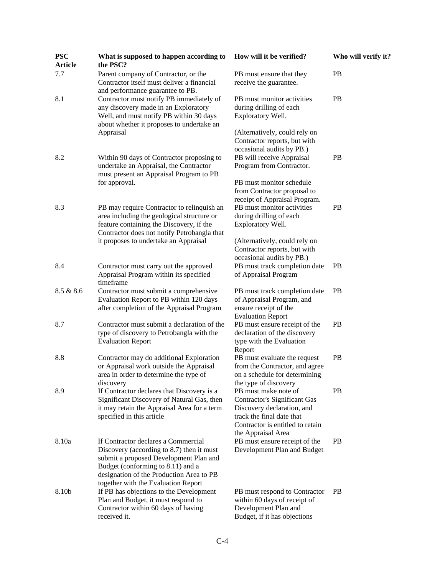| <b>PSC</b><br><b>Article</b> | What is supposed to happen according to<br>the PSC?                                                                                                                                                                                                | How will it be verified?                                                                                                                                                         | Who will verify it? |
|------------------------------|----------------------------------------------------------------------------------------------------------------------------------------------------------------------------------------------------------------------------------------------------|----------------------------------------------------------------------------------------------------------------------------------------------------------------------------------|---------------------|
| 7.7                          | Parent company of Contractor, or the<br>Contractor itself must deliver a financial                                                                                                                                                                 | PB must ensure that they<br>receive the guarantee.                                                                                                                               | <b>PB</b>           |
| 8.1                          | and performance guarantee to PB.<br>Contractor must notify PB immediately of<br>any discovery made in an Exploratory<br>Well, and must notify PB within 30 days<br>about whether it proposes to undertake an                                       | PB must monitor activities<br>during drilling of each<br>Exploratory Well.                                                                                                       | <b>PB</b>           |
|                              | Appraisal                                                                                                                                                                                                                                          | (Alternatively, could rely on<br>Contractor reports, but with<br>occasional audits by PB.)                                                                                       |                     |
| 8.2                          | Within 90 days of Contractor proposing to<br>undertake an Appraisal, the Contractor<br>must present an Appraisal Program to PB                                                                                                                     | PB will receive Appraisal<br>Program from Contractor.                                                                                                                            | <b>PB</b>           |
|                              | for approval.                                                                                                                                                                                                                                      | PB must monitor schedule<br>from Contractor proposal to<br>receipt of Appraisal Program.                                                                                         |                     |
| 8.3                          | PB may require Contractor to relinquish an<br>area including the geological structure or<br>feature containing the Discovery, if the                                                                                                               | PB must monitor activities<br>during drilling of each<br>Exploratory Well.                                                                                                       | PB                  |
|                              | Contractor does not notify Petrobangla that<br>it proposes to undertake an Appraisal                                                                                                                                                               | (Alternatively, could rely on<br>Contractor reports, but with<br>occasional audits by PB.)                                                                                       |                     |
| 8.4                          | Contractor must carry out the approved<br>Appraisal Program within its specified<br>timeframe                                                                                                                                                      | PB must track completion date<br>of Appraisal Program                                                                                                                            | <b>PB</b>           |
| 8.5 & 8.6                    | Contractor must submit a comprehensive<br>Evaluation Report to PB within 120 days<br>after completion of the Appraisal Program                                                                                                                     | PB must track completion date<br>of Appraisal Program, and<br>ensure receipt of the<br><b>Evaluation Report</b>                                                                  | <b>PB</b>           |
| 8.7                          | Contractor must submit a declaration of the<br>type of discovery to Petrobangla with the<br><b>Evaluation Report</b>                                                                                                                               | PB must ensure receipt of the<br>declaration of the discovery<br>type with the Evaluation<br>Report                                                                              | <b>PB</b>           |
| 8.8                          | Contractor may do additional Exploration<br>or Appraisal work outside the Appraisal<br>area in order to determine the type of<br>discovery                                                                                                         | PB must evaluate the request<br>from the Contractor, and agree<br>on a schedule for determining<br>the type of discovery                                                         | PB                  |
| 8.9                          | If Contractor declares that Discovery is a<br>Significant Discovery of Natural Gas, then<br>it may retain the Appraisal Area for a term<br>specified in this article                                                                               | PB must make note of<br><b>Contractor's Significant Gas</b><br>Discovery declaration, and<br>track the final date that<br>Contractor is entitled to retain<br>the Appraisal Area | PB                  |
| 8.10a                        | If Contractor declares a Commercial<br>Discovery (according to 8.7) then it must<br>submit a proposed Development Plan and<br>Budget (conforming to 8.11) and a<br>designation of the Production Area to PB<br>together with the Evaluation Report | PB must ensure receipt of the<br>Development Plan and Budget                                                                                                                     | <b>PB</b>           |
| 8.10b                        | If PB has objections to the Development<br>Plan and Budget, it must respond to<br>Contractor within 60 days of having<br>received it.                                                                                                              | PB must respond to Contractor<br>within 60 days of receipt of<br>Development Plan and<br>Budget, if it has objections                                                            | <b>PB</b>           |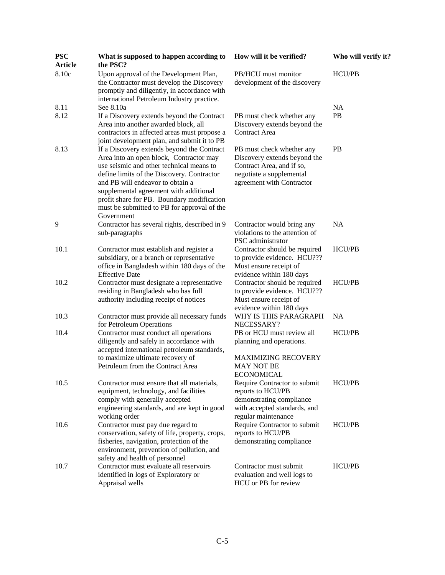| <b>PSC</b><br><b>Article</b> | What is supposed to happen according to<br>the PSC?                                                                                                                                                                                                                                                                                                                      | How will it be verified?                                                                                                                        | Who will verify it? |
|------------------------------|--------------------------------------------------------------------------------------------------------------------------------------------------------------------------------------------------------------------------------------------------------------------------------------------------------------------------------------------------------------------------|-------------------------------------------------------------------------------------------------------------------------------------------------|---------------------|
| 8.10c                        | Upon approval of the Development Plan,<br>the Contractor must develop the Discovery<br>promptly and diligently, in accordance with<br>international Petroleum Industry practice.                                                                                                                                                                                         | PB/HCU must monitor<br>development of the discovery                                                                                             | HCU/PB              |
| 8.11                         | See 8.10a                                                                                                                                                                                                                                                                                                                                                                |                                                                                                                                                 | NA                  |
| 8.12                         | If a Discovery extends beyond the Contract<br>Area into another awarded block, all<br>contractors in affected areas must propose a<br>joint development plan, and submit it to PB                                                                                                                                                                                        | PB must check whether any<br>Discovery extends beyond the<br><b>Contract Area</b>                                                               | PB                  |
| 8.13                         | If a Discovery extends beyond the Contract<br>Area into an open block, Contractor may<br>use seismic and other technical means to<br>define limits of the Discovery. Contractor<br>and PB will endeavor to obtain a<br>supplemental agreement with additional<br>profit share for PB. Boundary modification<br>must be submitted to PB for approval of the<br>Government | PB must check whether any<br>Discovery extends beyond the<br>Contract Area, and if so,<br>negotiate a supplemental<br>agreement with Contractor | PB                  |
| 9                            | Contractor has several rights, described in 9<br>sub-paragraphs                                                                                                                                                                                                                                                                                                          | Contractor would bring any<br>violations to the attention of<br>PSC administrator                                                               | <b>NA</b>           |
| 10.1                         | Contractor must establish and register a<br>subsidiary, or a branch or representative<br>office in Bangladesh within 180 days of the<br><b>Effective Date</b>                                                                                                                                                                                                            | Contractor should be required<br>to provide evidence. HCU???<br>Must ensure receipt of<br>evidence within 180 days                              | HCU/PB              |
| 10.2                         | Contractor must designate a representative<br>residing in Bangladesh who has full<br>authority including receipt of notices                                                                                                                                                                                                                                              | Contractor should be required<br>to provide evidence. HCU???<br>Must ensure receipt of<br>evidence within 180 days                              | <b>HCU/PB</b>       |
| 10.3                         | Contractor must provide all necessary funds<br>for Petroleum Operations                                                                                                                                                                                                                                                                                                  | WHY IS THIS PARAGRAPH<br>NECESSARY?                                                                                                             | <b>NA</b>           |
| 10.4                         | Contractor must conduct all operations<br>diligently and safely in accordance with<br>accepted international petroleum standards,<br>to maximize ultimate recovery of<br>Petroleum from the Contract Area                                                                                                                                                                | PB or HCU must review all<br>planning and operations.<br><b>MAXIMIZING RECOVERY</b><br><b>MAY NOT BE</b><br><b>ECONOMICAL</b>                   | <b>HCU/PB</b>       |
| 10.5                         | Contractor must ensure that all materials,<br>equipment, technology, and facilities<br>comply with generally accepted<br>engineering standards, and are kept in good<br>working order                                                                                                                                                                                    | Require Contractor to submit<br>reports to HCU/PB<br>demonstrating compliance<br>with accepted standards, and<br>regular maintenance            | <b>HCU/PB</b>       |
| 10.6                         | Contractor must pay due regard to<br>conservation, safety of life, property, crops,<br>fisheries, navigation, protection of the<br>environment, prevention of pollution, and<br>safety and health of personnel                                                                                                                                                           | Require Contractor to submit<br>reports to HCU/PB<br>demonstrating compliance                                                                   | HCU/PB              |
| 10.7                         | Contractor must evaluate all reservoirs<br>identified in logs of Exploratory or<br>Appraisal wells                                                                                                                                                                                                                                                                       | Contractor must submit<br>evaluation and well logs to<br>HCU or PB for review                                                                   | HCU/PB              |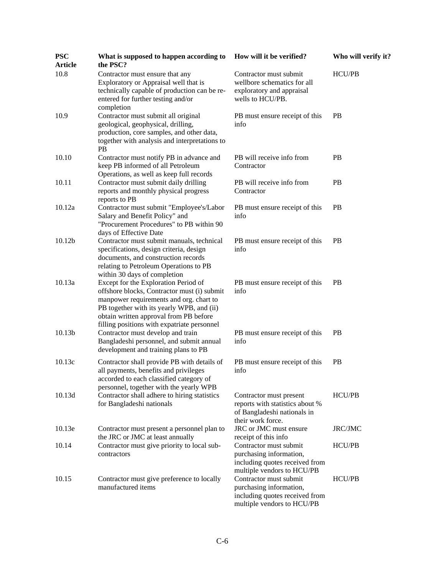| <b>PSC</b><br><b>Article</b> | What is supposed to happen according to<br>the PSC?                                                                                                                                                                                                                  | How will it be verified?                                                                                          | Who will verify it? |
|------------------------------|----------------------------------------------------------------------------------------------------------------------------------------------------------------------------------------------------------------------------------------------------------------------|-------------------------------------------------------------------------------------------------------------------|---------------------|
| 10.8                         | Contractor must ensure that any<br>Exploratory or Appraisal well that is<br>technically capable of production can be re-<br>entered for further testing and/or<br>completion                                                                                         | Contractor must submit<br>wellbore schematics for all<br>exploratory and appraisal<br>wells to HCU/PB.            | HCU/PB              |
| 10.9                         | Contractor must submit all original<br>geological, geophysical, drilling,<br>production, core samples, and other data,<br>together with analysis and interpretations to<br><b>PB</b>                                                                                 | PB must ensure receipt of this<br>info                                                                            | PB                  |
| 10.10                        | Contractor must notify PB in advance and<br>keep PB informed of all Petroleum<br>Operations, as well as keep full records                                                                                                                                            | PB will receive info from<br>Contractor                                                                           | PB                  |
| 10.11                        | Contractor must submit daily drilling<br>reports and monthly physical progress<br>reports to PB                                                                                                                                                                      | PB will receive info from<br>Contractor                                                                           | <b>PB</b>           |
| 10.12a                       | Contractor must submit "Employee's/Labor<br>Salary and Benefit Policy" and<br>"Procurement Procedures" to PB within 90<br>days of Effective Date                                                                                                                     | PB must ensure receipt of this<br>info                                                                            | PB                  |
| 10.12 <sub>b</sub>           | Contractor must submit manuals, technical<br>specifications, design criteria, design<br>documents, and construction records<br>relating to Petroleum Operations to PB<br>within 30 days of completion                                                                | PB must ensure receipt of this<br>info                                                                            | <b>PB</b>           |
| 10.13a                       | Except for the Exploration Period of<br>offshore blocks, Contractor must (i) submit<br>manpower requirements and org. chart to<br>PB together with its yearly WPB, and (ii)<br>obtain written approval from PB before<br>filling positions with expatriate personnel | PB must ensure receipt of this<br>info                                                                            | <b>PB</b>           |
| 10.13b                       | Contractor must develop and train<br>Bangladeshi personnel, and submit annual<br>development and training plans to PB                                                                                                                                                | PB must ensure receipt of this<br>info                                                                            | <b>PB</b>           |
| 10.13c                       | Contractor shall provide PB with details of<br>all payments, benefits and privileges<br>accorded to each classified category of<br>personnel, together with the yearly WPB                                                                                           | PB must ensure receipt of this<br>info                                                                            | <b>PB</b>           |
| 10.13d                       | Contractor shall adhere to hiring statistics<br>for Bangladeshi nationals                                                                                                                                                                                            | Contractor must present<br>reports with statistics about %<br>of Bangladeshi nationals in<br>their work force.    | <b>HCU/PB</b>       |
| 10.13e                       | Contractor must present a personnel plan to<br>the JRC or JMC at least annually                                                                                                                                                                                      | JRC or JMC must ensure<br>receipt of this info                                                                    | JRC/JMC             |
| 10.14                        | Contractor must give priority to local sub-<br>contractors                                                                                                                                                                                                           | Contractor must submit<br>purchasing information,<br>including quotes received from<br>multiple vendors to HCU/PB | HCU/PB              |
| 10.15                        | Contractor must give preference to locally<br>manufactured items                                                                                                                                                                                                     | Contractor must submit<br>purchasing information,<br>including quotes received from<br>multiple vendors to HCU/PB | HCU/PB              |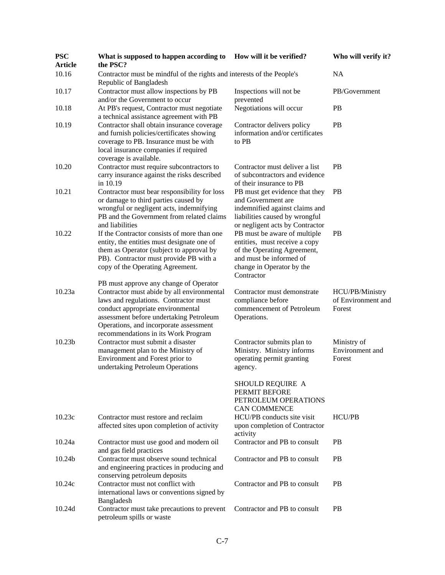| <b>PSC</b><br><b>Article</b> | What is supposed to happen according to<br>the PSC?                                                                                                                                                                                                                                            | How will it be verified?                                                                                                                                           | Who will verify it?                             |
|------------------------------|------------------------------------------------------------------------------------------------------------------------------------------------------------------------------------------------------------------------------------------------------------------------------------------------|--------------------------------------------------------------------------------------------------------------------------------------------------------------------|-------------------------------------------------|
| 10.16                        | Contractor must be mindful of the rights and interests of the People's<br>Republic of Bangladesh                                                                                                                                                                                               |                                                                                                                                                                    | <b>NA</b>                                       |
| 10.17                        | Contractor must allow inspections by PB<br>and/or the Government to occur                                                                                                                                                                                                                      | Inspections will not be<br>prevented                                                                                                                               | PB/Government                                   |
| 10.18                        | At PB's request, Contractor must negotiate<br>a technical assistance agreement with PB                                                                                                                                                                                                         | Negotiations will occur                                                                                                                                            | <b>PB</b>                                       |
| 10.19                        | Contractor shall obtain insurance coverage<br>and furnish policies/certificates showing<br>coverage to PB. Insurance must be with<br>local insurance companies if required<br>coverage is available.                                                                                           | Contractor delivers policy<br>information and/or certificates<br>to PB                                                                                             | <b>PB</b>                                       |
| 10.20                        | Contractor must require subcontractors to<br>carry insurance against the risks described<br>in 10.19                                                                                                                                                                                           | Contractor must deliver a list<br>of subcontractors and evidence<br>of their insurance to PB                                                                       | <b>PB</b>                                       |
| 10.21                        | Contractor must bear responsibility for loss<br>or damage to third parties caused by<br>wrongful or negligent acts, indemnifying<br>PB and the Government from related claims<br>and liabilities                                                                                               | PB must get evidence that they<br>and Government are<br>indemnified against claims and<br>liabilities caused by wrongful<br>or negligent acts by Contractor        | <b>PB</b>                                       |
| 10.22                        | If the Contractor consists of more than one<br>entity, the entities must designate one of<br>them as Operator (subject to approval by<br>PB). Contractor must provide PB with a<br>copy of the Operating Agreement.                                                                            | PB must be aware of multiple<br>entities, must receive a copy<br>of the Operating Agreement,<br>and must be informed of<br>change in Operator by the<br>Contractor | PB                                              |
| 10.23a                       | PB must approve any change of Operator<br>Contractor must abide by all environmental<br>laws and regulations. Contractor must<br>conduct appropriate environmental<br>assessment before undertaking Petroleum<br>Operations, and incorporate assessment<br>recommendations in its Work Program | Contractor must demonstrate<br>compliance before<br>commencement of Petroleum<br>Operations.                                                                       | HCU/PB/Ministry<br>of Environment and<br>Forest |
| 10.23 <sub>b</sub>           | Contractor must submit a disaster<br>management plan to the Ministry of<br>Environment and Forest prior to<br>undertaking Petroleum Operations                                                                                                                                                 | Contractor submits plan to<br>Ministry. Ministry informs<br>operating permit granting<br>agency.                                                                   | Ministry of<br>Environment and<br>Forest        |
|                              |                                                                                                                                                                                                                                                                                                | SHOULD REQUIRE A<br>PERMIT BEFORE<br>PETROLEUM OPERATIONS<br><b>CAN COMMENCE</b>                                                                                   |                                                 |
| 10.23c                       | Contractor must restore and reclaim<br>affected sites upon completion of activity                                                                                                                                                                                                              | HCU/PB conducts site visit<br>upon completion of Contractor<br>activity                                                                                            | <b>HCU/PB</b>                                   |
| 10.24a                       | Contractor must use good and modern oil<br>and gas field practices                                                                                                                                                                                                                             | Contractor and PB to consult                                                                                                                                       | <b>PB</b>                                       |
| 10.24b                       | Contractor must observe sound technical<br>and engineering practices in producing and<br>conserving petroleum deposits                                                                                                                                                                         | Contractor and PB to consult                                                                                                                                       | <b>PB</b>                                       |
| 10.24c                       | Contractor must not conflict with<br>international laws or conventions signed by                                                                                                                                                                                                               | Contractor and PB to consult                                                                                                                                       | <b>PB</b>                                       |
| 10.24d                       | Bangladesh<br>Contractor must take precautions to prevent<br>petroleum spills or waste                                                                                                                                                                                                         | Contractor and PB to consult                                                                                                                                       | <b>PB</b>                                       |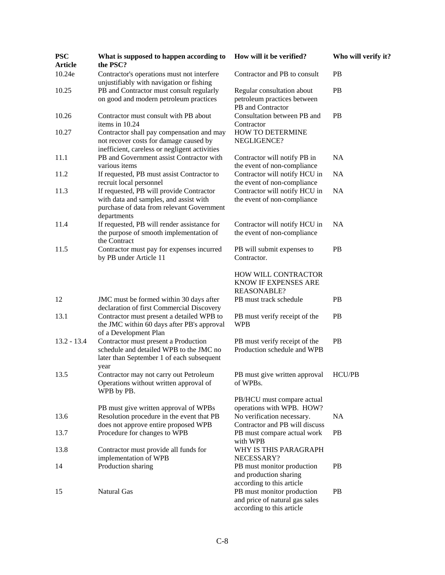| <b>PSC</b><br><b>Article</b> | What is supposed to happen according to<br>the PSC?                                                                                            | How will it be verified?                                                                  | Who will verify it? |
|------------------------------|------------------------------------------------------------------------------------------------------------------------------------------------|-------------------------------------------------------------------------------------------|---------------------|
| 10.24e                       | Contractor's operations must not interfere<br>unjustifiably with navigation or fishing                                                         | Contractor and PB to consult                                                              | <b>PB</b>           |
| 10.25                        | PB and Contractor must consult regularly<br>on good and modern petroleum practices                                                             | Regular consultation about<br>petroleum practices between<br>PB and Contractor            | <b>PB</b>           |
| 10.26                        | Contractor must consult with PB about<br>items in 10.24                                                                                        | Consultation between PB and<br>Contractor                                                 | PB                  |
| 10.27                        | Contractor shall pay compensation and may<br>not recover costs for damage caused by<br>inefficient, careless or negligent activities           | HOW TO DETERMINE<br>NEGLIGENCE?                                                           |                     |
| 11.1                         | PB and Government assist Contractor with<br>various items                                                                                      | Contractor will notify PB in<br>the event of non-compliance                               | <b>NA</b>           |
| 11.2                         | If requested, PB must assist Contractor to<br>recruit local personnel                                                                          | Contractor will notify HCU in<br>the event of non-compliance                              | <b>NA</b>           |
| 11.3                         | If requested, PB will provide Contractor<br>with data and samples, and assist with<br>purchase of data from relevant Government<br>departments | Contractor will notify HCU in<br>the event of non-compliance                              | <b>NA</b>           |
| 11.4                         | If requested, PB will render assistance for<br>the purpose of smooth implementation of<br>the Contract                                         | Contractor will notify HCU in<br>the event of non-compliance                              | <b>NA</b>           |
| 11.5                         | Contractor must pay for expenses incurred<br>by PB under Article 11                                                                            | PB will submit expenses to<br>Contractor.                                                 | PB                  |
|                              |                                                                                                                                                | HOW WILL CONTRACTOR<br>KNOW IF EXPENSES ARE<br><b>REASONABLE?</b>                         |                     |
| 12                           | JMC must be formed within 30 days after<br>declaration of first Commercial Discovery                                                           | PB must track schedule                                                                    | PB                  |
| 13.1                         | Contractor must present a detailed WPB to<br>the JMC within 60 days after PB's approval<br>of a Development Plan                               | PB must verify receipt of the<br><b>WPB</b>                                               | PB                  |
| $13.2 - 13.4$                | Contractor must present a Production<br>schedule and detailed WPB to the JMC no<br>later than September 1 of each subsequent<br>year           | PB must verify receipt of the<br>Production schedule and WPB                              | PB                  |
| 13.5                         | Contractor may not carry out Petroleum<br>Operations without written approval of<br>WPB by PB.                                                 | PB must give written approval<br>of WPBs.                                                 | HCU/PB              |
|                              | PB must give written approval of WPBs                                                                                                          | PB/HCU must compare actual<br>operations with WPB. HOW?                                   |                     |
| 13.6                         | Resolution procedure in the event that PB<br>does not approve entire proposed WPB                                                              | No verification necessary.<br>Contractor and PB will discuss                              | <b>NA</b>           |
| 13.7                         | Procedure for changes to WPB                                                                                                                   | PB must compare actual work<br>with WPB                                                   | PB                  |
| 13.8                         | Contractor must provide all funds for<br>implementation of WPB                                                                                 | WHY IS THIS PARAGRAPH<br>NECESSARY?                                                       |                     |
| 14                           | Production sharing                                                                                                                             | PB must monitor production<br>and production sharing<br>according to this article         | PB                  |
| 15                           | Natural Gas                                                                                                                                    | PB must monitor production<br>and price of natural gas sales<br>according to this article | <b>PB</b>           |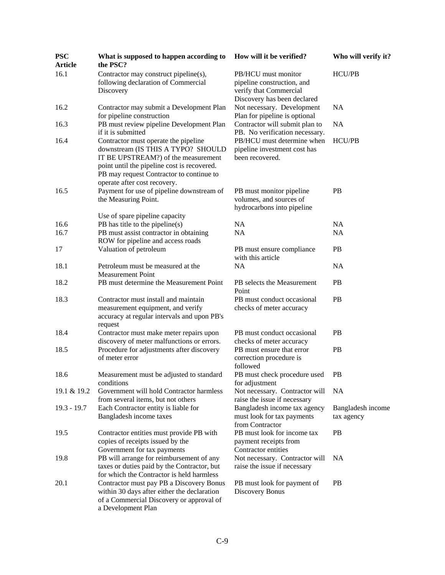| <b>PSC</b><br><b>Article</b> | What is supposed to happen according to<br>the PSC?                                                                                                       | How will it be verified?                                                                                   | Who will verify it?             |
|------------------------------|-----------------------------------------------------------------------------------------------------------------------------------------------------------|------------------------------------------------------------------------------------------------------------|---------------------------------|
| 16.1                         | Contractor may construct pipeline(s),<br>following declaration of Commercial<br>Discovery                                                                 | PB/HCU must monitor<br>pipeline construction, and<br>verify that Commercial<br>Discovery has been declared | HCU/PB                          |
| 16.2                         | Contractor may submit a Development Plan<br>for pipeline construction                                                                                     | Not necessary. Development<br>Plan for pipeline is optional                                                | <b>NA</b>                       |
| 16.3                         | PB must review pipeline Development Plan<br>if it is submitted                                                                                            | Contractor will submit plan to<br>PB. No verification necessary.                                           | <b>NA</b>                       |
| 16.4                         | Contractor must operate the pipeline<br>downstream (IS THIS A TYPO? SHOULD<br>IT BE UPSTREAM?) of the measurement                                         | PB/HCU must determine when<br>pipeline investment cost has<br>been recovered.                              | <b>HCU/PB</b>                   |
|                              | point until the pipeline cost is recovered.<br>PB may request Contractor to continue to<br>operate after cost recovery.                                   |                                                                                                            |                                 |
| 16.5                         | Payment for use of pipeline downstream of<br>the Measuring Point.                                                                                         | PB must monitor pipeline<br>volumes, and sources of<br>hydrocarbons into pipeline                          | PB                              |
|                              | Use of spare pipeline capacity                                                                                                                            |                                                                                                            |                                 |
| 16.6                         | PB has title to the pipeline(s)                                                                                                                           | <b>NA</b>                                                                                                  | <b>NA</b>                       |
| 16.7                         | PB must assist contractor in obtaining<br>ROW for pipeline and access roads                                                                               | NA                                                                                                         | <b>NA</b>                       |
| 17                           | Valuation of petroleum                                                                                                                                    | PB must ensure compliance<br>with this article                                                             | PB                              |
| 18.1                         | Petroleum must be measured at the<br><b>Measurement Point</b>                                                                                             | <b>NA</b>                                                                                                  | <b>NA</b>                       |
| 18.2                         | PB must determine the Measurement Point                                                                                                                   | PB selects the Measurement<br>Point                                                                        | <b>PB</b>                       |
| 18.3                         | Contractor must install and maintain<br>measurement equipment, and verify<br>accuracy at regular intervals and upon PB's<br>request                       | PB must conduct occasional<br>checks of meter accuracy                                                     | PB                              |
| 18.4                         | Contractor must make meter repairs upon<br>discovery of meter malfunctions or errors.                                                                     | PB must conduct occasional<br>checks of meter accuracy                                                     | PB                              |
| 18.5                         | Procedure for adjustments after discovery<br>of meter error                                                                                               | PB must ensure that error<br>correction procedure is<br>followed                                           | PB                              |
| 18.6                         | Measurement must be adjusted to standard<br>conditions                                                                                                    | PB must check procedure used<br>for adjustment                                                             | <b>PB</b>                       |
| 19.1 & 19.2                  | Government will hold Contractor harmless<br>from several items, but not others                                                                            | Not necessary. Contractor will<br>raise the issue if necessary                                             | <b>NA</b>                       |
| $19.3 - 19.7$                | Each Contractor entity is liable for<br>Bangladesh income taxes                                                                                           | Bangladesh income tax agency<br>must look for tax payments<br>from Contractor                              | Bangladesh income<br>tax agency |
| 19.5                         | Contractor entities must provide PB with<br>copies of receipts issued by the<br>Government for tax payments                                               | PB must look for income tax<br>payment receipts from<br>Contractor entities                                | <b>PB</b>                       |
| 19.8                         | PB will arrange for reimbursement of any<br>taxes or duties paid by the Contractor, but<br>for which the Contractor is held harmless                      | Not necessary. Contractor will<br>raise the issue if necessary                                             | <b>NA</b>                       |
| 20.1                         | Contractor must pay PB a Discovery Bonus<br>within 30 days after either the declaration<br>of a Commercial Discovery or approval of<br>a Development Plan | PB must look for payment of<br>Discovery Bonus                                                             | <b>PB</b>                       |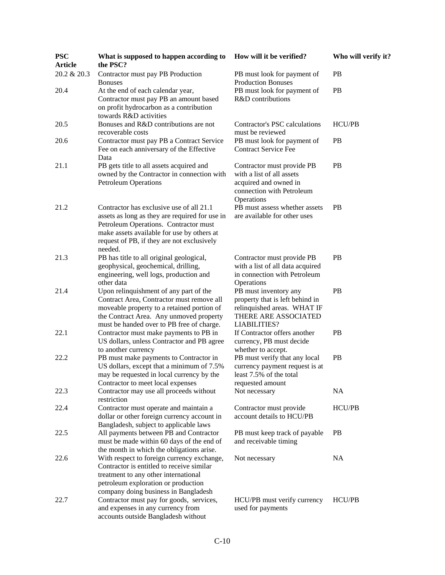| <b>PSC</b><br><b>Article</b> | What is supposed to happen according to<br>the PSC?                                                                                                                                                                                        | How will it be verified?                                                                                                               | Who will verify it? |
|------------------------------|--------------------------------------------------------------------------------------------------------------------------------------------------------------------------------------------------------------------------------------------|----------------------------------------------------------------------------------------------------------------------------------------|---------------------|
| 20.2 & 20.3                  | Contractor must pay PB Production<br><b>Bonuses</b>                                                                                                                                                                                        | PB must look for payment of<br><b>Production Bonuses</b>                                                                               | <b>PB</b>           |
| 20.4                         | At the end of each calendar year,<br>Contractor must pay PB an amount based<br>on profit hydrocarbon as a contribution<br>towards R&D activities                                                                                           | PB must look for payment of<br>R&D contributions                                                                                       | PB                  |
| 20.5                         | Bonuses and R&D contributions are not<br>recoverable costs                                                                                                                                                                                 | Contractor's PSC calculations<br>must be reviewed                                                                                      | <b>HCU/PB</b>       |
| 20.6                         | Contractor must pay PB a Contract Service<br>Fee on each anniversary of the Effective<br>Data                                                                                                                                              | PB must look for payment of<br><b>Contract Service Fee</b>                                                                             | PB                  |
| 21.1                         | PB gets title to all assets acquired and<br>owned by the Contractor in connection with<br><b>Petroleum Operations</b>                                                                                                                      | Contractor must provide PB<br>with a list of all assets<br>acquired and owned in<br>connection with Petroleum<br>Operations            | PB                  |
| 21.2                         | Contractor has exclusive use of all 21.1<br>assets as long as they are required for use in<br>Petroleum Operations. Contractor must<br>make assets available for use by others at<br>request of PB, if they are not exclusively<br>needed. | PB must assess whether assets<br>are available for other uses                                                                          | <b>PB</b>           |
| 21.3                         | PB has title to all original geological,<br>geophysical, geochemical, drilling,<br>engineering, well logs, production and<br>other data                                                                                                    | Contractor must provide PB<br>with a list of all data acquired<br>in connection with Petroleum<br>Operations                           | <b>PB</b>           |
| 21.4                         | Upon relinquishment of any part of the<br>Contract Area, Contractor must remove all<br>moveable property to a retained portion of<br>the Contract Area. Any unmoved property<br>must be handed over to PB free of charge.                  | PB must inventory any<br>property that is left behind in<br>relinquished areas. WHAT IF<br>THERE ARE ASSOCIATED<br><b>LIABILITIES?</b> | PB                  |
| 22.1                         | Contractor must make payments to PB in<br>US dollars, unless Contractor and PB agree<br>to another currency                                                                                                                                | If Contractor offers another<br>currency, PB must decide<br>whether to accept.                                                         | <b>PB</b>           |
| 22.2                         | PB must make payments to Contractor in<br>US dollars, except that a minimum of 7.5%<br>may be requested in local currency by the<br>Contractor to meet local expenses                                                                      | PB must verify that any local<br>currency payment request is at<br>least 7.5% of the total<br>requested amount                         | <b>PB</b>           |
| 22.3                         | Contractor may use all proceeds without<br>restriction                                                                                                                                                                                     | Not necessary                                                                                                                          | <b>NA</b>           |
| 22.4                         | Contractor must operate and maintain a<br>dollar or other foreign currency account in<br>Bangladesh, subject to applicable laws                                                                                                            | Contractor must provide<br>account details to HCU/PB                                                                                   | HCU/PB              |
| 22.5                         | All payments between PB and Contractor<br>must be made within 60 days of the end of<br>the month in which the obligations arise.                                                                                                           | PB must keep track of payable<br>and receivable timing                                                                                 | <b>PB</b>           |
| 22.6                         | With respect to foreign currency exchange,<br>Contractor is entitled to receive similar<br>treatment to any other international<br>petroleum exploration or production<br>company doing business in Bangladesh                             | Not necessary                                                                                                                          | NA                  |
| 22.7                         | Contractor must pay for goods, services,<br>and expenses in any currency from<br>accounts outside Bangladesh without                                                                                                                       | HCU/PB must verify currency<br>used for payments                                                                                       | HCU/PB              |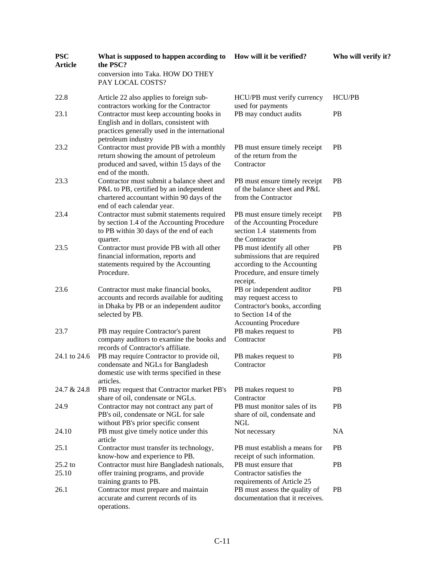| <b>PSC</b><br><b>Article</b> | What is supposed to happen according to<br>the PSC?                                                                                                              | How will it be verified?                                                                                                                   | Who will verify it? |
|------------------------------|------------------------------------------------------------------------------------------------------------------------------------------------------------------|--------------------------------------------------------------------------------------------------------------------------------------------|---------------------|
|                              | conversion into Taka. HOW DO THEY<br>PAY LOCAL COSTS?                                                                                                            |                                                                                                                                            |                     |
| 22.8                         | Article 22 also applies to foreign sub-<br>contractors working for the Contractor                                                                                | HCU/PB must verify currency<br>used for payments                                                                                           | <b>HCU/PB</b>       |
| 23.1                         | Contractor must keep accounting books in<br>English and in dollars, consistent with<br>practices generally used in the international<br>petroleum industry       | PB may conduct audits                                                                                                                      | <b>PB</b>           |
| 23.2                         | Contractor must provide PB with a monthly<br>return showing the amount of petroleum<br>produced and saved, within 15 days of the<br>end of the month.            | PB must ensure timely receipt<br>of the return from the<br>Contractor                                                                      | <b>PB</b>           |
| 23.3                         | Contractor must submit a balance sheet and<br>P&L to PB, certified by an independent<br>chartered accountant within 90 days of the<br>end of each calendar year. | PB must ensure timely receipt<br>of the balance sheet and P&L<br>from the Contractor                                                       | PB                  |
| 23.4                         | Contractor must submit statements required<br>by section 1.4 of the Accounting Procedure<br>to PB within 30 days of the end of each<br>quarter.                  | PB must ensure timely receipt<br>of the Accounting Procedure<br>section 1.4 statements from<br>the Contractor                              | <b>PB</b>           |
| 23.5                         | Contractor must provide PB with all other<br>financial information, reports and<br>statements required by the Accounting<br>Procedure.                           | PB must identify all other<br>submissions that are required<br>according to the Accounting<br>Procedure, and ensure timely<br>receipt.     | PB                  |
| 23.6                         | Contractor must make financial books,<br>accounts and records available for auditing<br>in Dhaka by PB or an independent auditor<br>selected by PB.              | PB or independent auditor<br>may request access to<br>Contractor's books, according<br>to Section 14 of the<br><b>Accounting Procedure</b> | PB                  |
| 23.7                         | PB may require Contractor's parent<br>company auditors to examine the books and<br>records of Contractor's affiliate.                                            | PB makes request to<br>Contractor                                                                                                          | PB                  |
| 24.1 to 24.6                 | PB may require Contractor to provide oil,<br>condensate and NGLs for Bangladesh<br>domestic use with terms specified in these<br>articles.                       | PB makes request to<br>Contractor                                                                                                          | PB                  |
| 24.7 & 24.8                  | PB may request that Contractor market PB's<br>share of oil, condensate or NGLs.                                                                                  | PB makes request to<br>Contractor                                                                                                          | <b>PB</b>           |
| 24.9                         | Contractor may not contract any part of<br>PB's oil, condensate or NGL for sale<br>without PB's prior specific consent                                           | PB must monitor sales of its<br>share of oil, condensate and<br><b>NGL</b>                                                                 | PB                  |
| 24.10                        | PB must give timely notice under this<br>article                                                                                                                 | Not necessary                                                                                                                              | NA                  |
| 25.1                         | Contractor must transfer its technology,<br>know-how and experience to PB.                                                                                       | PB must establish a means for<br>receipt of such information.                                                                              | PB                  |
| $25.2$ to<br>25.10           | Contractor must hire Bangladesh nationals,<br>offer training programs, and provide<br>training grants to PB.                                                     | PB must ensure that<br>Contractor satisfies the<br>requirements of Article 25                                                              | PB                  |
| 26.1                         | Contractor must prepare and maintain<br>accurate and current records of its<br>operations.                                                                       | PB must assess the quality of<br>documentation that it receives.                                                                           | <b>PB</b>           |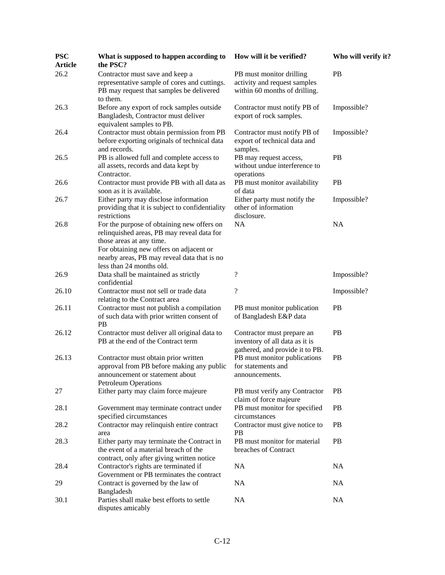| <b>PSC</b><br><b>Article</b> | What is supposed to happen according to<br>the PSC?                                                                                                                                                                                        | How will it be verified?                                                                        | Who will verify it? |
|------------------------------|--------------------------------------------------------------------------------------------------------------------------------------------------------------------------------------------------------------------------------------------|-------------------------------------------------------------------------------------------------|---------------------|
| 26.2                         | Contractor must save and keep a<br>representative sample of cores and cuttings.<br>PB may request that samples be delivered<br>to them.                                                                                                    | PB must monitor drilling<br>activity and request samples<br>within 60 months of drilling.       | <b>PB</b>           |
| 26.3                         | Before any export of rock samples outside<br>Bangladesh, Contractor must deliver<br>equivalent samples to PB.                                                                                                                              | Contractor must notify PB of<br>export of rock samples.                                         | Impossible?         |
| 26.4                         | Contractor must obtain permission from PB<br>before exporting originals of technical data<br>and records.                                                                                                                                  | Contractor must notify PB of<br>export of technical data and<br>samples.                        | Impossible?         |
| 26.5                         | PB is allowed full and complete access to<br>all assets, records and data kept by<br>Contractor.                                                                                                                                           | PB may request access,<br>without undue interference to<br>operations                           | PB                  |
| 26.6                         | Contractor must provide PB with all data as<br>soon as it is available.                                                                                                                                                                    | PB must monitor availability<br>of data                                                         | <b>PB</b>           |
| 26.7                         | Either party may disclose information<br>providing that it is subject to confidentiality<br>restrictions                                                                                                                                   | Either party must notify the<br>other of information<br>disclosure.                             | Impossible?         |
| 26.8                         | For the purpose of obtaining new offers on<br>relinquished areas, PB may reveal data for<br>those areas at any time.<br>For obtaining new offers on adjacent or<br>nearby areas, PB may reveal data that is no<br>less than 24 months old. | NA                                                                                              | <b>NA</b>           |
| 26.9                         | Data shall be maintained as strictly<br>confidential                                                                                                                                                                                       | $\overline{\mathcal{L}}$                                                                        | Impossible?         |
| 26.10                        | Contractor must not sell or trade data<br>relating to the Contract area                                                                                                                                                                    | $\overline{\cdot}$                                                                              | Impossible?         |
| 26.11                        | Contractor must not publish a compilation<br>of such data with prior written consent of<br>PB                                                                                                                                              | PB must monitor publication<br>of Bangladesh E&P data                                           | PB                  |
| 26.12                        | Contractor must deliver all original data to<br>PB at the end of the Contract term                                                                                                                                                         | Contractor must prepare an<br>inventory of all data as it is<br>gathered, and provide it to PB. | PB                  |
| 26.13                        | Contractor must obtain prior written<br>approval from PB before making any public<br>announcement or statement about<br><b>Petroleum Operations</b>                                                                                        | PB must monitor publications<br>for statements and<br>announcements.                            | PB                  |
| 27                           | Either party may claim force majeure                                                                                                                                                                                                       | PB must verify any Contractor<br>claim of force majeure                                         | <b>PB</b>           |
| 28.1                         | Government may terminate contract under<br>specified circumstances                                                                                                                                                                         | PB must monitor for specified<br>circumstances                                                  | PB                  |
| 28.2                         | Contractor may relinquish entire contract<br>area                                                                                                                                                                                          | Contractor must give notice to<br><b>PB</b>                                                     | <b>PB</b>           |
| 28.3                         | Either party may terminate the Contract in<br>the event of a material breach of the<br>contract, only after giving written notice                                                                                                          | PB must monitor for material<br>breaches of Contract                                            | PB                  |
| 28.4                         | Contractor's rights are terminated if<br>Government or PB terminates the contract                                                                                                                                                          | NA                                                                                              | NA                  |
| 29                           | Contract is governed by the law of<br>Bangladesh                                                                                                                                                                                           | NA                                                                                              | NA                  |
| 30.1                         | Parties shall make best efforts to settle<br>disputes amicably                                                                                                                                                                             | <b>NA</b>                                                                                       | <b>NA</b>           |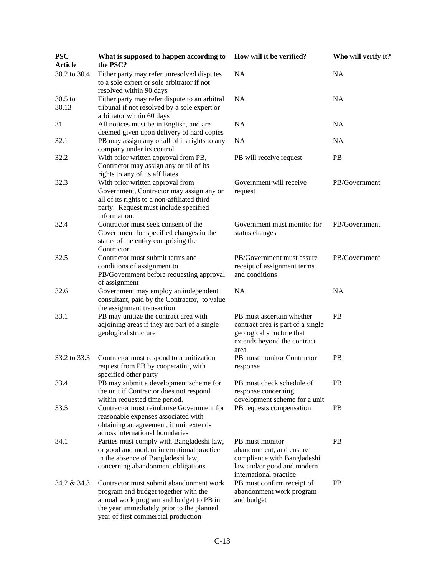| <b>PSC</b><br><b>Article</b> | What is supposed to happen according to<br>the PSC?                                                                                                                                                            | How will it be verified?                                                                                                           | Who will verify it? |
|------------------------------|----------------------------------------------------------------------------------------------------------------------------------------------------------------------------------------------------------------|------------------------------------------------------------------------------------------------------------------------------------|---------------------|
| 30.2 to 30.4                 | Either party may refer unresolved disputes<br>to a sole expert or sole arbitrator if not<br>resolved within 90 days                                                                                            | <b>NA</b>                                                                                                                          | <b>NA</b>           |
| 30.5 to<br>30.13             | Either party may refer dispute to an arbitral<br>tribunal if not resolved by a sole expert or                                                                                                                  | <b>NA</b>                                                                                                                          | <b>NA</b>           |
| 31                           | arbitrator within 60 days<br>All notices must be in English, and are<br>deemed given upon delivery of hard copies                                                                                              | NA                                                                                                                                 | <b>NA</b>           |
| 32.1                         | PB may assign any or all of its rights to any<br>company under its control                                                                                                                                     | <b>NA</b>                                                                                                                          | <b>NA</b>           |
| 32.2                         | With prior written approval from PB,<br>Contractor may assign any or all of its<br>rights to any of its affiliates                                                                                             | PB will receive request                                                                                                            | <b>PB</b>           |
| 32.3                         | With prior written approval from<br>Government, Contractor may assign any or<br>all of its rights to a non-affiliated third<br>party. Request must include specified<br>information.                           | Government will receive<br>request                                                                                                 | PB/Government       |
| 32.4                         | Contractor must seek consent of the<br>Government for specified changes in the<br>status of the entity comprising the<br>Contractor                                                                            | Government must monitor for<br>status changes                                                                                      | PB/Government       |
| 32.5                         | Contractor must submit terms and<br>conditions of assignment to<br>PB/Government before requesting approval<br>of assignment                                                                                   | PB/Government must assure<br>receipt of assignment terms<br>and conditions                                                         | PB/Government       |
| 32.6                         | Government may employ an independent<br>consultant, paid by the Contractor, to value<br>the assignment transaction                                                                                             | <b>NA</b>                                                                                                                          | <b>NA</b>           |
| 33.1                         | PB may unitize the contract area with<br>adjoining areas if they are part of a single<br>geological structure                                                                                                  | PB must ascertain whether<br>contract area is part of a single<br>geological structure that<br>extends beyond the contract<br>area | PB                  |
| 33.2 to 33.3                 | Contractor must respond to a unitization<br>request from PB by cooperating with<br>specified other party                                                                                                       | PB must monitor Contractor<br>response                                                                                             | PB                  |
| 33.4                         | PB may submit a development scheme for<br>the unit if Contractor does not respond<br>within requested time period.                                                                                             | PB must check schedule of<br>response concerning<br>development scheme for a unit                                                  | <b>PB</b>           |
| 33.5                         | Contractor must reimburse Government for<br>reasonable expenses associated with<br>obtaining an agreement, if unit extends<br>across international boundaries                                                  | PB requests compensation                                                                                                           | <b>PB</b>           |
| 34.1                         | Parties must comply with Bangladeshi law,<br>or good and modern international practice<br>in the absence of Bangladeshi law,<br>concerning abandonment obligations.                                            | PB must monitor<br>abandonment, and ensure<br>compliance with Bangladeshi<br>law and/or good and modern<br>international practice  | <b>PB</b>           |
| 34.2 & 34.3                  | Contractor must submit abandonment work<br>program and budget together with the<br>annual work program and budget to PB in<br>the year immediately prior to the planned<br>year of first commercial production | PB must confirm receipt of<br>abandonment work program<br>and budget                                                               | <b>PB</b>           |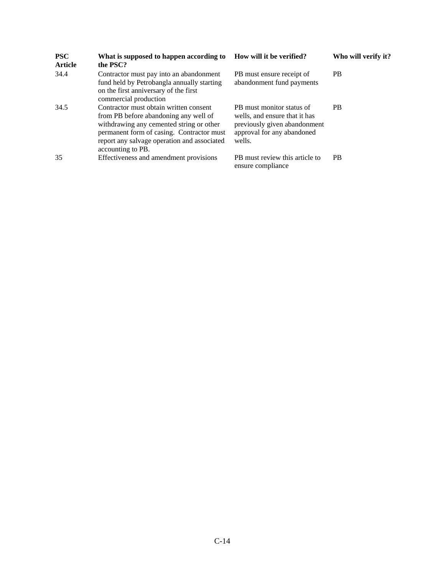| <b>PSC</b><br><b>Article</b> | What is supposed to happen according to<br>the PSC?                                                                                                                                                                                          | How will it be verified?                                                                                                           | Who will verify it? |
|------------------------------|----------------------------------------------------------------------------------------------------------------------------------------------------------------------------------------------------------------------------------------------|------------------------------------------------------------------------------------------------------------------------------------|---------------------|
| 34.4                         | Contractor must pay into an abandonment<br>fund held by Petrobangla annually starting<br>on the first anniversary of the first<br>commercial production                                                                                      | PB must ensure receipt of<br>abandonment fund payments                                                                             | <b>PB</b>           |
| 34.5                         | Contractor must obtain written consent<br>from PB before abandoning any well of<br>withdrawing any cemented string or other<br>permanent form of casing. Contractor must<br>report any salvage operation and associated<br>accounting to PB. | PB must monitor status of<br>wells, and ensure that it has<br>previously given abandonment<br>approval for any abandoned<br>wells. | <b>PB</b>           |
| 35                           | Effectiveness and amendment provisions                                                                                                                                                                                                       | PB must review this article to<br>ensure compliance                                                                                | <b>PB</b>           |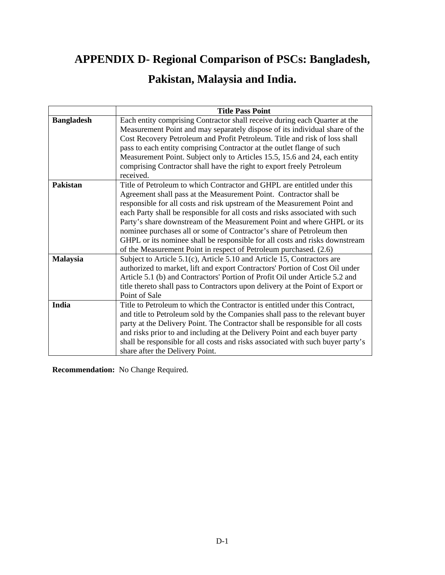## **APPENDIX D- Regional Comparison of PSCs: Bangladesh,**

## **Pakistan, Malaysia and India.**

|                   | <b>Title Pass Point</b>                                                                                                                                                                                                                                                                                                                                                                                                                                                                                                                                                                                           |
|-------------------|-------------------------------------------------------------------------------------------------------------------------------------------------------------------------------------------------------------------------------------------------------------------------------------------------------------------------------------------------------------------------------------------------------------------------------------------------------------------------------------------------------------------------------------------------------------------------------------------------------------------|
| <b>Bangladesh</b> | Each entity comprising Contractor shall receive during each Quarter at the<br>Measurement Point and may separately dispose of its individual share of the<br>Cost Recovery Petroleum and Profit Petroleum. Title and risk of loss shall<br>pass to each entity comprising Contractor at the outlet flange of such<br>Measurement Point. Subject only to Articles 15.5, 15.6 and 24, each entity<br>comprising Contractor shall have the right to export freely Petroleum<br>received.                                                                                                                             |
| <b>Pakistan</b>   | Title of Petroleum to which Contractor and GHPL are entitled under this<br>Agreement shall pass at the Measurement Point. Contractor shall be<br>responsible for all costs and risk upstream of the Measurement Point and<br>each Party shall be responsible for all costs and risks associated with such<br>Party's share downstream of the Measurement Point and where GHPL or its<br>nominee purchases all or some of Contractor's share of Petroleum then<br>GHPL or its nominee shall be responsible for all costs and risks downstream<br>of the Measurement Point in respect of Petroleum purchased. (2.6) |
| <b>Malaysia</b>   | Subject to Article 5.1(c), Article 5.10 and Article 15, Contractors are<br>authorized to market, lift and export Contractors' Portion of Cost Oil under<br>Article 5.1 (b) and Contractors' Portion of Profit Oil under Article 5.2 and<br>title thereto shall pass to Contractors upon delivery at the Point of Export or<br>Point of Sale                                                                                                                                                                                                                                                                       |
| India             | Title to Petroleum to which the Contractor is entitled under this Contract,<br>and title to Petroleum sold by the Companies shall pass to the relevant buyer<br>party at the Delivery Point. The Contractor shall be responsible for all costs<br>and risks prior to and including at the Delivery Point and each buyer party<br>shall be responsible for all costs and risks associated with such buyer party's<br>share after the Delivery Point.                                                                                                                                                               |

**Recommendation:** No Change Required.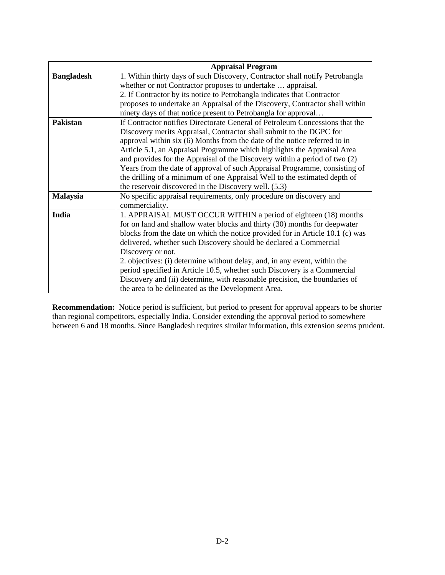|                   | <b>Appraisal Program</b>                                                      |
|-------------------|-------------------------------------------------------------------------------|
| <b>Bangladesh</b> | 1. Within thirty days of such Discovery, Contractor shall notify Petrobangla  |
|                   | whether or not Contractor proposes to undertake  appraisal.                   |
|                   | 2. If Contractor by its notice to Petrobangla indicates that Contractor       |
|                   | proposes to undertake an Appraisal of the Discovery, Contractor shall within  |
|                   | ninety days of that notice present to Petrobangla for approval                |
| <b>Pakistan</b>   | If Contractor notifies Directorate General of Petroleum Concessions that the  |
|                   | Discovery merits Appraisal, Contractor shall submit to the DGPC for           |
|                   | approval within six (6) Months from the date of the notice referred to in     |
|                   | Article 5.1, an Appraisal Programme which highlights the Appraisal Area       |
|                   | and provides for the Appraisal of the Discovery within a period of two (2)    |
|                   | Years from the date of approval of such Appraisal Programme, consisting of    |
|                   | the drilling of a minimum of one Appraisal Well to the estimated depth of     |
|                   | the reservoir discovered in the Discovery well. (5.3)                         |
| <b>Malaysia</b>   | No specific appraisal requirements, only procedure on discovery and           |
|                   | commerciality.                                                                |
| India             | 1. APPRAISAL MUST OCCUR WITHIN a period of eighteen (18) months               |
|                   | for on land and shallow water blocks and thirty (30) months for deepwater     |
|                   | blocks from the date on which the notice provided for in Article 10.1 (c) was |
|                   | delivered, whether such Discovery should be declared a Commercial             |
|                   | Discovery or not.                                                             |
|                   | 2. objectives: (i) determine without delay, and, in any event, within the     |
|                   | period specified in Article 10.5, whether such Discovery is a Commercial      |
|                   | Discovery and (ii) determine, with reasonable precision, the boundaries of    |
|                   | the area to be delineated as the Development Area.                            |

**Recommendation:** Notice period is sufficient, but period to present for approval appears to be shorter than regional competitors, especially India. Consider extending the approval period to somewhere between 6 and 18 months. Since Bangladesh requires similar information, this extension seems prudent.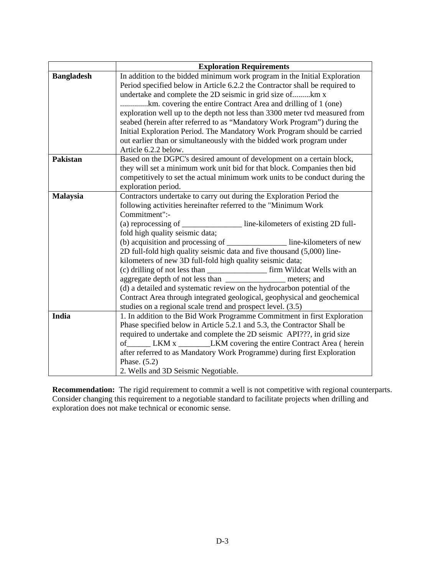|                   | <b>Exploration Requirements</b>                                                                                                              |
|-------------------|----------------------------------------------------------------------------------------------------------------------------------------------|
| <b>Bangladesh</b> | In addition to the bidded minimum work program in the Initial Exploration                                                                    |
|                   | Period specified below in Article 6.2.2 the Contractor shall be required to                                                                  |
|                   | undertake and complete the 2D seismic in grid size ofkm x                                                                                    |
|                   | km. covering the entire Contract Area and drilling of 1 (one)                                                                                |
|                   | exploration well up to the depth not less than 3300 meter tvd measured from                                                                  |
|                   | seabed (herein after referred to as "Mandatory Work Program") during the                                                                     |
|                   | Initial Exploration Period. The Mandatory Work Program should be carried                                                                     |
|                   | out earlier than or simultaneously with the bidded work program under                                                                        |
|                   | Article 6.2.2 below.                                                                                                                         |
| <b>Pakistan</b>   | Based on the DGPC's desired amount of development on a certain block,                                                                        |
|                   | they will set a minimum work unit bid for that block. Companies then bid                                                                     |
|                   | competitively to set the actual minimum work units to be conduct during the                                                                  |
|                   | exploration period.                                                                                                                          |
| <b>Malaysia</b>   | Contractors undertake to carry out during the Exploration Period the                                                                         |
|                   | following activities hereinafter referred to the "Minimum Work                                                                               |
|                   | Commitment":-                                                                                                                                |
|                   | (a) reprocessing of _______________ line-kilometers of existing 2D full-                                                                     |
|                   | fold high quality seismic data;                                                                                                              |
|                   | (b) acquisition and processing of line-kilometers of new                                                                                     |
|                   | 2D full-fold high quality seismic data and five thousand (5,000) line-                                                                       |
|                   | kilometers of new 3D full-fold high quality seismic data;                                                                                    |
|                   | (c) drilling of not less than __________________ firm Wildcat Wells with an<br>aggregate depth of not less than ________________ meters; and |
|                   | (d) a detailed and systematic review on the hydrocarbon potential of the                                                                     |
|                   | Contract Area through integrated geological, geophysical and geochemical                                                                     |
|                   | studies on a regional scale trend and prospect level. (3.5)                                                                                  |
| India             | 1. In addition to the Bid Work Programme Commitment in first Exploration                                                                     |
|                   | Phase specified below in Article 5.2.1 and 5.3, the Contractor Shall be                                                                      |
|                   | required to undertake and complete the 2D seismic API???, in grid size                                                                       |
|                   | of ________ LKM x ______________LKM covering the entire Contract Area (herein                                                                |
|                   | after referred to as Mandatory Work Programme) during first Exploration                                                                      |
|                   | Phase. $(5.2)$                                                                                                                               |
|                   | 2. Wells and 3D Seismic Negotiable.                                                                                                          |

**Recommendation:** The rigid requirement to commit a well is not competitive with regional counterparts. Consider changing this requirement to a negotiable standard to facilitate projects when drilling and exploration does not make technical or economic sense.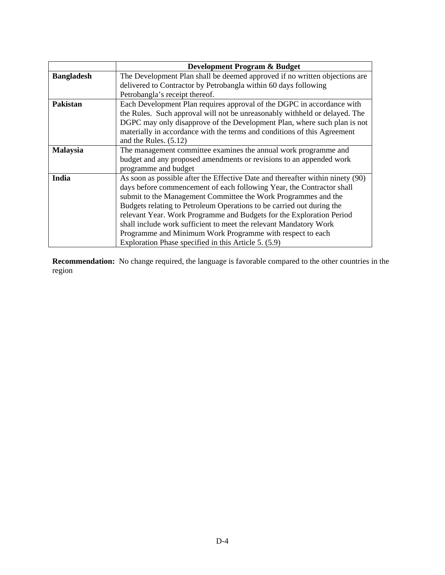|                   | <b>Development Program &amp; Budget</b>                                        |
|-------------------|--------------------------------------------------------------------------------|
| <b>Bangladesh</b> | The Development Plan shall be deemed approved if no written objections are     |
|                   | delivered to Contractor by Petrobangla within 60 days following                |
|                   | Petrobangla's receipt thereof.                                                 |
| <b>Pakistan</b>   | Each Development Plan requires approval of the DGPC in accordance with         |
|                   | the Rules. Such approval will not be unreasonably withheld or delayed. The     |
|                   | DGPC may only disapprove of the Development Plan, where such plan is not       |
|                   | materially in accordance with the terms and conditions of this Agreement       |
|                   | and the Rules. $(5.12)$                                                        |
| <b>Malaysia</b>   | The management committee examines the annual work programme and                |
|                   | budget and any proposed amendments or revisions to an appended work            |
|                   | programme and budget                                                           |
| India             | As soon as possible after the Effective Date and thereafter within ninety (90) |
|                   | days before commencement of each following Year, the Contractor shall          |
|                   | submit to the Management Committee the Work Programmes and the                 |
|                   | Budgets relating to Petroleum Operations to be carried out during the          |
|                   | relevant Year. Work Programme and Budgets for the Exploration Period           |
|                   | shall include work sufficient to meet the relevant Mandatory Work              |
|                   | Programme and Minimum Work Programme with respect to each                      |
|                   | Exploration Phase specified in this Article 5. (5.9)                           |

**Recommendation:** No change required, the language is favorable compared to the other countries in the region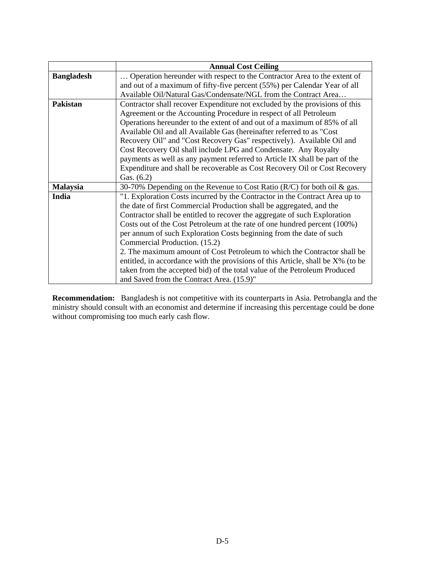|                   | <b>Annual Cost Ceiling</b>                                                      |
|-------------------|---------------------------------------------------------------------------------|
| <b>Bangladesh</b> | Operation hereunder with respect to the Contractor Area to the extent of        |
|                   | and out of a maximum of fifty-five percent (55%) per Calendar Year of all       |
|                   | Available Oil/Natural Gas/Condensate/NGL from the Contract Area                 |
| Pakistan          | Contractor shall recover Expenditure not excluded by the provisions of this     |
|                   | Agreement or the Accounting Procedure in respect of all Petroleum               |
|                   | Operations hereunder to the extent of and out of a maximum of 85% of all        |
|                   | Available Oil and all Available Gas (hereinafter referred to as "Cost"          |
|                   | Recovery Oil" and "Cost Recovery Gas" respectively). Available Oil and          |
|                   | Cost Recovery Oil shall include LPG and Condensate. Any Royalty                 |
|                   | payments as well as any payment referred to Article IX shall be part of the     |
|                   | Expenditure and shall be recoverable as Cost Recovery Oil or Cost Recovery      |
|                   | Gas. $(6.2)$                                                                    |
| <b>Malaysia</b>   | 30-70% Depending on the Revenue to Cost Ratio ( $R/C$ ) for both oil & gas.     |
| India             | "1. Exploration Costs incurred by the Contractor in the Contract Area up to     |
|                   | the date of first Commercial Production shall be aggregated, and the            |
|                   | Contractor shall be entitled to recover the aggregate of such Exploration       |
|                   | Costs out of the Cost Petroleum at the rate of one hundred percent (100%)       |
|                   | per annum of such Exploration Costs beginning from the date of such             |
|                   | Commercial Production. (15.2)                                                   |
|                   | 2. The maximum amount of Cost Petroleum to which the Contractor shall be        |
|                   | entitled, in accordance with the provisions of this Article, shall be X% (to be |
|                   | taken from the accepted bid) of the total value of the Petroleum Produced       |
|                   | and Saved from the Contract Area. (15.9)"                                       |

**Recommendation:** Bangladesh is not competitive with its counterparts in Asia. Petrobangla and the ministry should consult with an economist and determine if increasing this percentage could be done without compromising too much early cash flow.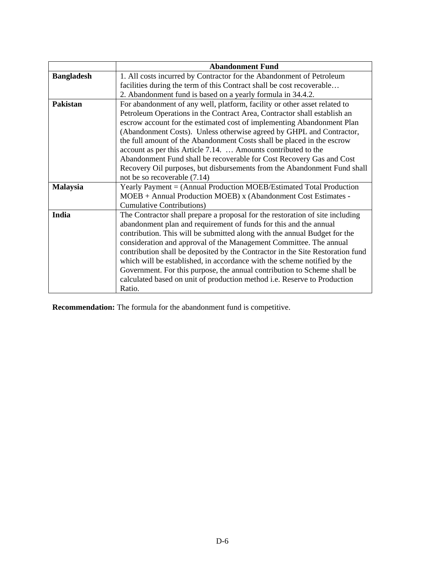|                   | <b>Abandonment Fund</b>                                                        |
|-------------------|--------------------------------------------------------------------------------|
| <b>Bangladesh</b> | 1. All costs incurred by Contractor for the Abandonment of Petroleum           |
|                   | facilities during the term of this Contract shall be cost recoverable          |
|                   | 2. Abandonment fund is based on a yearly formula in 34.4.2.                    |
| Pakistan          | For abandonment of any well, platform, facility or other asset related to      |
|                   | Petroleum Operations in the Contract Area, Contractor shall establish an       |
|                   | escrow account for the estimated cost of implementing Abandonment Plan         |
|                   | (Abandonment Costs). Unless otherwise agreed by GHPL and Contractor,           |
|                   | the full amount of the Abandonment Costs shall be placed in the escrow         |
|                   | account as per this Article 7.14.  Amounts contributed to the                  |
|                   | Abandonment Fund shall be recoverable for Cost Recovery Gas and Cost           |
|                   | Recovery Oil purposes, but disbursements from the Abandonment Fund shall       |
|                   | not be so recoverable (7.14)                                                   |
| <b>Malaysia</b>   | Yearly Payment = (Annual Production MOEB/Estimated Total Production            |
|                   | MOEB + Annual Production MOEB) x (Abandonment Cost Estimates -                 |
|                   | <b>Cumulative Contributions</b> )                                              |
| India             | The Contractor shall prepare a proposal for the restoration of site including  |
|                   | abandonment plan and requirement of funds for this and the annual              |
|                   | contribution. This will be submitted along with the annual Budget for the      |
|                   | consideration and approval of the Management Committee. The annual             |
|                   | contribution shall be deposited by the Contractor in the Site Restoration fund |
|                   | which will be established, in accordance with the scheme notified by the       |
|                   | Government. For this purpose, the annual contribution to Scheme shall be       |
|                   | calculated based on unit of production method i.e. Reserve to Production       |
|                   | Ratio.                                                                         |

**Recommendation:** The formula for the abandonment fund is competitive.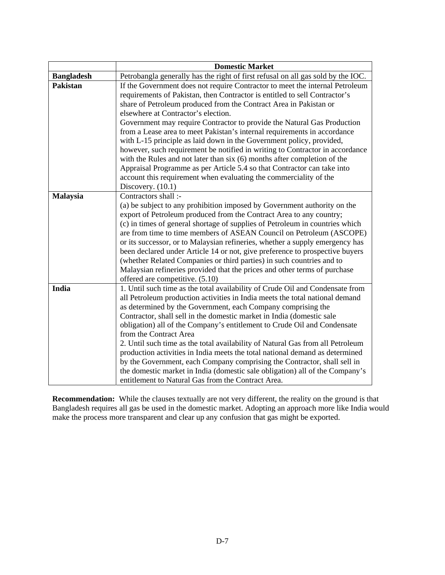|                   | <b>Domestic Market</b>                                                                                                                                                                                                                                                                                                                                                                                                                                                                                                                                                                                                                                                                                                                                                                                                                   |
|-------------------|------------------------------------------------------------------------------------------------------------------------------------------------------------------------------------------------------------------------------------------------------------------------------------------------------------------------------------------------------------------------------------------------------------------------------------------------------------------------------------------------------------------------------------------------------------------------------------------------------------------------------------------------------------------------------------------------------------------------------------------------------------------------------------------------------------------------------------------|
| <b>Bangladesh</b> | Petrobangla generally has the right of first refusal on all gas sold by the IOC.                                                                                                                                                                                                                                                                                                                                                                                                                                                                                                                                                                                                                                                                                                                                                         |
| <b>Pakistan</b>   | If the Government does not require Contractor to meet the internal Petroleum<br>requirements of Pakistan, then Contractor is entitled to sell Contractor's<br>share of Petroleum produced from the Contract Area in Pakistan or<br>elsewhere at Contractor's election.<br>Government may require Contractor to provide the Natural Gas Production<br>from a Lease area to meet Pakistan's internal requirements in accordance<br>with L-15 principle as laid down in the Government policy, provided,<br>however, such requirement be notified in writing to Contractor in accordance<br>with the Rules and not later than six (6) months after completion of the<br>Appraisal Programme as per Article 5.4 so that Contractor can take into<br>account this requirement when evaluating the commerciality of the<br>Discovery. $(10.1)$ |
| Malaysia          | Contractors shall :-<br>(a) be subject to any prohibition imposed by Government authority on the<br>export of Petroleum produced from the Contract Area to any country;<br>(c) in times of general shortage of supplies of Petroleum in countries which<br>are from time to time members of ASEAN Council on Petroleum (ASCOPE)<br>or its successor, or to Malaysian refineries, whether a supply emergency has<br>been declared under Article 14 or not, give preference to prospective buyers<br>(whether Related Companies or third parties) in such countries and to<br>Malaysian refineries provided that the prices and other terms of purchase<br>offered are competitive. (5.10)                                                                                                                                                 |
| India             | 1. Until such time as the total availability of Crude Oil and Condensate from<br>all Petroleum production activities in India meets the total national demand<br>as determined by the Government, each Company comprising the<br>Contractor, shall sell in the domestic market in India (domestic sale<br>obligation) all of the Company's entitlement to Crude Oil and Condensate<br>from the Contract Area<br>2. Until such time as the total availability of Natural Gas from all Petroleum<br>production activities in India meets the total national demand as determined<br>by the Government, each Company comprising the Contractor, shall sell in<br>the domestic market in India (domestic sale obligation) all of the Company's<br>entitlement to Natural Gas from the Contract Area.                                         |

**Recommendation:** While the clauses textually are not very different, the reality on the ground is that Bangladesh requires all gas be used in the domestic market. Adopting an approach more like India would make the process more transparent and clear up any confusion that gas might be exported.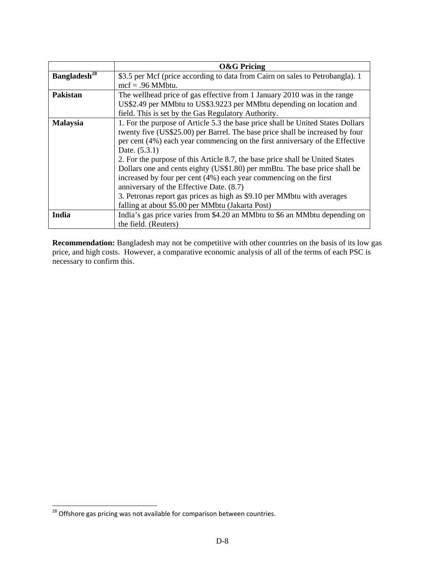|                          | <b>O&amp;G Pricing</b>                                                          |
|--------------------------|---------------------------------------------------------------------------------|
| Bangladesh <sup>28</sup> | \$3.5 per Mcf (price according to data from Cairn on sales to Petrobangla). 1   |
|                          | $mcf = .96$ MMbtu.                                                              |
| <b>Pakistan</b>          | The wellhead price of gas effective from 1 January 2010 was in the range        |
|                          | US\$2.49 per MMbtu to US\$3.9223 per MMbtu depending on location and            |
|                          | field. This is set by the Gas Regulatory Authority.                             |
| <b>Malaysia</b>          | 1. For the purpose of Article 5.3 the base price shall be United States Dollars |
|                          | twenty five (US\$25.00) per Barrel. The base price shall be increased by four   |
|                          | per cent (4%) each year commencing on the first anniversary of the Effective    |
|                          | Date. (5.3.1)                                                                   |
|                          | 2. For the purpose of this Article 8.7, the base price shall be United States   |
|                          | Dollars one and cents eighty (US\$1.80) per mmBtu. The base price shall be      |
|                          | increased by four per cent (4%) each year commencing on the first               |
|                          | anniversary of the Effective Date. (8.7)                                        |
|                          | 3. Petronas report gas prices as high as \$9.10 per MMbtu with averages         |
|                          | falling at about \$5.00 per MMbtu (Jakarta Post)                                |
| India                    | India's gas price varies from \$4.20 an MMbtu to \$6 an MMbtu depending on      |
|                          | the field. (Reuters)                                                            |

**Recommendation:** Bangladesh may not be competitive with other countries on the basis of its low gas price, and high costs. However, a comparative economic analysis of all of the terms of each PSC is necessary to confirm this.

l

 $^{28}$  Offshore gas pricing was not available for comparison between countries.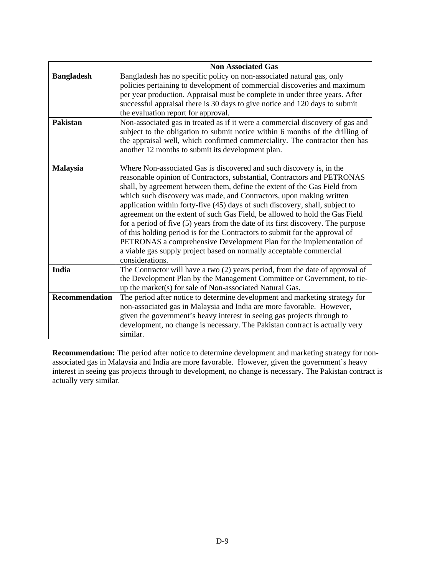|                                      | <b>Non Associated Gas</b>                                                                                                                                                                                                                                                                                                                                                                                                                                                                                                                                                                                                                                                                                                                                                                               |
|--------------------------------------|---------------------------------------------------------------------------------------------------------------------------------------------------------------------------------------------------------------------------------------------------------------------------------------------------------------------------------------------------------------------------------------------------------------------------------------------------------------------------------------------------------------------------------------------------------------------------------------------------------------------------------------------------------------------------------------------------------------------------------------------------------------------------------------------------------|
| <b>Bangladesh</b><br><b>Pakistan</b> | Bangladesh has no specific policy on non-associated natural gas, only<br>policies pertaining to development of commercial discoveries and maximum<br>per year production. Appraisal must be complete in under three years. After<br>successful appraisal there is 30 days to give notice and 120 days to submit<br>the evaluation report for approval.<br>Non-associated gas in treated as if it were a commercial discovery of gas and<br>subject to the obligation to submit notice within 6 months of the drilling of                                                                                                                                                                                                                                                                                |
|                                      | the appraisal well, which confirmed commerciality. The contractor then has<br>another 12 months to submit its development plan.                                                                                                                                                                                                                                                                                                                                                                                                                                                                                                                                                                                                                                                                         |
| <b>Malaysia</b>                      | Where Non-associated Gas is discovered and such discovery is, in the<br>reasonable opinion of Contractors, substantial, Contractors and PETRONAS<br>shall, by agreement between them, define the extent of the Gas Field from<br>which such discovery was made, and Contractors, upon making written<br>application within forty-five (45) days of such discovery, shall, subject to<br>agreement on the extent of such Gas Field, be allowed to hold the Gas Field<br>for a period of five (5) years from the date of its first discovery. The purpose<br>of this holding period is for the Contractors to submit for the approval of<br>PETRONAS a comprehensive Development Plan for the implementation of<br>a viable gas supply project based on normally acceptable commercial<br>considerations. |
| India                                | The Contractor will have a two $(2)$ years period, from the date of approval of<br>the Development Plan by the Management Committee or Government, to tie-<br>up the market(s) for sale of Non-associated Natural Gas.                                                                                                                                                                                                                                                                                                                                                                                                                                                                                                                                                                                  |
| <b>Recommendation</b>                | The period after notice to determine development and marketing strategy for<br>non-associated gas in Malaysia and India are more favorable. However,<br>given the government's heavy interest in seeing gas projects through to<br>development, no change is necessary. The Pakistan contract is actually very<br>similar.                                                                                                                                                                                                                                                                                                                                                                                                                                                                              |

**Recommendation:** The period after notice to determine development and marketing strategy for nonassociated gas in Malaysia and India are more favorable. However, given the government's heavy interest in seeing gas projects through to development, no change is necessary. The Pakistan contract is actually very similar.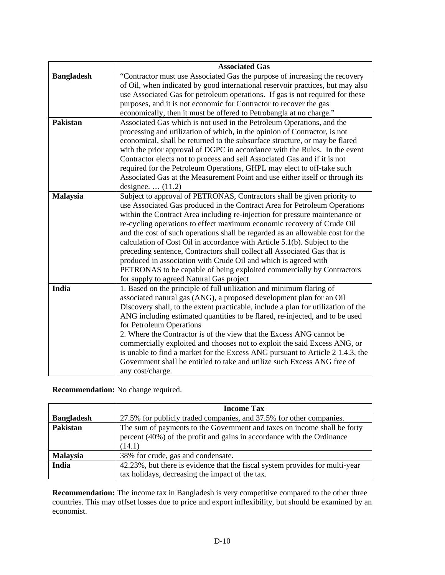|                   | <b>Associated Gas</b>                                                                                                                    |
|-------------------|------------------------------------------------------------------------------------------------------------------------------------------|
| <b>Bangladesh</b> | "Contractor must use Associated Gas the purpose of increasing the recovery                                                               |
|                   | of Oil, when indicated by good international reservoir practices, but may also                                                           |
|                   | use Associated Gas for petroleum operations. If gas is not required for these                                                            |
|                   | purposes, and it is not economic for Contractor to recover the gas                                                                       |
|                   | economically, then it must be offered to Petrobangla at no charge."                                                                      |
| Pakistan          | Associated Gas which is not used in the Petroleum Operations, and the                                                                    |
|                   | processing and utilization of which, in the opinion of Contractor, is not                                                                |
|                   | economical, shall be returned to the subsurface structure, or may be flared                                                              |
|                   | with the prior approval of DGPC in accordance with the Rules. In the event                                                               |
|                   | Contractor elects not to process and sell Associated Gas and if it is not                                                                |
|                   | required for the Petroleum Operations, GHPL may elect to off-take such                                                                   |
|                   | Associated Gas at the Measurement Point and use either itself or through its                                                             |
|                   | designee. $\dots$ (11.2)                                                                                                                 |
| <b>Malaysia</b>   | Subject to approval of PETRONAS, Contractors shall be given priority to                                                                  |
|                   | use Associated Gas produced in the Contract Area for Petroleum Operations                                                                |
|                   | within the Contract Area including re-injection for pressure maintenance or                                                              |
|                   | re-cycling operations to effect maximum economic recovery of Crude Oil                                                                   |
|                   | and the cost of such operations shall be regarded as an allowable cost for the                                                           |
|                   | calculation of Cost Oil in accordance with Article 5.1(b). Subject to the                                                                |
|                   | preceding sentence, Contractors shall collect all Associated Gas that is                                                                 |
|                   | produced in association with Crude Oil and which is agreed with<br>PETRONAS to be capable of being exploited commercially by Contractors |
|                   | for supply to agreed Natural Gas project                                                                                                 |
| India             | 1. Based on the principle of full utilization and minimum flaring of                                                                     |
|                   | associated natural gas (ANG), a proposed development plan for an Oil                                                                     |
|                   | Discovery shall, to the extent practicable, include a plan for utilization of the                                                        |
|                   | ANG including estimated quantities to be flared, re-injected, and to be used                                                             |
|                   | for Petroleum Operations                                                                                                                 |
|                   | 2. Where the Contractor is of the view that the Excess ANG cannot be                                                                     |
|                   | commercially exploited and chooses not to exploit the said Excess ANG, or                                                                |
|                   | is unable to find a market for the Excess ANG pursuant to Article 2 1.4.3, the                                                           |
|                   | Government shall be entitled to take and utilize such Excess ANG free of                                                                 |
|                   | any cost/charge.                                                                                                                         |

**Recommendation:** No change required.

|                   | <b>Income Tax</b>                                                                                                                                            |
|-------------------|--------------------------------------------------------------------------------------------------------------------------------------------------------------|
| <b>Bangladesh</b> | 27.5% for publicly traded companies, and 37.5% for other companies.                                                                                          |
| Pakistan          | The sum of payments to the Government and taxes on income shall be forty<br>percent (40%) of the profit and gains in accordance with the Ordinance<br>(14.1) |
| <b>Malaysia</b>   | 38% for crude, gas and condensate.                                                                                                                           |
| India             | 42.23%, but there is evidence that the fiscal system provides for multi-year<br>tax holidays, decreasing the impact of the tax.                              |

**Recommendation:** The income tax in Bangladesh is very competitive compared to the other three countries. This may offset losses due to price and export inflexibility, but should be examined by an economist.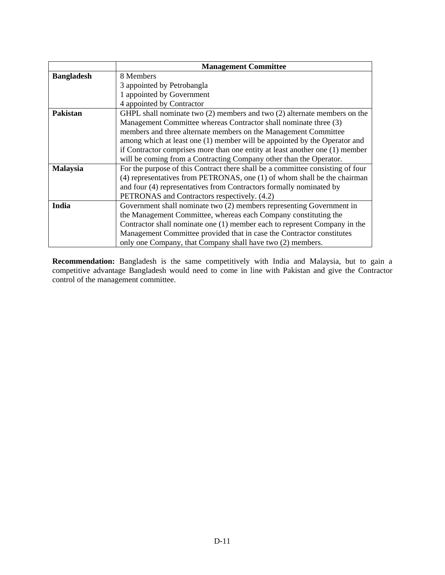|                   | <b>Management Committee</b>                                                    |
|-------------------|--------------------------------------------------------------------------------|
| <b>Bangladesh</b> | 8 Members                                                                      |
|                   | 3 appointed by Petrobangla                                                     |
|                   | 1 appointed by Government                                                      |
|                   | 4 appointed by Contractor                                                      |
| <b>Pakistan</b>   | GHPL shall nominate two $(2)$ members and two $(2)$ alternate members on the   |
|                   | Management Committee whereas Contractor shall nominate three (3)               |
|                   | members and three alternate members on the Management Committee                |
|                   | among which at least one (1) member will be appointed by the Operator and      |
|                   | if Contractor comprises more than one entity at least another one (1) member   |
|                   | will be coming from a Contracting Company other than the Operator.             |
| <b>Malaysia</b>   | For the purpose of this Contract there shall be a committee consisting of four |
|                   | (4) representatives from PETRONAS, one (1) of whom shall be the chairman       |
|                   | and four (4) representatives from Contractors formally nominated by            |
|                   | PETRONAS and Contractors respectively. (4.2)                                   |
| India             | Government shall nominate two (2) members representing Government in           |
|                   | the Management Committee, whereas each Company constituting the                |
|                   | Contractor shall nominate one (1) member each to represent Company in the      |
|                   | Management Committee provided that in case the Contractor constitutes          |
|                   | only one Company, that Company shall have two (2) members.                     |

**Recommendation:** Bangladesh is the same competitively with India and Malaysia, but to gain a competitive advantage Bangladesh would need to come in line with Pakistan and give the Contractor control of the management committee.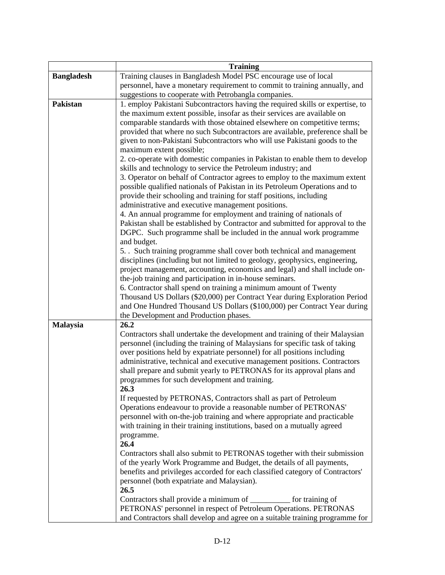|                   | <b>Training</b>                                                                                                                                            |
|-------------------|------------------------------------------------------------------------------------------------------------------------------------------------------------|
| <b>Bangladesh</b> | Training clauses in Bangladesh Model PSC encourage use of local                                                                                            |
|                   | personnel, have a monetary requirement to commit to training annually, and                                                                                 |
|                   | suggestions to cooperate with Petrobangla companies.                                                                                                       |
| <b>Pakistan</b>   | 1. employ Pakistani Subcontractors having the required skills or expertise, to                                                                             |
|                   | the maximum extent possible, insofar as their services are available on                                                                                    |
|                   | comparable standards with those obtained elsewhere on competitive terms;                                                                                   |
|                   | provided that where no such Subcontractors are available, preference shall be                                                                              |
|                   | given to non-Pakistani Subcontractors who will use Pakistani goods to the                                                                                  |
|                   | maximum extent possible;                                                                                                                                   |
|                   | 2. co-operate with domestic companies in Pakistan to enable them to develop                                                                                |
|                   | skills and technology to service the Petroleum industry; and                                                                                               |
|                   | 3. Operator on behalf of Contractor agrees to employ to the maximum extent                                                                                 |
|                   | possible qualified nationals of Pakistan in its Petroleum Operations and to                                                                                |
|                   | provide their schooling and training for staff positions, including                                                                                        |
|                   | administrative and executive management positions.                                                                                                         |
|                   | 4. An annual programme for employment and training of nationals of                                                                                         |
|                   | Pakistan shall be established by Contractor and submitted for approval to the                                                                              |
|                   | DGPC. Such programme shall be included in the annual work programme                                                                                        |
|                   | and budget.                                                                                                                                                |
|                   | 5. Such training programme shall cover both technical and management                                                                                       |
|                   | disciplines (including but not limited to geology, geophysics, engineering,                                                                                |
|                   | project management, accounting, economics and legal) and shall include on-                                                                                 |
|                   | the-job training and participation in in-house seminars.                                                                                                   |
|                   | 6. Contractor shall spend on training a minimum amount of Twenty                                                                                           |
|                   | Thousand US Dollars (\$20,000) per Contract Year during Exploration Period                                                                                 |
|                   | and One Hundred Thousand US Dollars (\$100,000) per Contract Year during                                                                                   |
|                   | the Development and Production phases.                                                                                                                     |
| <b>Malaysia</b>   | 26.2                                                                                                                                                       |
|                   | Contractors shall undertake the development and training of their Malaysian<br>personnel (including the training of Malaysians for specific task of taking |
|                   | over positions held by expatriate personnel) for all positions including                                                                                   |
|                   | administrative, technical and executive management positions. Contractors                                                                                  |
|                   | shall prepare and submit yearly to PETRONAS for its approval plans and                                                                                     |
|                   | programmes for such development and training.                                                                                                              |
|                   | 26.3                                                                                                                                                       |
|                   | If requested by PETRONAS, Contractors shall as part of Petroleum                                                                                           |
|                   | Operations endeavour to provide a reasonable number of PETRONAS'                                                                                           |
|                   | personnel with on-the-job training and where appropriate and practicable                                                                                   |
|                   | with training in their training institutions, based on a mutually agreed                                                                                   |
|                   | programme.                                                                                                                                                 |
|                   | 26.4                                                                                                                                                       |
|                   | Contractors shall also submit to PETRONAS together with their submission                                                                                   |
|                   | of the yearly Work Programme and Budget, the details of all payments,                                                                                      |
|                   | benefits and privileges accorded for each classified category of Contractors'                                                                              |
|                   | personnel (both expatriate and Malaysian).                                                                                                                 |
|                   | 26.5                                                                                                                                                       |
|                   | Contractors shall provide a minimum of _________<br>for training of                                                                                        |
|                   | PETRONAS' personnel in respect of Petroleum Operations. PETRONAS                                                                                           |
|                   | and Contractors shall develop and agree on a suitable training programme for                                                                               |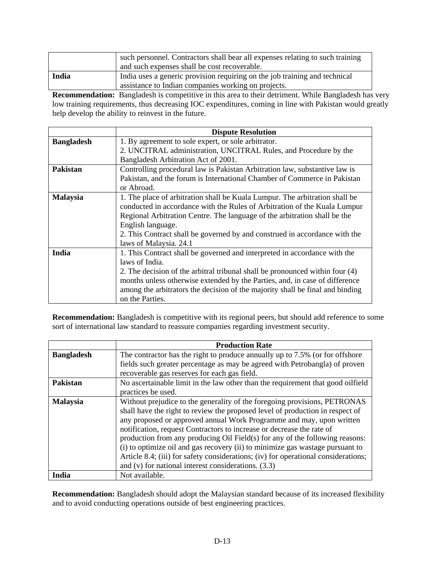|       | such personnel. Contractors shall bear all expenses relating to such training<br>and such expenses shall be cost recoverable.     |
|-------|-----------------------------------------------------------------------------------------------------------------------------------|
| India | India uses a generic provision requiring on the job training and technical<br>assistance to Indian companies working on projects. |

**Recommendation:** Bangladesh is competitive in this area to their detriment. While Bangladesh has very low training requirements, thus decreasing IOC expenditures, coming in line with Pakistan would greatly help develop the ability to reinvest in the future.

|                   | <b>Dispute Resolution</b>                                                     |
|-------------------|-------------------------------------------------------------------------------|
| <b>Bangladesh</b> | 1. By agreement to sole expert, or sole arbitrator.                           |
|                   | 2. UNCITRAL administration, UNCITRAL Rules, and Procedure by the              |
|                   | Bangladesh Arbitration Act of 2001.                                           |
| Pakistan          | Controlling procedural law is Pakistan Arbitration law, substantive law is    |
|                   | Pakistan, and the forum is International Chamber of Commerce in Pakistan      |
|                   | or Abroad.                                                                    |
| <b>Malaysia</b>   | 1. The place of arbitration shall be Kuala Lumpur. The arbitration shall be   |
|                   | conducted in accordance with the Rules of Arbitration of the Kuala Lumpur     |
|                   | Regional Arbitration Centre. The language of the arbitration shall be the     |
|                   | English language.                                                             |
|                   | 2. This Contract shall be governed by and construed in accordance with the    |
|                   | laws of Malaysia. 24.1                                                        |
| India             | 1. This Contract shall be governed and interpreted in accordance with the     |
|                   | laws of India.                                                                |
|                   | 2. The decision of the arbitral tribunal shall be pronounced within four (4)  |
|                   | months unless otherwise extended by the Parties, and, in case of difference   |
|                   | among the arbitrators the decision of the majority shall be final and binding |
|                   | on the Parties.                                                               |

**Recommendation:** Bangladesh is competitive with its regional peers, but should add reference to some sort of international law standard to reassure companies regarding investment security.

|                   | <b>Production Rate</b>                                                                                                                                                                                                                                                                                                                                                                                                                                                                                                                                                                                                        |
|-------------------|-------------------------------------------------------------------------------------------------------------------------------------------------------------------------------------------------------------------------------------------------------------------------------------------------------------------------------------------------------------------------------------------------------------------------------------------------------------------------------------------------------------------------------------------------------------------------------------------------------------------------------|
| <b>Bangladesh</b> | The contractor has the right to produce annually up to 7.5% (or for offshore                                                                                                                                                                                                                                                                                                                                                                                                                                                                                                                                                  |
|                   | fields such greater percentage as may be agreed with Petrobangla) of proven                                                                                                                                                                                                                                                                                                                                                                                                                                                                                                                                                   |
|                   | recoverable gas reserves for each gas field.                                                                                                                                                                                                                                                                                                                                                                                                                                                                                                                                                                                  |
| <b>Pakistan</b>   | No ascertainable limit in the law other than the requirement that good oilfield                                                                                                                                                                                                                                                                                                                                                                                                                                                                                                                                               |
|                   | practices be used.                                                                                                                                                                                                                                                                                                                                                                                                                                                                                                                                                                                                            |
| <b>Malaysia</b>   | Without prejudice to the generality of the foregoing provisions, PETRONAS<br>shall have the right to review the proposed level of production in respect of<br>any proposed or approved annual Work Programme and may, upon written<br>notification, request Contractors to increase or decrease the rate of<br>production from any producing Oil Field(s) for any of the following reasons:<br>(i) to optimize oil and gas recovery (ii) to minimize gas wastage pursuant to<br>Article 8.4; (iii) for safety considerations; (iv) for operational considerations;<br>and $(v)$ for national interest considerations. $(3.3)$ |
| India             | Not available.                                                                                                                                                                                                                                                                                                                                                                                                                                                                                                                                                                                                                |

**Recommendation:** Bangladesh should adopt the Malaysian standard because of its increased flexibility and to avoid conducting operations outside of best engineering practices.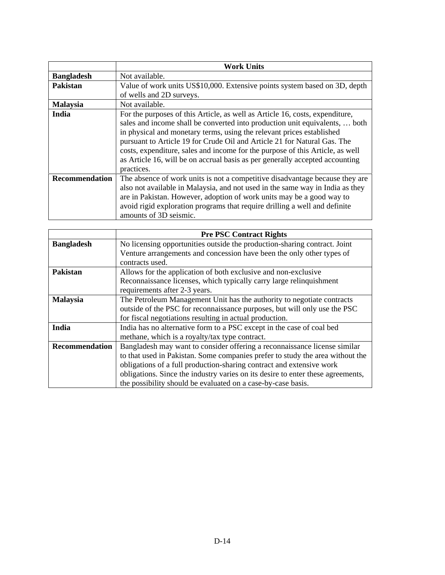|                       | <b>Work Units</b>                                                                                                                                                                                                                                                                                                                                                                                                                                                                               |
|-----------------------|-------------------------------------------------------------------------------------------------------------------------------------------------------------------------------------------------------------------------------------------------------------------------------------------------------------------------------------------------------------------------------------------------------------------------------------------------------------------------------------------------|
| <b>Bangladesh</b>     | Not available.                                                                                                                                                                                                                                                                                                                                                                                                                                                                                  |
| <b>Pakistan</b>       | Value of work units US\$10,000. Extensive points system based on 3D, depth                                                                                                                                                                                                                                                                                                                                                                                                                      |
|                       | of wells and 2D surveys.                                                                                                                                                                                                                                                                                                                                                                                                                                                                        |
| <b>Malaysia</b>       | Not available.                                                                                                                                                                                                                                                                                                                                                                                                                                                                                  |
| India                 | For the purposes of this Article, as well as Article 16, costs, expenditure,<br>sales and income shall be converted into production unit equivalents,  both<br>in physical and monetary terms, using the relevant prices established<br>pursuant to Article 19 for Crude Oil and Article 21 for Natural Gas. The<br>costs, expenditure, sales and income for the purpose of this Article, as well<br>as Article 16, will be on accrual basis as per generally accepted accounting<br>practices. |
| <b>Recommendation</b> | The absence of work units is not a competitive disadvantage because they are<br>also not available in Malaysia, and not used in the same way in India as they<br>are in Pakistan. However, adoption of work units may be a good way to<br>avoid rigid exploration programs that require drilling a well and definite<br>amounts of 3D seismic.                                                                                                                                                  |

|                       | <b>Pre PSC Contract Rights</b>                                                  |
|-----------------------|---------------------------------------------------------------------------------|
| <b>Bangladesh</b>     | No licensing opportunities outside the production-sharing contract. Joint       |
|                       | Venture arrangements and concession have been the only other types of           |
|                       | contracts used.                                                                 |
| <b>Pakistan</b>       | Allows for the application of both exclusive and non-exclusive                  |
|                       | Reconnaissance licenses, which typically carry large relinquishment             |
|                       | requirements after 2-3 years.                                                   |
| <b>Malaysia</b>       | The Petroleum Management Unit has the authority to negotiate contracts          |
|                       | outside of the PSC for reconnaissance purposes, but will only use the PSC       |
|                       | for fiscal negotiations resulting in actual production.                         |
| India                 | India has no alternative form to a PSC except in the case of coal bed           |
|                       | methane, which is a royalty/tax type contract.                                  |
| <b>Recommendation</b> | Bangladesh may want to consider offering a reconnaissance license similar       |
|                       | to that used in Pakistan. Some companies prefer to study the area without the   |
|                       | obligations of a full production-sharing contract and extensive work            |
|                       | obligations. Since the industry varies on its desire to enter these agreements, |
|                       | the possibility should be evaluated on a case-by-case basis.                    |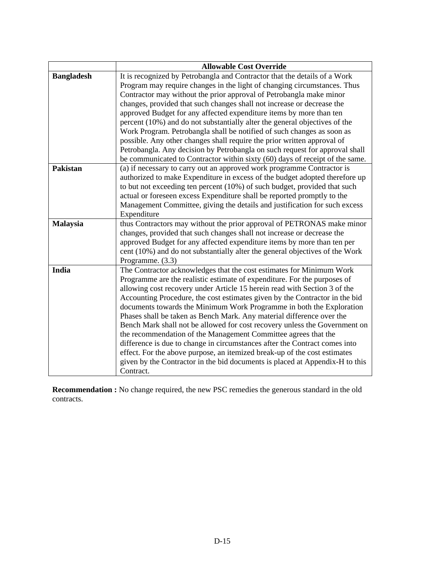|                   | <b>Allowable Cost Override</b>                                               |
|-------------------|------------------------------------------------------------------------------|
| <b>Bangladesh</b> | It is recognized by Petrobangla and Contractor that the details of a Work    |
|                   | Program may require changes in the light of changing circumstances. Thus     |
|                   | Contractor may without the prior approval of Petrobangla make minor          |
|                   | changes, provided that such changes shall not increase or decrease the       |
|                   | approved Budget for any affected expenditure items by more than ten          |
|                   | percent (10%) and do not substantially alter the general objectives of the   |
|                   | Work Program. Petrobangla shall be notified of such changes as soon as       |
|                   | possible. Any other changes shall require the prior written approval of      |
|                   | Petrobangla. Any decision by Petrobangla on such request for approval shall  |
|                   | be communicated to Contractor within sixty (60) days of receipt of the same. |
| <b>Pakistan</b>   | (a) if necessary to carry out an approved work programme Contractor is       |
|                   | authorized to make Expenditure in excess of the budget adopted therefore up  |
|                   | to but not exceeding ten percent (10%) of such budget, provided that such    |
|                   | actual or foreseen excess Expenditure shall be reported promptly to the      |
|                   | Management Committee, giving the details and justification for such excess   |
|                   | Expenditure                                                                  |
| Malaysia          | thus Contractors may without the prior approval of PETRONAS make minor       |
|                   | changes, provided that such changes shall not increase or decrease the       |
|                   | approved Budget for any affected expenditure items by more than ten per      |
|                   | cent (10%) and do not substantially alter the general objectives of the Work |
|                   | Programme. (3.3)                                                             |
| India             | The Contractor acknowledges that the cost estimates for Minimum Work         |
|                   | Programme are the realistic estimate of expenditure. For the purposes of     |
|                   | allowing cost recovery under Article 15 herein read with Section 3 of the    |
|                   | Accounting Procedure, the cost estimates given by the Contractor in the bid  |
|                   | documents towards the Minimum Work Programme in both the Exploration         |
|                   | Phases shall be taken as Bench Mark. Any material difference over the        |
|                   | Bench Mark shall not be allowed for cost recovery unless the Government on   |
|                   | the recommendation of the Management Committee agrees that the               |
|                   | difference is due to change in circumstances after the Contract comes into   |
|                   | effect. For the above purpose, an itemized break-up of the cost estimates    |
|                   | given by the Contractor in the bid documents is placed at Appendix-H to this |
|                   | Contract.                                                                    |

**Recommendation :** No change required, the new PSC remedies the generous standard in the old contracts.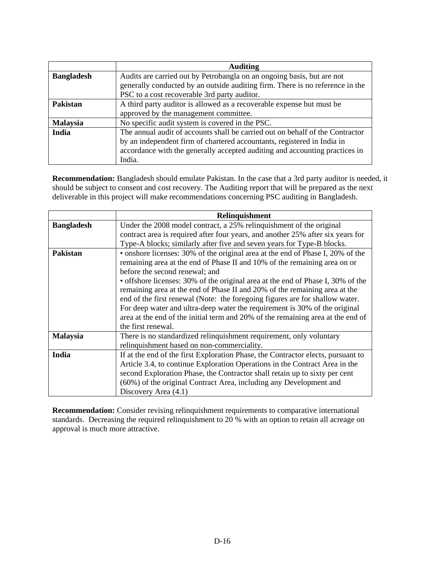|                   | <b>Auditing</b>                                                               |
|-------------------|-------------------------------------------------------------------------------|
| <b>Bangladesh</b> | Audits are carried out by Petrobangla on an ongoing basis, but are not        |
|                   | generally conducted by an outside auditing firm. There is no reference in the |
|                   | PSC to a cost recoverable 3rd party auditor.                                  |
| Pakistan          | A third party auditor is allowed as a recoverable expense but must be         |
|                   | approved by the management committee.                                         |
| <b>Malaysia</b>   | No specific audit system is covered in the PSC.                               |
| India             | The annual audit of accounts shall be carried out on behalf of the Contractor |
|                   | by an independent firm of chartered accountants, registered in India in       |
|                   | accordance with the generally accepted auditing and accounting practices in   |
|                   | India.                                                                        |

**Recommendation:** Bangladesh should emulate Pakistan. In the case that a 3rd party auditor is needed, it should be subject to consent and cost recovery. The Auditing report that will be prepared as the next deliverable in this project will make recommendations concerning PSC auditing in Bangladesh.

|                   | Relinquishment                                                                                                                                                                                                                                                                                                                                                                                                                                                                                                               |
|-------------------|------------------------------------------------------------------------------------------------------------------------------------------------------------------------------------------------------------------------------------------------------------------------------------------------------------------------------------------------------------------------------------------------------------------------------------------------------------------------------------------------------------------------------|
| <b>Bangladesh</b> | Under the 2008 model contract, a 25% relinquishment of the original                                                                                                                                                                                                                                                                                                                                                                                                                                                          |
|                   | contract area is required after four years, and another 25% after six years for                                                                                                                                                                                                                                                                                                                                                                                                                                              |
|                   | Type-A blocks; similarly after five and seven years for Type-B blocks.                                                                                                                                                                                                                                                                                                                                                                                                                                                       |
| Pakistan          | • onshore licenses: 30% of the original area at the end of Phase I, 20% of the<br>remaining area at the end of Phase II and 10% of the remaining area on or<br>before the second renewal; and<br>• offshore licenses: 30% of the original area at the end of Phase I, 30% of the<br>remaining area at the end of Phase II and 20% of the remaining area at the<br>end of the first renewal (Note: the foregoing figures are for shallow water.<br>For deep water and ultra-deep water the requirement is 30% of the original |
|                   | area at the end of the initial term and 20% of the remaining area at the end of<br>the first renewal.                                                                                                                                                                                                                                                                                                                                                                                                                        |
| <b>Malaysia</b>   | There is no standardized relinquishment requirement, only voluntary<br>relinquishment based on non-commerciality.                                                                                                                                                                                                                                                                                                                                                                                                            |
| India             | If at the end of the first Exploration Phase, the Contractor elects, pursuant to<br>Article 3.4, to continue Exploration Operations in the Contract Area in the<br>second Exploration Phase, the Contractor shall retain up to sixty per cent<br>(60%) of the original Contract Area, including any Development and<br>Discovery Area (4.1)                                                                                                                                                                                  |

**Recommendation:** Consider revising relinquishment requirements to comparative international standards. Decreasing the required relinquishment to 20 % with an option to retain all acreage on approval is much more attractive.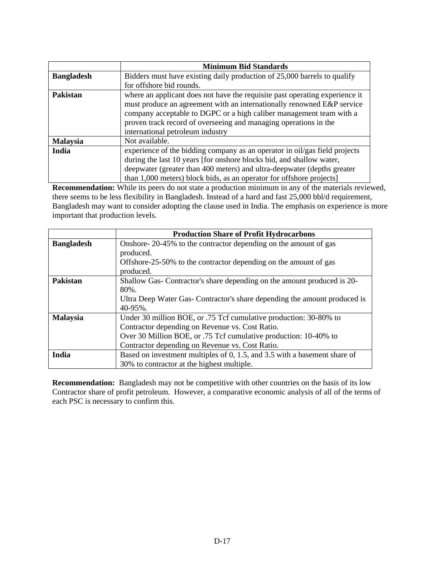|                   | <b>Minimum Bid Standards</b>                                                                                                                                                                                                                                                                                                         |
|-------------------|--------------------------------------------------------------------------------------------------------------------------------------------------------------------------------------------------------------------------------------------------------------------------------------------------------------------------------------|
| <b>Bangladesh</b> | Bidders must have existing daily production of 25,000 barrels to qualify                                                                                                                                                                                                                                                             |
|                   | for offshore bid rounds.                                                                                                                                                                                                                                                                                                             |
| <b>Pakistan</b>   | where an applicant does not have the requisite past operating experience it<br>must produce an agreement with an internationally renowned E&P service<br>company acceptable to DGPC or a high caliber management team with a<br>proven track record of overseeing and managing operations in the<br>international petroleum industry |
| <b>Malaysia</b>   | Not available.                                                                                                                                                                                                                                                                                                                       |
| India             | experience of the bidding company as an operator in oil/gas field projects<br>during the last 10 years [for onshore blocks bid, and shallow water,<br>deepwater (greater than 400 meters) and ultra-deepwater (depths greater<br>than 1,000 meters) block bids, as an operator for offshore projects                                 |

**Recommendation:** While its peers do not state a production minimum in any of the materials reviewed, there seems to be less flexibility in Bangladesh. Instead of a hard and fast 25,000 bbl/d requirement, Bangladesh may want to consider adopting the clause used in India. The emphasis on experience is more important that production levels.

|                   | <b>Production Share of Profit Hydrocarbons</b>                            |
|-------------------|---------------------------------------------------------------------------|
| <b>Bangladesh</b> | Onshore-20-45% to the contractor depending on the amount of gas           |
|                   | produced.                                                                 |
|                   | Offshore-25-50% to the contractor depending on the amount of gas          |
|                   | produced.                                                                 |
| <b>Pakistan</b>   | Shallow Gas-Contractor's share depending on the amount produced is 20-    |
|                   | $80\%$ .                                                                  |
|                   | Ultra Deep Water Gas-Contractor's share depending the amount produced is  |
|                   | 40-95%.                                                                   |
| <b>Malaysia</b>   | Under 30 million BOE, or .75 Tcf cumulative production: 30-80% to         |
|                   | Contractor depending on Revenue vs. Cost Ratio.                           |
|                   | Over 30 Million BOE, or .75 Tcf cumulative production: 10-40% to          |
|                   | Contractor depending on Revenue vs. Cost Ratio.                           |
| India             | Based on investment multiples of 0, 1.5, and 3.5 with a basement share of |
|                   | 30% to contractor at the highest multiple.                                |

**Recommendation:** Bangladesh may not be competitive with other countries on the basis of its low Contractor share of profit petroleum. However, a comparative economic analysis of all of the terms of each PSC is necessary to confirm this.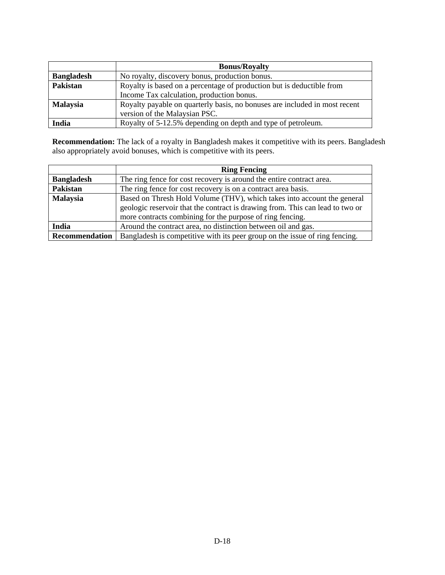|                   | <b>Bonus/Royalty</b>                                                       |
|-------------------|----------------------------------------------------------------------------|
| <b>Bangladesh</b> | No royalty, discovery bonus, production bonus.                             |
| Pakistan          | Royalty is based on a percentage of production but is deductible from      |
|                   | Income Tax calculation, production bonus.                                  |
| <b>Malaysia</b>   | Royalty payable on quarterly basis, no bonuses are included in most recent |
|                   | version of the Malaysian PSC.                                              |
| India             | Royalty of 5-12.5% depending on depth and type of petroleum.               |

**Recommendation:** The lack of a royalty in Bangladesh makes it competitive with its peers. Bangladesh also appropriately avoid bonuses, which is competitive with its peers.

|                   | <b>Ring Fencing</b>                                                           |
|-------------------|-------------------------------------------------------------------------------|
| <b>Bangladesh</b> | The ring fence for cost recovery is around the entire contract area.          |
| Pakistan          | The ring fence for cost recovery is on a contract area basis.                 |
| <b>Malaysia</b>   | Based on Thresh Hold Volume (THV), which takes into account the general       |
|                   | geologic reservoir that the contract is drawing from. This can lead to two or |
|                   | more contracts combining for the purpose of ring fencing.                     |
| India             | Around the contract area, no distinction between oil and gas.                 |
| Recommendation    | Bangladesh is competitive with its peer group on the issue of ring fencing.   |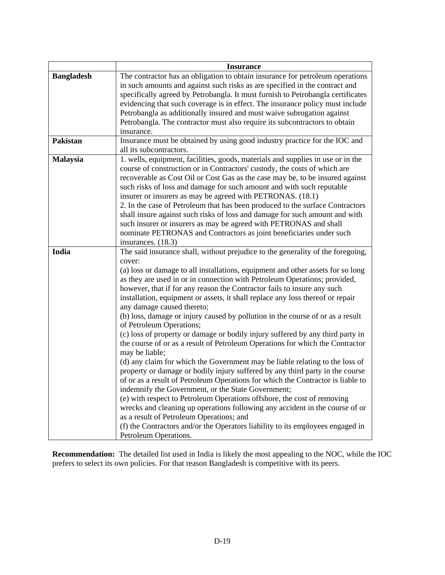|                   | <b>Insurance</b>                                                                                                                                                                                                                                                                                                                                                                                                                                                                                                                                                                                                                                                                                                                                                                                                                                                                                                                                                                                                                                                                                                                                                                                                                                                                                                                                                                    |
|-------------------|-------------------------------------------------------------------------------------------------------------------------------------------------------------------------------------------------------------------------------------------------------------------------------------------------------------------------------------------------------------------------------------------------------------------------------------------------------------------------------------------------------------------------------------------------------------------------------------------------------------------------------------------------------------------------------------------------------------------------------------------------------------------------------------------------------------------------------------------------------------------------------------------------------------------------------------------------------------------------------------------------------------------------------------------------------------------------------------------------------------------------------------------------------------------------------------------------------------------------------------------------------------------------------------------------------------------------------------------------------------------------------------|
| <b>Bangladesh</b> | The contractor has an obligation to obtain insurance for petroleum operations<br>in such amounts and against such risks as are specified in the contract and<br>specifically agreed by Petrobangla. It must furnish to Petrobangla certificates<br>evidencing that such coverage is in effect. The insurance policy must include<br>Petrobangla as additionally insured and must waive subrogation against<br>Petrobangla. The contractor must also require its subcontractors to obtain<br>insurance.                                                                                                                                                                                                                                                                                                                                                                                                                                                                                                                                                                                                                                                                                                                                                                                                                                                                              |
| Pakistan          | Insurance must be obtained by using good industry practice for the IOC and<br>all its subcontractors.                                                                                                                                                                                                                                                                                                                                                                                                                                                                                                                                                                                                                                                                                                                                                                                                                                                                                                                                                                                                                                                                                                                                                                                                                                                                               |
| Malaysia          | 1. wells, equipment, facilities, goods, materials and supplies in use or in the<br>course of construction or in Contractors' custody, the costs of which are<br>recoverable as Cost Oil or Cost Gas as the case may be, to be insured against<br>such risks of loss and damage for such amount and with such reputable<br>insurer or insurers as may be agreed with PETRONAS. (18.1)<br>2. In the case of Petroleum that has been produced to the surface Contractors<br>shall insure against such risks of loss and damage for such amount and with<br>such insurer or insurers as may be agreed with PETRONAS and shall<br>nominate PETRONAS and Contractors as joint beneficiaries under such<br>insurances. (18.3)                                                                                                                                                                                                                                                                                                                                                                                                                                                                                                                                                                                                                                                              |
| India             | The said insurance shall, without prejudice to the generality of the foregoing,<br>cover:<br>(a) loss or damage to all installations, equipment and other assets for so long<br>as they are used in or in connection with Petroleum Operations; provided,<br>however, that if for any reason the Contractor fails to insure any such<br>installation, equipment or assets, it shall replace any loss thereof or repair<br>any damage caused thereto;<br>(b) loss, damage or injury caused by pollution in the course of or as a result<br>of Petroleum Operations;<br>(c) loss of property or damage or bodily injury suffered by any third party in<br>the course of or as a result of Petroleum Operations for which the Contractor<br>may be liable;<br>(d) any claim for which the Government may be liable relating to the loss of<br>property or damage or bodily injury suffered by any third party in the course<br>of or as a result of Petroleum Operations for which the Contractor is liable to<br>indemnify the Government, or the State Government;<br>(e) with respect to Petroleum Operations offshore, the cost of removing<br>wrecks and cleaning up operations following any accident in the course of or<br>as a result of Petroleum Operations; and<br>(f) the Contractors and/or the Operators liability to its employees engaged in<br>Petroleum Operations. |

**Recommendation:** The detailed list used in India is likely the most appealing to the NOC, while the IOC prefers to select its own policies. For that reason Bangladesh is competitive with its peers.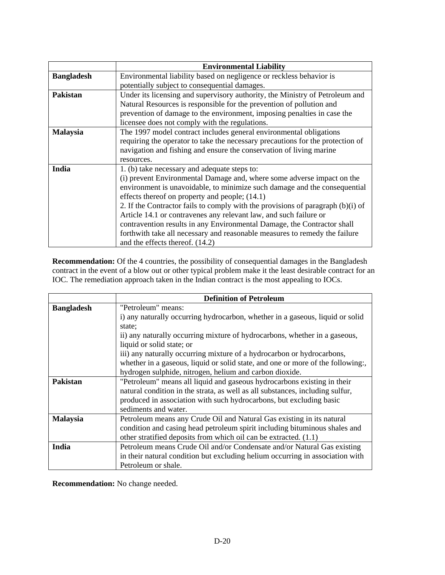|                   | <b>Environmental Liability</b>                                                  |
|-------------------|---------------------------------------------------------------------------------|
| <b>Bangladesh</b> | Environmental liability based on negligence or reckless behavior is             |
|                   | potentially subject to consequential damages.                                   |
| <b>Pakistan</b>   | Under its licensing and supervisory authority, the Ministry of Petroleum and    |
|                   | Natural Resources is responsible for the prevention of pollution and            |
|                   | prevention of damage to the environment, imposing penalties in case the         |
|                   | licensee does not comply with the regulations.                                  |
| <b>Malaysia</b>   | The 1997 model contract includes general environmental obligations              |
|                   | requiring the operator to take the necessary precautions for the protection of  |
|                   | navigation and fishing and ensure the conservation of living marine             |
|                   | resources.                                                                      |
| India             | 1. (b) take necessary and adequate steps to:                                    |
|                   | (i) prevent Environmental Damage and, where some adverse impact on the          |
|                   | environment is unavoidable, to minimize such damage and the consequential       |
|                   | effects thereof on property and people; (14.1)                                  |
|                   | 2. If the Contractor fails to comply with the provisions of paragraph (b)(i) of |
|                   | Article 14.1 or contravenes any relevant law, and such failure or               |
|                   | contravention results in any Environmental Damage, the Contractor shall         |
|                   | forthwith take all necessary and reasonable measures to remedy the failure      |
|                   | and the effects thereof. (14.2)                                                 |

**Recommendation:** Of the 4 countries, the possibility of consequential damages in the Bangladesh contract in the event of a blow out or other typical problem make it the least desirable contract for an IOC. The remediation approach taken in the Indian contract is the most appealing to IOCs.

|                   | <b>Definition of Petroleum</b>                                                  |
|-------------------|---------------------------------------------------------------------------------|
| <b>Bangladesh</b> | "Petroleum" means:                                                              |
|                   | i) any naturally occurring hydrocarbon, whether in a gaseous, liquid or solid   |
|                   | state:                                                                          |
|                   | ii) any naturally occurring mixture of hydrocarbons, whether in a gaseous,      |
|                   | liquid or solid state; or                                                       |
|                   | iii) any naturally occurring mixture of a hydrocarbon or hydrocarbons,          |
|                   | whether in a gaseous, liquid or solid state, and one or more of the following:, |
|                   | hydrogen sulphide, nitrogen, helium and carbon dioxide.                         |
| Pakistan          | "Petroleum" means all liquid and gaseous hydrocarbons existing in their         |
|                   | natural condition in the strata, as well as all substances, including sulfur,   |
|                   | produced in association with such hydrocarbons, but excluding basic             |
|                   | sediments and water.                                                            |
| <b>Malaysia</b>   | Petroleum means any Crude Oil and Natural Gas existing in its natural           |
|                   | condition and casing head petroleum spirit including bituminous shales and      |
|                   | other stratified deposits from which oil can be extracted. (1.1)                |
| India             | Petroleum means Crude Oil and/or Condensate and/or Natural Gas existing         |
|                   | in their natural condition but excluding helium occurring in association with   |
|                   | Petroleum or shale.                                                             |

**Recommendation:** No change needed.